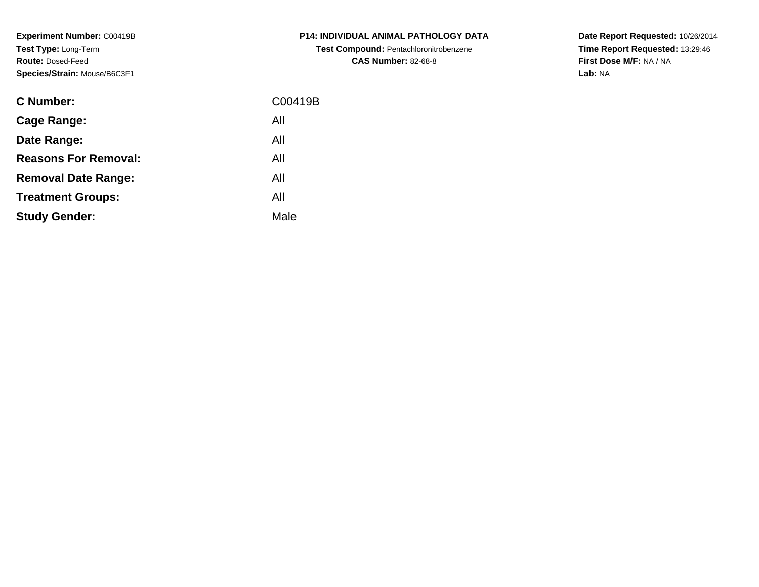**Experiment Number:** C00419B**Test Type:** Long-Term**Route:** Dosed-Feed**Species/Strain:** Mouse/B6C3F1

| <b>C Number:</b>            | C00419B |
|-----------------------------|---------|
| <b>Cage Range:</b>          | All     |
| Date Range:                 | All     |
| <b>Reasons For Removal:</b> | All     |
| <b>Removal Date Range:</b>  | All     |
| <b>Treatment Groups:</b>    | All     |
| <b>Study Gender:</b>        | Male    |
|                             |         |

**P14: INDIVIDUAL ANIMAL PATHOLOGY DATATest Compound:** Pentachloronitrobenzene**CAS Number:** 82-68-8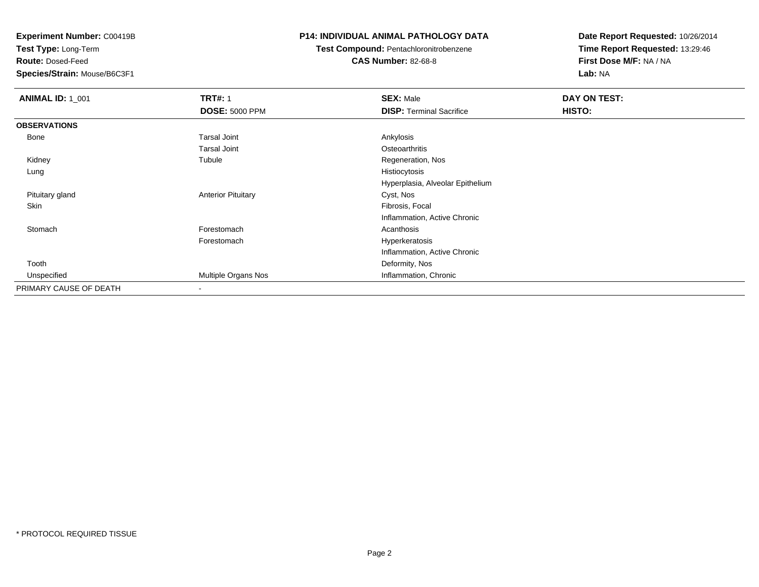**Test Type:** Long-Term

**Route:** Dosed-Feed

**Species/Strain:** Mouse/B6C3F1

### **P14: INDIVIDUAL ANIMAL PATHOLOGY DATA**

**Test Compound:** Pentachloronitrobenzene

**CAS Number:** 82-68-8

| <b>ANIMAL ID: 1_001</b> | <b>TRT#: 1</b>            | <b>SEX: Male</b>                 | DAY ON TEST: |
|-------------------------|---------------------------|----------------------------------|--------------|
|                         | <b>DOSE: 5000 PPM</b>     | <b>DISP: Terminal Sacrifice</b>  | HISTO:       |
| <b>OBSERVATIONS</b>     |                           |                                  |              |
| Bone                    | <b>Tarsal Joint</b>       | Ankylosis                        |              |
|                         | <b>Tarsal Joint</b>       | Osteoarthritis                   |              |
| Kidney                  | Tubule                    | Regeneration, Nos                |              |
| Lung                    |                           | Histiocytosis                    |              |
|                         |                           | Hyperplasia, Alveolar Epithelium |              |
| Pituitary gland         | <b>Anterior Pituitary</b> | Cyst, Nos                        |              |
| Skin                    |                           | Fibrosis, Focal                  |              |
|                         |                           | Inflammation, Active Chronic     |              |
| Stomach                 | Forestomach               | Acanthosis                       |              |
|                         | Forestomach               | Hyperkeratosis                   |              |
|                         |                           | Inflammation, Active Chronic     |              |
| Tooth                   |                           | Deformity, Nos                   |              |
| Unspecified             | Multiple Organs Nos       | Inflammation, Chronic            |              |
| PRIMARY CAUSE OF DEATH  | $\overline{\phantom{a}}$  |                                  |              |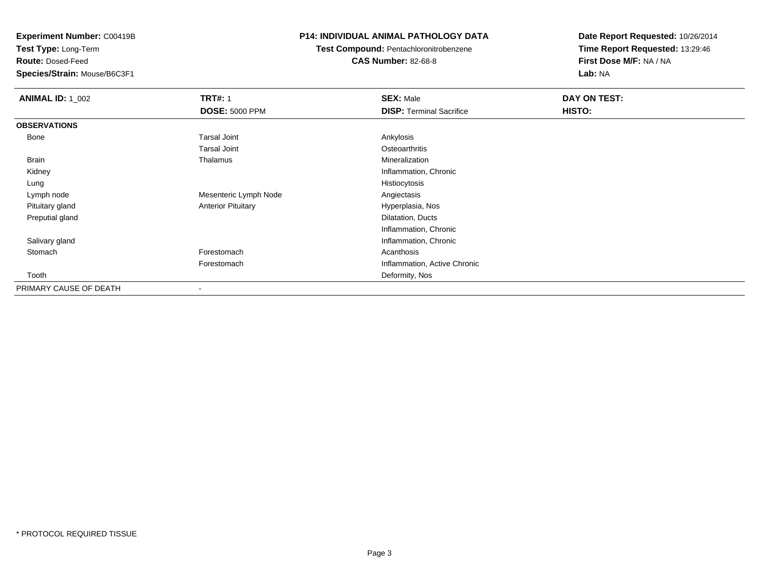**Test Type:** Long-Term

**Route:** Dosed-Feed

**Species/Strain:** Mouse/B6C3F1

### **P14: INDIVIDUAL ANIMAL PATHOLOGY DATA**

**Test Compound:** Pentachloronitrobenzene**CAS Number:** 82-68-8

| <b>ANIMAL ID: 1_002</b> | <b>TRT#: 1</b>            | <b>SEX: Male</b>                | DAY ON TEST: |  |
|-------------------------|---------------------------|---------------------------------|--------------|--|
|                         | <b>DOSE: 5000 PPM</b>     | <b>DISP: Terminal Sacrifice</b> | HISTO:       |  |
| <b>OBSERVATIONS</b>     |                           |                                 |              |  |
| Bone                    | <b>Tarsal Joint</b>       | Ankylosis                       |              |  |
|                         | <b>Tarsal Joint</b>       | Osteoarthritis                  |              |  |
| Brain                   | Thalamus                  | Mineralization                  |              |  |
| Kidney                  |                           | Inflammation, Chronic           |              |  |
| Lung                    |                           | Histiocytosis                   |              |  |
| Lymph node              | Mesenteric Lymph Node     | Angiectasis                     |              |  |
| Pituitary gland         | <b>Anterior Pituitary</b> | Hyperplasia, Nos                |              |  |
| Preputial gland         |                           | Dilatation, Ducts               |              |  |
|                         |                           | Inflammation, Chronic           |              |  |
| Salivary gland          |                           | Inflammation, Chronic           |              |  |
| Stomach                 | Forestomach               | Acanthosis                      |              |  |
|                         | Forestomach               | Inflammation, Active Chronic    |              |  |
| Tooth                   |                           | Deformity, Nos                  |              |  |
| PRIMARY CAUSE OF DEATH  |                           |                                 |              |  |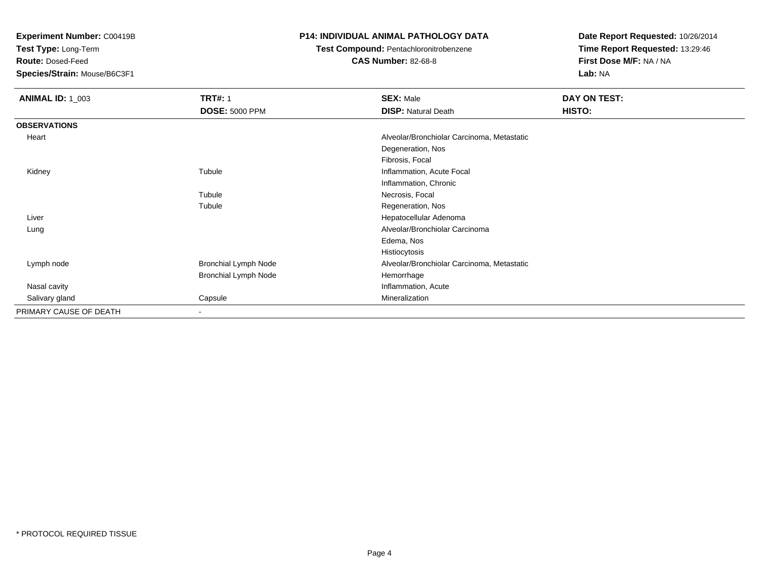**Test Type:** Long-Term

**Route:** Dosed-Feed

**Species/Strain:** Mouse/B6C3F1

### **P14: INDIVIDUAL ANIMAL PATHOLOGY DATA**

### **Test Compound:** Pentachloronitrobenzene

**CAS Number:** 82-68-8

| <b>ANIMAL ID: 1_003</b> | <b>TRT#: 1</b>              | <b>SEX: Male</b>                           | DAY ON TEST: |
|-------------------------|-----------------------------|--------------------------------------------|--------------|
|                         | <b>DOSE: 5000 PPM</b>       | <b>DISP: Natural Death</b>                 | HISTO:       |
| <b>OBSERVATIONS</b>     |                             |                                            |              |
| Heart                   |                             | Alveolar/Bronchiolar Carcinoma, Metastatic |              |
|                         |                             | Degeneration, Nos                          |              |
|                         |                             | Fibrosis, Focal                            |              |
| Kidney                  | Tubule                      | Inflammation, Acute Focal                  |              |
|                         |                             | Inflammation, Chronic                      |              |
|                         | Tubule                      | Necrosis, Focal                            |              |
|                         | Tubule                      | Regeneration, Nos                          |              |
| Liver                   |                             | Hepatocellular Adenoma                     |              |
| Lung                    |                             | Alveolar/Bronchiolar Carcinoma             |              |
|                         |                             | Edema, Nos                                 |              |
|                         |                             | Histiocytosis                              |              |
| Lymph node              | <b>Bronchial Lymph Node</b> | Alveolar/Bronchiolar Carcinoma, Metastatic |              |
|                         | <b>Bronchial Lymph Node</b> | Hemorrhage                                 |              |
| Nasal cavity            |                             | Inflammation, Acute                        |              |
| Salivary gland          | Capsule                     | Mineralization                             |              |
| PRIMARY CAUSE OF DEATH  | $\blacksquare$              |                                            |              |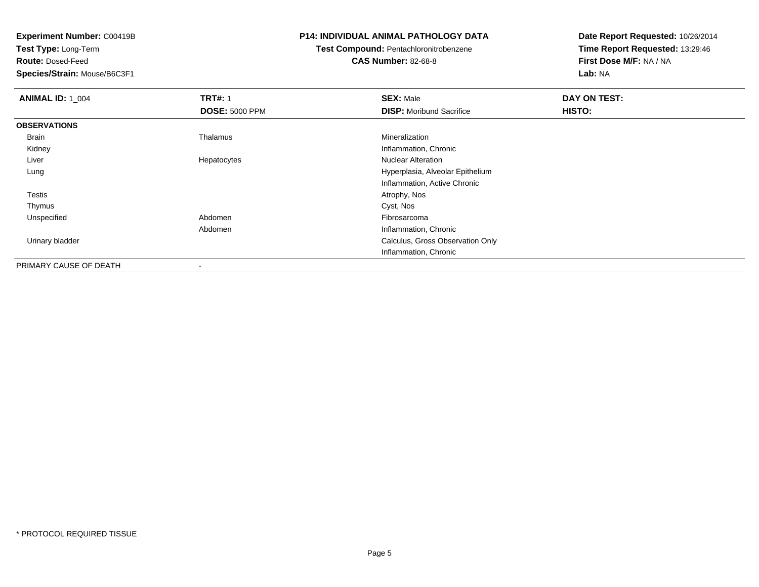**Test Type:** Long-Term

**Route:** Dosed-Feed

**Species/Strain:** Mouse/B6C3F1

### **P14: INDIVIDUAL ANIMAL PATHOLOGY DATA**

### **Test Compound:** Pentachloronitrobenzene**CAS Number:** 82-68-8

| <b>ANIMAL ID: 1 004</b> | <b>TRT#: 1</b>        | <b>SEX: Male</b>                 | DAY ON TEST: |  |
|-------------------------|-----------------------|----------------------------------|--------------|--|
|                         | <b>DOSE: 5000 PPM</b> | <b>DISP:</b> Moribund Sacrifice  | HISTO:       |  |
| <b>OBSERVATIONS</b>     |                       |                                  |              |  |
| Brain                   | Thalamus              | Mineralization                   |              |  |
| Kidney                  |                       | Inflammation, Chronic            |              |  |
| Liver                   | Hepatocytes           | <b>Nuclear Alteration</b>        |              |  |
| Lung                    |                       | Hyperplasia, Alveolar Epithelium |              |  |
|                         |                       | Inflammation, Active Chronic     |              |  |
| <b>Testis</b>           |                       | Atrophy, Nos                     |              |  |
| Thymus                  |                       | Cyst, Nos                        |              |  |
| Unspecified             | Abdomen               | Fibrosarcoma                     |              |  |
|                         | Abdomen               | Inflammation, Chronic            |              |  |
| Urinary bladder         |                       | Calculus, Gross Observation Only |              |  |
|                         |                       | Inflammation, Chronic            |              |  |
| PRIMARY CAUSE OF DEATH  |                       |                                  |              |  |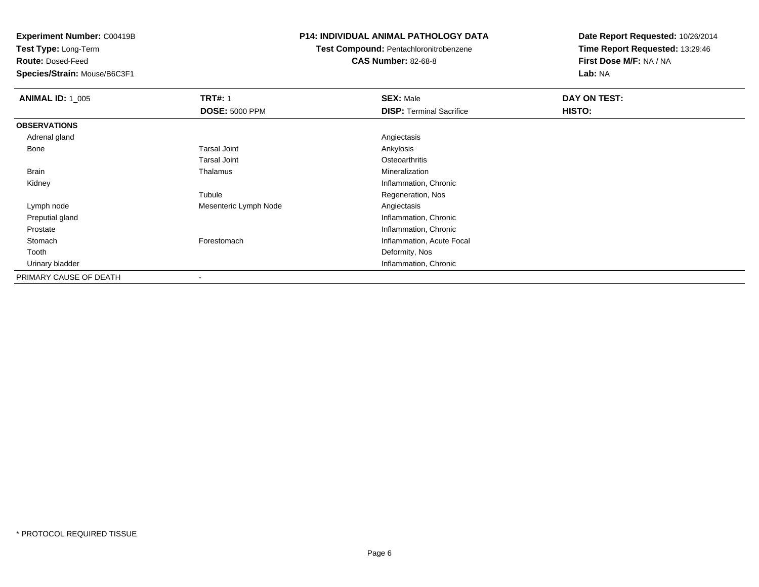**Test Type:** Long-Term

**Route:** Dosed-Feed

**Species/Strain:** Mouse/B6C3F1

### **P14: INDIVIDUAL ANIMAL PATHOLOGY DATA**

**Test Compound:** Pentachloronitrobenzene

**CAS Number:** 82-68-8

| <b>ANIMAL ID: 1_005</b> | <b>TRT#: 1</b>        | <b>SEX: Male</b>                | DAY ON TEST: |  |
|-------------------------|-----------------------|---------------------------------|--------------|--|
|                         | <b>DOSE: 5000 PPM</b> | <b>DISP: Terminal Sacrifice</b> | HISTO:       |  |
| <b>OBSERVATIONS</b>     |                       |                                 |              |  |
| Adrenal gland           |                       | Angiectasis                     |              |  |
| Bone                    | <b>Tarsal Joint</b>   | Ankylosis                       |              |  |
|                         | <b>Tarsal Joint</b>   | Osteoarthritis                  |              |  |
| Brain                   | Thalamus              | Mineralization                  |              |  |
| Kidney                  |                       | Inflammation, Chronic           |              |  |
|                         | Tubule                | Regeneration, Nos               |              |  |
| Lymph node              | Mesenteric Lymph Node | Angiectasis                     |              |  |
| Preputial gland         |                       | Inflammation, Chronic           |              |  |
| Prostate                |                       | Inflammation, Chronic           |              |  |
| Stomach                 | Forestomach           | Inflammation, Acute Focal       |              |  |
| Tooth                   |                       | Deformity, Nos                  |              |  |
| Urinary bladder         |                       | Inflammation, Chronic           |              |  |
| PRIMARY CAUSE OF DEATH  |                       |                                 |              |  |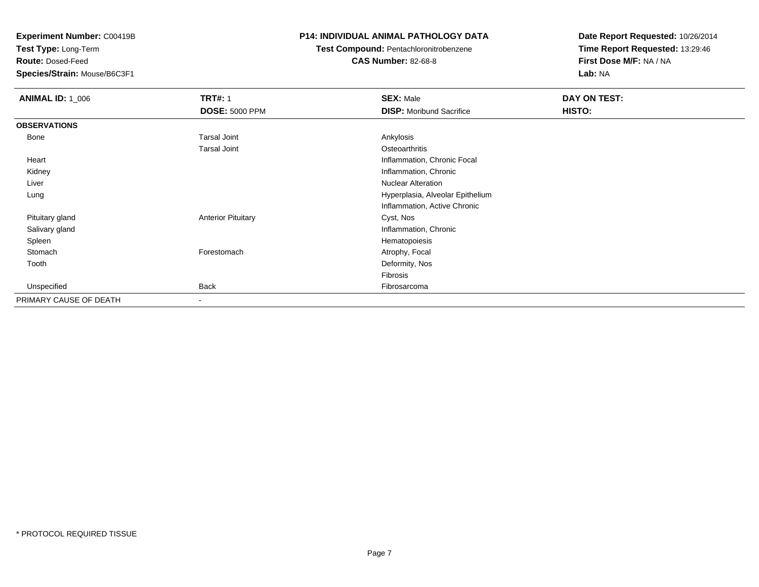**Test Type:** Long-Term

**Route:** Dosed-Feed

**Species/Strain:** Mouse/B6C3F1

### **P14: INDIVIDUAL ANIMAL PATHOLOGY DATA**

# **Test Compound:** Pentachloronitrobenzene

**CAS Number:** 82-68-8

| <b>ANIMAL ID: 1_006</b> | <b>TRT#: 1</b>            | <b>SEX: Male</b>                 | DAY ON TEST: |  |
|-------------------------|---------------------------|----------------------------------|--------------|--|
|                         | <b>DOSE: 5000 PPM</b>     | <b>DISP:</b> Moribund Sacrifice  | HISTO:       |  |
| <b>OBSERVATIONS</b>     |                           |                                  |              |  |
| Bone                    | <b>Tarsal Joint</b>       | Ankylosis                        |              |  |
|                         | <b>Tarsal Joint</b>       | Osteoarthritis                   |              |  |
| Heart                   |                           | Inflammation, Chronic Focal      |              |  |
| Kidney                  |                           | Inflammation, Chronic            |              |  |
| Liver                   |                           | <b>Nuclear Alteration</b>        |              |  |
| Lung                    |                           | Hyperplasia, Alveolar Epithelium |              |  |
|                         |                           | Inflammation, Active Chronic     |              |  |
| Pituitary gland         | <b>Anterior Pituitary</b> | Cyst, Nos                        |              |  |
| Salivary gland          |                           | Inflammation, Chronic            |              |  |
| Spleen                  |                           | Hematopoiesis                    |              |  |
| Stomach                 | Forestomach               | Atrophy, Focal                   |              |  |
| Tooth                   |                           | Deformity, Nos                   |              |  |
|                         |                           | Fibrosis                         |              |  |
| Unspecified             | Back                      | Fibrosarcoma                     |              |  |
| PRIMARY CAUSE OF DEATH  | $\overline{\phantom{a}}$  |                                  |              |  |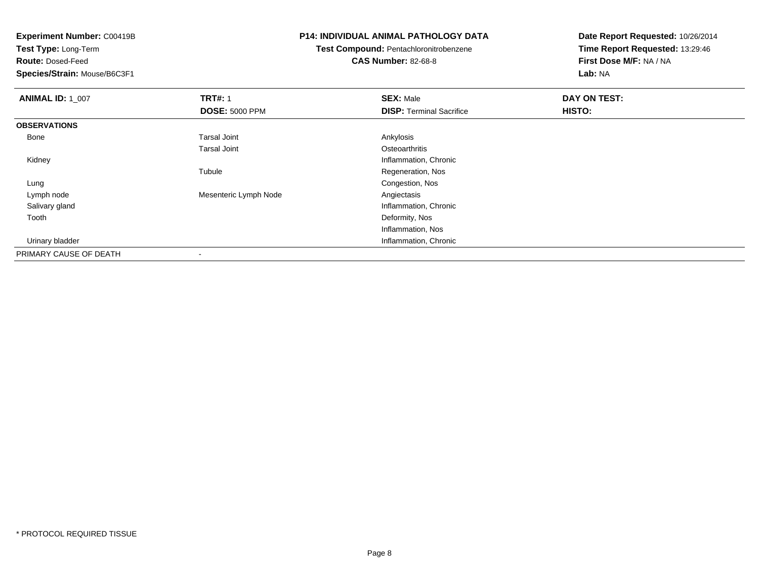**Test Type:** Long-Term

**Route:** Dosed-Feed

**Species/Strain:** Mouse/B6C3F1

### **P14: INDIVIDUAL ANIMAL PATHOLOGY DATA**

**Test Compound:** Pentachloronitrobenzene

**CAS Number:** 82-68-8

| <b>ANIMAL ID: 1_007</b> | <b>TRT#: 1</b>        | <b>SEX: Male</b>                | DAY ON TEST: |
|-------------------------|-----------------------|---------------------------------|--------------|
|                         | <b>DOSE: 5000 PPM</b> | <b>DISP: Terminal Sacrifice</b> | HISTO:       |
| <b>OBSERVATIONS</b>     |                       |                                 |              |
| Bone                    | <b>Tarsal Joint</b>   | Ankylosis                       |              |
|                         | <b>Tarsal Joint</b>   | Osteoarthritis                  |              |
| Kidney                  |                       | Inflammation, Chronic           |              |
|                         | Tubule                | Regeneration, Nos               |              |
| Lung                    |                       | Congestion, Nos                 |              |
| Lymph node              | Mesenteric Lymph Node | Angiectasis                     |              |
| Salivary gland          |                       | Inflammation, Chronic           |              |
| Tooth                   |                       | Deformity, Nos                  |              |
|                         |                       | Inflammation, Nos               |              |
| Urinary bladder         |                       | Inflammation, Chronic           |              |
| PRIMARY CAUSE OF DEATH  |                       |                                 |              |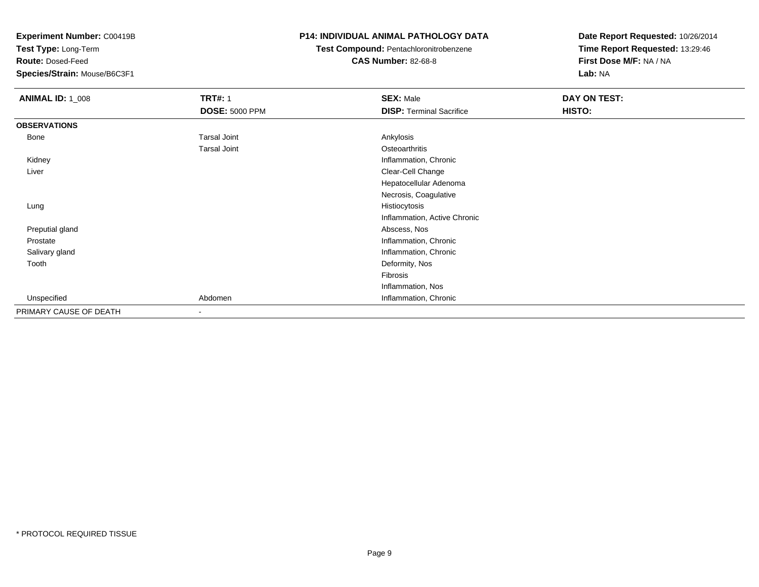**Test Type:** Long-Term

**Route:** Dosed-Feed

**Species/Strain:** Mouse/B6C3F1

### **P14: INDIVIDUAL ANIMAL PATHOLOGY DATA**

# **Test Compound:** Pentachloronitrobenzene

**CAS Number:** 82-68-8

| <b>ANIMAL ID: 1_008</b> | <b>TRT#: 1</b>           | <b>SEX: Male</b>                | DAY ON TEST: |  |
|-------------------------|--------------------------|---------------------------------|--------------|--|
|                         | <b>DOSE: 5000 PPM</b>    | <b>DISP: Terminal Sacrifice</b> | HISTO:       |  |
| <b>OBSERVATIONS</b>     |                          |                                 |              |  |
| Bone                    | <b>Tarsal Joint</b>      | Ankylosis                       |              |  |
|                         | <b>Tarsal Joint</b>      | Osteoarthritis                  |              |  |
| Kidney                  |                          | Inflammation, Chronic           |              |  |
| Liver                   |                          | Clear-Cell Change               |              |  |
|                         |                          | Hepatocellular Adenoma          |              |  |
|                         |                          | Necrosis, Coagulative           |              |  |
| Lung                    |                          | Histiocytosis                   |              |  |
|                         |                          | Inflammation, Active Chronic    |              |  |
| Preputial gland         |                          | Abscess, Nos                    |              |  |
| Prostate                |                          | Inflammation, Chronic           |              |  |
| Salivary gland          |                          | Inflammation, Chronic           |              |  |
| Tooth                   |                          | Deformity, Nos                  |              |  |
|                         |                          | Fibrosis                        |              |  |
|                         |                          | Inflammation, Nos               |              |  |
| Unspecified             | Abdomen                  | Inflammation, Chronic           |              |  |
| PRIMARY CAUSE OF DEATH  | $\overline{\phantom{a}}$ |                                 |              |  |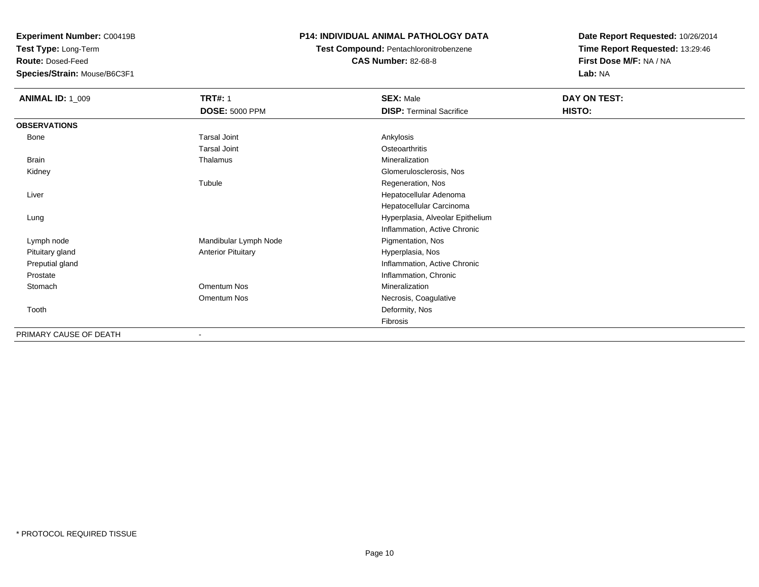**Test Type:** Long-Term

**Route:** Dosed-Feed

**Species/Strain:** Mouse/B6C3F1

### **P14: INDIVIDUAL ANIMAL PATHOLOGY DATA**

**Test Compound:** Pentachloronitrobenzene

**CAS Number:** 82-68-8

| <b>ANIMAL ID: 1_009</b> | <b>TRT#: 1</b>            | <b>SEX: Male</b>                 | DAY ON TEST: |  |
|-------------------------|---------------------------|----------------------------------|--------------|--|
|                         | <b>DOSE: 5000 PPM</b>     | <b>DISP: Terminal Sacrifice</b>  | HISTO:       |  |
| <b>OBSERVATIONS</b>     |                           |                                  |              |  |
| Bone                    | <b>Tarsal Joint</b>       | Ankylosis                        |              |  |
|                         | <b>Tarsal Joint</b>       | Osteoarthritis                   |              |  |
| <b>Brain</b>            | Thalamus                  | Mineralization                   |              |  |
| Kidney                  |                           | Glomerulosclerosis, Nos          |              |  |
|                         | Tubule                    | Regeneration, Nos                |              |  |
| Liver                   |                           | Hepatocellular Adenoma           |              |  |
|                         |                           | Hepatocellular Carcinoma         |              |  |
| Lung                    |                           | Hyperplasia, Alveolar Epithelium |              |  |
|                         |                           | Inflammation, Active Chronic     |              |  |
| Lymph node              | Mandibular Lymph Node     | Pigmentation, Nos                |              |  |
| Pituitary gland         | <b>Anterior Pituitary</b> | Hyperplasia, Nos                 |              |  |
| Preputial gland         |                           | Inflammation, Active Chronic     |              |  |
| Prostate                |                           | Inflammation, Chronic            |              |  |
| Stomach                 | Omentum Nos               | Mineralization                   |              |  |
|                         | Omentum Nos               | Necrosis, Coagulative            |              |  |
| Tooth                   |                           | Deformity, Nos                   |              |  |
|                         |                           | Fibrosis                         |              |  |
| PRIMARY CAUSE OF DEATH  |                           |                                  |              |  |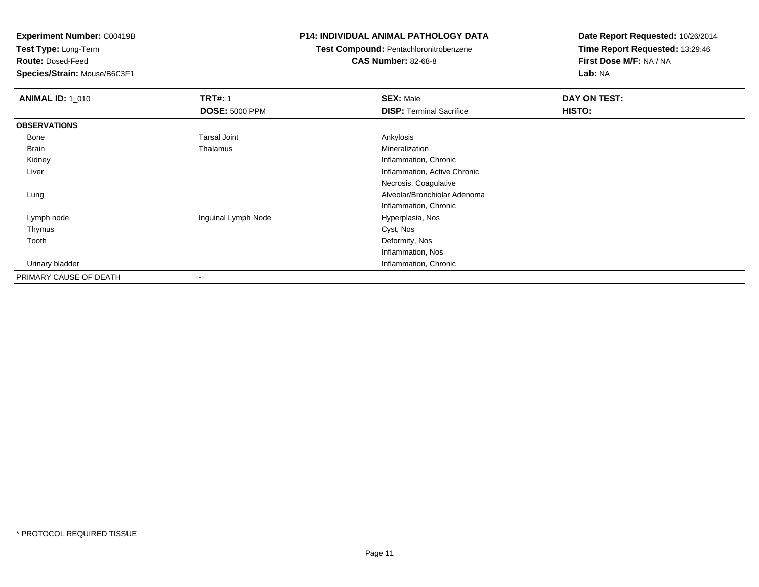**Test Type:** Long-Term

**Route:** Dosed-Feed

**Species/Strain:** Mouse/B6C3F1

### **P14: INDIVIDUAL ANIMAL PATHOLOGY DATA**

### **Test Compound:** Pentachloronitrobenzene**CAS Number:** 82-68-8

| <b>ANIMAL ID: 1_010</b> | <b>TRT#: 1</b>           | <b>SEX: Male</b>                | DAY ON TEST: |  |
|-------------------------|--------------------------|---------------------------------|--------------|--|
|                         | <b>DOSE: 5000 PPM</b>    | <b>DISP:</b> Terminal Sacrifice | HISTO:       |  |
| <b>OBSERVATIONS</b>     |                          |                                 |              |  |
| Bone                    | <b>Tarsal Joint</b>      | Ankylosis                       |              |  |
| <b>Brain</b>            | Thalamus                 | Mineralization                  |              |  |
| Kidney                  |                          | Inflammation, Chronic           |              |  |
| Liver                   |                          | Inflammation, Active Chronic    |              |  |
|                         |                          | Necrosis, Coagulative           |              |  |
| Lung                    |                          | Alveolar/Bronchiolar Adenoma    |              |  |
|                         |                          | Inflammation, Chronic           |              |  |
| Lymph node              | Inguinal Lymph Node      | Hyperplasia, Nos                |              |  |
| Thymus                  |                          | Cyst, Nos                       |              |  |
| Tooth                   |                          | Deformity, Nos                  |              |  |
|                         |                          | Inflammation, Nos               |              |  |
| Urinary bladder         |                          | Inflammation, Chronic           |              |  |
| PRIMARY CAUSE OF DEATH  | $\overline{\phantom{a}}$ |                                 |              |  |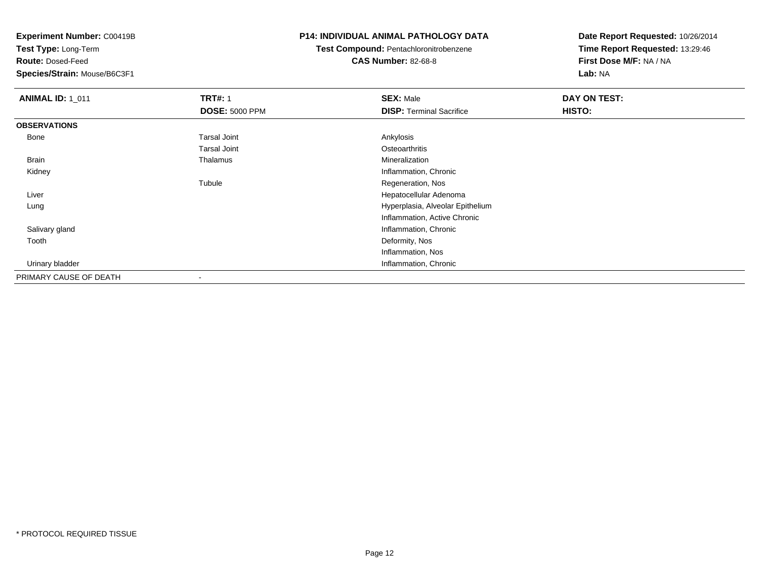**Test Type:** Long-Term

**Route:** Dosed-Feed

**Species/Strain:** Mouse/B6C3F1

### **P14: INDIVIDUAL ANIMAL PATHOLOGY DATA**

**Test Compound:** Pentachloronitrobenzene**CAS Number:** 82-68-8

| <b>ANIMAL ID: 1_011</b> | <b>TRT#: 1</b>        | <b>SEX: Male</b>                 | DAY ON TEST: |  |
|-------------------------|-----------------------|----------------------------------|--------------|--|
|                         | <b>DOSE: 5000 PPM</b> | <b>DISP:</b> Terminal Sacrifice  | HISTO:       |  |
| <b>OBSERVATIONS</b>     |                       |                                  |              |  |
| Bone                    | <b>Tarsal Joint</b>   | Ankylosis                        |              |  |
|                         | <b>Tarsal Joint</b>   | Osteoarthritis                   |              |  |
| Brain                   | Thalamus              | Mineralization                   |              |  |
| Kidney                  |                       | Inflammation, Chronic            |              |  |
|                         | Tubule                | Regeneration, Nos                |              |  |
| Liver                   |                       | Hepatocellular Adenoma           |              |  |
| Lung                    |                       | Hyperplasia, Alveolar Epithelium |              |  |
|                         |                       | Inflammation, Active Chronic     |              |  |
| Salivary gland          |                       | Inflammation, Chronic            |              |  |
| Tooth                   |                       | Deformity, Nos                   |              |  |
|                         |                       | Inflammation, Nos                |              |  |
| Urinary bladder         |                       | Inflammation, Chronic            |              |  |
| PRIMARY CAUSE OF DEATH  |                       |                                  |              |  |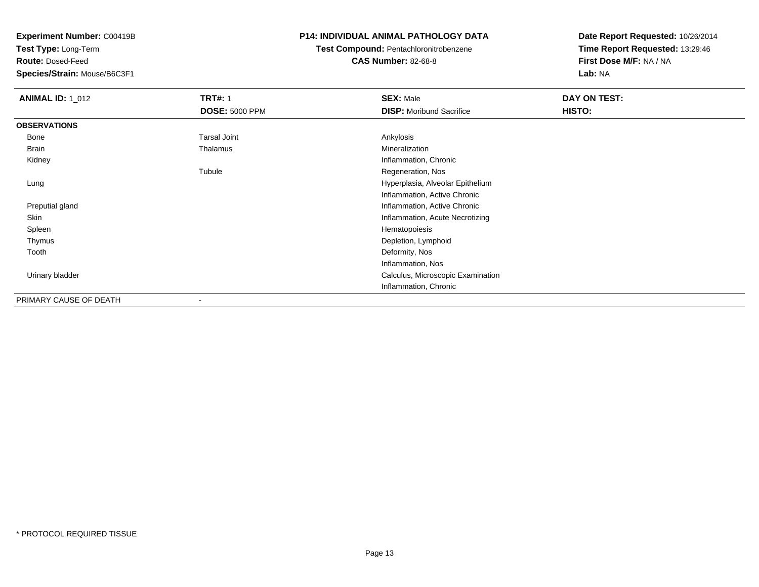**Test Type:** Long-Term

**Route:** Dosed-Feed

**Species/Strain:** Mouse/B6C3F1

### **P14: INDIVIDUAL ANIMAL PATHOLOGY DATA**

### **Test Compound:** Pentachloronitrobenzene**CAS Number:** 82-68-8

| <b>ANIMAL ID: 1_012</b> | <b>TRT#: 1</b>        | <b>SEX: Male</b>                  | DAY ON TEST: |  |
|-------------------------|-----------------------|-----------------------------------|--------------|--|
|                         | <b>DOSE: 5000 PPM</b> | <b>DISP:</b> Moribund Sacrifice   | HISTO:       |  |
| <b>OBSERVATIONS</b>     |                       |                                   |              |  |
| Bone                    | <b>Tarsal Joint</b>   | Ankylosis                         |              |  |
| Brain                   | Thalamus              | Mineralization                    |              |  |
| Kidney                  |                       | Inflammation, Chronic             |              |  |
|                         | Tubule                | Regeneration, Nos                 |              |  |
| Lung                    |                       | Hyperplasia, Alveolar Epithelium  |              |  |
|                         |                       | Inflammation, Active Chronic      |              |  |
| Preputial gland         |                       | Inflammation, Active Chronic      |              |  |
| Skin                    |                       | Inflammation, Acute Necrotizing   |              |  |
| Spleen                  |                       | Hematopoiesis                     |              |  |
| Thymus                  |                       | Depletion, Lymphoid               |              |  |
| Tooth                   |                       | Deformity, Nos                    |              |  |
|                         |                       | Inflammation, Nos                 |              |  |
| Urinary bladder         |                       | Calculus, Microscopic Examination |              |  |
|                         |                       | Inflammation, Chronic             |              |  |
| PRIMARY CAUSE OF DEATH  |                       |                                   |              |  |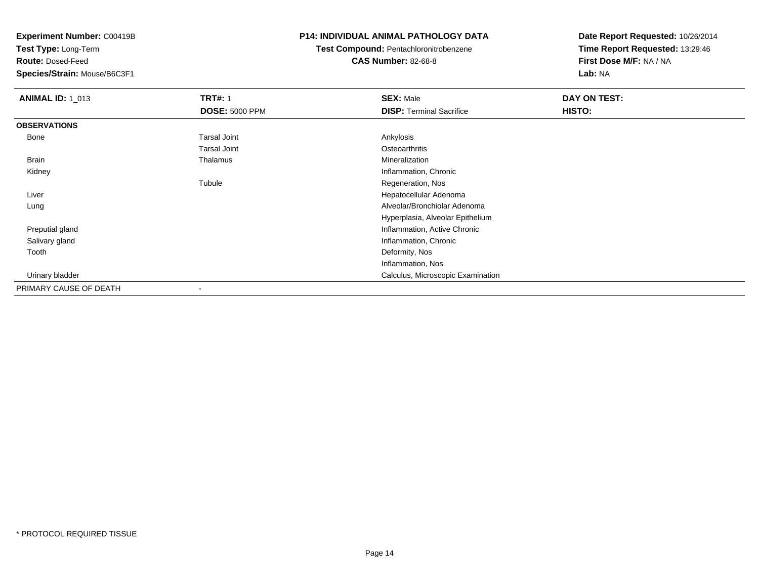**Test Type:** Long-Term

**Route:** Dosed-Feed

**Species/Strain:** Mouse/B6C3F1

### **P14: INDIVIDUAL ANIMAL PATHOLOGY DATA**

**Test Compound:** Pentachloronitrobenzene

**CAS Number:** 82-68-8

| <b>ANIMAL ID: 1_013</b> | <b>TRT#: 1</b>        | <b>SEX: Male</b>                  | DAY ON TEST: |  |
|-------------------------|-----------------------|-----------------------------------|--------------|--|
|                         | <b>DOSE: 5000 PPM</b> | <b>DISP: Terminal Sacrifice</b>   | HISTO:       |  |
| <b>OBSERVATIONS</b>     |                       |                                   |              |  |
| Bone                    | Tarsal Joint          | Ankylosis                         |              |  |
|                         | <b>Tarsal Joint</b>   | Osteoarthritis                    |              |  |
| Brain                   | Thalamus              | Mineralization                    |              |  |
| Kidney                  |                       | Inflammation, Chronic             |              |  |
|                         | Tubule                | Regeneration, Nos                 |              |  |
| Liver                   |                       | Hepatocellular Adenoma            |              |  |
| Lung                    |                       | Alveolar/Bronchiolar Adenoma      |              |  |
|                         |                       | Hyperplasia, Alveolar Epithelium  |              |  |
| Preputial gland         |                       | Inflammation, Active Chronic      |              |  |
| Salivary gland          |                       | Inflammation, Chronic             |              |  |
| Tooth                   |                       | Deformity, Nos                    |              |  |
|                         |                       | Inflammation, Nos                 |              |  |
| Urinary bladder         |                       | Calculus, Microscopic Examination |              |  |
| PRIMARY CAUSE OF DEATH  |                       |                                   |              |  |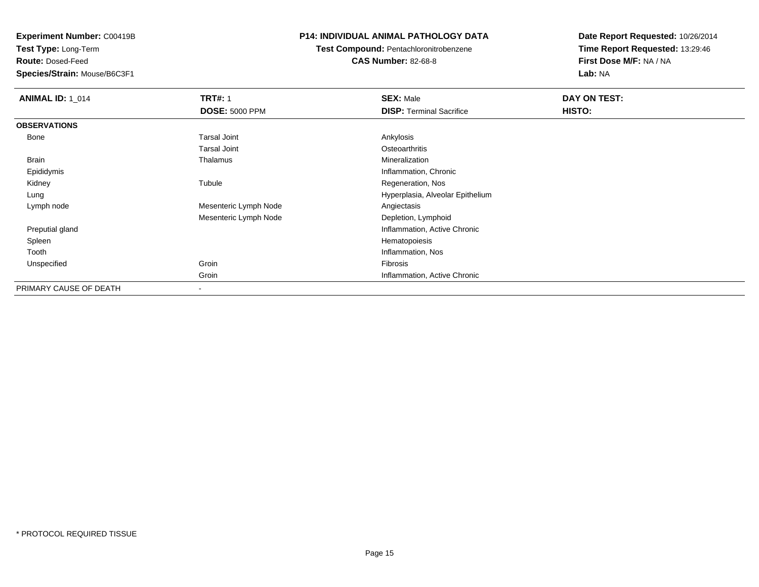**Test Type:** Long-Term

**Route:** Dosed-Feed

**Species/Strain:** Mouse/B6C3F1

### **P14: INDIVIDUAL ANIMAL PATHOLOGY DATA**

**Test Compound:** Pentachloronitrobenzene

**CAS Number:** 82-68-8

| <b>ANIMAL ID: 1 014</b> | <b>TRT#: 1</b><br><b>DOSE: 5000 PPM</b> | <b>SEX: Male</b><br><b>DISP: Terminal Sacrifice</b> | DAY ON TEST:<br>HISTO: |
|-------------------------|-----------------------------------------|-----------------------------------------------------|------------------------|
| <b>OBSERVATIONS</b>     |                                         |                                                     |                        |
| Bone                    | <b>Tarsal Joint</b>                     | Ankylosis                                           |                        |
|                         | <b>Tarsal Joint</b>                     | Osteoarthritis                                      |                        |
| Brain                   | Thalamus                                | Mineralization                                      |                        |
| Epididymis              |                                         | Inflammation, Chronic                               |                        |
| Kidney                  | Tubule                                  | Regeneration, Nos                                   |                        |
| Lung                    |                                         | Hyperplasia, Alveolar Epithelium                    |                        |
| Lymph node              | Mesenteric Lymph Node                   | Angiectasis                                         |                        |
|                         | Mesenteric Lymph Node                   | Depletion, Lymphoid                                 |                        |
| Preputial gland         |                                         | Inflammation, Active Chronic                        |                        |
| Spleen                  |                                         | Hematopoiesis                                       |                        |
| Tooth                   |                                         | Inflammation, Nos                                   |                        |
| Unspecified             | Groin                                   | Fibrosis                                            |                        |
|                         | Groin                                   | Inflammation, Active Chronic                        |                        |
| PRIMARY CAUSE OF DEATH  | $\overline{\phantom{a}}$                |                                                     |                        |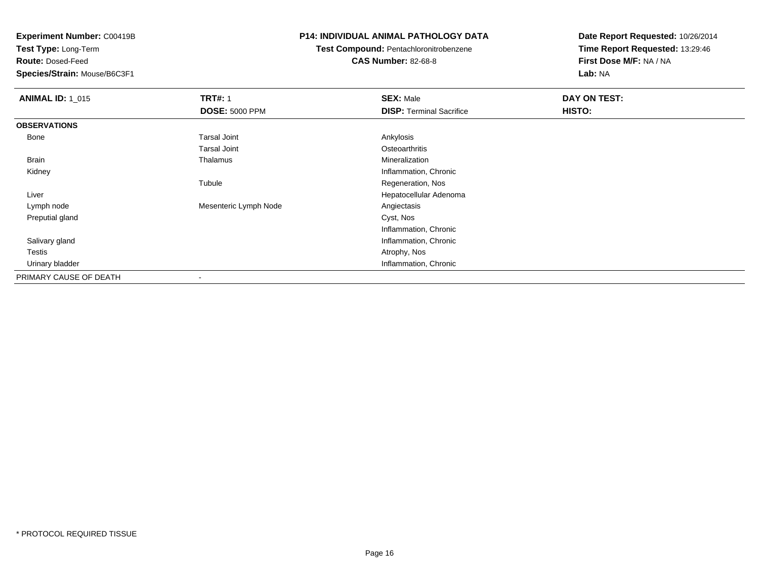**Test Type:** Long-Term

**Route:** Dosed-Feed

**Species/Strain:** Mouse/B6C3F1

### **P14: INDIVIDUAL ANIMAL PATHOLOGY DATA**

# **Test Compound:** Pentachloronitrobenzene

**CAS Number:** 82-68-8

| <b>ANIMAL ID: 1_015</b> | <b>TRT#: 1</b>           | <b>SEX: Male</b>                | DAY ON TEST: |
|-------------------------|--------------------------|---------------------------------|--------------|
|                         | <b>DOSE: 5000 PPM</b>    | <b>DISP: Terminal Sacrifice</b> | HISTO:       |
| <b>OBSERVATIONS</b>     |                          |                                 |              |
| Bone                    | <b>Tarsal Joint</b>      | Ankylosis                       |              |
|                         | <b>Tarsal Joint</b>      | Osteoarthritis                  |              |
| Brain                   | Thalamus                 | Mineralization                  |              |
| Kidney                  |                          | Inflammation, Chronic           |              |
|                         | Tubule                   | Regeneration, Nos               |              |
| Liver                   |                          | Hepatocellular Adenoma          |              |
| Lymph node              | Mesenteric Lymph Node    | Angiectasis                     |              |
| Preputial gland         |                          | Cyst, Nos                       |              |
|                         |                          | Inflammation, Chronic           |              |
| Salivary gland          |                          | Inflammation, Chronic           |              |
| Testis                  |                          | Atrophy, Nos                    |              |
| Urinary bladder         |                          | Inflammation, Chronic           |              |
| PRIMARY CAUSE OF DEATH  | $\overline{\phantom{a}}$ |                                 |              |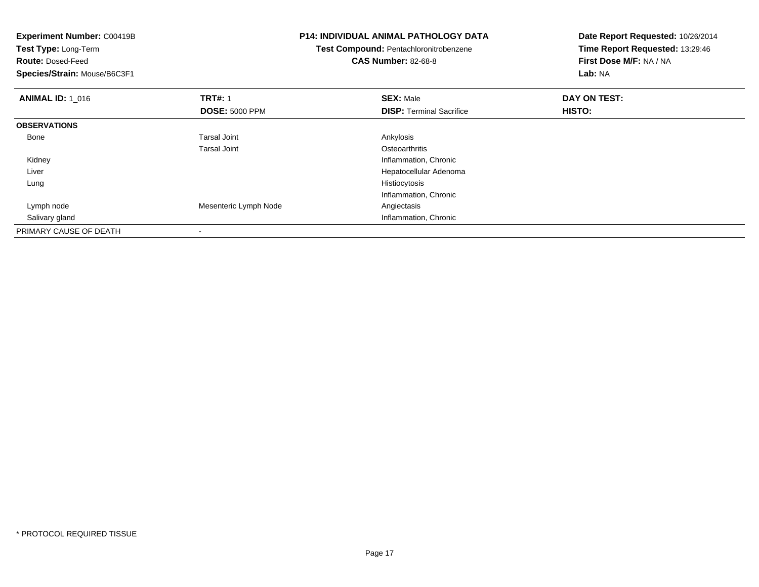| <b>Experiment Number: C00419B</b><br>Test Type: Long-Term<br><b>Route: Dosed-Feed</b><br>Species/Strain: Mouse/B6C3F1 |                       | <b>P14: INDIVIDUAL ANIMAL PATHOLOGY DATA</b><br>Test Compound: Pentachloronitrobenzene<br><b>CAS Number: 82-68-8</b> | Date Report Requested: 10/26/2014<br>Time Report Requested: 13:29:46<br>First Dose M/F: NA / NA |
|-----------------------------------------------------------------------------------------------------------------------|-----------------------|----------------------------------------------------------------------------------------------------------------------|-------------------------------------------------------------------------------------------------|
|                                                                                                                       |                       |                                                                                                                      | Lab: NA                                                                                         |
| <b>ANIMAL ID: 1 016</b>                                                                                               | <b>TRT#: 1</b>        | <b>SEX: Male</b>                                                                                                     | DAY ON TEST:                                                                                    |
|                                                                                                                       | <b>DOSE: 5000 PPM</b> | <b>DISP:</b> Terminal Sacrifice                                                                                      | HISTO:                                                                                          |
| <b>OBSERVATIONS</b>                                                                                                   |                       |                                                                                                                      |                                                                                                 |
| Bone                                                                                                                  | Tarsal Joint          | Ankylosis                                                                                                            |                                                                                                 |
|                                                                                                                       | Tarsal Joint          | Osteoarthritis                                                                                                       |                                                                                                 |
| Kidney                                                                                                                |                       | Inflammation, Chronic                                                                                                |                                                                                                 |
| Liver                                                                                                                 |                       | Hepatocellular Adenoma                                                                                               |                                                                                                 |
| Lung                                                                                                                  |                       | Histiocytosis                                                                                                        |                                                                                                 |
|                                                                                                                       |                       | Inflammation, Chronic                                                                                                |                                                                                                 |
| Lymph node                                                                                                            | Mesenteric Lymph Node | Angiectasis                                                                                                          |                                                                                                 |
| Salivary gland                                                                                                        |                       | Inflammation, Chronic                                                                                                |                                                                                                 |
| PRIMARY CAUSE OF DEATH                                                                                                |                       |                                                                                                                      |                                                                                                 |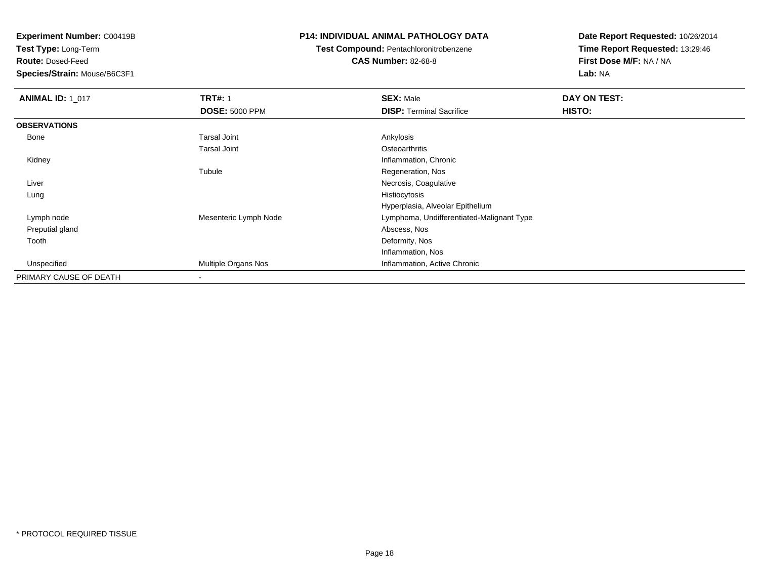**Test Type:** Long-Term

**Route:** Dosed-Feed

**Species/Strain:** Mouse/B6C3F1

### **P14: INDIVIDUAL ANIMAL PATHOLOGY DATA**

**Test Compound:** Pentachloronitrobenzene

**CAS Number:** 82-68-8

| <b>ANIMAL ID: 1 017</b> | <b>TRT#: 1</b>             | <b>SEX: Male</b>                          | DAY ON TEST: |
|-------------------------|----------------------------|-------------------------------------------|--------------|
|                         | <b>DOSE: 5000 PPM</b>      | <b>DISP: Terminal Sacrifice</b>           | HISTO:       |
| <b>OBSERVATIONS</b>     |                            |                                           |              |
| Bone                    | <b>Tarsal Joint</b>        | Ankylosis                                 |              |
|                         | Tarsal Joint               | Osteoarthritis                            |              |
| Kidney                  |                            | Inflammation, Chronic                     |              |
|                         | Tubule                     | Regeneration, Nos                         |              |
| Liver                   |                            | Necrosis, Coagulative                     |              |
| Lung                    |                            | Histiocytosis                             |              |
|                         |                            | Hyperplasia, Alveolar Epithelium          |              |
| Lymph node              | Mesenteric Lymph Node      | Lymphoma, Undifferentiated-Malignant Type |              |
| Preputial gland         |                            | Abscess, Nos                              |              |
| Tooth                   |                            | Deformity, Nos                            |              |
|                         |                            | Inflammation, Nos                         |              |
| Unspecified             | <b>Multiple Organs Nos</b> | Inflammation, Active Chronic              |              |
| PRIMARY CAUSE OF DEATH  |                            |                                           |              |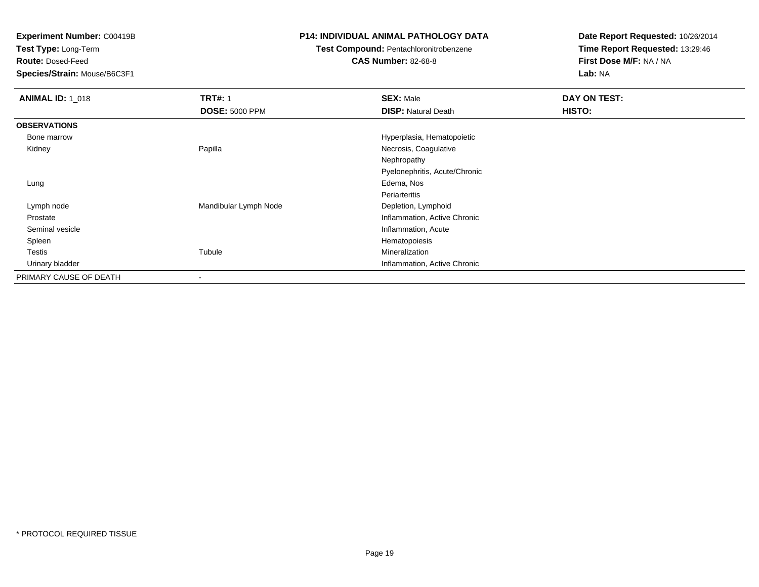**Test Type:** Long-Term

**Route:** Dosed-Feed

**Species/Strain:** Mouse/B6C3F1

### **P14: INDIVIDUAL ANIMAL PATHOLOGY DATA**

## **Test Compound:** Pentachloronitrobenzene

**CAS Number:** 82-68-8

| <b>ANIMAL ID: 1 018</b> | <b>TRT#: 1</b>        | <b>SEX: Male</b>              | DAY ON TEST: |
|-------------------------|-----------------------|-------------------------------|--------------|
|                         | <b>DOSE: 5000 PPM</b> | <b>DISP: Natural Death</b>    | HISTO:       |
| <b>OBSERVATIONS</b>     |                       |                               |              |
| Bone marrow             |                       | Hyperplasia, Hematopoietic    |              |
| Kidney                  | Papilla               | Necrosis, Coagulative         |              |
|                         |                       | Nephropathy                   |              |
|                         |                       | Pyelonephritis, Acute/Chronic |              |
| Lung                    |                       | Edema, Nos                    |              |
|                         |                       | Periarteritis                 |              |
| Lymph node              | Mandibular Lymph Node | Depletion, Lymphoid           |              |
| Prostate                |                       | Inflammation, Active Chronic  |              |
| Seminal vesicle         |                       | Inflammation, Acute           |              |
| Spleen                  |                       | Hematopoiesis                 |              |
| Testis                  | Tubule                | Mineralization                |              |
| Urinary bladder         |                       | Inflammation, Active Chronic  |              |
| PRIMARY CAUSE OF DEATH  |                       |                               |              |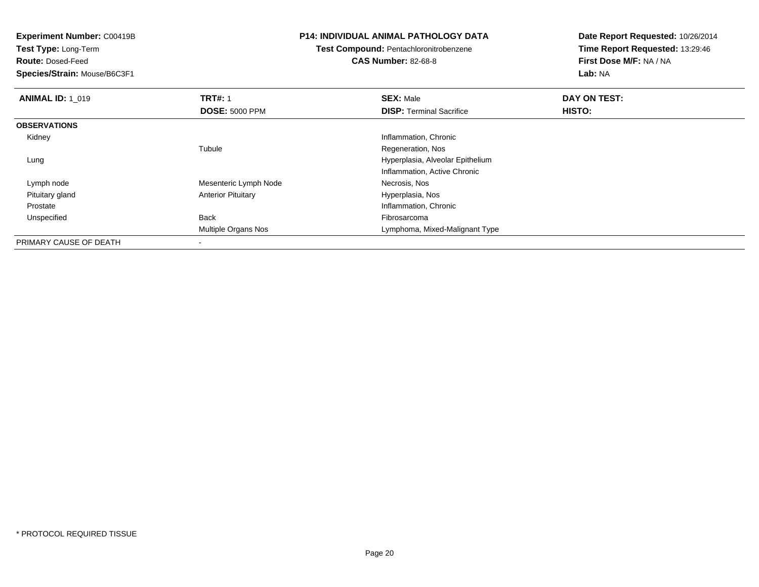**Test Type:** Long-Term

**Route:** Dosed-Feed

**Species/Strain:** Mouse/B6C3F1

### **P14: INDIVIDUAL ANIMAL PATHOLOGY DATA**

## **Test Compound:** Pentachloronitrobenzene

**CAS Number:** 82-68-8

| <b>ANIMAL ID: 1 019</b> | <b>TRT#: 1</b>            | <b>SEX: Male</b>                 | DAY ON TEST: |  |
|-------------------------|---------------------------|----------------------------------|--------------|--|
|                         | <b>DOSE: 5000 PPM</b>     | <b>DISP: Terminal Sacrifice</b>  | HISTO:       |  |
| <b>OBSERVATIONS</b>     |                           |                                  |              |  |
| Kidney                  |                           | Inflammation, Chronic            |              |  |
|                         | Tubule                    | Regeneration, Nos                |              |  |
| Lung                    |                           | Hyperplasia, Alveolar Epithelium |              |  |
|                         |                           | Inflammation, Active Chronic     |              |  |
| Lymph node              | Mesenteric Lymph Node     | Necrosis, Nos                    |              |  |
| Pituitary gland         | <b>Anterior Pituitary</b> | Hyperplasia, Nos                 |              |  |
| Prostate                |                           | Inflammation, Chronic            |              |  |
| Unspecified             | Back                      | Fibrosarcoma                     |              |  |
|                         | Multiple Organs Nos       | Lymphoma, Mixed-Malignant Type   |              |  |
| PRIMARY CAUSE OF DEATH  | $\,$                      |                                  |              |  |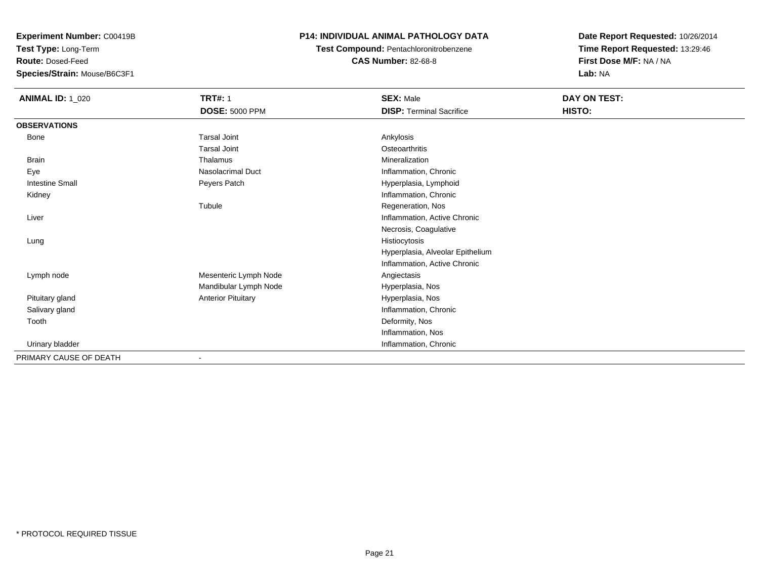**Test Type:** Long-Term

**Route:** Dosed-Feed

**Species/Strain:** Mouse/B6C3F1

### **P14: INDIVIDUAL ANIMAL PATHOLOGY DATA**

**Test Compound:** Pentachloronitrobenzene**CAS Number:** 82-68-8

| <b>ANIMAL ID: 1_020</b> | <b>TRT#: 1</b>               | <b>SEX: Male</b>                 | DAY ON TEST: |
|-------------------------|------------------------------|----------------------------------|--------------|
|                         | <b>DOSE: 5000 PPM</b>        | <b>DISP: Terminal Sacrifice</b>  | HISTO:       |
| <b>OBSERVATIONS</b>     |                              |                                  |              |
| Bone                    | <b>Tarsal Joint</b>          | Ankylosis                        |              |
|                         | <b>Tarsal Joint</b>          | Osteoarthritis                   |              |
| Brain                   | Thalamus                     | Mineralization                   |              |
| Eye                     | <b>Nasolacrimal Duct</b>     | Inflammation, Chronic            |              |
| <b>Intestine Small</b>  | Peyers Patch                 | Hyperplasia, Lymphoid            |              |
| Kidney                  |                              | Inflammation, Chronic            |              |
|                         | Tubule                       | Regeneration, Nos                |              |
| Liver                   |                              | Inflammation, Active Chronic     |              |
|                         |                              | Necrosis, Coagulative            |              |
| Lung                    |                              | Histiocytosis                    |              |
|                         |                              | Hyperplasia, Alveolar Epithelium |              |
|                         |                              | Inflammation, Active Chronic     |              |
| Lymph node              | Mesenteric Lymph Node        | Angiectasis                      |              |
|                         | Mandibular Lymph Node        | Hyperplasia, Nos                 |              |
| Pituitary gland         | <b>Anterior Pituitary</b>    | Hyperplasia, Nos                 |              |
| Salivary gland          |                              | Inflammation, Chronic            |              |
| Tooth                   |                              | Deformity, Nos                   |              |
|                         |                              | Inflammation, Nos                |              |
| Urinary bladder         |                              | Inflammation, Chronic            |              |
| PRIMARY CAUSE OF DEATH  | $\qquad \qquad \blacksquare$ |                                  |              |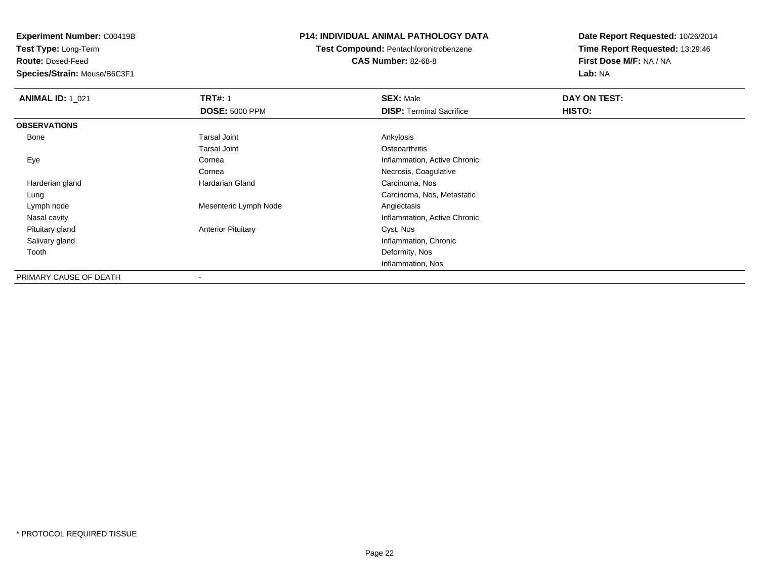**Test Type:** Long-Term

**Route:** Dosed-Feed

**Species/Strain:** Mouse/B6C3F1

### **P14: INDIVIDUAL ANIMAL PATHOLOGY DATA**

**Test Compound:** Pentachloronitrobenzene**CAS Number:** 82-68-8

| <b>ANIMAL ID: 1_021</b> | <b>TRT#: 1</b>            | <b>SEX: Male</b>                | DAY ON TEST: |  |
|-------------------------|---------------------------|---------------------------------|--------------|--|
|                         | <b>DOSE: 5000 PPM</b>     | <b>DISP: Terminal Sacrifice</b> | HISTO:       |  |
| <b>OBSERVATIONS</b>     |                           |                                 |              |  |
| Bone                    | <b>Tarsal Joint</b>       | Ankylosis                       |              |  |
|                         | <b>Tarsal Joint</b>       | Osteoarthritis                  |              |  |
| Eye                     | Cornea                    | Inflammation, Active Chronic    |              |  |
|                         | Cornea                    | Necrosis, Coagulative           |              |  |
| Harderian gland         | Hardarian Gland           | Carcinoma, Nos                  |              |  |
| Lung                    |                           | Carcinoma, Nos, Metastatic      |              |  |
| Lymph node              | Mesenteric Lymph Node     | Angiectasis                     |              |  |
| Nasal cavity            |                           | Inflammation, Active Chronic    |              |  |
| Pituitary gland         | <b>Anterior Pituitary</b> | Cyst, Nos                       |              |  |
| Salivary gland          |                           | Inflammation, Chronic           |              |  |
| Tooth                   |                           | Deformity, Nos                  |              |  |
|                         |                           | Inflammation, Nos               |              |  |
| PRIMARY CAUSE OF DEATH  |                           |                                 |              |  |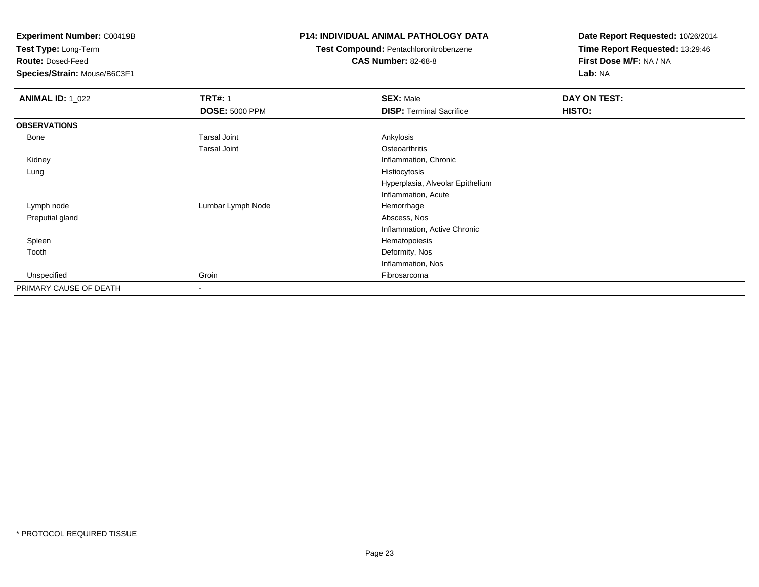**Test Type:** Long-Term

**Route:** Dosed-Feed

**Species/Strain:** Mouse/B6C3F1

### **P14: INDIVIDUAL ANIMAL PATHOLOGY DATA**

# **Test Compound:** Pentachloronitrobenzene

**CAS Number:** 82-68-8

| <b>ANIMAL ID: 1_022</b> | <b>TRT#: 1</b>        | <b>SEX: Male</b>                 | DAY ON TEST: |
|-------------------------|-----------------------|----------------------------------|--------------|
|                         | <b>DOSE: 5000 PPM</b> | <b>DISP: Terminal Sacrifice</b>  | HISTO:       |
| <b>OBSERVATIONS</b>     |                       |                                  |              |
| Bone                    | <b>Tarsal Joint</b>   | Ankylosis                        |              |
|                         | <b>Tarsal Joint</b>   | Osteoarthritis                   |              |
| Kidney                  |                       | Inflammation, Chronic            |              |
| Lung                    |                       | Histiocytosis                    |              |
|                         |                       | Hyperplasia, Alveolar Epithelium |              |
|                         |                       | Inflammation, Acute              |              |
| Lymph node              | Lumbar Lymph Node     | Hemorrhage                       |              |
| Preputial gland         |                       | Abscess, Nos                     |              |
|                         |                       | Inflammation, Active Chronic     |              |
| Spleen                  |                       | Hematopoiesis                    |              |
| Tooth                   |                       | Deformity, Nos                   |              |
|                         |                       | Inflammation, Nos                |              |
| Unspecified             | Groin                 | Fibrosarcoma                     |              |
| PRIMARY CAUSE OF DEATH  | $\blacksquare$        |                                  |              |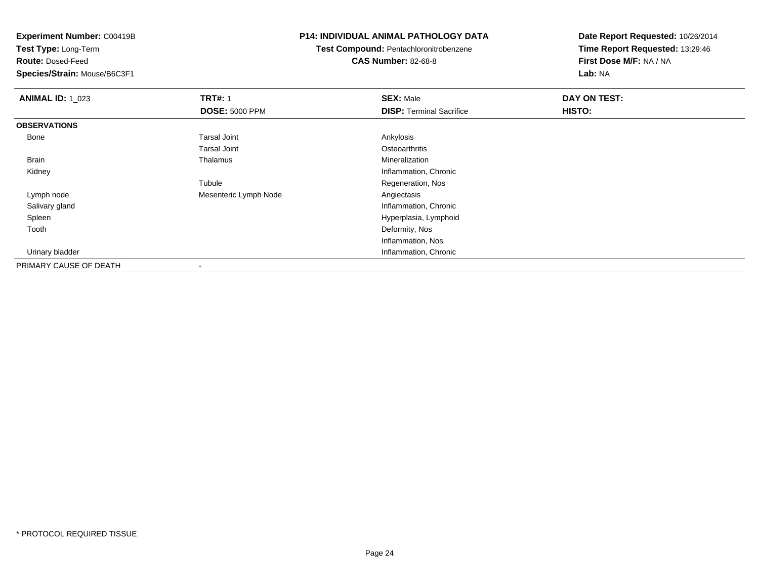**Test Type:** Long-Term

**Route:** Dosed-Feed

**Species/Strain:** Mouse/B6C3F1

### **P14: INDIVIDUAL ANIMAL PATHOLOGY DATA**

**Test Compound:** Pentachloronitrobenzene**CAS Number:** 82-68-8

| <b>ANIMAL ID: 1_023</b> | <b>TRT#: 1</b>           | <b>SEX: Male</b>                | DAY ON TEST:  |  |
|-------------------------|--------------------------|---------------------------------|---------------|--|
|                         | <b>DOSE: 5000 PPM</b>    | <b>DISP: Terminal Sacrifice</b> | <b>HISTO:</b> |  |
| <b>OBSERVATIONS</b>     |                          |                                 |               |  |
| Bone                    | <b>Tarsal Joint</b>      | Ankylosis                       |               |  |
|                         | <b>Tarsal Joint</b>      | Osteoarthritis                  |               |  |
| Brain                   | Thalamus                 | Mineralization                  |               |  |
| Kidney                  |                          | Inflammation, Chronic           |               |  |
|                         | Tubule                   | Regeneration, Nos               |               |  |
| Lymph node              | Mesenteric Lymph Node    | Angiectasis                     |               |  |
| Salivary gland          |                          | Inflammation, Chronic           |               |  |
| Spleen                  |                          | Hyperplasia, Lymphoid           |               |  |
| Tooth                   |                          | Deformity, Nos                  |               |  |
|                         |                          | Inflammation, Nos               |               |  |
| Urinary bladder         |                          | Inflammation, Chronic           |               |  |
| PRIMARY CAUSE OF DEATH  | $\overline{\phantom{a}}$ |                                 |               |  |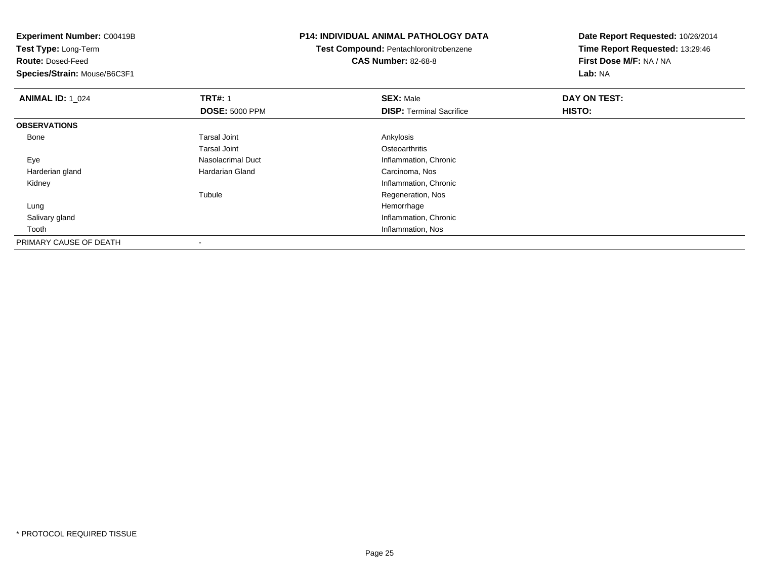**Experiment Number:** C00419B**Test Type:** Long-Term**Route:** Dosed-Feed **Species/Strain:** Mouse/B6C3F1**P14: INDIVIDUAL ANIMAL PATHOLOGY DATATest Compound:** Pentachloronitrobenzene**CAS Number:** 82-68-8**Date Report Requested:** 10/26/2014**Time Report Requested:** 13:29:46**First Dose M/F:** NA / NA**Lab:** NA**ANIMAL ID: 1\_024 1 TRT#:** 1 **SEX:** Male **DAY ON TEST: DOSE:** 5000 PPM**DISP:** Terminal Sacrifice **HISTO: OBSERVATIONS** Bonee and the set of the set of the set of the set of the set of the set of the set of the set of the set of the s Tarsal Joint**Osteoarthritis** e and the Superson of Nasolacrimal Duct be a set of the Inflammation, Chronic Eye Harderian glandHardarian Gland **Carcinoma**, Nos Kidney Inflammation, Chronic TubuleRegeneration, Nos<br>Hemorrhage Lungg and the state of the state of the state of the state of the state of the state of the state of the state of the state of the state of the state of the state of the state of the state of the state of the state of the stat Salivary gland Inflammation, Chronic Tooth Inflammation, Nos PRIMARY CAUSE OF DEATH-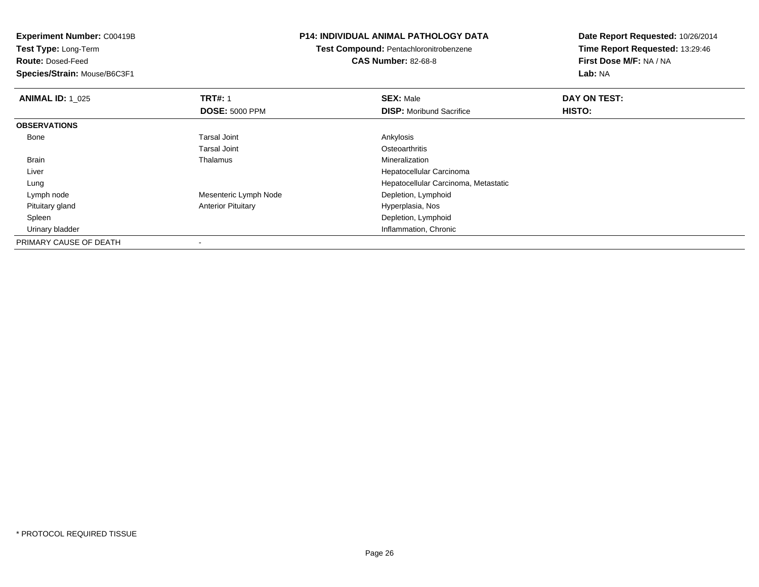**Experiment Number:** C00419B**Test Type:** Long-Term**Route:** Dosed-Feed **Species/Strain:** Mouse/B6C3F1**P14: INDIVIDUAL ANIMAL PATHOLOGY DATATest Compound:** Pentachloronitrobenzene**CAS Number:** 82-68-8**Date Report Requested:** 10/26/2014**Time Report Requested:** 13:29:46**First Dose M/F:** NA / NA**Lab:** NA**ANIMAL ID: 1\_025 TRT#:** <sup>1</sup> **SEX:** Male **DAY ON TEST: DOSE:** 5000 PPM**DISP:** Moribund Sacrifice **HISTO: OBSERVATIONS** Bonee and the set of the set of the set of the set of the set of the set of the set of the set of the set of the s Tarsal Joint**Osteoarthritis** Mineralization Brain Thalamus Mineralization Liver Hepatocellular Carcinoma Hepatocellular Carcinoma, Metastatic Lung Lymph nodeMesenteric Lymph Node Depletion, Lymphoid Pituitary glandAnterior Pituitary **Anterior Pituitary Hyperplasia, Nos**  Spleen Depletion, Lymphoid Urinary bladder Inflammation, ChronicPRIMARY CAUSE OF DEATH

-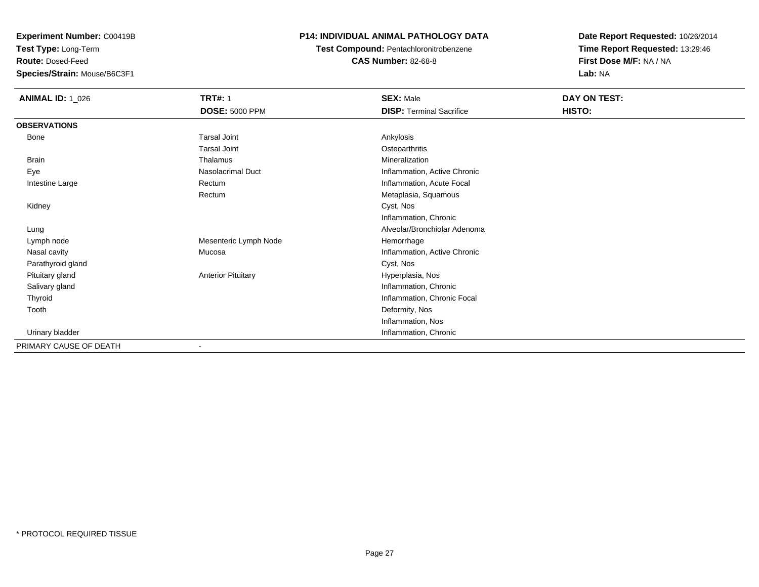**Test Type:** Long-Term

**Route:** Dosed-Feed

**Species/Strain:** Mouse/B6C3F1

### **P14: INDIVIDUAL ANIMAL PATHOLOGY DATA**

**Test Compound:** Pentachloronitrobenzene**CAS Number:** 82-68-8

| <b>ANIMAL ID: 1_026</b> | <b>TRT#: 1</b><br><b>DOSE: 5000 PPM</b> | <b>SEX: Male</b><br><b>DISP: Terminal Sacrifice</b> | DAY ON TEST:<br>HISTO: |
|-------------------------|-----------------------------------------|-----------------------------------------------------|------------------------|
| <b>OBSERVATIONS</b>     |                                         |                                                     |                        |
| Bone                    | <b>Tarsal Joint</b>                     | Ankylosis                                           |                        |
|                         | <b>Tarsal Joint</b>                     | Osteoarthritis                                      |                        |
| Brain                   | Thalamus                                | Mineralization                                      |                        |
| Eye                     | Nasolacrimal Duct                       | Inflammation, Active Chronic                        |                        |
| Intestine Large         | Rectum                                  | Inflammation, Acute Focal                           |                        |
|                         | Rectum                                  | Metaplasia, Squamous                                |                        |
| Kidney                  |                                         | Cyst, Nos                                           |                        |
|                         |                                         | Inflammation, Chronic                               |                        |
| Lung                    |                                         | Alveolar/Bronchiolar Adenoma                        |                        |
| Lymph node              | Mesenteric Lymph Node                   | Hemorrhage                                          |                        |
| Nasal cavity            | Mucosa                                  | Inflammation, Active Chronic                        |                        |
| Parathyroid gland       |                                         | Cyst, Nos                                           |                        |
| Pituitary gland         | <b>Anterior Pituitary</b>               | Hyperplasia, Nos                                    |                        |
| Salivary gland          |                                         | Inflammation, Chronic                               |                        |
| Thyroid                 |                                         | Inflammation, Chronic Focal                         |                        |
| Tooth                   |                                         | Deformity, Nos                                      |                        |
|                         |                                         | Inflammation, Nos                                   |                        |
| Urinary bladder         |                                         | Inflammation, Chronic                               |                        |
| PRIMARY CAUSE OF DEATH  | $\blacksquare$                          |                                                     |                        |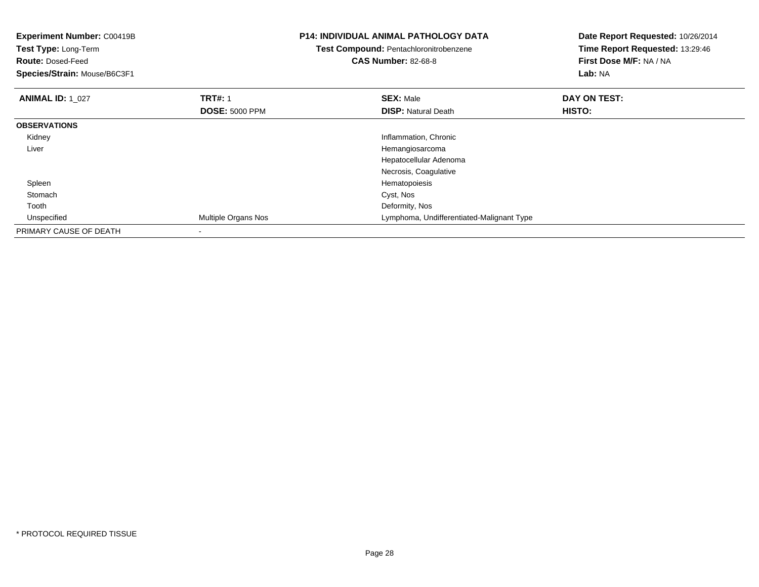| <b>Experiment Number: C00419B</b><br>Test Type: Long-Term<br><b>Route: Dosed-Feed</b><br>Species/Strain: Mouse/B6C3F1 |                       | <b>P14: INDIVIDUAL ANIMAL PATHOLOGY DATA</b><br><b>Test Compound: Pentachloronitrobenzene</b><br><b>CAS Number: 82-68-8</b> | Date Report Requested: 10/26/2014<br>Time Report Requested: 13:29:46<br>First Dose M/F: NA / NA<br>Lab: NA |  |
|-----------------------------------------------------------------------------------------------------------------------|-----------------------|-----------------------------------------------------------------------------------------------------------------------------|------------------------------------------------------------------------------------------------------------|--|
| <b>ANIMAL ID: 1 027</b>                                                                                               | <b>TRT#: 1</b>        | <b>SEX: Male</b>                                                                                                            | DAY ON TEST:                                                                                               |  |
|                                                                                                                       | <b>DOSE: 5000 PPM</b> | <b>DISP: Natural Death</b>                                                                                                  | HISTO:                                                                                                     |  |
| <b>OBSERVATIONS</b>                                                                                                   |                       |                                                                                                                             |                                                                                                            |  |
| Kidney                                                                                                                |                       | Inflammation, Chronic                                                                                                       |                                                                                                            |  |
| Liver                                                                                                                 |                       | Hemangiosarcoma                                                                                                             |                                                                                                            |  |
|                                                                                                                       |                       | Hepatocellular Adenoma                                                                                                      |                                                                                                            |  |
|                                                                                                                       |                       | Necrosis, Coagulative                                                                                                       |                                                                                                            |  |
| Spleen                                                                                                                |                       | Hematopoiesis                                                                                                               |                                                                                                            |  |
| Stomach                                                                                                               |                       | Cyst, Nos                                                                                                                   |                                                                                                            |  |
| Tooth                                                                                                                 |                       | Deformity, Nos                                                                                                              |                                                                                                            |  |
| Unspecified                                                                                                           | Multiple Organs Nos   | Lymphoma, Undifferentiated-Malignant Type                                                                                   |                                                                                                            |  |
| PRIMARY CAUSE OF DEATH                                                                                                |                       |                                                                                                                             |                                                                                                            |  |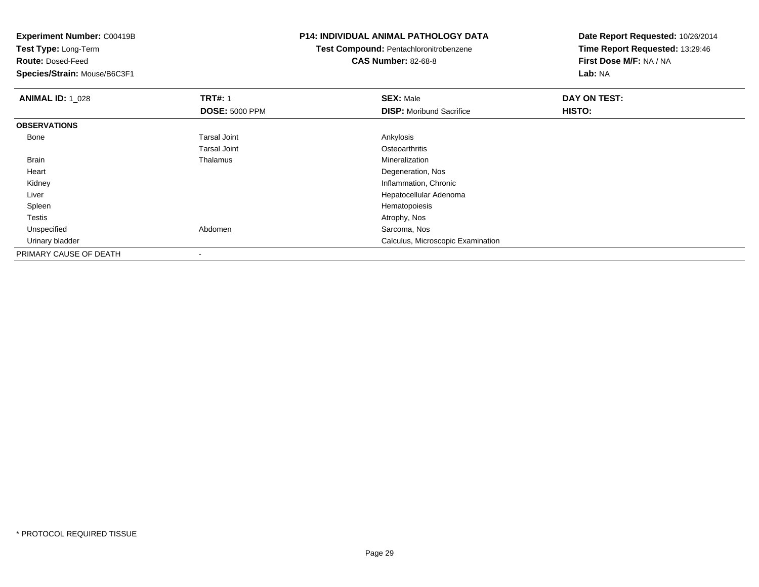**Experiment Number:** C00419B**Test Type:** Long-Term**Route:** Dosed-Feed **Species/Strain:** Mouse/B6C3F1**P14: INDIVIDUAL ANIMAL PATHOLOGY DATATest Compound:** Pentachloronitrobenzene**CAS Number:** 82-68-8**Date Report Requested:** 10/26/2014**Time Report Requested:** 13:29:46**First Dose M/F:** NA / NA**Lab:** NA**ANIMAL ID: 1\_028 REX:** Male **DAY ON TEST: TRT#:** 1 **SEX:** Male **SEX:** Male **DOSE:** 5000 PPM**DISP:** Moribund Sacrifice **HISTO: OBSERVATIONS** Bonee and the set of the set of the set of the set of the set of the set of the set of the set of the set of the s Tarsal Joint**Osteoarthritis** Mineralization Brain Thalamus Mineralization Heart Degeneration, Nos**Inflammation, Chronic**  Kidney Liver Hepatocellular Adenoma SpleenHematopoiesis<br>Atrophy, Nos Testiss and the contract of the contract of the contract of the contract of the contract of the contract of the contract of the contract of the contract of the contract of the contract of the contract of the contract of the cont UnspecifiedAbdomen Sarcoma, Nos Urinary bladder Calculus, Microscopic ExaminationPRIMARY CAUSE OF DEATH

-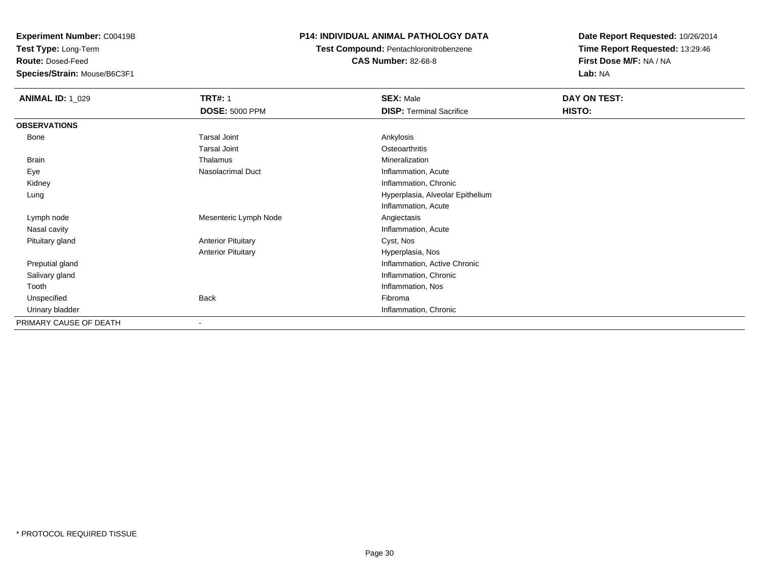**Test Type:** Long-Term

**Route:** Dosed-Feed

**Species/Strain:** Mouse/B6C3F1

### **P14: INDIVIDUAL ANIMAL PATHOLOGY DATA**

**Test Compound:** Pentachloronitrobenzene**CAS Number:** 82-68-8

| <b>ANIMAL ID: 1_029</b> | <b>TRT#: 1</b>            | <b>SEX: Male</b>                 | DAY ON TEST: |  |
|-------------------------|---------------------------|----------------------------------|--------------|--|
|                         | <b>DOSE: 5000 PPM</b>     | <b>DISP: Terminal Sacrifice</b>  | HISTO:       |  |
| <b>OBSERVATIONS</b>     |                           |                                  |              |  |
| Bone                    | <b>Tarsal Joint</b>       | Ankylosis                        |              |  |
|                         | <b>Tarsal Joint</b>       | Osteoarthritis                   |              |  |
| Brain                   | Thalamus                  | Mineralization                   |              |  |
| Eye                     | Nasolacrimal Duct         | Inflammation, Acute              |              |  |
| Kidney                  |                           | Inflammation, Chronic            |              |  |
| Lung                    |                           | Hyperplasia, Alveolar Epithelium |              |  |
|                         |                           | Inflammation, Acute              |              |  |
| Lymph node              | Mesenteric Lymph Node     | Angiectasis                      |              |  |
| Nasal cavity            |                           | Inflammation, Acute              |              |  |
| Pituitary gland         | <b>Anterior Pituitary</b> | Cyst, Nos                        |              |  |
|                         | <b>Anterior Pituitary</b> | Hyperplasia, Nos                 |              |  |
| Preputial gland         |                           | Inflammation, Active Chronic     |              |  |
| Salivary gland          |                           | Inflammation, Chronic            |              |  |
| Tooth                   |                           | Inflammation, Nos                |              |  |
| Unspecified             | <b>Back</b>               | Fibroma                          |              |  |
| Urinary bladder         |                           | Inflammation, Chronic            |              |  |
| PRIMARY CAUSE OF DEATH  |                           |                                  |              |  |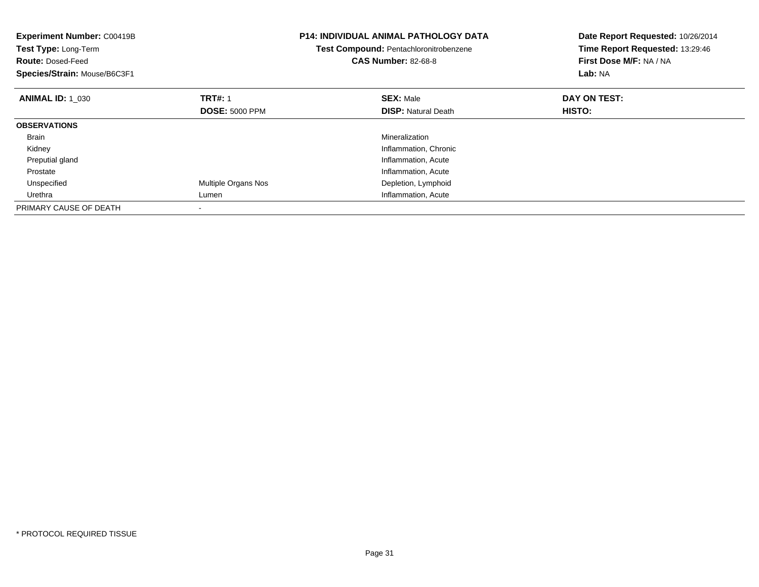| <b>Experiment Number: C00419B</b><br>Test Type: Long-Term<br><b>Route: Dosed-Feed</b><br>Species/Strain: Mouse/B6C3F1 |                       | <b>P14: INDIVIDUAL ANIMAL PATHOLOGY DATA</b><br>Test Compound: Pentachloronitrobenzene<br><b>CAS Number: 82-68-8</b> | Date Report Requested: 10/26/2014<br>Time Report Requested: 13:29:46<br>First Dose M/F: NA / NA<br>Lab: NA |
|-----------------------------------------------------------------------------------------------------------------------|-----------------------|----------------------------------------------------------------------------------------------------------------------|------------------------------------------------------------------------------------------------------------|
| <b>ANIMAL ID: 1 030</b>                                                                                               | <b>TRT#: 1</b>        | <b>SEX: Male</b>                                                                                                     | DAY ON TEST:                                                                                               |
|                                                                                                                       | <b>DOSE: 5000 PPM</b> | <b>DISP:</b> Natural Death                                                                                           | <b>HISTO:</b>                                                                                              |
| <b>OBSERVATIONS</b>                                                                                                   |                       |                                                                                                                      |                                                                                                            |
| <b>Brain</b>                                                                                                          |                       | Mineralization                                                                                                       |                                                                                                            |
| Kidney                                                                                                                |                       | Inflammation, Chronic                                                                                                |                                                                                                            |
| Preputial gland                                                                                                       |                       | Inflammation, Acute                                                                                                  |                                                                                                            |
| Prostate                                                                                                              |                       | Inflammation, Acute                                                                                                  |                                                                                                            |
| Unspecified                                                                                                           | Multiple Organs Nos   | Depletion, Lymphoid                                                                                                  |                                                                                                            |
| Urethra                                                                                                               | Lumen                 | Inflammation, Acute                                                                                                  |                                                                                                            |
| PRIMARY CAUSE OF DEATH                                                                                                |                       |                                                                                                                      |                                                                                                            |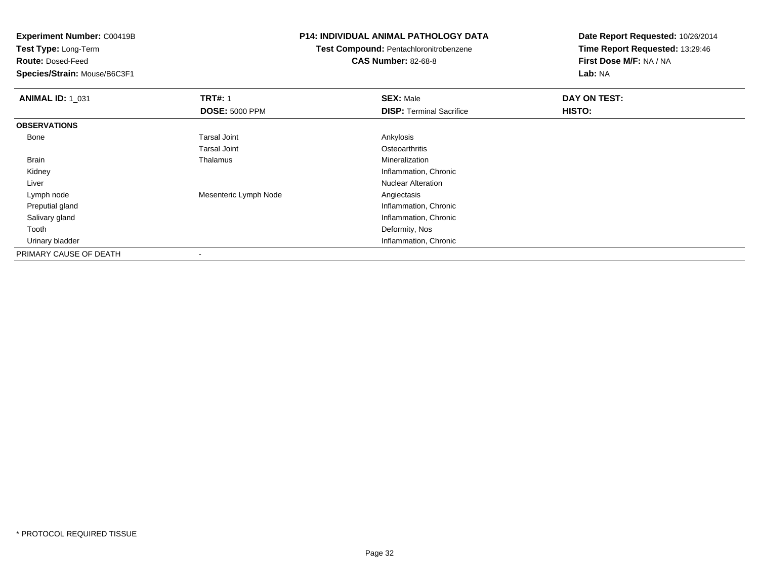**Test Type:** Long-Term

**Route:** Dosed-Feed

**Species/Strain:** Mouse/B6C3F1

### **P14: INDIVIDUAL ANIMAL PATHOLOGY DATA**

### **Test Compound:** Pentachloronitrobenzene**CAS Number:** 82-68-8

| <b>ANIMAL ID: 1 031</b> | <b>TRT#: 1</b>           | <b>SEX: Male</b>                | DAY ON TEST: |  |
|-------------------------|--------------------------|---------------------------------|--------------|--|
|                         | <b>DOSE: 5000 PPM</b>    | <b>DISP: Terminal Sacrifice</b> | HISTO:       |  |
| <b>OBSERVATIONS</b>     |                          |                                 |              |  |
| Bone                    | <b>Tarsal Joint</b>      | Ankylosis                       |              |  |
|                         | <b>Tarsal Joint</b>      | Osteoarthritis                  |              |  |
| Brain                   | Thalamus                 | Mineralization                  |              |  |
| Kidney                  |                          | Inflammation, Chronic           |              |  |
| Liver                   |                          | <b>Nuclear Alteration</b>       |              |  |
| Lymph node              | Mesenteric Lymph Node    | Angiectasis                     |              |  |
| Preputial gland         |                          | Inflammation, Chronic           |              |  |
| Salivary gland          |                          | Inflammation, Chronic           |              |  |
| Tooth                   |                          | Deformity, Nos                  |              |  |
| Urinary bladder         |                          | Inflammation, Chronic           |              |  |
| PRIMARY CAUSE OF DEATH  | $\overline{\phantom{a}}$ |                                 |              |  |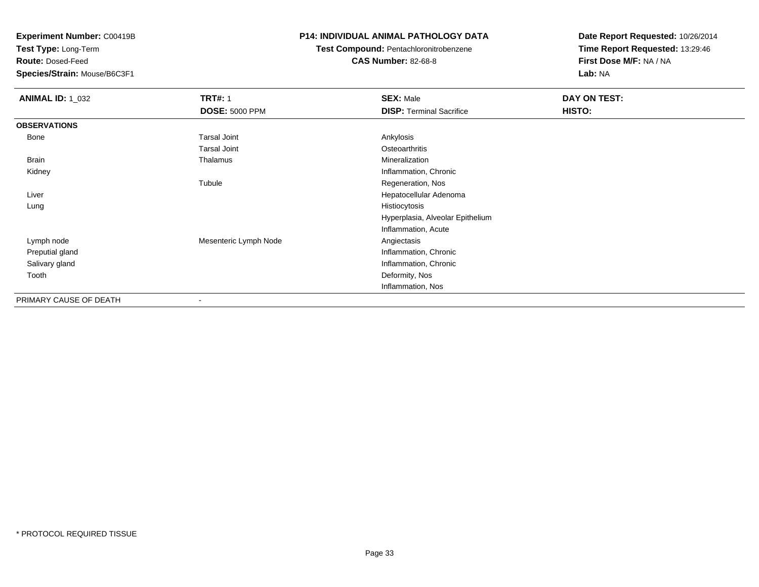**Test Type:** Long-Term

**Route:** Dosed-Feed

**Species/Strain:** Mouse/B6C3F1

### **P14: INDIVIDUAL ANIMAL PATHOLOGY DATA**

**Test Compound:** Pentachloronitrobenzene

**CAS Number:** 82-68-8

| <b>ANIMAL ID: 1_032</b> | <b>TRT#: 1</b>           | <b>SEX: Male</b>                 | DAY ON TEST: |
|-------------------------|--------------------------|----------------------------------|--------------|
|                         | <b>DOSE: 5000 PPM</b>    | <b>DISP: Terminal Sacrifice</b>  | HISTO:       |
| <b>OBSERVATIONS</b>     |                          |                                  |              |
| Bone                    | <b>Tarsal Joint</b>      | Ankylosis                        |              |
|                         | <b>Tarsal Joint</b>      | Osteoarthritis                   |              |
| <b>Brain</b>            | Thalamus                 | Mineralization                   |              |
| Kidney                  |                          | Inflammation, Chronic            |              |
|                         | Tubule                   | Regeneration, Nos                |              |
| Liver                   |                          | Hepatocellular Adenoma           |              |
| Lung                    |                          | Histiocytosis                    |              |
|                         |                          | Hyperplasia, Alveolar Epithelium |              |
|                         |                          | Inflammation, Acute              |              |
| Lymph node              | Mesenteric Lymph Node    | Angiectasis                      |              |
| Preputial gland         |                          | Inflammation, Chronic            |              |
| Salivary gland          |                          | Inflammation, Chronic            |              |
| Tooth                   |                          | Deformity, Nos                   |              |
|                         |                          | Inflammation, Nos                |              |
| PRIMARY CAUSE OF DEATH  | $\overline{\phantom{a}}$ |                                  |              |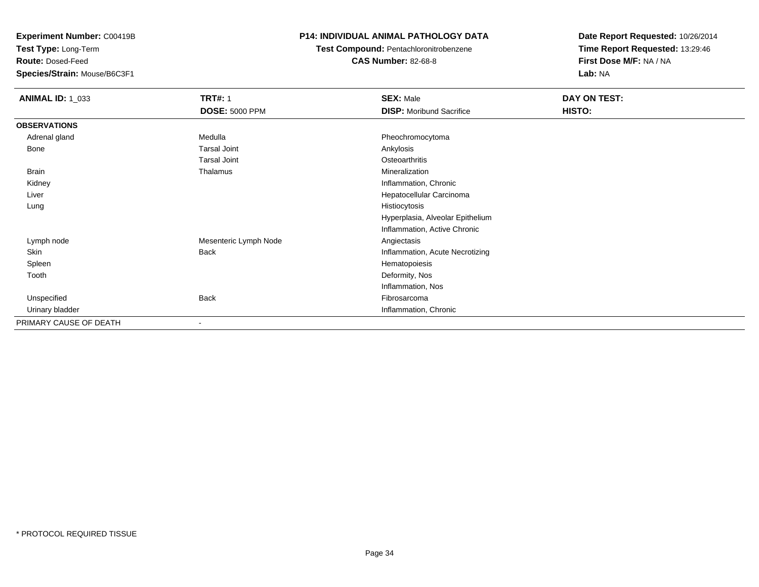**Test Type:** Long-Term

**Route:** Dosed-Feed

**Species/Strain:** Mouse/B6C3F1

### **P14: INDIVIDUAL ANIMAL PATHOLOGY DATA**

**Test Compound:** Pentachloronitrobenzene

**CAS Number:** 82-68-8

| <b>ANIMAL ID: 1_033</b> | <b>TRT#: 1</b>           | <b>SEX: Male</b>                 | DAY ON TEST: |  |
|-------------------------|--------------------------|----------------------------------|--------------|--|
|                         | <b>DOSE: 5000 PPM</b>    | <b>DISP:</b> Moribund Sacrifice  | HISTO:       |  |
| <b>OBSERVATIONS</b>     |                          |                                  |              |  |
| Adrenal gland           | Medulla                  | Pheochromocytoma                 |              |  |
| Bone                    | <b>Tarsal Joint</b>      | Ankylosis                        |              |  |
|                         | <b>Tarsal Joint</b>      | Osteoarthritis                   |              |  |
| Brain                   | Thalamus                 | Mineralization                   |              |  |
| Kidney                  |                          | Inflammation, Chronic            |              |  |
| Liver                   |                          | Hepatocellular Carcinoma         |              |  |
| Lung                    |                          | Histiocytosis                    |              |  |
|                         |                          | Hyperplasia, Alveolar Epithelium |              |  |
|                         |                          | Inflammation, Active Chronic     |              |  |
| Lymph node              | Mesenteric Lymph Node    | Angiectasis                      |              |  |
| Skin                    | Back                     | Inflammation, Acute Necrotizing  |              |  |
| Spleen                  |                          | Hematopoiesis                    |              |  |
| Tooth                   |                          | Deformity, Nos                   |              |  |
|                         |                          | Inflammation, Nos                |              |  |
| Unspecified             | <b>Back</b>              | Fibrosarcoma                     |              |  |
| Urinary bladder         |                          | Inflammation, Chronic            |              |  |
| PRIMARY CAUSE OF DEATH  | $\overline{\phantom{a}}$ |                                  |              |  |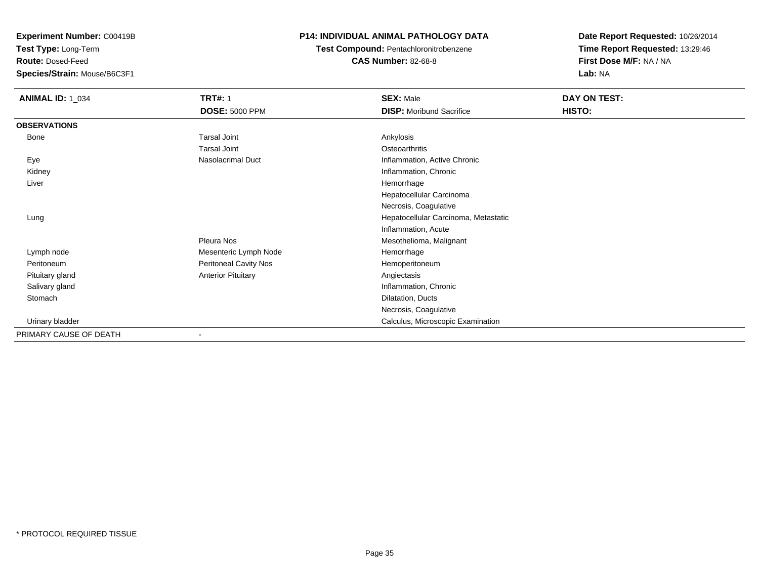**Test Type:** Long-Term

**Route:** Dosed-Feed

**Species/Strain:** Mouse/B6C3F1

### **P14: INDIVIDUAL ANIMAL PATHOLOGY DATA**

**Test Compound:** Pentachloronitrobenzene

**CAS Number:** 82-68-8

| <b>ANIMAL ID: 1_034</b> | <b>TRT#: 1</b>            | <b>SEX: Male</b>                     | DAY ON TEST: |  |
|-------------------------|---------------------------|--------------------------------------|--------------|--|
|                         | <b>DOSE: 5000 PPM</b>     | <b>DISP:</b> Moribund Sacrifice      | HISTO:       |  |
| <b>OBSERVATIONS</b>     |                           |                                      |              |  |
| Bone                    | <b>Tarsal Joint</b>       | Ankylosis                            |              |  |
|                         | <b>Tarsal Joint</b>       | Osteoarthritis                       |              |  |
| Eye                     | Nasolacrimal Duct         | Inflammation, Active Chronic         |              |  |
| Kidney                  |                           | Inflammation, Chronic                |              |  |
| Liver                   |                           | Hemorrhage                           |              |  |
|                         |                           | Hepatocellular Carcinoma             |              |  |
|                         |                           | Necrosis, Coagulative                |              |  |
| Lung                    |                           | Hepatocellular Carcinoma, Metastatic |              |  |
|                         |                           | Inflammation, Acute                  |              |  |
|                         | Pleura Nos                | Mesothelioma, Malignant              |              |  |
| Lymph node              | Mesenteric Lymph Node     | Hemorrhage                           |              |  |
| Peritoneum              | Peritoneal Cavity Nos     | Hemoperitoneum                       |              |  |
| Pituitary gland         | <b>Anterior Pituitary</b> | Angiectasis                          |              |  |
| Salivary gland          |                           | Inflammation, Chronic                |              |  |
| Stomach                 |                           | Dilatation, Ducts                    |              |  |
|                         |                           | Necrosis, Coagulative                |              |  |
| Urinary bladder         |                           | Calculus, Microscopic Examination    |              |  |
| PRIMARY CAUSE OF DEATH  |                           |                                      |              |  |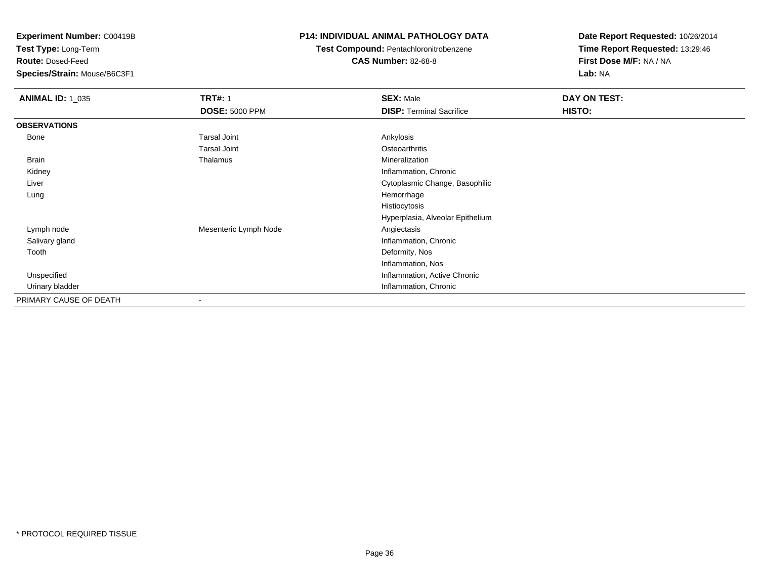**Test Type:** Long-Term

**Route:** Dosed-Feed

**Species/Strain:** Mouse/B6C3F1

### **P14: INDIVIDUAL ANIMAL PATHOLOGY DATA**

**Test Compound:** Pentachloronitrobenzene**CAS Number:** 82-68-8

| <b>ANIMAL ID: 1_035</b> | <b>TRT#: 1</b>           | <b>SEX: Male</b>                 | DAY ON TEST: |  |
|-------------------------|--------------------------|----------------------------------|--------------|--|
|                         | <b>DOSE: 5000 PPM</b>    | <b>DISP: Terminal Sacrifice</b>  | HISTO:       |  |
| <b>OBSERVATIONS</b>     |                          |                                  |              |  |
| Bone                    | <b>Tarsal Joint</b>      | Ankylosis                        |              |  |
|                         | <b>Tarsal Joint</b>      | Osteoarthritis                   |              |  |
| Brain                   | Thalamus                 | Mineralization                   |              |  |
| Kidney                  |                          | Inflammation, Chronic            |              |  |
| Liver                   |                          | Cytoplasmic Change, Basophilic   |              |  |
| Lung                    |                          | Hemorrhage                       |              |  |
|                         |                          | Histiocytosis                    |              |  |
|                         |                          | Hyperplasia, Alveolar Epithelium |              |  |
| Lymph node              | Mesenteric Lymph Node    | Angiectasis                      |              |  |
| Salivary gland          |                          | Inflammation, Chronic            |              |  |
| Tooth                   |                          | Deformity, Nos                   |              |  |
|                         |                          | Inflammation, Nos                |              |  |
| Unspecified             |                          | Inflammation, Active Chronic     |              |  |
| Urinary bladder         |                          | Inflammation, Chronic            |              |  |
| PRIMARY CAUSE OF DEATH  | $\overline{\phantom{a}}$ |                                  |              |  |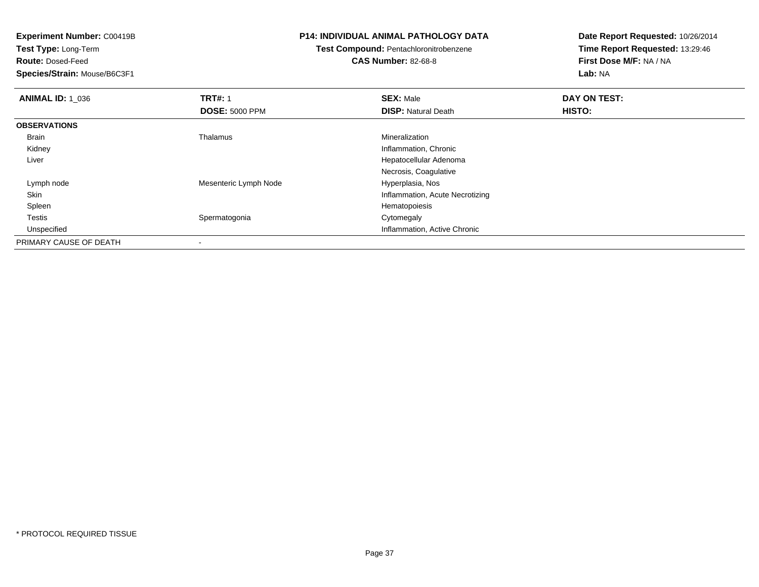**Test Type:** Long-Term

**Route:** Dosed-Feed

**Species/Strain:** Mouse/B6C3F1

### **P14: INDIVIDUAL ANIMAL PATHOLOGY DATA**

### **Test Compound:** Pentachloronitrobenzene**CAS Number:** 82-68-8

| <b>ANIMAL ID: 1 036</b> | <b>TRT#: 1</b>        | <b>SEX: Male</b>                | DAY ON TEST:  |  |
|-------------------------|-----------------------|---------------------------------|---------------|--|
|                         | <b>DOSE: 5000 PPM</b> | <b>DISP: Natural Death</b>      | <b>HISTO:</b> |  |
| <b>OBSERVATIONS</b>     |                       |                                 |               |  |
| Brain                   | Thalamus              | Mineralization                  |               |  |
| Kidney                  |                       | Inflammation, Chronic           |               |  |
| Liver                   |                       | Hepatocellular Adenoma          |               |  |
|                         |                       | Necrosis, Coagulative           |               |  |
| Lymph node              | Mesenteric Lymph Node | Hyperplasia, Nos                |               |  |
| Skin                    |                       | Inflammation, Acute Necrotizing |               |  |
| Spleen                  |                       | Hematopoiesis                   |               |  |
| Testis                  | Spermatogonia         | Cytomegaly                      |               |  |
| Unspecified             |                       | Inflammation, Active Chronic    |               |  |
| PRIMARY CAUSE OF DEATH  |                       |                                 |               |  |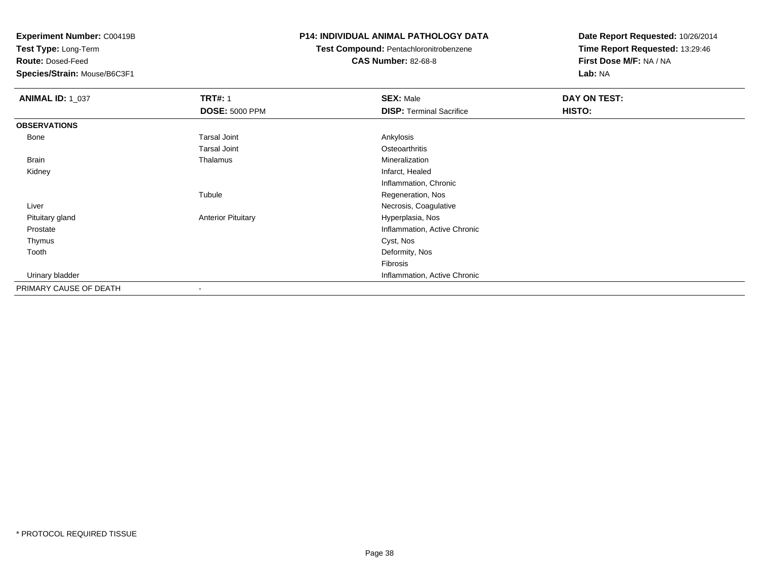**Test Type:** Long-Term

**Route:** Dosed-Feed

**Species/Strain:** Mouse/B6C3F1

### **P14: INDIVIDUAL ANIMAL PATHOLOGY DATA**

### **Test Compound:** Pentachloronitrobenzene**CAS Number:** 82-68-8

| <b>ANIMAL ID: 1_037</b> | <b>TRT#: 1</b>            | <b>SEX: Male</b>                | DAY ON TEST: |  |
|-------------------------|---------------------------|---------------------------------|--------------|--|
|                         | <b>DOSE: 5000 PPM</b>     | <b>DISP: Terminal Sacrifice</b> | HISTO:       |  |
| <b>OBSERVATIONS</b>     |                           |                                 |              |  |
| Bone                    | <b>Tarsal Joint</b>       | Ankylosis                       |              |  |
|                         | <b>Tarsal Joint</b>       | Osteoarthritis                  |              |  |
| Brain                   | Thalamus                  | Mineralization                  |              |  |
| Kidney                  |                           | Infarct, Healed                 |              |  |
|                         |                           | Inflammation, Chronic           |              |  |
|                         | Tubule                    | Regeneration, Nos               |              |  |
| Liver                   |                           | Necrosis, Coagulative           |              |  |
| Pituitary gland         | <b>Anterior Pituitary</b> | Hyperplasia, Nos                |              |  |
| Prostate                |                           | Inflammation, Active Chronic    |              |  |
| Thymus                  |                           | Cyst, Nos                       |              |  |
| Tooth                   |                           | Deformity, Nos                  |              |  |
|                         |                           | Fibrosis                        |              |  |
| Urinary bladder         |                           | Inflammation, Active Chronic    |              |  |
| PRIMARY CAUSE OF DEATH  | $\overline{\phantom{a}}$  |                                 |              |  |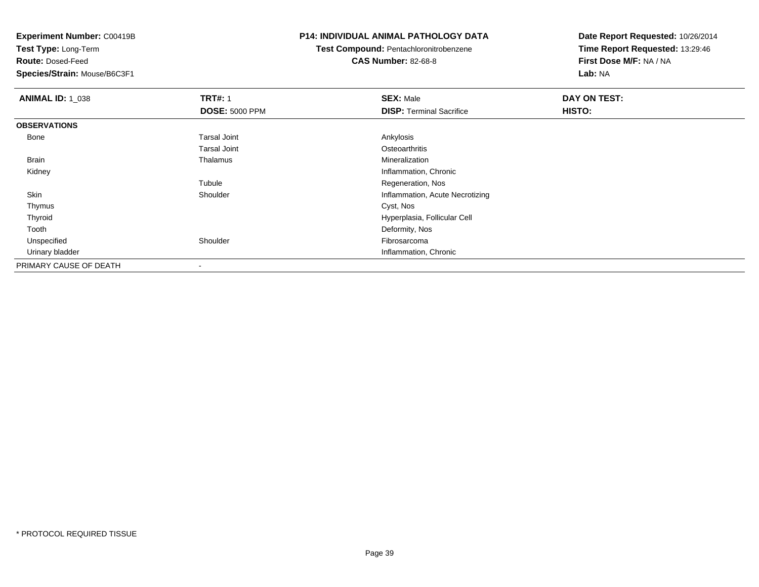**Test Type:** Long-Term

**Route:** Dosed-Feed

**Species/Strain:** Mouse/B6C3F1

### **P14: INDIVIDUAL ANIMAL PATHOLOGY DATA**

**Test Compound:** Pentachloronitrobenzene**CAS Number:** 82-68-8

| <b>ANIMAL ID: 1_038</b> | <b>TRT#: 1</b>        | <b>SEX: Male</b>                | DAY ON TEST: |  |
|-------------------------|-----------------------|---------------------------------|--------------|--|
|                         | <b>DOSE: 5000 PPM</b> | <b>DISP: Terminal Sacrifice</b> | HISTO:       |  |
| <b>OBSERVATIONS</b>     |                       |                                 |              |  |
| Bone                    | <b>Tarsal Joint</b>   | Ankylosis                       |              |  |
|                         | <b>Tarsal Joint</b>   | Osteoarthritis                  |              |  |
| Brain                   | Thalamus              | Mineralization                  |              |  |
| Kidney                  |                       | Inflammation, Chronic           |              |  |
|                         | Tubule                | Regeneration, Nos               |              |  |
| Skin                    | Shoulder              | Inflammation, Acute Necrotizing |              |  |
| Thymus                  |                       | Cyst, Nos                       |              |  |
| Thyroid                 |                       | Hyperplasia, Follicular Cell    |              |  |
| Tooth                   |                       | Deformity, Nos                  |              |  |
| Unspecified             | Shoulder              | Fibrosarcoma                    |              |  |
| Urinary bladder         |                       | Inflammation, Chronic           |              |  |
| PRIMARY CAUSE OF DEATH  | $\,$                  |                                 |              |  |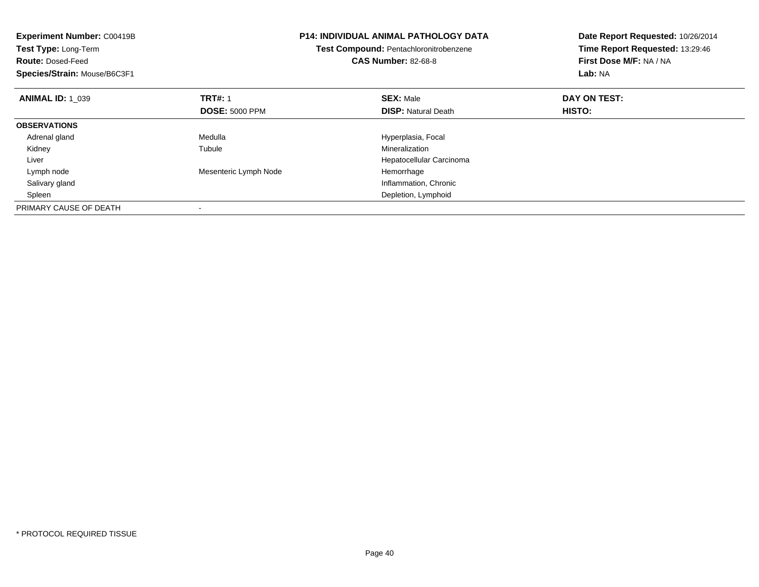| <b>Experiment Number: C00419B</b><br>Test Type: Long-Term<br><b>Route: Dosed-Feed</b><br>Species/Strain: Mouse/B6C3F1 |                       | P14: INDIVIDUAL ANIMAL PATHOLOGY DATA<br>Test Compound: Pentachloronitrobenzene<br><b>CAS Number: 82-68-8</b> | Date Report Requested: 10/26/2014<br>Time Report Requested: 13:29:46<br>First Dose M/F: NA / NA<br>Lab: NA |
|-----------------------------------------------------------------------------------------------------------------------|-----------------------|---------------------------------------------------------------------------------------------------------------|------------------------------------------------------------------------------------------------------------|
| <b>ANIMAL ID: 1 039</b>                                                                                               | <b>TRT#: 1</b>        | <b>SEX: Male</b>                                                                                              | DAY ON TEST:                                                                                               |
|                                                                                                                       | <b>DOSE: 5000 PPM</b> | <b>DISP:</b> Natural Death                                                                                    | <b>HISTO:</b>                                                                                              |
| <b>OBSERVATIONS</b>                                                                                                   |                       |                                                                                                               |                                                                                                            |
| Adrenal gland                                                                                                         | Medulla               | Hyperplasia, Focal                                                                                            |                                                                                                            |
| Kidney                                                                                                                | Tubule                | Mineralization                                                                                                |                                                                                                            |
| Liver                                                                                                                 |                       | Hepatocellular Carcinoma                                                                                      |                                                                                                            |
| Lymph node                                                                                                            | Mesenteric Lymph Node | Hemorrhage                                                                                                    |                                                                                                            |
| Salivary gland                                                                                                        |                       | Inflammation, Chronic                                                                                         |                                                                                                            |
| Spleen                                                                                                                |                       | Depletion, Lymphoid                                                                                           |                                                                                                            |
| PRIMARY CAUSE OF DEATH                                                                                                |                       |                                                                                                               |                                                                                                            |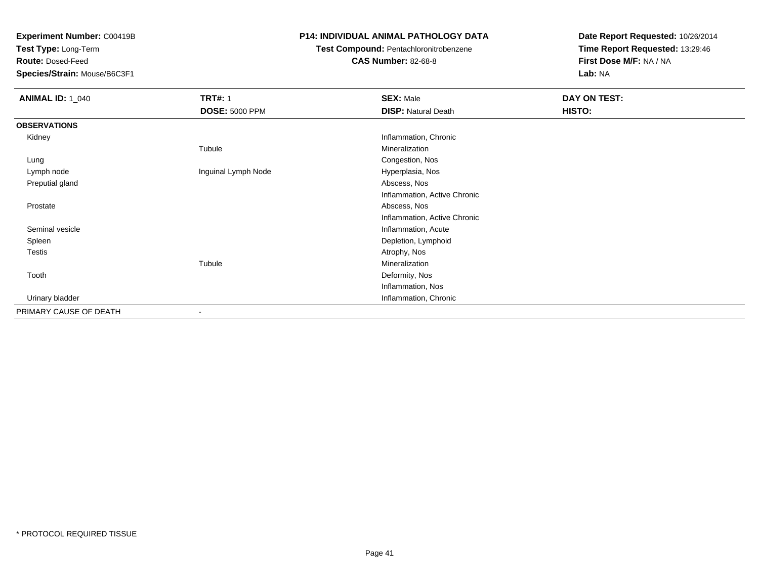**Test Type:** Long-Term

**Route:** Dosed-Feed

**Species/Strain:** Mouse/B6C3F1

### **P14: INDIVIDUAL ANIMAL PATHOLOGY DATA**

## **Test Compound:** Pentachloronitrobenzene

**CAS Number:** 82-68-8

| <b>ANIMAL ID: 1_040</b> | <b>TRT#: 1</b>        | <b>SEX: Male</b>             | DAY ON TEST: |
|-------------------------|-----------------------|------------------------------|--------------|
|                         | <b>DOSE: 5000 PPM</b> | <b>DISP: Natural Death</b>   | HISTO:       |
| <b>OBSERVATIONS</b>     |                       |                              |              |
| Kidney                  |                       | Inflammation, Chronic        |              |
|                         | Tubule                | Mineralization               |              |
| Lung                    |                       | Congestion, Nos              |              |
| Lymph node              | Inguinal Lymph Node   | Hyperplasia, Nos             |              |
| Preputial gland         |                       | Abscess, Nos                 |              |
|                         |                       | Inflammation, Active Chronic |              |
| Prostate                |                       | Abscess, Nos                 |              |
|                         |                       | Inflammation, Active Chronic |              |
| Seminal vesicle         |                       | Inflammation, Acute          |              |
| Spleen                  |                       | Depletion, Lymphoid          |              |
| <b>Testis</b>           |                       | Atrophy, Nos                 |              |
|                         | Tubule                | Mineralization               |              |
| Tooth                   |                       | Deformity, Nos               |              |
|                         |                       | Inflammation, Nos            |              |
| Urinary bladder         |                       | Inflammation, Chronic        |              |
| PRIMARY CAUSE OF DEATH  | $\blacksquare$        |                              |              |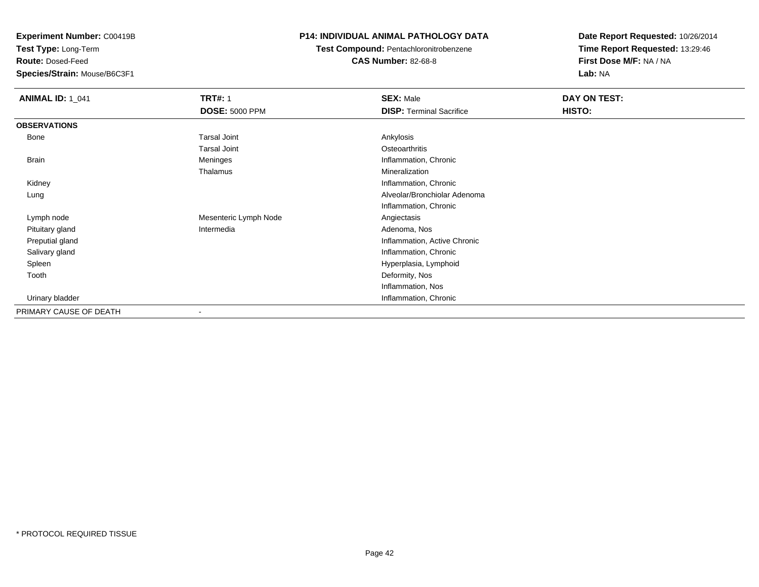**Test Type:** Long-Term

**Route:** Dosed-Feed

**Species/Strain:** Mouse/B6C3F1

### **P14: INDIVIDUAL ANIMAL PATHOLOGY DATA**

**Test Compound:** Pentachloronitrobenzene**CAS Number:** 82-68-8

| <b>ANIMAL ID: 1_041</b> | <b>TRT#: 1</b>        | <b>SEX: Male</b>                | DAY ON TEST: |  |
|-------------------------|-----------------------|---------------------------------|--------------|--|
|                         | <b>DOSE: 5000 PPM</b> | <b>DISP: Terminal Sacrifice</b> | HISTO:       |  |
| <b>OBSERVATIONS</b>     |                       |                                 |              |  |
| Bone                    | <b>Tarsal Joint</b>   | Ankylosis                       |              |  |
|                         | <b>Tarsal Joint</b>   | Osteoarthritis                  |              |  |
| <b>Brain</b>            | Meninges              | Inflammation, Chronic           |              |  |
|                         | Thalamus              | Mineralization                  |              |  |
| Kidney                  |                       | Inflammation, Chronic           |              |  |
| Lung                    |                       | Alveolar/Bronchiolar Adenoma    |              |  |
|                         |                       | Inflammation, Chronic           |              |  |
| Lymph node              | Mesenteric Lymph Node | Angiectasis                     |              |  |
| Pituitary gland         | Intermedia            | Adenoma, Nos                    |              |  |
| Preputial gland         |                       | Inflammation, Active Chronic    |              |  |
| Salivary gland          |                       | Inflammation, Chronic           |              |  |
| Spleen                  |                       | Hyperplasia, Lymphoid           |              |  |
| Tooth                   |                       | Deformity, Nos                  |              |  |
|                         |                       | Inflammation, Nos               |              |  |
| Urinary bladder         |                       | Inflammation, Chronic           |              |  |
| PRIMARY CAUSE OF DEATH  |                       |                                 |              |  |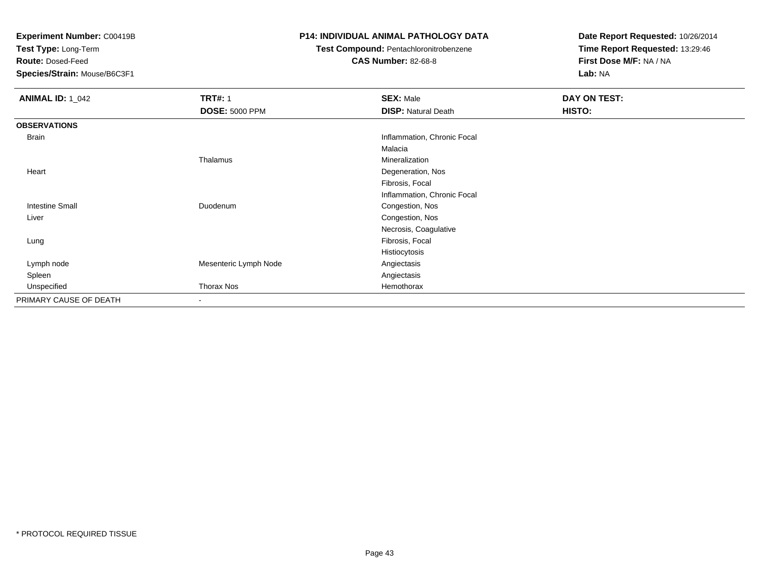**Test Type:** Long-Term

**Route:** Dosed-Feed

**Species/Strain:** Mouse/B6C3F1

### **P14: INDIVIDUAL ANIMAL PATHOLOGY DATA**

### **Test Compound:** Pentachloronitrobenzene

**CAS Number:** 82-68-8

| <b>ANIMAL ID: 1_042</b> | <b>TRT#: 1</b>        | <b>SEX: Male</b>            | DAY ON TEST: |
|-------------------------|-----------------------|-----------------------------|--------------|
|                         | <b>DOSE: 5000 PPM</b> | <b>DISP: Natural Death</b>  | HISTO:       |
| <b>OBSERVATIONS</b>     |                       |                             |              |
| <b>Brain</b>            |                       | Inflammation, Chronic Focal |              |
|                         |                       | Malacia                     |              |
|                         | Thalamus              | Mineralization              |              |
| Heart                   |                       | Degeneration, Nos           |              |
|                         |                       | Fibrosis, Focal             |              |
|                         |                       | Inflammation, Chronic Focal |              |
| <b>Intestine Small</b>  | Duodenum              | Congestion, Nos             |              |
| Liver                   |                       | Congestion, Nos             |              |
|                         |                       | Necrosis, Coagulative       |              |
| Lung                    |                       | Fibrosis, Focal             |              |
|                         |                       | Histiocytosis               |              |
| Lymph node              | Mesenteric Lymph Node | Angiectasis                 |              |
| Spleen                  |                       | Angiectasis                 |              |
| Unspecified             | Thorax Nos            | Hemothorax                  |              |
| PRIMARY CAUSE OF DEATH  | $\blacksquare$        |                             |              |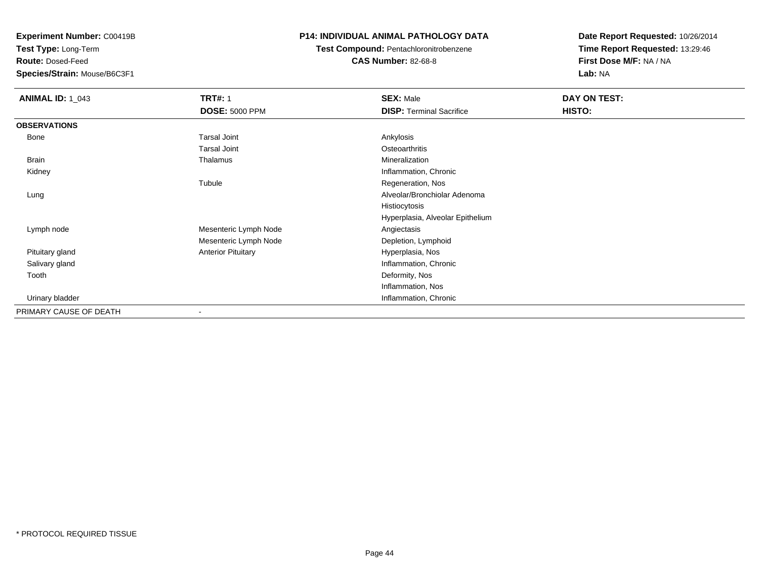**Test Type:** Long-Term

**Route:** Dosed-Feed

**Species/Strain:** Mouse/B6C3F1

### **P14: INDIVIDUAL ANIMAL PATHOLOGY DATA**

**Test Compound:** Pentachloronitrobenzene

**CAS Number:** 82-68-8

| <b>ANIMAL ID: 1_043</b> | <b>TRT#: 1</b>            | <b>SEX: Male</b>                 | DAY ON TEST: |
|-------------------------|---------------------------|----------------------------------|--------------|
|                         | <b>DOSE: 5000 PPM</b>     | <b>DISP: Terminal Sacrifice</b>  | HISTO:       |
| <b>OBSERVATIONS</b>     |                           |                                  |              |
| Bone                    | <b>Tarsal Joint</b>       | Ankylosis                        |              |
|                         | <b>Tarsal Joint</b>       | Osteoarthritis                   |              |
| Brain                   | Thalamus                  | Mineralization                   |              |
| Kidney                  |                           | Inflammation, Chronic            |              |
|                         | Tubule                    | Regeneration, Nos                |              |
| Lung                    |                           | Alveolar/Bronchiolar Adenoma     |              |
|                         |                           | Histiocytosis                    |              |
|                         |                           | Hyperplasia, Alveolar Epithelium |              |
| Lymph node              | Mesenteric Lymph Node     | Angiectasis                      |              |
|                         | Mesenteric Lymph Node     | Depletion, Lymphoid              |              |
| Pituitary gland         | <b>Anterior Pituitary</b> | Hyperplasia, Nos                 |              |
| Salivary gland          |                           | Inflammation, Chronic            |              |
| Tooth                   |                           | Deformity, Nos                   |              |
|                         |                           | Inflammation, Nos                |              |
| Urinary bladder         |                           | Inflammation, Chronic            |              |
| PRIMARY CAUSE OF DEATH  |                           |                                  |              |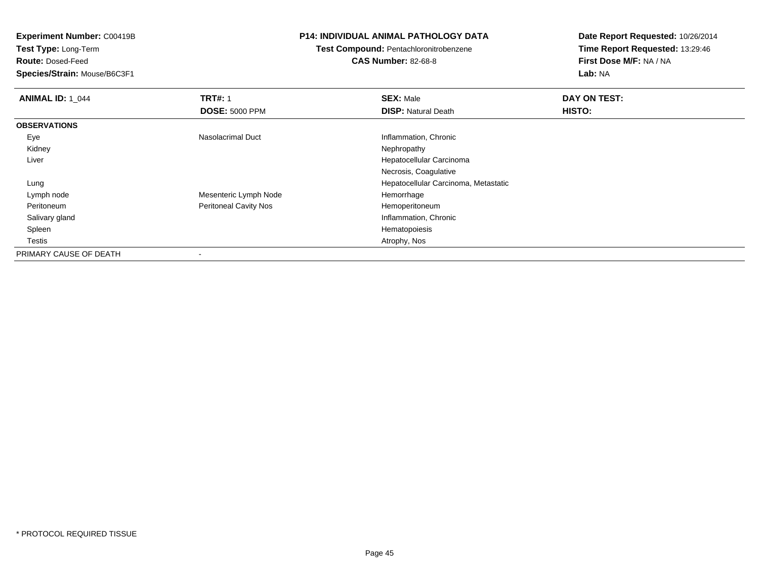**Test Type:** Long-Term

**Route:** Dosed-Feed

**Species/Strain:** Mouse/B6C3F1

### **P14: INDIVIDUAL ANIMAL PATHOLOGY DATA**

### **Test Compound:** Pentachloronitrobenzene**CAS Number:** 82-68-8

| <b>ANIMAL ID: 1 044</b> | <b>TRT#: 1</b>               | <b>SEX: Male</b>                     | DAY ON TEST: |  |
|-------------------------|------------------------------|--------------------------------------|--------------|--|
|                         | <b>DOSE: 5000 PPM</b>        | <b>DISP: Natural Death</b>           | HISTO:       |  |
| <b>OBSERVATIONS</b>     |                              |                                      |              |  |
| Eye                     | Nasolacrimal Duct            | Inflammation, Chronic                |              |  |
| Kidney                  |                              | Nephropathy                          |              |  |
| Liver                   |                              | Hepatocellular Carcinoma             |              |  |
|                         |                              | Necrosis, Coagulative                |              |  |
| Lung                    |                              | Hepatocellular Carcinoma, Metastatic |              |  |
| Lymph node              | Mesenteric Lymph Node        | Hemorrhage                           |              |  |
| Peritoneum              | <b>Peritoneal Cavity Nos</b> | Hemoperitoneum                       |              |  |
| Salivary gland          |                              | Inflammation, Chronic                |              |  |
| Spleen                  |                              | Hematopoiesis                        |              |  |
| Testis                  |                              | Atrophy, Nos                         |              |  |
| PRIMARY CAUSE OF DEATH  |                              |                                      |              |  |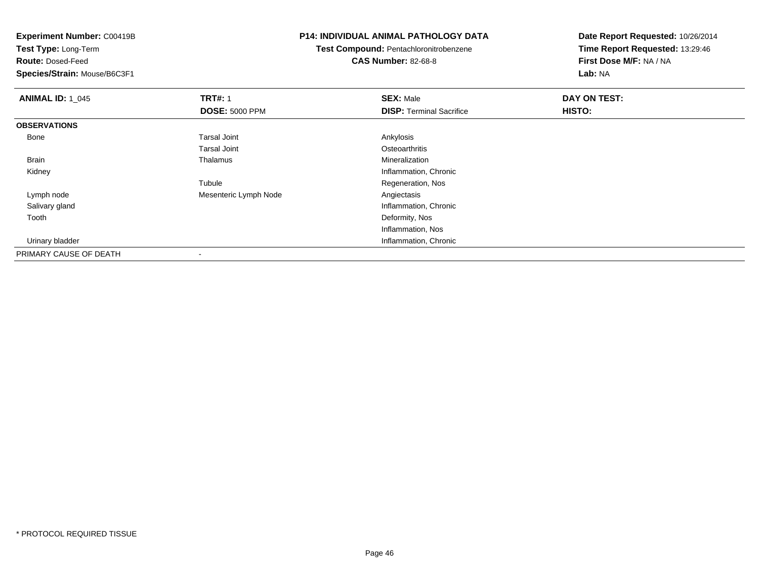**Experiment Number:** C00419B**Test Type:** Long-Term**Route:** Dosed-Feed **Species/Strain:** Mouse/B6C3F1**P14: INDIVIDUAL ANIMAL PATHOLOGY DATATest Compound:** Pentachloronitrobenzene**CAS Number:** 82-68-8**Date Report Requested:** 10/26/2014**Time Report Requested:** 13:29:46**First Dose M/F:** NA / NA**Lab:** NA**ANIMAL ID: 1\_045 TRT#:** <sup>1</sup> **SEX:** Male **DAY ON TEST: DOSE:** 5000 PPM**DISP:** Terminal Sacrifice **HISTO: OBSERVATIONS** Bonee and the set of the set of the set of the set of the set of the set of the set of the set of the set of the s Tarsal Joint**Osteoarthritis** Mineralization Brain Thalamus Mineralization Kidney Inflammation, Chronic TubuleRegeneration, Nos<br>Angiectasis Lymph nodeMesenteric Lymph Node Salivary glandInflammation, Chronic<br>Deformity, Nos Toothh and the control of the control of the control of the control of the control of the control of the control of the control of the control of the control of the control of the control of the control of the control of the co Inflammation, Nos**Inflammation, Chronic Chronic Chronic Chronic Chronic Chronic Chronic Chronic Chronic Chronic Chronic Chronic Chronic Chronic Chronic Chronic Chronic Chronic Chronic Chronic Chronic Chronic Chronic Chronic Chronic Chronic** Urinary bladder

PRIMARY CAUSE OF DEATH-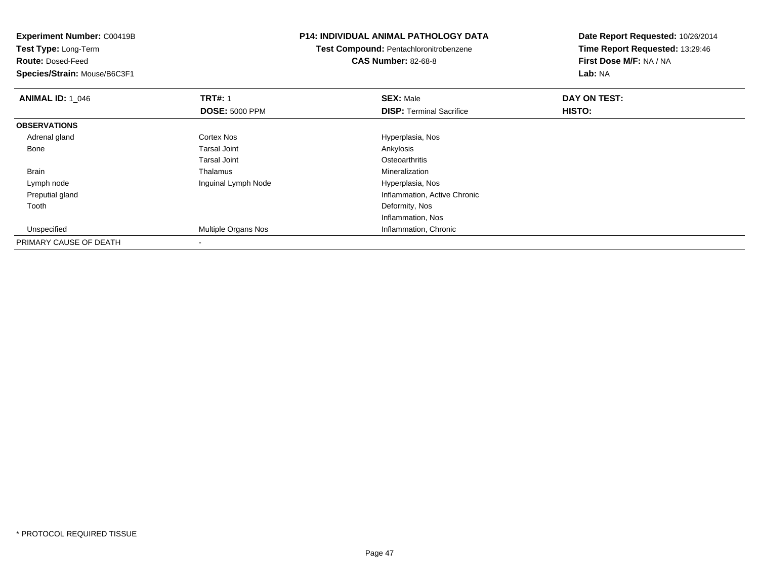| <b>Experiment Number: C00419B</b> |                       | <b>P14: INDIVIDUAL ANIMAL PATHOLOGY DATA</b> | Date Report Requested: 10/26/2014 |
|-----------------------------------|-----------------------|----------------------------------------------|-----------------------------------|
| Test Type: Long-Term              |                       | Test Compound: Pentachloronitrobenzene       | Time Report Requested: 13:29:46   |
| <b>Route: Dosed-Feed</b>          |                       | <b>CAS Number: 82-68-8</b>                   | First Dose M/F: NA / NA           |
| Species/Strain: Mouse/B6C3F1      |                       |                                              | Lab: NA                           |
| <b>ANIMAL ID: 1_046</b>           | <b>TRT#: 1</b>        | <b>SEX: Male</b>                             | DAY ON TEST:                      |
|                                   | <b>DOSE: 5000 PPM</b> | <b>DISP: Terminal Sacrifice</b>              | HISTO:                            |
| <b>OBSERVATIONS</b>               |                       |                                              |                                   |
| Adrenal gland                     | Cortex Nos            | Hyperplasia, Nos                             |                                   |
| Bone                              | <b>Tarsal Joint</b>   | Ankylosis                                    |                                   |
|                                   | <b>Tarsal Joint</b>   | Osteoarthritis                               |                                   |
| Brain                             | Thalamus              | Mineralization                               |                                   |
| Lymph node                        | Inguinal Lymph Node   | Hyperplasia, Nos                             |                                   |
| Preputial gland                   |                       | Inflammation, Active Chronic                 |                                   |
| Tooth                             |                       | Deformity, Nos                               |                                   |
|                                   |                       | Inflammation, Nos                            |                                   |
| Unspecified                       | Multiple Organs Nos   | Inflammation, Chronic                        |                                   |
| PRIMARY CAUSE OF DEATH            |                       |                                              |                                   |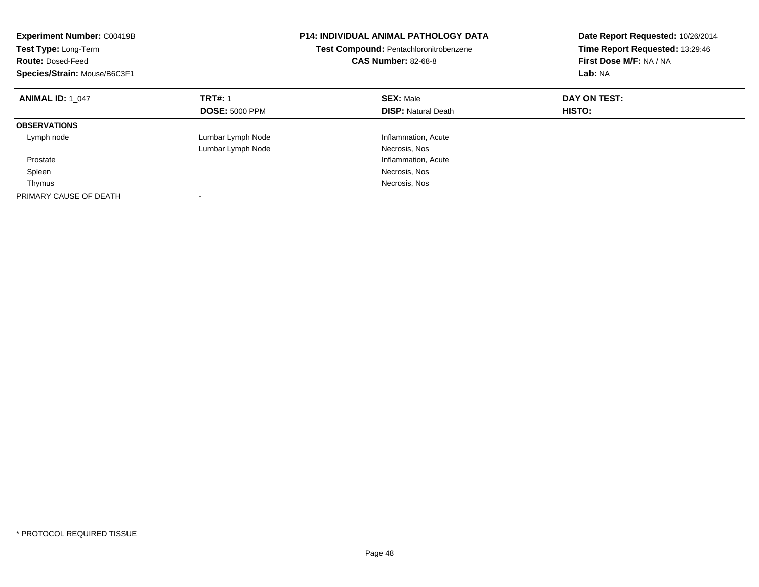| <b>Experiment Number: C00419B</b><br>Test Type: Long-Term<br><b>Route: Dosed-Feed</b><br>Species/Strain: Mouse/B6C3F1 |                       | <b>P14: INDIVIDUAL ANIMAL PATHOLOGY DATA</b><br><b>Test Compound: Pentachloronitrobenzene</b><br><b>CAS Number: 82-68-8</b> | Date Report Requested: 10/26/2014<br>Time Report Requested: 13:29:46<br>First Dose M/F: NA / NA<br>Lab: NA |
|-----------------------------------------------------------------------------------------------------------------------|-----------------------|-----------------------------------------------------------------------------------------------------------------------------|------------------------------------------------------------------------------------------------------------|
| <b>ANIMAL ID: 1 047</b>                                                                                               | <b>TRT#: 1</b>        | <b>SEX: Male</b>                                                                                                            | DAY ON TEST:                                                                                               |
|                                                                                                                       | <b>DOSE: 5000 PPM</b> | <b>DISP: Natural Death</b>                                                                                                  | HISTO:                                                                                                     |
| <b>OBSERVATIONS</b>                                                                                                   |                       |                                                                                                                             |                                                                                                            |
| Lymph node                                                                                                            | Lumbar Lymph Node     | Inflammation, Acute                                                                                                         |                                                                                                            |
|                                                                                                                       | Lumbar Lymph Node     | Necrosis, Nos                                                                                                               |                                                                                                            |
| Prostate                                                                                                              |                       | Inflammation, Acute                                                                                                         |                                                                                                            |
| Spleen                                                                                                                |                       | Necrosis, Nos                                                                                                               |                                                                                                            |
| Thymus                                                                                                                |                       | Necrosis, Nos                                                                                                               |                                                                                                            |
| PRIMARY CAUSE OF DEATH                                                                                                |                       |                                                                                                                             |                                                                                                            |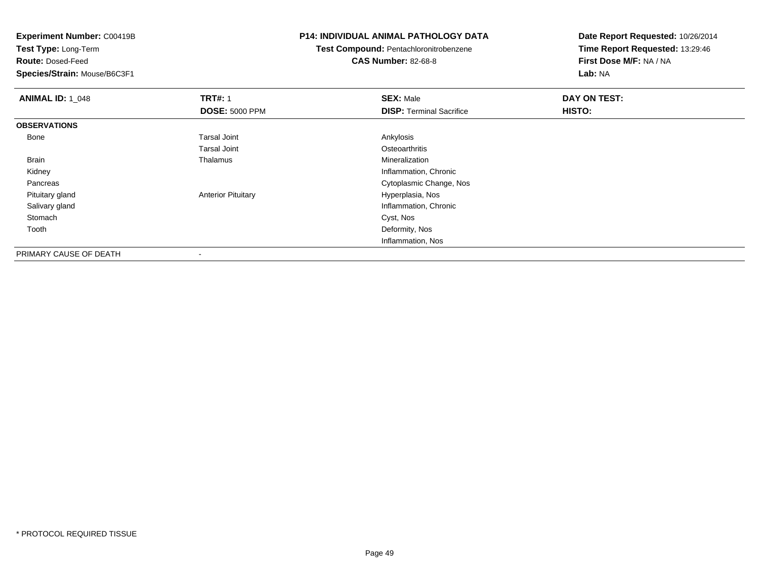**Test Type:** Long-Term

**Route:** Dosed-Feed

**Species/Strain:** Mouse/B6C3F1

### **P14: INDIVIDUAL ANIMAL PATHOLOGY DATA**

**Test Compound:** Pentachloronitrobenzene**CAS Number:** 82-68-8

| <b>ANIMAL ID: 1_048</b> | <b>TRT#: 1</b>            | <b>SEX: Male</b>                | DAY ON TEST: |  |
|-------------------------|---------------------------|---------------------------------|--------------|--|
|                         | <b>DOSE: 5000 PPM</b>     | <b>DISP: Terminal Sacrifice</b> | HISTO:       |  |
| <b>OBSERVATIONS</b>     |                           |                                 |              |  |
| Bone                    | <b>Tarsal Joint</b>       | Ankylosis                       |              |  |
|                         | <b>Tarsal Joint</b>       | Osteoarthritis                  |              |  |
| Brain                   | Thalamus                  | Mineralization                  |              |  |
| Kidney                  |                           | Inflammation, Chronic           |              |  |
| Pancreas                |                           | Cytoplasmic Change, Nos         |              |  |
| Pituitary gland         | <b>Anterior Pituitary</b> | Hyperplasia, Nos                |              |  |
| Salivary gland          |                           | Inflammation, Chronic           |              |  |
| Stomach                 |                           | Cyst, Nos                       |              |  |
| Tooth                   |                           | Deformity, Nos                  |              |  |
|                         |                           | Inflammation, Nos               |              |  |
| PRIMARY CAUSE OF DEATH  | ۰                         |                                 |              |  |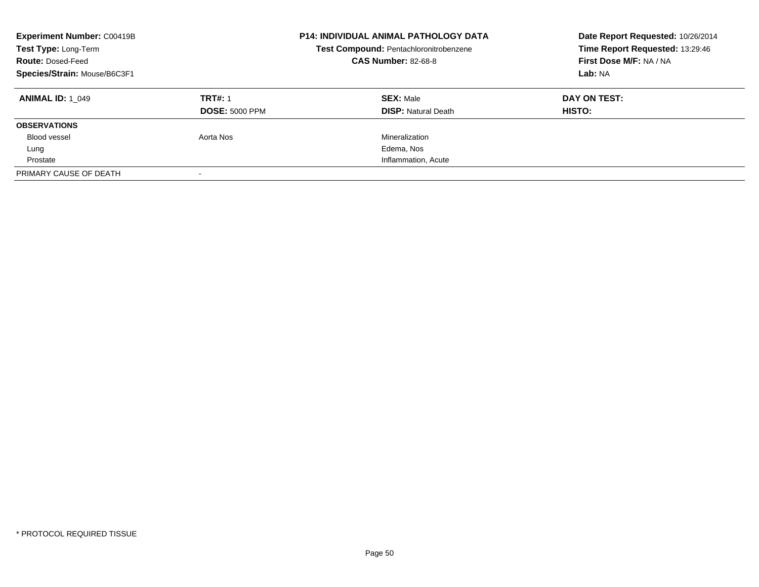| <b>Experiment Number: C00419B</b><br>Test Type: Long-Term<br><b>Route: Dosed-Feed</b><br>Species/Strain: Mouse/B6C3F1 |                       | <b>P14: INDIVIDUAL ANIMAL PATHOLOGY DATA</b><br>Test Compound: Pentachloronitrobenzene<br><b>CAS Number: 82-68-8</b> | Date Report Requested: 10/26/2014<br>Time Report Requested: 13:29:46<br>First Dose M/F: NA / NA<br>Lab: NA |
|-----------------------------------------------------------------------------------------------------------------------|-----------------------|----------------------------------------------------------------------------------------------------------------------|------------------------------------------------------------------------------------------------------------|
| <b>ANIMAL ID: 1 049</b>                                                                                               | <b>TRT#: 1</b>        | <b>SEX: Male</b>                                                                                                     | DAY ON TEST:                                                                                               |
|                                                                                                                       | <b>DOSE: 5000 PPM</b> | <b>DISP: Natural Death</b>                                                                                           | <b>HISTO:</b>                                                                                              |
| <b>OBSERVATIONS</b>                                                                                                   |                       |                                                                                                                      |                                                                                                            |
| Blood vessel                                                                                                          | Aorta Nos             | Mineralization                                                                                                       |                                                                                                            |
| Lung                                                                                                                  |                       | Edema, Nos                                                                                                           |                                                                                                            |
| Prostate                                                                                                              |                       | Inflammation, Acute                                                                                                  |                                                                                                            |
| PRIMARY CAUSE OF DEATH                                                                                                |                       |                                                                                                                      |                                                                                                            |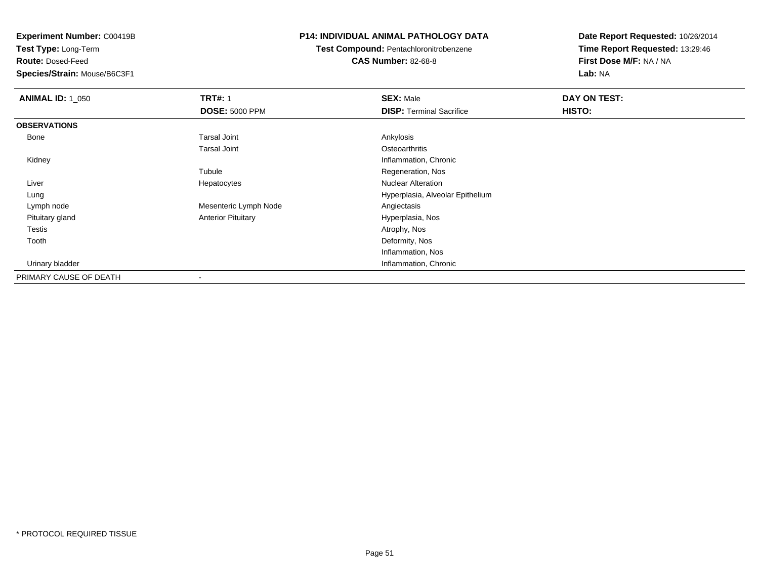**Test Type:** Long-Term

**Route:** Dosed-Feed

**Species/Strain:** Mouse/B6C3F1

### **P14: INDIVIDUAL ANIMAL PATHOLOGY DATA**

**Test Compound:** Pentachloronitrobenzene**CAS Number:** 82-68-8

| <b>ANIMAL ID: 1_050</b> | <b>TRT#: 1</b>            | <b>SEX: Male</b>                 | DAY ON TEST: |  |
|-------------------------|---------------------------|----------------------------------|--------------|--|
|                         | <b>DOSE: 5000 PPM</b>     | <b>DISP: Terminal Sacrifice</b>  | HISTO:       |  |
| <b>OBSERVATIONS</b>     |                           |                                  |              |  |
| Bone                    | Tarsal Joint              | Ankylosis                        |              |  |
|                         | <b>Tarsal Joint</b>       | Osteoarthritis                   |              |  |
| Kidney                  |                           | Inflammation, Chronic            |              |  |
|                         | Tubule                    | Regeneration, Nos                |              |  |
| Liver                   | Hepatocytes               | <b>Nuclear Alteration</b>        |              |  |
| Lung                    |                           | Hyperplasia, Alveolar Epithelium |              |  |
| Lymph node              | Mesenteric Lymph Node     | Angiectasis                      |              |  |
| Pituitary gland         | <b>Anterior Pituitary</b> | Hyperplasia, Nos                 |              |  |
| <b>Testis</b>           |                           | Atrophy, Nos                     |              |  |
| Tooth                   |                           | Deformity, Nos                   |              |  |
|                         |                           | Inflammation, Nos                |              |  |
| Urinary bladder         |                           | Inflammation, Chronic            |              |  |
| PRIMARY CAUSE OF DEATH  |                           |                                  |              |  |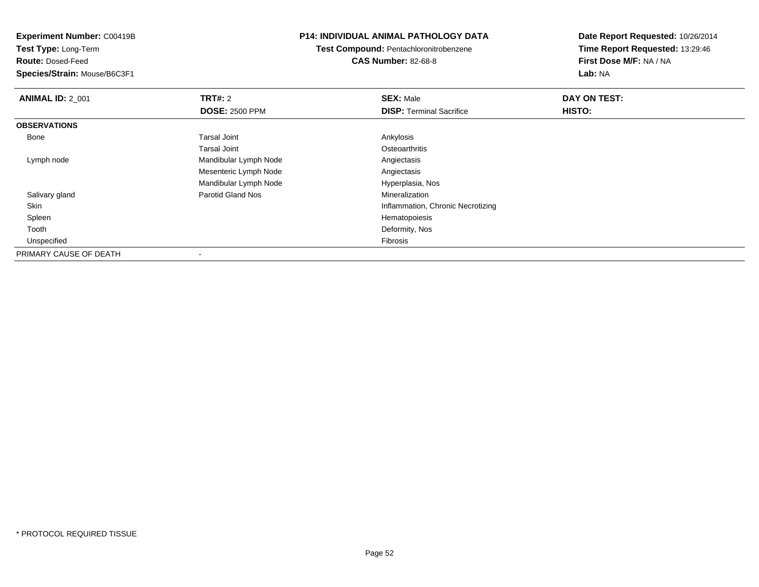**Experiment Number:** C00419B**Test Type:** Long-Term**Route:** Dosed-Feed **Species/Strain:** Mouse/B6C3F1**P14: INDIVIDUAL ANIMAL PATHOLOGY DATATest Compound:** Pentachloronitrobenzene**CAS Number:** 82-68-8**Date Report Requested:** 10/26/2014**Time Report Requested:** 13:29:46**First Dose M/F:** NA / NA**Lab:** NA**ANIMAL ID: 2 001 TRT#:** 2 **SEX:** Male **DAY ON TEST: DOSE:** 2500 PPM**DISP:** Terminal Sacrifice **HISTO: OBSERVATIONS** Bonee and the set of the set of the set of the set of the set of the set of the set of the set of the set of the s Tarsal Joint**Osteoarthritis**  Lymph nodeMandibular Lymph Node **Angiectasis** Angiectasis Mesenteric Lymph Node Angiectasis Mandibular Lymph Node Hyperplasia, Nos Salivary glandParotid Gland Nos SkinInflammation, Chronic Necrotizing<br>Hematopoiesis Spleenn and the state of the state of the state of the state of the state of the state of the state of the state of the state of the state of the state of the state of the state of the state of the state of the state of the stat Toothh and the control of the control of the control of the control of the control of the control of the control of the control of the control of the control of the control of the control of the control of the control of the co Unspecifiedd **Executive Contract of Contract Contract Contract Contract Contract Contract Contract Contract Contract Contract Contract Contract Contract Contract Contract Contract Contract Contract Contract Contract Contract Contract** PRIMARY CAUSE OF DEATH-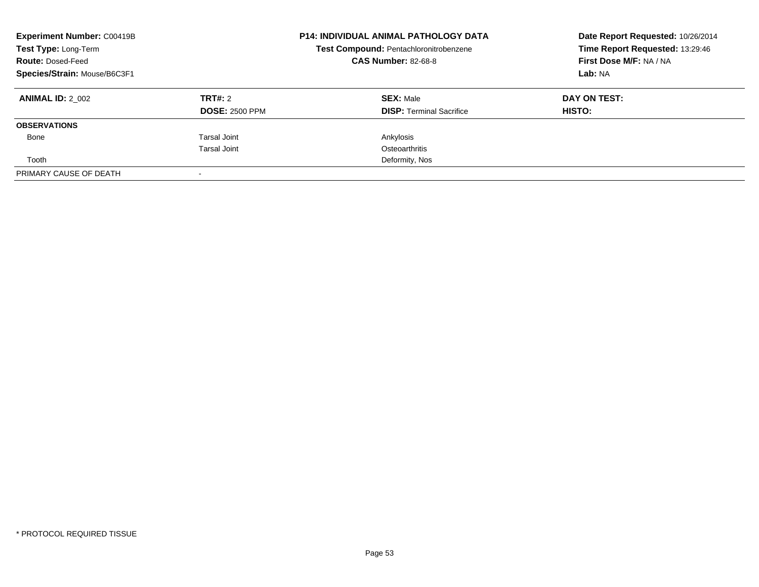| <b>Experiment Number: C00419B</b><br>Test Type: Long-Term<br><b>Route: Dosed-Feed</b><br>Species/Strain: Mouse/B6C3F1 |                                  | <b>P14: INDIVIDUAL ANIMAL PATHOLOGY DATA</b><br>Test Compound: Pentachloronitrobenzene<br><b>CAS Number: 82-68-8</b> | Date Report Requested: 10/26/2014<br>Time Report Requested: 13:29:46<br>First Dose M/F: NA / NA<br>Lab: NA |
|-----------------------------------------------------------------------------------------------------------------------|----------------------------------|----------------------------------------------------------------------------------------------------------------------|------------------------------------------------------------------------------------------------------------|
| <b>ANIMAL ID: 2 002</b>                                                                                               | TRT#: 2<br><b>DOSE: 2500 PPM</b> | <b>SEX: Male</b><br><b>DISP:</b> Terminal Sacrifice                                                                  | DAY ON TEST:<br>HISTO:                                                                                     |
| <b>OBSERVATIONS</b>                                                                                                   |                                  |                                                                                                                      |                                                                                                            |
| Bone                                                                                                                  | Tarsal Joint<br>Tarsal Joint     | Ankylosis<br>Osteoarthritis                                                                                          |                                                                                                            |
| Tooth                                                                                                                 |                                  | Deformity, Nos                                                                                                       |                                                                                                            |
| PRIMARY CAUSE OF DEATH                                                                                                |                                  |                                                                                                                      |                                                                                                            |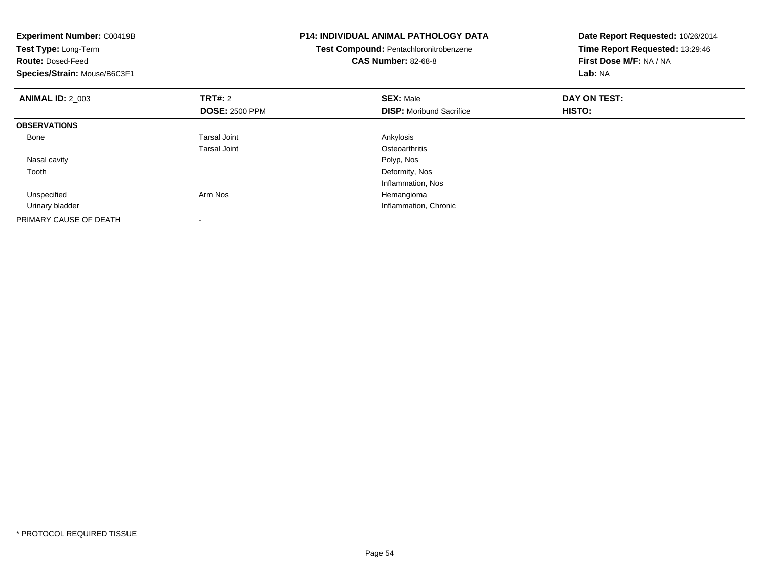| <b>Experiment Number: C00419B</b><br>Test Type: Long-Term<br><b>Route: Dosed-Feed</b><br>Species/Strain: Mouse/B6C3F1 |                                         | <b>P14: INDIVIDUAL ANIMAL PATHOLOGY DATA</b><br>Test Compound: Pentachloronitrobenzene<br><b>CAS Number: 82-68-8</b> | Date Report Requested: 10/26/2014<br>Time Report Requested: 13:29:46<br>First Dose M/F: NA / NA<br>Lab: NA |
|-----------------------------------------------------------------------------------------------------------------------|-----------------------------------------|----------------------------------------------------------------------------------------------------------------------|------------------------------------------------------------------------------------------------------------|
| <b>ANIMAL ID: 2_003</b>                                                                                               | <b>TRT#:</b> 2<br><b>DOSE: 2500 PPM</b> | <b>SEX: Male</b><br><b>DISP:</b> Moribund Sacrifice                                                                  | DAY ON TEST:<br>HISTO:                                                                                     |
| <b>OBSERVATIONS</b>                                                                                                   |                                         |                                                                                                                      |                                                                                                            |
| Bone                                                                                                                  | Tarsal Joint<br><b>Tarsal Joint</b>     | Ankylosis<br>Osteoarthritis                                                                                          |                                                                                                            |
| Nasal cavity                                                                                                          |                                         | Polyp, Nos                                                                                                           |                                                                                                            |
| Tooth                                                                                                                 |                                         | Deformity, Nos<br>Inflammation, Nos                                                                                  |                                                                                                            |
| Unspecified                                                                                                           | Arm Nos                                 | Hemangioma                                                                                                           |                                                                                                            |
| Urinary bladder                                                                                                       |                                         | Inflammation, Chronic                                                                                                |                                                                                                            |
| PRIMARY CAUSE OF DEATH                                                                                                |                                         |                                                                                                                      |                                                                                                            |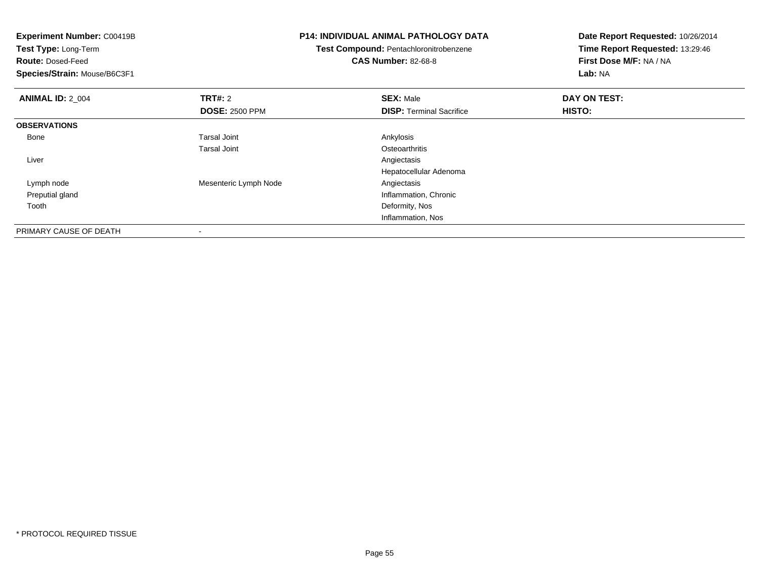| <b>Experiment Number: C00419B</b> | <b>P14: INDIVIDUAL ANIMAL PATHOLOGY DATA</b><br>Test Compound: Pentachloronitrobenzene |                                 | Date Report Requested: 10/26/2014<br>Time Report Requested: 13:29:46 |
|-----------------------------------|----------------------------------------------------------------------------------------|---------------------------------|----------------------------------------------------------------------|
| Test Type: Long-Term              |                                                                                        |                                 |                                                                      |
| <b>Route: Dosed-Feed</b>          |                                                                                        | <b>CAS Number: 82-68-8</b>      | First Dose M/F: NA / NA                                              |
| Species/Strain: Mouse/B6C3F1      |                                                                                        |                                 | <b>Lab: NA</b>                                                       |
| <b>ANIMAL ID: 2 004</b>           | <b>TRT#:</b> 2                                                                         | <b>SEX: Male</b>                | DAY ON TEST:                                                         |
|                                   | <b>DOSE: 2500 PPM</b>                                                                  | <b>DISP:</b> Terminal Sacrifice | HISTO:                                                               |
| <b>OBSERVATIONS</b>               |                                                                                        |                                 |                                                                      |
| Bone                              | <b>Tarsal Joint</b>                                                                    | Ankylosis                       |                                                                      |
|                                   | <b>Tarsal Joint</b>                                                                    | Osteoarthritis                  |                                                                      |
| Liver                             |                                                                                        | Angiectasis                     |                                                                      |
|                                   |                                                                                        | Hepatocellular Adenoma          |                                                                      |
| Lymph node                        | Mesenteric Lymph Node                                                                  | Angiectasis                     |                                                                      |
| Preputial gland                   |                                                                                        | Inflammation, Chronic           |                                                                      |
| Tooth                             |                                                                                        | Deformity, Nos                  |                                                                      |
|                                   |                                                                                        | Inflammation, Nos               |                                                                      |
| PRIMARY CAUSE OF DEATH            |                                                                                        |                                 |                                                                      |

-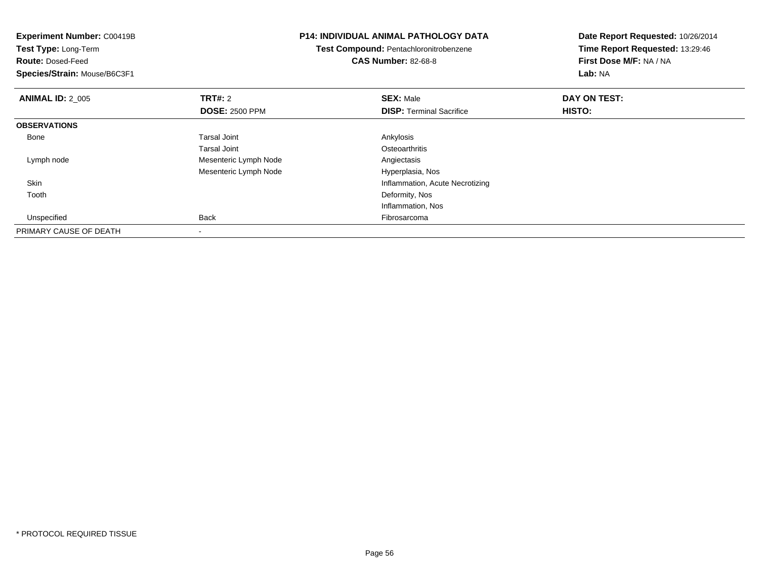| <b>Experiment Number: C00419B</b> | <b>P14: INDIVIDUAL ANIMAL PATHOLOGY DATA</b><br>Test Compound: Pentachloronitrobenzene |                                 | Date Report Requested: 10/26/2014 |
|-----------------------------------|----------------------------------------------------------------------------------------|---------------------------------|-----------------------------------|
| Test Type: Long-Term              |                                                                                        |                                 | Time Report Requested: 13:29:46   |
| <b>Route: Dosed-Feed</b>          |                                                                                        | <b>CAS Number: 82-68-8</b>      | First Dose M/F: NA / NA           |
| Species/Strain: Mouse/B6C3F1      |                                                                                        |                                 | Lab: NA                           |
| <b>ANIMAL ID: 2_005</b>           | TRT#: 2                                                                                | <b>SEX: Male</b>                | DAY ON TEST:                      |
|                                   | <b>DOSE: 2500 PPM</b>                                                                  | <b>DISP:</b> Terminal Sacrifice | HISTO:                            |
| <b>OBSERVATIONS</b>               |                                                                                        |                                 |                                   |
| Bone                              | <b>Tarsal Joint</b>                                                                    | Ankylosis                       |                                   |
|                                   | <b>Tarsal Joint</b>                                                                    | Osteoarthritis                  |                                   |
| Lymph node                        | Mesenteric Lymph Node                                                                  | Angiectasis                     |                                   |
|                                   | Mesenteric Lymph Node                                                                  | Hyperplasia, Nos                |                                   |
| Skin                              |                                                                                        | Inflammation, Acute Necrotizing |                                   |
| Tooth                             |                                                                                        | Deformity, Nos                  |                                   |
|                                   |                                                                                        | Inflammation, Nos               |                                   |
| Unspecified                       | Back                                                                                   | Fibrosarcoma                    |                                   |
| PRIMARY CAUSE OF DEATH            |                                                                                        |                                 |                                   |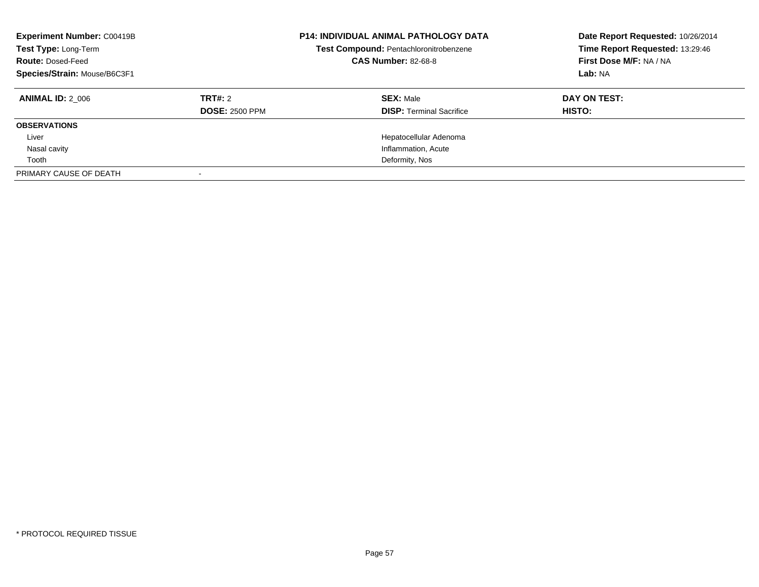| <b>Experiment Number: C00419B</b><br>Test Type: Long-Term<br><b>Route: Dosed-Feed</b><br>Species/Strain: Mouse/B6C3F1 |                                  | <b>P14: INDIVIDUAL ANIMAL PATHOLOGY DATA</b><br>Test Compound: Pentachloronitrobenzene<br><b>CAS Number: 82-68-8</b> | Date Report Requested: 10/26/2014<br>Time Report Requested: 13:29:46<br>First Dose M/F: NA / NA<br>Lab: NA |
|-----------------------------------------------------------------------------------------------------------------------|----------------------------------|----------------------------------------------------------------------------------------------------------------------|------------------------------------------------------------------------------------------------------------|
| <b>ANIMAL ID: 2 006</b>                                                                                               | TRT#: 2<br><b>DOSE: 2500 PPM</b> | <b>SEX: Male</b><br><b>DISP:</b> Terminal Sacrifice                                                                  | DAY ON TEST:<br><b>HISTO:</b>                                                                              |
| <b>OBSERVATIONS</b>                                                                                                   |                                  |                                                                                                                      |                                                                                                            |
| Liver                                                                                                                 |                                  | Hepatocellular Adenoma                                                                                               |                                                                                                            |
| Nasal cavity                                                                                                          |                                  | Inflammation, Acute                                                                                                  |                                                                                                            |
| Tooth                                                                                                                 |                                  | Deformity, Nos                                                                                                       |                                                                                                            |
| PRIMARY CAUSE OF DEATH                                                                                                |                                  |                                                                                                                      |                                                                                                            |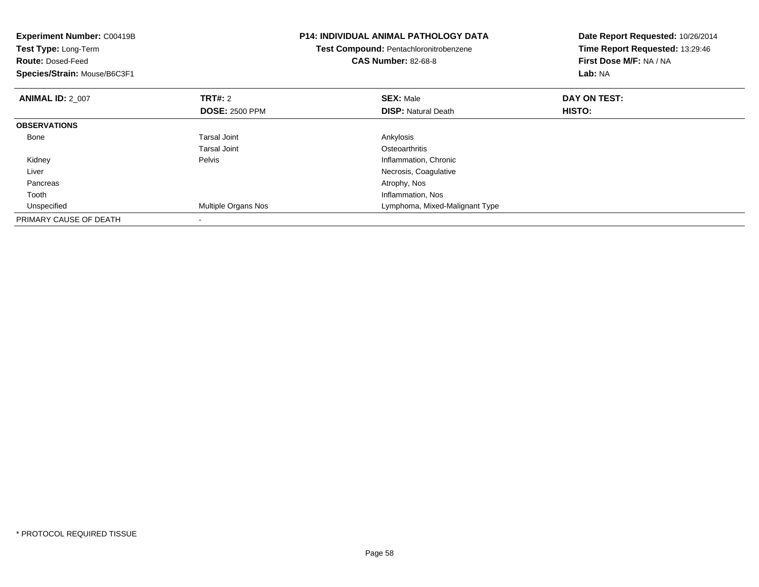| <b>Experiment Number: C00419B</b><br>Test Type: Long-Term<br><b>Route: Dosed-Feed</b><br>Species/Strain: Mouse/B6C3F1 |                       | <b>P14: INDIVIDUAL ANIMAL PATHOLOGY DATA</b><br>Test Compound: Pentachloronitrobenzene<br><b>CAS Number: 82-68-8</b> | Date Report Requested: 10/26/2014<br>Time Report Requested: 13:29:46<br>First Dose M/F: NA / NA<br>Lab: NA |
|-----------------------------------------------------------------------------------------------------------------------|-----------------------|----------------------------------------------------------------------------------------------------------------------|------------------------------------------------------------------------------------------------------------|
| <b>ANIMAL ID: 2 007</b>                                                                                               | <b>TRT#:</b> 2        | <b>SEX: Male</b>                                                                                                     | DAY ON TEST:                                                                                               |
|                                                                                                                       | <b>DOSE: 2500 PPM</b> | <b>DISP:</b> Natural Death                                                                                           | HISTO:                                                                                                     |
| <b>OBSERVATIONS</b>                                                                                                   |                       |                                                                                                                      |                                                                                                            |
| Bone                                                                                                                  | <b>Tarsal Joint</b>   | Ankylosis                                                                                                            |                                                                                                            |
|                                                                                                                       | <b>Tarsal Joint</b>   | Osteoarthritis                                                                                                       |                                                                                                            |
| Kidney                                                                                                                | Pelvis                | Inflammation, Chronic                                                                                                |                                                                                                            |
| Liver                                                                                                                 |                       | Necrosis, Coagulative                                                                                                |                                                                                                            |
| Pancreas                                                                                                              |                       | Atrophy, Nos                                                                                                         |                                                                                                            |
| Tooth                                                                                                                 |                       | Inflammation, Nos                                                                                                    |                                                                                                            |
| Unspecified                                                                                                           | Multiple Organs Nos   | Lymphoma, Mixed-Malignant Type                                                                                       |                                                                                                            |
| PRIMARY CAUSE OF DEATH                                                                                                |                       |                                                                                                                      |                                                                                                            |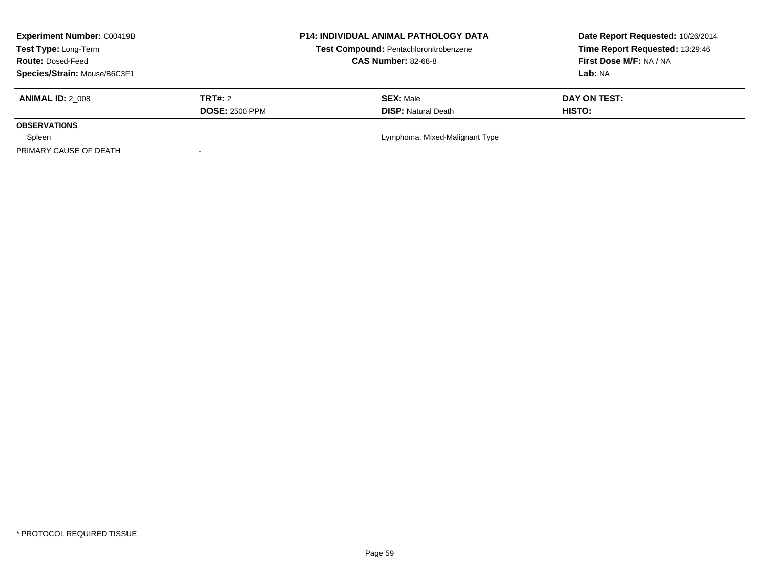| <b>Experiment Number: C00419B</b><br>Test Type: Long-Term<br><b>Route: Dosed-Feed</b><br>Species/Strain: Mouse/B6C3F1 |                                         | <b>P14: INDIVIDUAL ANIMAL PATHOLOGY DATA</b><br>Test Compound: Pentachloronitrobenzene<br><b>CAS Number: 82-68-8</b> | Date Report Requested: 10/26/2014<br>Time Report Requested: 13:29:46<br>First Dose M/F: NA / NA<br><b>Lab: NA</b> |
|-----------------------------------------------------------------------------------------------------------------------|-----------------------------------------|----------------------------------------------------------------------------------------------------------------------|-------------------------------------------------------------------------------------------------------------------|
| <b>ANIMAL ID: 2 008</b>                                                                                               | <b>TRT#:</b> 2<br><b>DOSE: 2500 PPM</b> | <b>SEX: Male</b><br><b>DISP:</b> Natural Death                                                                       | DAY ON TEST:<br><b>HISTO:</b>                                                                                     |
| <b>OBSERVATIONS</b>                                                                                                   |                                         |                                                                                                                      |                                                                                                                   |
| Spleen                                                                                                                |                                         | Lymphoma, Mixed-Malignant Type                                                                                       |                                                                                                                   |
| PRIMARY CAUSE OF DEATH                                                                                                |                                         |                                                                                                                      |                                                                                                                   |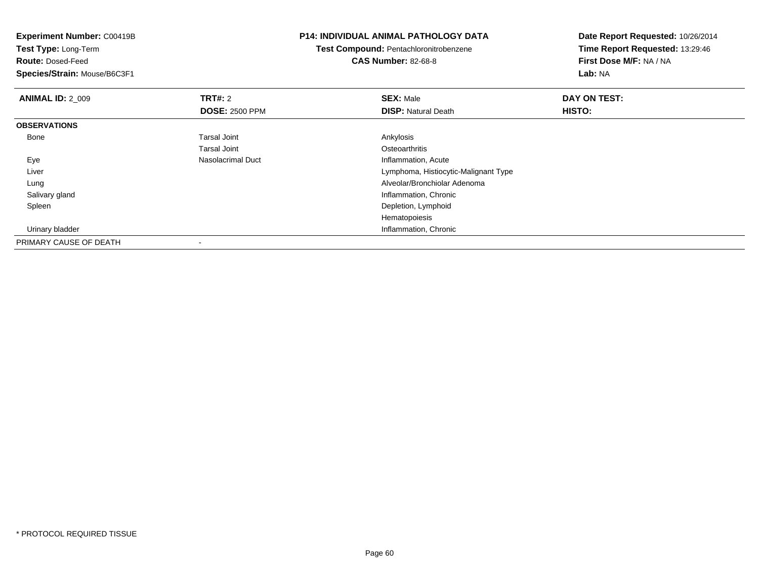**Experiment Number:** C00419B**Test Type:** Long-Term**Route:** Dosed-Feed **Species/Strain:** Mouse/B6C3F1**P14: INDIVIDUAL ANIMAL PATHOLOGY DATATest Compound:** Pentachloronitrobenzene**CAS Number:** 82-68-8**Date Report Requested:** 10/26/2014**Time Report Requested:** 13:29:46**First Dose M/F:** NA / NA**Lab:** NA**ANIMAL ID: 2 009 TRT#:** 2 **SEX:** Male **DAY ON TEST: DOSE:** 2500 PPM**DISP:** Natural Death **HISTO: OBSERVATIONS** Bonee and the set of the set of the set of the set of the set of the set of the set of the set of the set of the s Tarsal Joint**Osteoarthritis** e and the settlement of the Nasolacrimal Duct between the settlement of the Inflammation, Acute Eye Liver Lymphoma, Histiocytic-Malignant Type Lung Alveolar/Bronchiolar Adenoma Salivary gland Inflammation, Chronic Spleen Depletion, Lymphoid Hematopoiesis**Inflammation, Chronic Chronic Chronic Chronic Chronic Chronic Chronic Chronic Chronic Chronic Chronic Chronic Chronic Chronic Chronic Chronic Chronic Chronic Chronic Chronic Chronic Chronic Chronic Chronic Chronic Chronic**  Urinary bladderPRIMARY CAUSE OF DEATH-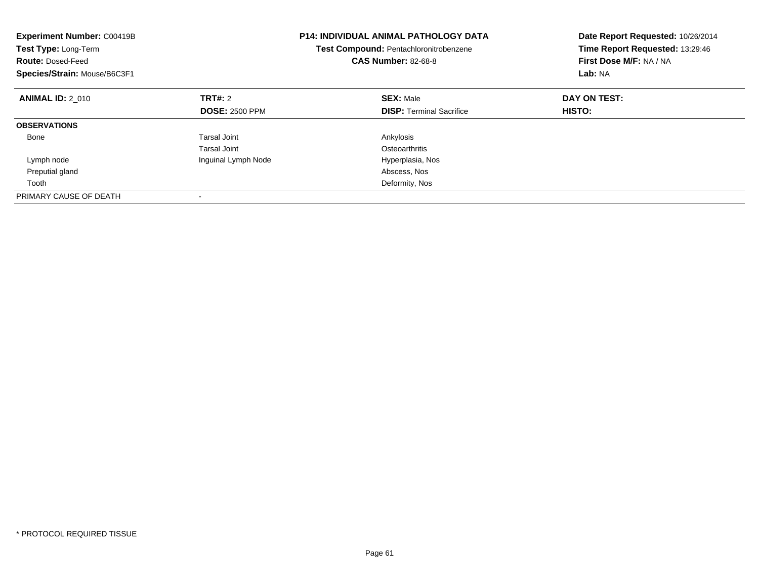| <b>Experiment Number: C00419B</b><br>Test Type: Long-Term<br><b>Route: Dosed-Feed</b><br>Species/Strain: Mouse/B6C3F1 |                       | <b>P14: INDIVIDUAL ANIMAL PATHOLOGY DATA</b><br>Test Compound: Pentachloronitrobenzene<br><b>CAS Number: 82-68-8</b> | Date Report Requested: 10/26/2014<br>Time Report Requested: 13:29:46<br>First Dose M/F: NA / NA<br>Lab: NA |
|-----------------------------------------------------------------------------------------------------------------------|-----------------------|----------------------------------------------------------------------------------------------------------------------|------------------------------------------------------------------------------------------------------------|
| <b>ANIMAL ID: 2 010</b>                                                                                               | <b>TRT#:</b> 2        | <b>SEX: Male</b>                                                                                                     | DAY ON TEST:                                                                                               |
|                                                                                                                       | <b>DOSE: 2500 PPM</b> | <b>DISP:</b> Terminal Sacrifice                                                                                      | <b>HISTO:</b>                                                                                              |
| <b>OBSERVATIONS</b>                                                                                                   |                       |                                                                                                                      |                                                                                                            |
| Bone                                                                                                                  | <b>Tarsal Joint</b>   | Ankylosis                                                                                                            |                                                                                                            |
|                                                                                                                       | Tarsal Joint          | Osteoarthritis                                                                                                       |                                                                                                            |
| Lymph node                                                                                                            | Inguinal Lymph Node   | Hyperplasia, Nos                                                                                                     |                                                                                                            |
| Preputial gland                                                                                                       |                       | Abscess, Nos                                                                                                         |                                                                                                            |
| Tooth                                                                                                                 |                       | Deformity, Nos                                                                                                       |                                                                                                            |
| PRIMARY CAUSE OF DEATH                                                                                                |                       |                                                                                                                      |                                                                                                            |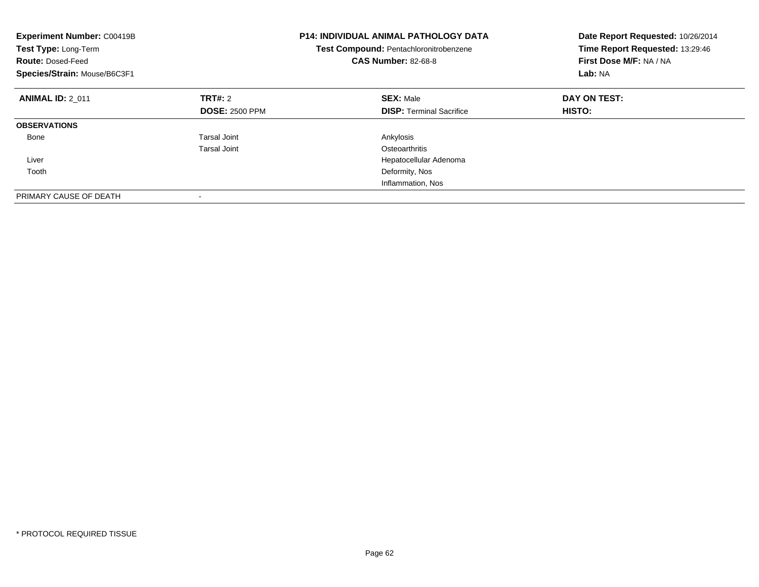| <b>Experiment Number: C00419B</b><br>Test Type: Long-Term<br><b>Route: Dosed-Feed</b><br>Species/Strain: Mouse/B6C3F1 |                       | <b>P14: INDIVIDUAL ANIMAL PATHOLOGY DATA</b><br>Test Compound: Pentachloronitrobenzene<br><b>CAS Number: 82-68-8</b> | Date Report Requested: 10/26/2014<br>Time Report Requested: 13:29:46<br>First Dose M/F: NA / NA<br>Lab: NA |
|-----------------------------------------------------------------------------------------------------------------------|-----------------------|----------------------------------------------------------------------------------------------------------------------|------------------------------------------------------------------------------------------------------------|
| <b>ANIMAL ID: 2 011</b>                                                                                               | <b>TRT#: 2</b>        | <b>SEX: Male</b>                                                                                                     | DAY ON TEST:                                                                                               |
|                                                                                                                       | <b>DOSE: 2500 PPM</b> | <b>DISP:</b> Terminal Sacrifice                                                                                      | HISTO:                                                                                                     |
| <b>OBSERVATIONS</b>                                                                                                   |                       |                                                                                                                      |                                                                                                            |
| Bone                                                                                                                  | Tarsal Joint          | Ankylosis                                                                                                            |                                                                                                            |
|                                                                                                                       | Tarsal Joint          | Osteoarthritis                                                                                                       |                                                                                                            |
| Liver                                                                                                                 |                       | Hepatocellular Adenoma                                                                                               |                                                                                                            |
| Tooth                                                                                                                 |                       | Deformity, Nos                                                                                                       |                                                                                                            |
|                                                                                                                       |                       | Inflammation, Nos                                                                                                    |                                                                                                            |
| PRIMARY CAUSE OF DEATH                                                                                                |                       |                                                                                                                      |                                                                                                            |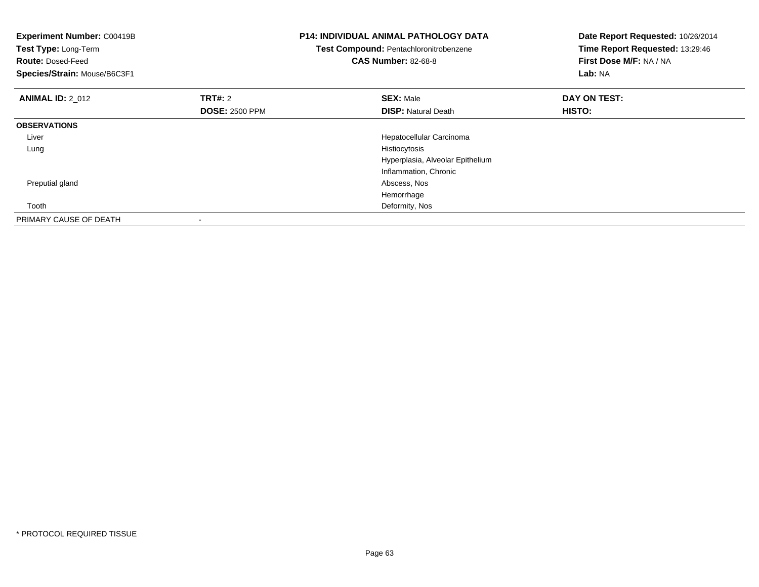| <b>Experiment Number: C00419B</b><br>Test Type: Long-Term<br><b>Route: Dosed-Feed</b><br>Species/Strain: Mouse/B6C3F1 |                                         | <b>P14: INDIVIDUAL ANIMAL PATHOLOGY DATA</b><br>Test Compound: Pentachloronitrobenzene<br><b>CAS Number: 82-68-8</b> | Date Report Requested: 10/26/2014<br>Time Report Requested: 13:29:46<br>First Dose M/F: NA / NA<br>Lab: NA |
|-----------------------------------------------------------------------------------------------------------------------|-----------------------------------------|----------------------------------------------------------------------------------------------------------------------|------------------------------------------------------------------------------------------------------------|
| <b>ANIMAL ID: 2 012</b>                                                                                               | <b>TRT#:</b> 2<br><b>DOSE: 2500 PPM</b> | <b>SEX: Male</b><br><b>DISP:</b> Natural Death                                                                       | DAY ON TEST:<br>HISTO:                                                                                     |
| <b>OBSERVATIONS</b>                                                                                                   |                                         |                                                                                                                      |                                                                                                            |
| Liver                                                                                                                 |                                         | Hepatocellular Carcinoma                                                                                             |                                                                                                            |
| Lung                                                                                                                  |                                         | Histiocytosis                                                                                                        |                                                                                                            |
|                                                                                                                       |                                         | Hyperplasia, Alveolar Epithelium                                                                                     |                                                                                                            |
|                                                                                                                       |                                         | Inflammation, Chronic                                                                                                |                                                                                                            |
| Preputial gland                                                                                                       |                                         | Abscess, Nos                                                                                                         |                                                                                                            |
|                                                                                                                       |                                         | Hemorrhage                                                                                                           |                                                                                                            |
| Tooth                                                                                                                 |                                         | Deformity, Nos                                                                                                       |                                                                                                            |
| PRIMARY CAUSE OF DEATH                                                                                                |                                         |                                                                                                                      |                                                                                                            |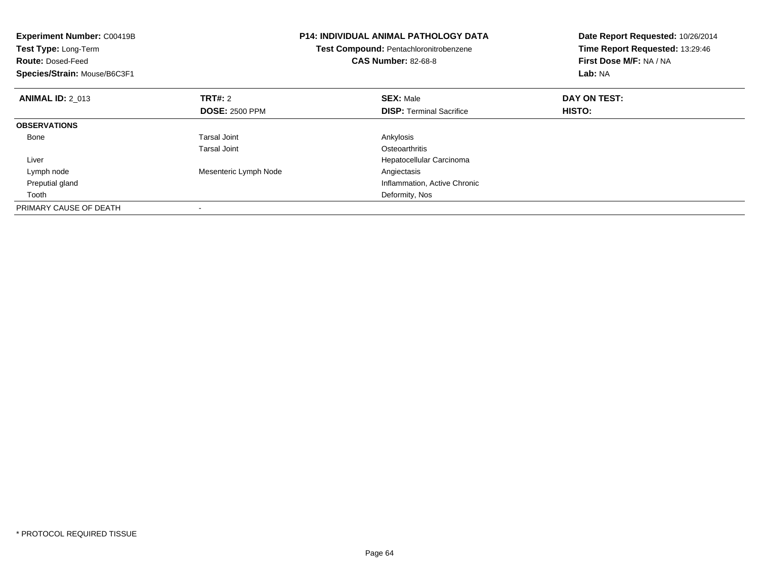| <b>Experiment Number: C00419B</b><br>Test Type: Long-Term<br><b>Route: Dosed-Feed</b><br>Species/Strain: Mouse/B6C3F1 |                       | <b>P14: INDIVIDUAL ANIMAL PATHOLOGY DATA</b><br>Test Compound: Pentachloronitrobenzene<br><b>CAS Number: 82-68-8</b> | Date Report Requested: 10/26/2014<br>Time Report Requested: 13:29:46<br>First Dose M/F: NA / NA<br>Lab: NA |
|-----------------------------------------------------------------------------------------------------------------------|-----------------------|----------------------------------------------------------------------------------------------------------------------|------------------------------------------------------------------------------------------------------------|
| <b>ANIMAL ID: 2 013</b>                                                                                               | TRT#: 2               | <b>SEX: Male</b>                                                                                                     | DAY ON TEST:                                                                                               |
|                                                                                                                       | <b>DOSE: 2500 PPM</b> | <b>DISP:</b> Terminal Sacrifice                                                                                      | HISTO:                                                                                                     |
| <b>OBSERVATIONS</b>                                                                                                   |                       |                                                                                                                      |                                                                                                            |
| Bone                                                                                                                  | Tarsal Joint          | Ankylosis                                                                                                            |                                                                                                            |
|                                                                                                                       | Tarsal Joint          | Osteoarthritis                                                                                                       |                                                                                                            |
| Liver                                                                                                                 |                       | Hepatocellular Carcinoma                                                                                             |                                                                                                            |
| Lymph node                                                                                                            | Mesenteric Lymph Node | Angiectasis                                                                                                          |                                                                                                            |
| Preputial gland                                                                                                       |                       | Inflammation, Active Chronic                                                                                         |                                                                                                            |
| Tooth                                                                                                                 |                       | Deformity, Nos                                                                                                       |                                                                                                            |
| PRIMARY CAUSE OF DEATH                                                                                                |                       |                                                                                                                      |                                                                                                            |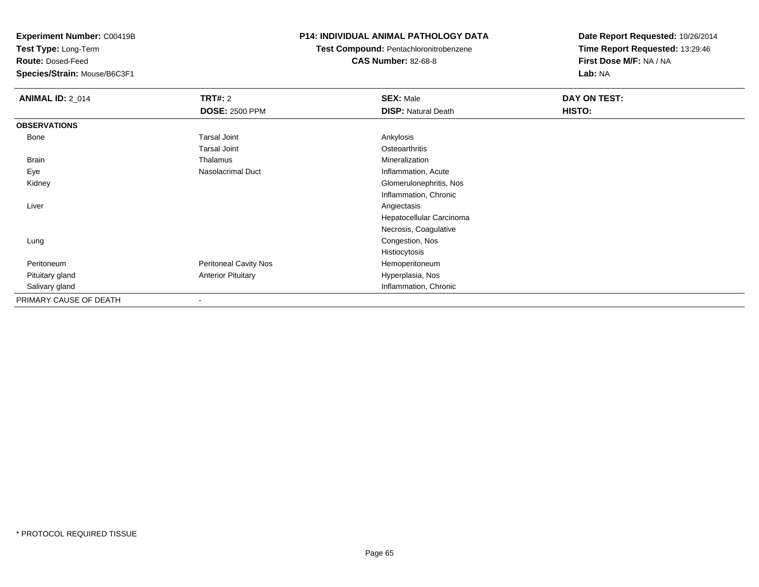**Test Type:** Long-Term

**Route:** Dosed-Feed

**Species/Strain:** Mouse/B6C3F1

### **P14: INDIVIDUAL ANIMAL PATHOLOGY DATA**

**Test Compound:** Pentachloronitrobenzene

**CAS Number:** 82-68-8

| <b>ANIMAL ID: 2_014</b> | <b>TRT#: 2</b>               | <b>SEX: Male</b>           | DAY ON TEST: |  |
|-------------------------|------------------------------|----------------------------|--------------|--|
|                         | <b>DOSE: 2500 PPM</b>        | <b>DISP: Natural Death</b> | HISTO:       |  |
| <b>OBSERVATIONS</b>     |                              |                            |              |  |
| Bone                    | <b>Tarsal Joint</b>          | Ankylosis                  |              |  |
|                         | <b>Tarsal Joint</b>          | Osteoarthritis             |              |  |
| Brain                   | Thalamus                     | Mineralization             |              |  |
| Eye                     | Nasolacrimal Duct            | Inflammation, Acute        |              |  |
| Kidney                  |                              | Glomerulonephritis, Nos    |              |  |
|                         |                              | Inflammation, Chronic      |              |  |
| Liver                   |                              | Angiectasis                |              |  |
|                         |                              | Hepatocellular Carcinoma   |              |  |
|                         |                              | Necrosis, Coagulative      |              |  |
| Lung                    |                              | Congestion, Nos            |              |  |
|                         |                              | Histiocytosis              |              |  |
| Peritoneum              | <b>Peritoneal Cavity Nos</b> | Hemoperitoneum             |              |  |
| Pituitary gland         | <b>Anterior Pituitary</b>    | Hyperplasia, Nos           |              |  |
| Salivary gland          |                              | Inflammation, Chronic      |              |  |
| PRIMARY CAUSE OF DEATH  | $\overline{\phantom{a}}$     |                            |              |  |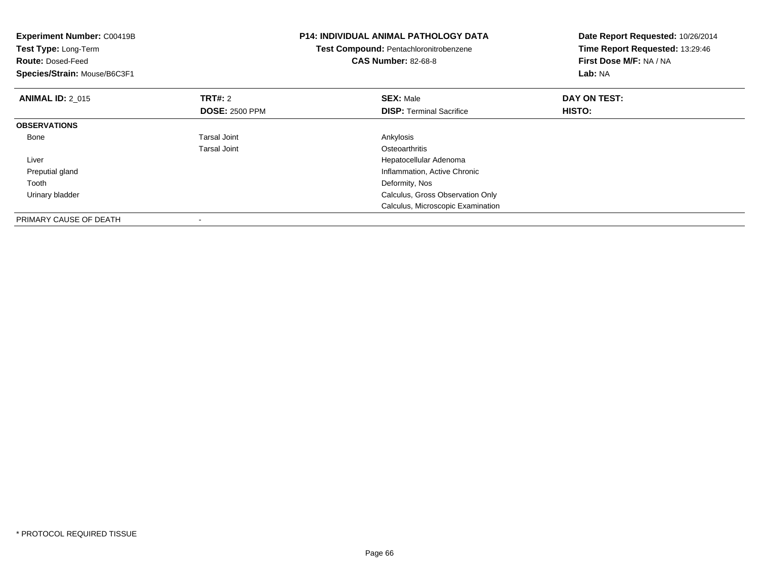| <b>Experiment Number: C00419B</b><br>Test Type: Long-Term<br><b>Route: Dosed-Feed</b><br>Species/Strain: Mouse/B6C3F1 |                                         | <b>P14: INDIVIDUAL ANIMAL PATHOLOGY DATA</b><br>Test Compound: Pentachloronitrobenzene<br><b>CAS Number: 82-68-8</b> | Date Report Requested: 10/26/2014<br>Time Report Requested: 13:29:46<br>First Dose M/F: NA / NA<br>Lab: NA |
|-----------------------------------------------------------------------------------------------------------------------|-----------------------------------------|----------------------------------------------------------------------------------------------------------------------|------------------------------------------------------------------------------------------------------------|
| <b>ANIMAL ID: 2 015</b>                                                                                               | <b>TRT#:</b> 2<br><b>DOSE: 2500 PPM</b> | <b>SEX: Male</b><br><b>DISP:</b> Terminal Sacrifice                                                                  | DAY ON TEST:<br>HISTO:                                                                                     |
| <b>OBSERVATIONS</b>                                                                                                   |                                         |                                                                                                                      |                                                                                                            |
| Bone                                                                                                                  | Tarsal Joint<br>Tarsal Joint            | Ankylosis<br>Osteoarthritis                                                                                          |                                                                                                            |
| Liver                                                                                                                 |                                         | Hepatocellular Adenoma                                                                                               |                                                                                                            |
| Preputial gland                                                                                                       |                                         | Inflammation, Active Chronic                                                                                         |                                                                                                            |
| Tooth                                                                                                                 |                                         | Deformity, Nos                                                                                                       |                                                                                                            |
| Urinary bladder                                                                                                       |                                         | Calculus, Gross Observation Only                                                                                     |                                                                                                            |
|                                                                                                                       |                                         | Calculus, Microscopic Examination                                                                                    |                                                                                                            |
| PRIMARY CAUSE OF DEATH                                                                                                |                                         |                                                                                                                      |                                                                                                            |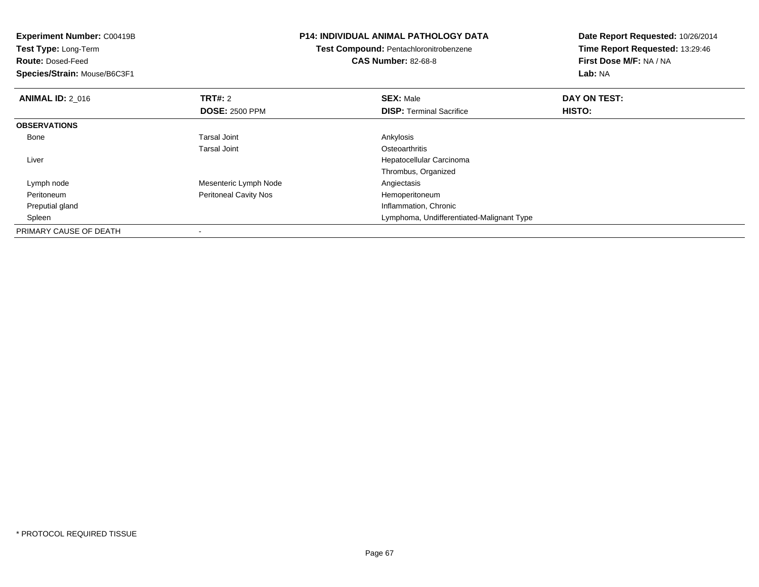| <b>Experiment Number: C00419B</b> |                                        | <b>P14: INDIVIDUAL ANIMAL PATHOLOGY DATA</b> | Date Report Requested: 10/26/2014 |  |
|-----------------------------------|----------------------------------------|----------------------------------------------|-----------------------------------|--|
| <b>Test Type: Long-Term</b>       | Test Compound: Pentachloronitrobenzene |                                              | Time Report Requested: 13:29:46   |  |
| <b>Route: Dosed-Feed</b>          |                                        | <b>CAS Number: 82-68-8</b>                   | First Dose M/F: NA / NA           |  |
| Species/Strain: Mouse/B6C3F1      |                                        |                                              | Lab: NA                           |  |
| <b>ANIMAL ID: 2 016</b>           | <b>TRT#: 2</b>                         | <b>SEX: Male</b>                             | DAY ON TEST:                      |  |
|                                   | <b>DOSE: 2500 PPM</b>                  | <b>DISP:</b> Terminal Sacrifice              | HISTO:                            |  |
| <b>OBSERVATIONS</b>               |                                        |                                              |                                   |  |
| Bone                              | Tarsal Joint                           | Ankylosis                                    |                                   |  |
|                                   | Tarsal Joint                           | Osteoarthritis                               |                                   |  |
| Liver                             |                                        | Hepatocellular Carcinoma                     |                                   |  |
|                                   |                                        | Thrombus, Organized                          |                                   |  |
| Lymph node                        | Mesenteric Lymph Node                  | Angiectasis                                  |                                   |  |
| Peritoneum                        | <b>Peritoneal Cavity Nos</b>           | Hemoperitoneum                               |                                   |  |
| Preputial gland                   |                                        | Inflammation, Chronic                        |                                   |  |
| Spleen                            |                                        | Lymphoma, Undifferentiated-Malignant Type    |                                   |  |
| PRIMARY CAUSE OF DEATH            |                                        |                                              |                                   |  |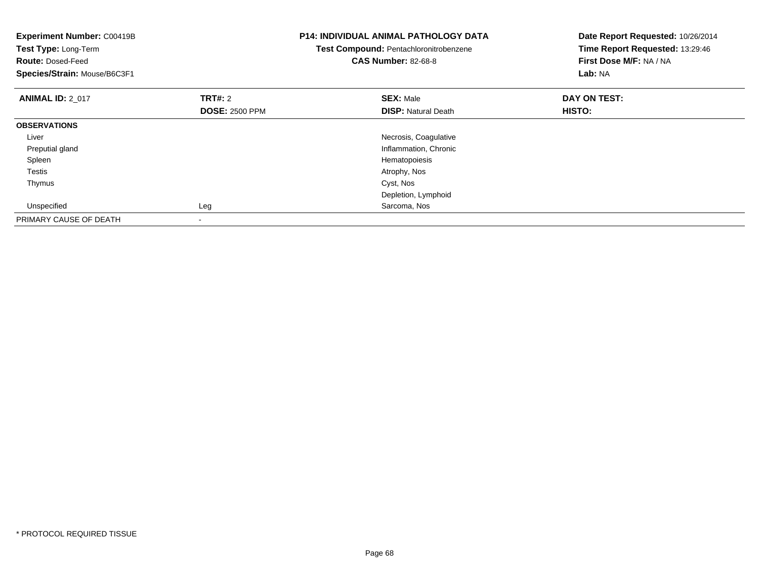| <b>Experiment Number: C00419B</b><br>Test Type: Long-Term<br><b>Route: Dosed-Feed</b><br>Species/Strain: Mouse/B6C3F1 |                                         | <b>P14: INDIVIDUAL ANIMAL PATHOLOGY DATA</b><br>Test Compound: Pentachloronitrobenzene<br><b>CAS Number: 82-68-8</b> | Date Report Requested: 10/26/2014<br>Time Report Requested: 13:29:46<br>First Dose M/F: NA / NA<br>Lab: NA |
|-----------------------------------------------------------------------------------------------------------------------|-----------------------------------------|----------------------------------------------------------------------------------------------------------------------|------------------------------------------------------------------------------------------------------------|
| <b>ANIMAL ID: 2 017</b>                                                                                               | <b>TRT#: 2</b><br><b>DOSE: 2500 PPM</b> | <b>SEX: Male</b><br><b>DISP:</b> Natural Death                                                                       | DAY ON TEST:<br><b>HISTO:</b>                                                                              |
| <b>OBSERVATIONS</b>                                                                                                   |                                         |                                                                                                                      |                                                                                                            |
| Liver                                                                                                                 |                                         | Necrosis, Coagulative                                                                                                |                                                                                                            |
| Preputial gland                                                                                                       |                                         | Inflammation, Chronic                                                                                                |                                                                                                            |
| Spleen                                                                                                                |                                         | Hematopoiesis                                                                                                        |                                                                                                            |
| Testis                                                                                                                |                                         | Atrophy, Nos                                                                                                         |                                                                                                            |
| Thymus                                                                                                                |                                         | Cyst, Nos                                                                                                            |                                                                                                            |
|                                                                                                                       |                                         | Depletion, Lymphoid                                                                                                  |                                                                                                            |
| Unspecified                                                                                                           | Leg                                     | Sarcoma, Nos                                                                                                         |                                                                                                            |
| PRIMARY CAUSE OF DEATH                                                                                                | -                                       |                                                                                                                      |                                                                                                            |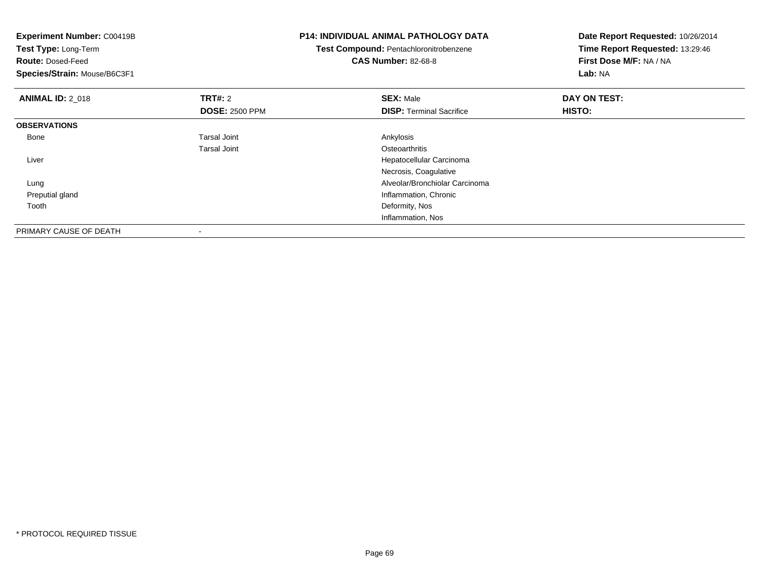| <b>Experiment Number: C00419B</b><br>Test Type: Long-Term<br><b>Route: Dosed-Feed</b><br>Species/Strain: Mouse/B6C3F1 |                       | <b>P14: INDIVIDUAL ANIMAL PATHOLOGY DATA</b><br>Test Compound: Pentachloronitrobenzene<br><b>CAS Number: 82-68-8</b> | Date Report Requested: 10/26/2014<br>Time Report Requested: 13:29:46<br>First Dose M/F: NA / NA<br>Lab: NA |
|-----------------------------------------------------------------------------------------------------------------------|-----------------------|----------------------------------------------------------------------------------------------------------------------|------------------------------------------------------------------------------------------------------------|
| <b>ANIMAL ID: 2_018</b>                                                                                               | <b>TRT#: 2</b>        | <b>SEX: Male</b>                                                                                                     | DAY ON TEST:                                                                                               |
|                                                                                                                       | <b>DOSE: 2500 PPM</b> | <b>DISP:</b> Terminal Sacrifice                                                                                      | HISTO:                                                                                                     |
| <b>OBSERVATIONS</b>                                                                                                   |                       |                                                                                                                      |                                                                                                            |
| Bone                                                                                                                  | <b>Tarsal Joint</b>   | Ankylosis                                                                                                            |                                                                                                            |
|                                                                                                                       | <b>Tarsal Joint</b>   | Osteoarthritis                                                                                                       |                                                                                                            |
| Liver                                                                                                                 |                       | Hepatocellular Carcinoma                                                                                             |                                                                                                            |
|                                                                                                                       |                       | Necrosis, Coagulative                                                                                                |                                                                                                            |
| Lung                                                                                                                  |                       | Alveolar/Bronchiolar Carcinoma                                                                                       |                                                                                                            |
| Preputial gland                                                                                                       |                       | Inflammation, Chronic                                                                                                |                                                                                                            |
| Tooth                                                                                                                 |                       | Deformity, Nos                                                                                                       |                                                                                                            |
|                                                                                                                       |                       | Inflammation, Nos                                                                                                    |                                                                                                            |
| PRIMARY CAUSE OF DEATH                                                                                                |                       |                                                                                                                      |                                                                                                            |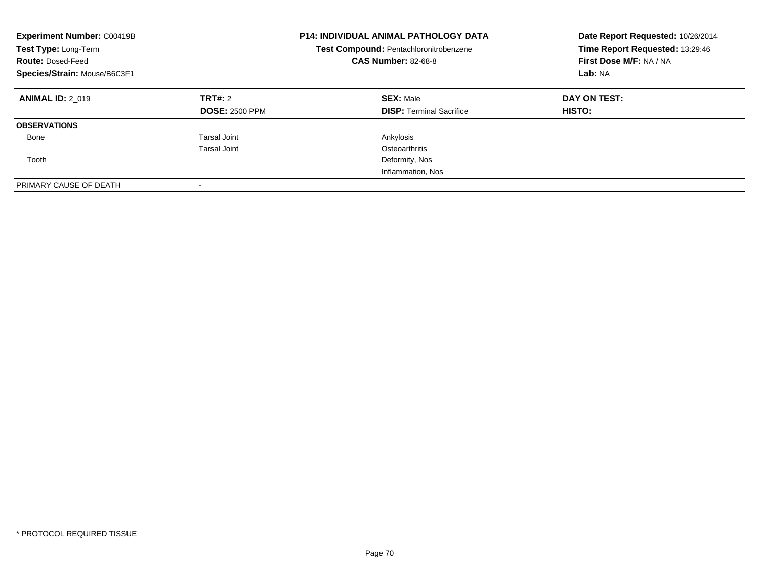| <b>Experiment Number: C00419B</b><br>Test Type: Long-Term<br><b>Route: Dosed-Feed</b><br>Species/Strain: Mouse/B6C3F1 |                                  | <b>P14: INDIVIDUAL ANIMAL PATHOLOGY DATA</b><br>Test Compound: Pentachloronitrobenzene<br><b>CAS Number: 82-68-8</b> | Date Report Requested: 10/26/2014<br>Time Report Requested: 13:29:46<br>First Dose M/F: NA / NA<br>Lab: NA |
|-----------------------------------------------------------------------------------------------------------------------|----------------------------------|----------------------------------------------------------------------------------------------------------------------|------------------------------------------------------------------------------------------------------------|
| <b>ANIMAL ID: 2 019</b>                                                                                               | TRT#: 2<br><b>DOSE: 2500 PPM</b> | <b>SEX: Male</b><br><b>DISP:</b> Terminal Sacrifice                                                                  | DAY ON TEST:<br><b>HISTO:</b>                                                                              |
| <b>OBSERVATIONS</b>                                                                                                   |                                  |                                                                                                                      |                                                                                                            |
| Bone                                                                                                                  | <b>Tarsal Joint</b>              | Ankylosis                                                                                                            |                                                                                                            |
|                                                                                                                       | Tarsal Joint                     | Osteoarthritis                                                                                                       |                                                                                                            |
| Tooth                                                                                                                 |                                  | Deformity, Nos                                                                                                       |                                                                                                            |
|                                                                                                                       |                                  | Inflammation, Nos                                                                                                    |                                                                                                            |
| PRIMARY CAUSE OF DEATH                                                                                                | $\overline{\phantom{a}}$         |                                                                                                                      |                                                                                                            |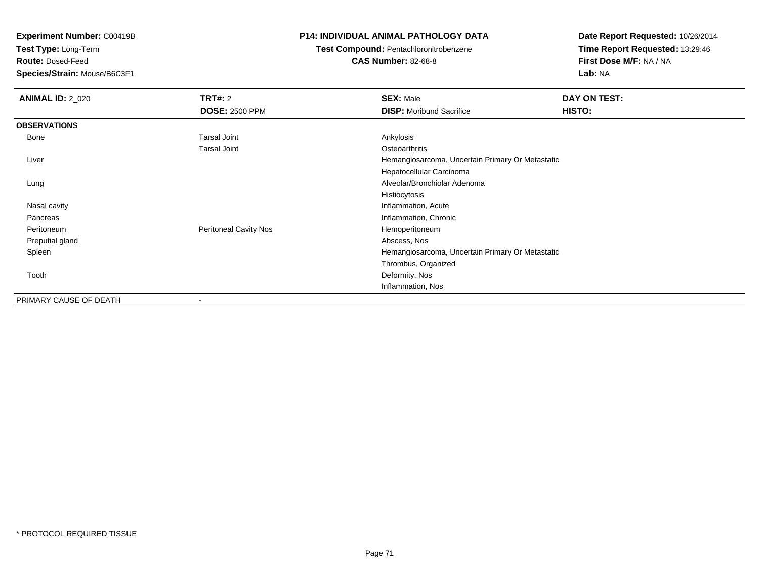**Test Type:** Long-Term

**Route:** Dosed-Feed

**Species/Strain:** Mouse/B6C3F1

### **P14: INDIVIDUAL ANIMAL PATHOLOGY DATA**

# **Test Compound:** Pentachloronitrobenzene

**CAS Number:** 82-68-8

| <b>ANIMAL ID: 2_020</b> | TRT#: 2                  | <b>SEX: Male</b>                                 | DAY ON TEST: |
|-------------------------|--------------------------|--------------------------------------------------|--------------|
|                         | <b>DOSE: 2500 PPM</b>    | <b>DISP:</b> Moribund Sacrifice                  | HISTO:       |
| <b>OBSERVATIONS</b>     |                          |                                                  |              |
| Bone                    | <b>Tarsal Joint</b>      | Ankylosis                                        |              |
|                         | <b>Tarsal Joint</b>      | Osteoarthritis                                   |              |
| Liver                   |                          | Hemangiosarcoma, Uncertain Primary Or Metastatic |              |
|                         |                          | Hepatocellular Carcinoma                         |              |
| Lung                    |                          | Alveolar/Bronchiolar Adenoma                     |              |
|                         |                          | Histiocytosis                                    |              |
| Nasal cavity            |                          | Inflammation, Acute                              |              |
| Pancreas                |                          | Inflammation, Chronic                            |              |
| Peritoneum              | Peritoneal Cavity Nos    | Hemoperitoneum                                   |              |
| Preputial gland         |                          | Abscess, Nos                                     |              |
| Spleen                  |                          | Hemangiosarcoma, Uncertain Primary Or Metastatic |              |
|                         |                          | Thrombus, Organized                              |              |
| Tooth                   |                          | Deformity, Nos                                   |              |
|                         |                          | Inflammation, Nos                                |              |
| PRIMARY CAUSE OF DEATH  | $\overline{\phantom{a}}$ |                                                  |              |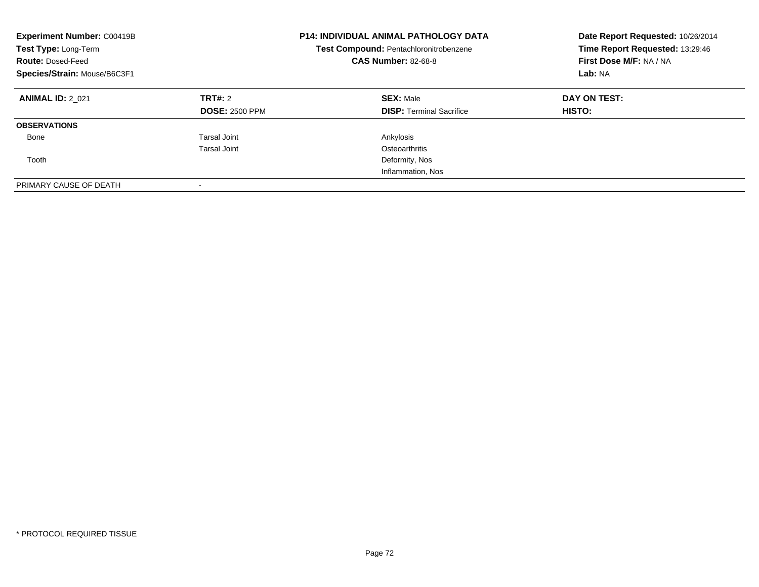| <b>Experiment Number: C00419B</b><br>Test Type: Long-Term<br><b>Route: Dosed-Feed</b><br>Species/Strain: Mouse/B6C3F1 |                                  | <b>P14: INDIVIDUAL ANIMAL PATHOLOGY DATA</b><br>Test Compound: Pentachloronitrobenzene<br><b>CAS Number: 82-68-8</b> | Date Report Requested: 10/26/2014<br>Time Report Requested: 13:29:46<br>First Dose M/F: NA / NA<br>Lab: NA |
|-----------------------------------------------------------------------------------------------------------------------|----------------------------------|----------------------------------------------------------------------------------------------------------------------|------------------------------------------------------------------------------------------------------------|
| <b>ANIMAL ID: 2 021</b>                                                                                               | TRT#: 2<br><b>DOSE: 2500 PPM</b> | <b>SEX: Male</b><br><b>DISP:</b> Terminal Sacrifice                                                                  | DAY ON TEST:<br><b>HISTO:</b>                                                                              |
| <b>OBSERVATIONS</b>                                                                                                   |                                  |                                                                                                                      |                                                                                                            |
| Bone                                                                                                                  | <b>Tarsal Joint</b>              | Ankylosis                                                                                                            |                                                                                                            |
|                                                                                                                       | Tarsal Joint                     | Osteoarthritis                                                                                                       |                                                                                                            |
| Tooth                                                                                                                 |                                  | Deformity, Nos                                                                                                       |                                                                                                            |
|                                                                                                                       |                                  | Inflammation, Nos                                                                                                    |                                                                                                            |
| PRIMARY CAUSE OF DEATH                                                                                                | $\overline{\phantom{a}}$         |                                                                                                                      |                                                                                                            |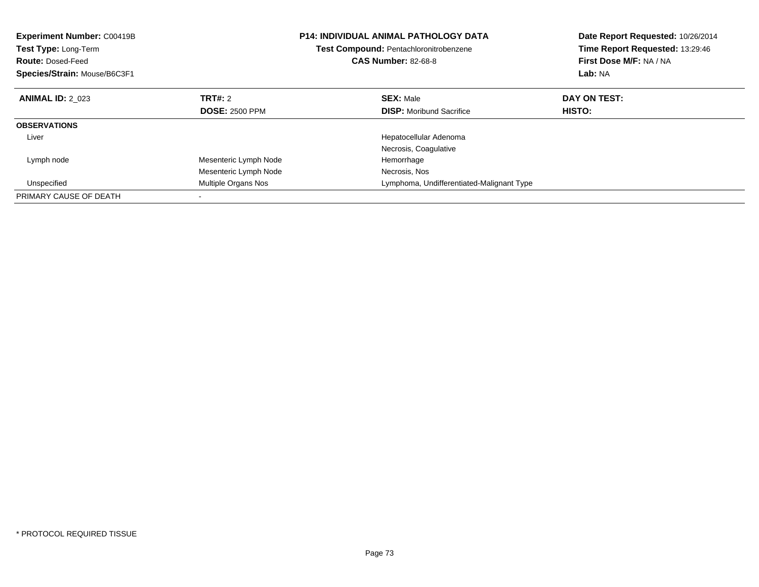| <b>Experiment Number: C00419B</b><br>Test Type: Long-Term<br><b>Route: Dosed-Feed</b><br>Species/Strain: Mouse/B6C3F1 |                       | <b>P14: INDIVIDUAL ANIMAL PATHOLOGY DATA</b><br>Test Compound: Pentachloronitrobenzene<br><b>CAS Number: 82-68-8</b> | Date Report Requested: 10/26/2014<br>Time Report Requested: 13:29:46<br>First Dose M/F: NA / NA<br>Lab: NA |
|-----------------------------------------------------------------------------------------------------------------------|-----------------------|----------------------------------------------------------------------------------------------------------------------|------------------------------------------------------------------------------------------------------------|
| <b>ANIMAL ID: 2 023</b>                                                                                               | TRT#: 2               | <b>SEX: Male</b>                                                                                                     | DAY ON TEST:                                                                                               |
|                                                                                                                       | <b>DOSE: 2500 PPM</b> | <b>DISP:</b> Moribund Sacrifice                                                                                      | HISTO:                                                                                                     |
| <b>OBSERVATIONS</b>                                                                                                   |                       |                                                                                                                      |                                                                                                            |
| Liver                                                                                                                 |                       | Hepatocellular Adenoma                                                                                               |                                                                                                            |
|                                                                                                                       |                       | Necrosis, Coagulative                                                                                                |                                                                                                            |
| Lymph node                                                                                                            | Mesenteric Lymph Node | Hemorrhage                                                                                                           |                                                                                                            |
|                                                                                                                       | Mesenteric Lymph Node | Necrosis, Nos                                                                                                        |                                                                                                            |
| Unspecified                                                                                                           | Multiple Organs Nos   | Lymphoma, Undifferentiated-Malignant Type                                                                            |                                                                                                            |
| PRIMARY CAUSE OF DEATH                                                                                                |                       |                                                                                                                      |                                                                                                            |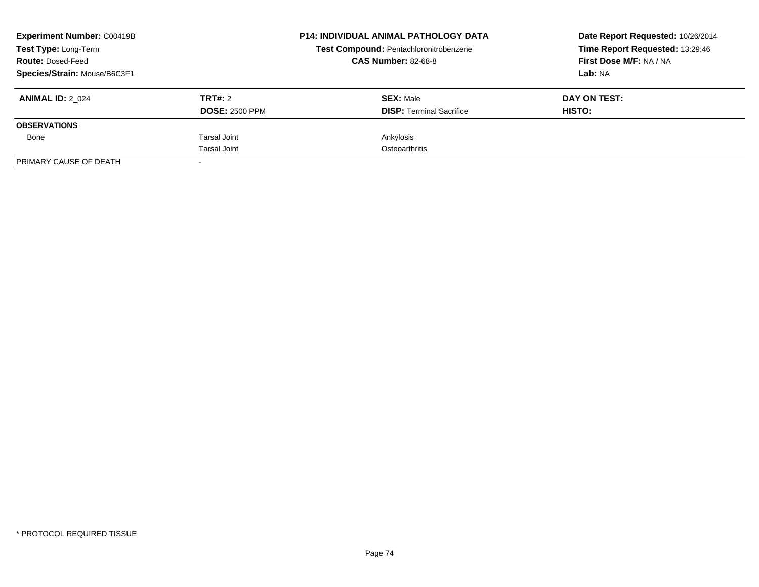| <b>Experiment Number: C00419B</b><br><b>Test Type: Long-Term</b> |                       | <b>P14: INDIVIDUAL ANIMAL PATHOLOGY DATA</b><br>Test Compound: Pentachloronitrobenzene<br><b>CAS Number: 82-68-8</b> | Date Report Requested: 10/26/2014<br>Time Report Requested: 13:29:46 |  |
|------------------------------------------------------------------|-----------------------|----------------------------------------------------------------------------------------------------------------------|----------------------------------------------------------------------|--|
| <b>Route: Dosed-Feed</b>                                         |                       |                                                                                                                      | First Dose M/F: NA / NA                                              |  |
| Species/Strain: Mouse/B6C3F1                                     |                       |                                                                                                                      | Lab: NA                                                              |  |
| <b>ANIMAL ID: 2 024</b>                                          | TRT#: 2               | <b>SEX: Male</b>                                                                                                     | DAY ON TEST:                                                         |  |
|                                                                  | <b>DOSE: 2500 PPM</b> | <b>DISP:</b> Terminal Sacrifice                                                                                      | HISTO:                                                               |  |
| <b>OBSERVATIONS</b>                                              |                       |                                                                                                                      |                                                                      |  |
| Bone                                                             | Tarsal Joint          | Ankylosis                                                                                                            |                                                                      |  |
|                                                                  | Tarsal Joint          | Osteoarthritis                                                                                                       |                                                                      |  |
| PRIMARY CAUSE OF DEATH                                           |                       |                                                                                                                      |                                                                      |  |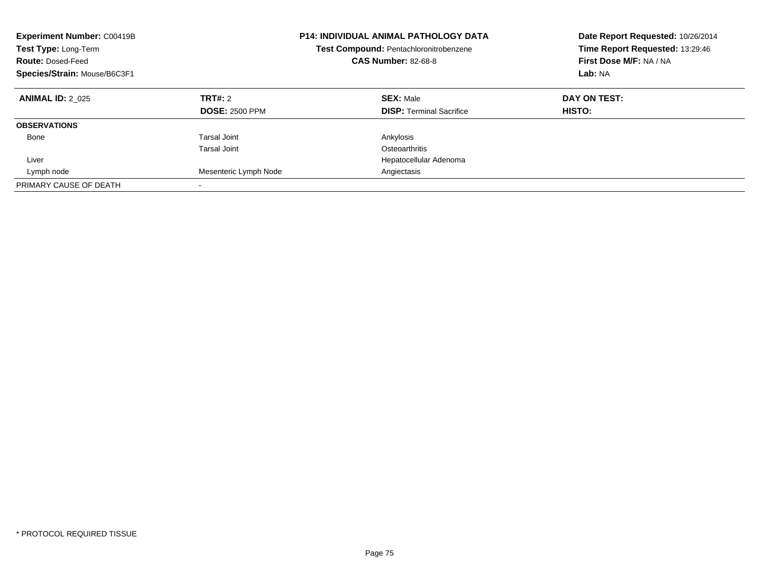| <b>Experiment Number: C00419B</b><br>Test Type: Long-Term<br><b>Route: Dosed-Feed</b><br>Species/Strain: Mouse/B6C3F1 |                                              | <b>P14: INDIVIDUAL ANIMAL PATHOLOGY DATA</b><br>Test Compound: Pentachloronitrobenzene<br><b>CAS Number: 82-68-8</b> | Date Report Requested: 10/26/2014<br>Time Report Requested: 13:29:46<br>First Dose M/F: NA / NA<br>Lab: NA |
|-----------------------------------------------------------------------------------------------------------------------|----------------------------------------------|----------------------------------------------------------------------------------------------------------------------|------------------------------------------------------------------------------------------------------------|
| <b>ANIMAL ID: 2 025</b>                                                                                               | TRT#: 2<br><b>DOSE: 2500 PPM</b>             | <b>SEX: Male</b><br><b>DISP:</b> Terminal Sacrifice                                                                  | DAY ON TEST:<br>HISTO:                                                                                     |
| <b>OBSERVATIONS</b>                                                                                                   |                                              |                                                                                                                      |                                                                                                            |
| Bone                                                                                                                  | <b>Tarsal Joint</b>                          | Ankylosis                                                                                                            |                                                                                                            |
| Liver<br>Lymph node                                                                                                   | <b>Tarsal Joint</b><br>Mesenteric Lymph Node | Osteoarthritis<br>Hepatocellular Adenoma<br>Angiectasis                                                              |                                                                                                            |
| PRIMARY CAUSE OF DEATH                                                                                                |                                              |                                                                                                                      |                                                                                                            |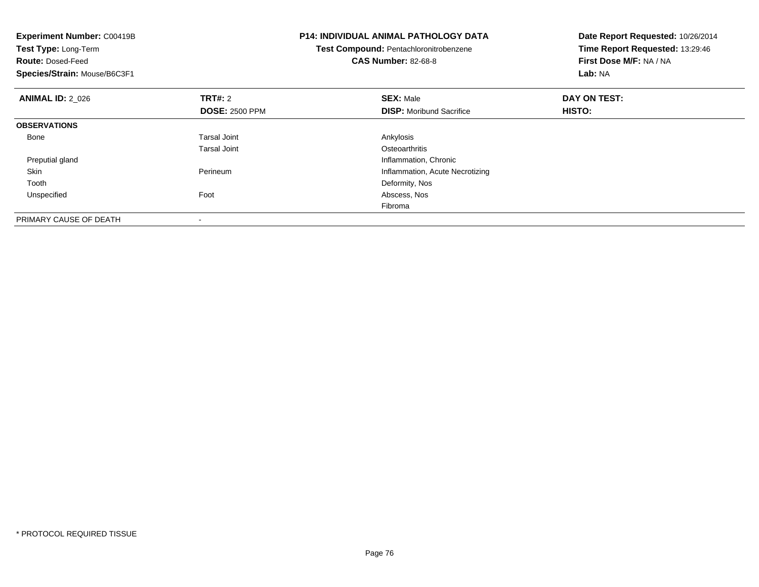| <b>Experiment Number: C00419B</b><br>Test Type: Long-Term<br><b>Route: Dosed-Feed</b><br>Species/Strain: Mouse/B6C3F1 |                          | <b>P14: INDIVIDUAL ANIMAL PATHOLOGY DATA</b><br>Test Compound: Pentachloronitrobenzene<br><b>CAS Number: 82-68-8</b> | Date Report Requested: 10/26/2014<br>Time Report Requested: 13:29:46<br>First Dose M/F: NA / NA<br>Lab: NA |
|-----------------------------------------------------------------------------------------------------------------------|--------------------------|----------------------------------------------------------------------------------------------------------------------|------------------------------------------------------------------------------------------------------------|
| <b>ANIMAL ID: 2 026</b>                                                                                               | TRT#: 2                  | <b>SEX: Male</b>                                                                                                     | DAY ON TEST:                                                                                               |
|                                                                                                                       | <b>DOSE: 2500 PPM</b>    | <b>DISP:</b> Moribund Sacrifice                                                                                      | HISTO:                                                                                                     |
| <b>OBSERVATIONS</b>                                                                                                   |                          |                                                                                                                      |                                                                                                            |
| Bone                                                                                                                  | Tarsal Joint             | Ankylosis                                                                                                            |                                                                                                            |
|                                                                                                                       | Tarsal Joint             | Osteoarthritis                                                                                                       |                                                                                                            |
| Preputial gland                                                                                                       |                          | Inflammation, Chronic                                                                                                |                                                                                                            |
| Skin                                                                                                                  | Perineum                 | Inflammation, Acute Necrotizing                                                                                      |                                                                                                            |
| Tooth                                                                                                                 |                          | Deformity, Nos                                                                                                       |                                                                                                            |
| Unspecified                                                                                                           | Foot                     | Abscess, Nos                                                                                                         |                                                                                                            |
|                                                                                                                       |                          | Fibroma                                                                                                              |                                                                                                            |
| PRIMARY CAUSE OF DEATH                                                                                                | $\overline{\phantom{a}}$ |                                                                                                                      |                                                                                                            |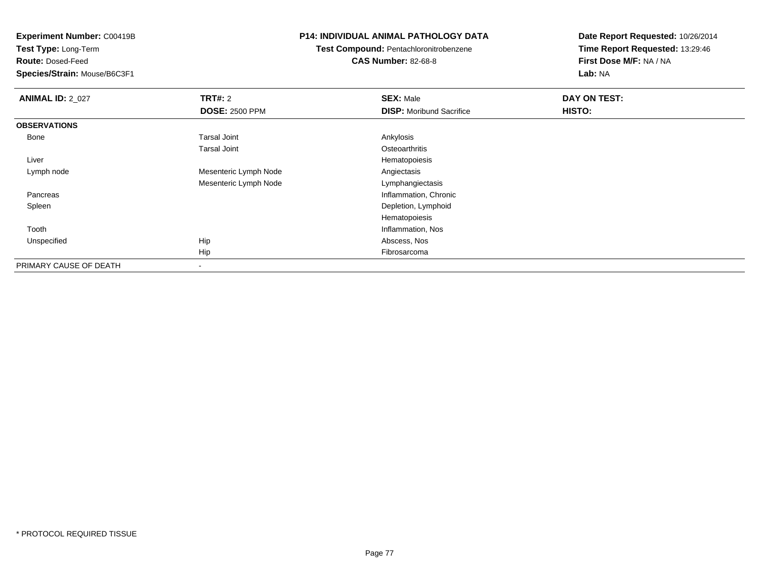**Test Type:** Long-Term

**Route:** Dosed-Feed

**Species/Strain:** Mouse/B6C3F1

## **P14: INDIVIDUAL ANIMAL PATHOLOGY DATA**

**Test Compound:** Pentachloronitrobenzene**CAS Number:** 82-68-8

| <b>ANIMAL ID: 2_027</b> | <b>TRT#: 2</b>        | <b>SEX: Male</b>                | DAY ON TEST: |  |
|-------------------------|-----------------------|---------------------------------|--------------|--|
|                         | <b>DOSE: 2500 PPM</b> | <b>DISP:</b> Moribund Sacrifice | HISTO:       |  |
| <b>OBSERVATIONS</b>     |                       |                                 |              |  |
| Bone                    | <b>Tarsal Joint</b>   | Ankylosis                       |              |  |
|                         | <b>Tarsal Joint</b>   | Osteoarthritis                  |              |  |
| Liver                   |                       | Hematopoiesis                   |              |  |
| Lymph node              | Mesenteric Lymph Node | Angiectasis                     |              |  |
|                         | Mesenteric Lymph Node | Lymphangiectasis                |              |  |
| Pancreas                |                       | Inflammation, Chronic           |              |  |
| Spleen                  |                       | Depletion, Lymphoid             |              |  |
|                         |                       | Hematopoiesis                   |              |  |
| Tooth                   |                       | Inflammation, Nos               |              |  |
| Unspecified             | Hip                   | Abscess, Nos                    |              |  |
|                         | Hip                   | Fibrosarcoma                    |              |  |
| PRIMARY CAUSE OF DEATH  | $\blacksquare$        |                                 |              |  |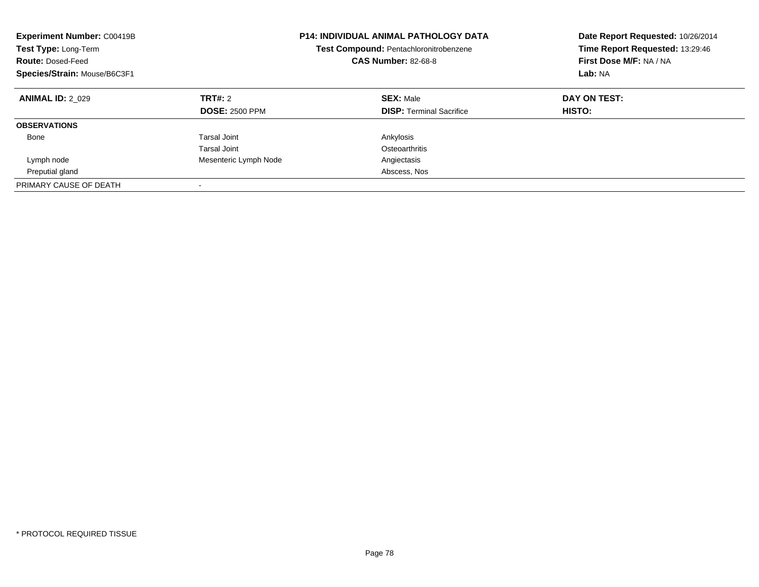| <b>Experiment Number: C00419B</b><br><b>Test Type: Long-Term</b><br><b>Route: Dosed-Feed</b><br>Species/Strain: Mouse/B6C3F1 |                                  | <b>P14: INDIVIDUAL ANIMAL PATHOLOGY DATA</b><br>Test Compound: Pentachloronitrobenzene<br><b>CAS Number: 82-68-8</b> | Date Report Requested: 10/26/2014<br>Time Report Requested: 13:29:46<br>First Dose M/F: NA / NA<br>Lab: NA |
|------------------------------------------------------------------------------------------------------------------------------|----------------------------------|----------------------------------------------------------------------------------------------------------------------|------------------------------------------------------------------------------------------------------------|
| <b>ANIMAL ID: 2 029</b>                                                                                                      | TRT#: 2<br><b>DOSE: 2500 PPM</b> | <b>SEX: Male</b><br><b>DISP:</b> Terminal Sacrifice                                                                  | DAY ON TEST:<br>HISTO:                                                                                     |
| <b>OBSERVATIONS</b>                                                                                                          |                                  |                                                                                                                      |                                                                                                            |
| Bone                                                                                                                         | Tarsal Joint                     | Ankylosis                                                                                                            |                                                                                                            |
|                                                                                                                              | Tarsal Joint                     | Osteoarthritis                                                                                                       |                                                                                                            |
| Lymph node                                                                                                                   | Mesenteric Lymph Node            | Angiectasis                                                                                                          |                                                                                                            |
| Preputial gland                                                                                                              |                                  | Abscess, Nos                                                                                                         |                                                                                                            |
| PRIMARY CAUSE OF DEATH                                                                                                       |                                  |                                                                                                                      |                                                                                                            |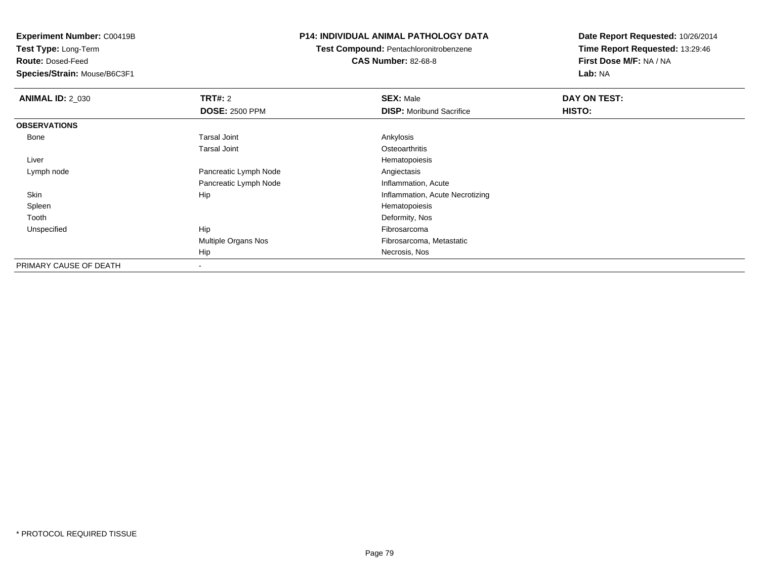**Test Type:** Long-Term

**Route:** Dosed-Feed

**Species/Strain:** Mouse/B6C3F1

## **P14: INDIVIDUAL ANIMAL PATHOLOGY DATA**

**Test Compound:** Pentachloronitrobenzene

**CAS Number:** 82-68-8

| <b>ANIMAL ID: 2_030</b> | <b>TRT#: 2</b>             | <b>SEX: Male</b>                | DAY ON TEST: |
|-------------------------|----------------------------|---------------------------------|--------------|
|                         | <b>DOSE: 2500 PPM</b>      | <b>DISP:</b> Moribund Sacrifice | HISTO:       |
| <b>OBSERVATIONS</b>     |                            |                                 |              |
| Bone                    | Tarsal Joint               | Ankylosis                       |              |
|                         | <b>Tarsal Joint</b>        | Osteoarthritis                  |              |
| Liver                   |                            | Hematopoiesis                   |              |
| Lymph node              | Pancreatic Lymph Node      | Angiectasis                     |              |
|                         | Pancreatic Lymph Node      | Inflammation, Acute             |              |
| Skin                    | Hip                        | Inflammation, Acute Necrotizing |              |
| Spleen                  |                            | Hematopoiesis                   |              |
| Tooth                   |                            | Deformity, Nos                  |              |
| Unspecified             | Hip                        | Fibrosarcoma                    |              |
|                         | <b>Multiple Organs Nos</b> | Fibrosarcoma, Metastatic        |              |
|                         | Hip                        | Necrosis, Nos                   |              |
| PRIMARY CAUSE OF DEATH  |                            |                                 |              |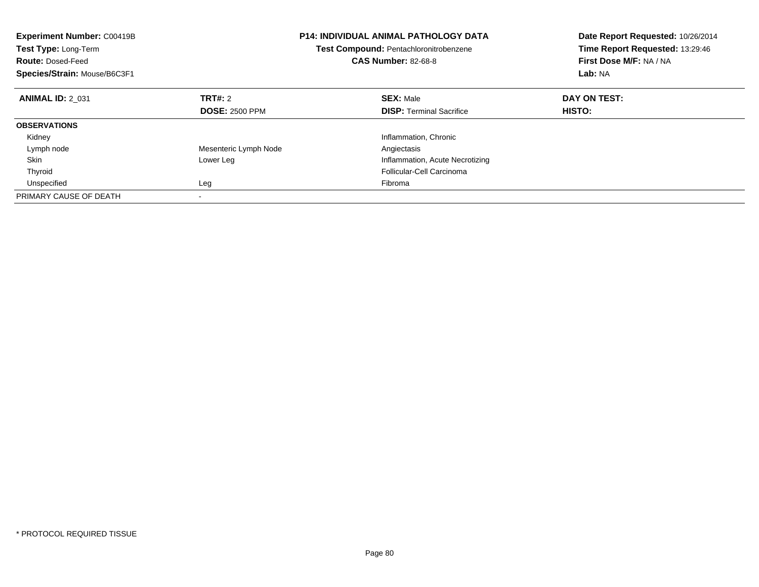| <b>Experiment Number: C00419B</b><br>Test Type: Long-Term<br><b>Route: Dosed-Feed</b><br>Species/Strain: Mouse/B6C3F1 |                       | <b>P14: INDIVIDUAL ANIMAL PATHOLOGY DATA</b><br>Test Compound: Pentachloronitrobenzene<br><b>CAS Number: 82-68-8</b> | Date Report Requested: 10/26/2014<br>Time Report Requested: 13:29:46<br>First Dose M/F: NA / NA<br>Lab: NA |
|-----------------------------------------------------------------------------------------------------------------------|-----------------------|----------------------------------------------------------------------------------------------------------------------|------------------------------------------------------------------------------------------------------------|
| <b>ANIMAL ID: 2 031</b>                                                                                               | TRT#: 2               | <b>SEX: Male</b>                                                                                                     | DAY ON TEST:                                                                                               |
|                                                                                                                       | <b>DOSE: 2500 PPM</b> | <b>DISP: Terminal Sacrifice</b>                                                                                      | HISTO:                                                                                                     |
| <b>OBSERVATIONS</b>                                                                                                   |                       |                                                                                                                      |                                                                                                            |
| Kidney                                                                                                                |                       | Inflammation, Chronic                                                                                                |                                                                                                            |
| Lymph node                                                                                                            | Mesenteric Lymph Node | Angiectasis                                                                                                          |                                                                                                            |
| Skin                                                                                                                  | Lower Leg             | Inflammation, Acute Necrotizing                                                                                      |                                                                                                            |
| Thyroid                                                                                                               |                       | Follicular-Cell Carcinoma                                                                                            |                                                                                                            |
| Unspecified                                                                                                           | Leg                   | Fibroma                                                                                                              |                                                                                                            |
| PRIMARY CAUSE OF DEATH                                                                                                |                       |                                                                                                                      |                                                                                                            |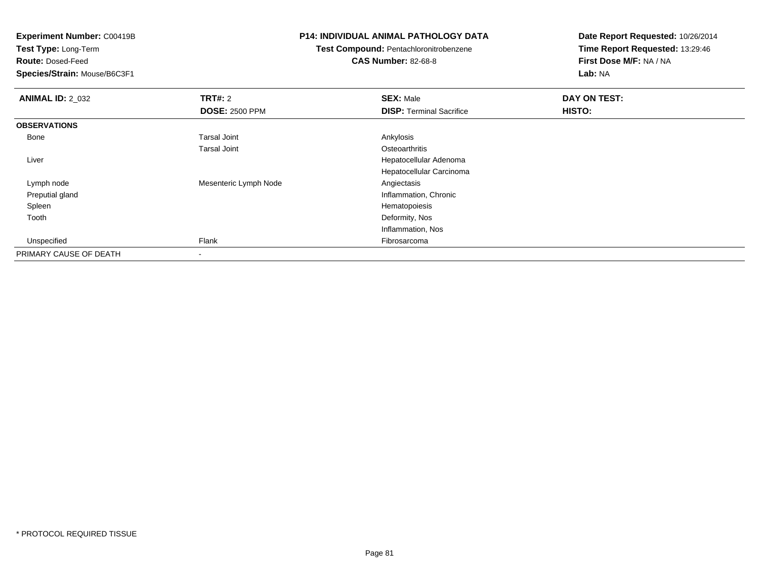**Test Type:** Long-Term

**Route:** Dosed-Feed

**Species/Strain:** Mouse/B6C3F1

## **P14: INDIVIDUAL ANIMAL PATHOLOGY DATA**

# **Test Compound:** Pentachloronitrobenzene

**CAS Number:** 82-68-8

| <b>ANIMAL ID: 2_032</b> | <b>TRT#: 2</b>        | <b>SEX: Male</b>                | DAY ON TEST: |  |
|-------------------------|-----------------------|---------------------------------|--------------|--|
|                         | <b>DOSE: 2500 PPM</b> | <b>DISP: Terminal Sacrifice</b> | HISTO:       |  |
| <b>OBSERVATIONS</b>     |                       |                                 |              |  |
| Bone                    | <b>Tarsal Joint</b>   | Ankylosis                       |              |  |
|                         | <b>Tarsal Joint</b>   | Osteoarthritis                  |              |  |
| Liver                   |                       | Hepatocellular Adenoma          |              |  |
|                         |                       | Hepatocellular Carcinoma        |              |  |
| Lymph node              | Mesenteric Lymph Node | Angiectasis                     |              |  |
| Preputial gland         |                       | Inflammation, Chronic           |              |  |
| Spleen                  |                       | Hematopoiesis                   |              |  |
| Tooth                   |                       | Deformity, Nos                  |              |  |
|                         |                       | Inflammation, Nos               |              |  |
| Unspecified             | Flank                 | Fibrosarcoma                    |              |  |
| PRIMARY CAUSE OF DEATH  | $\,$ $\,$             |                                 |              |  |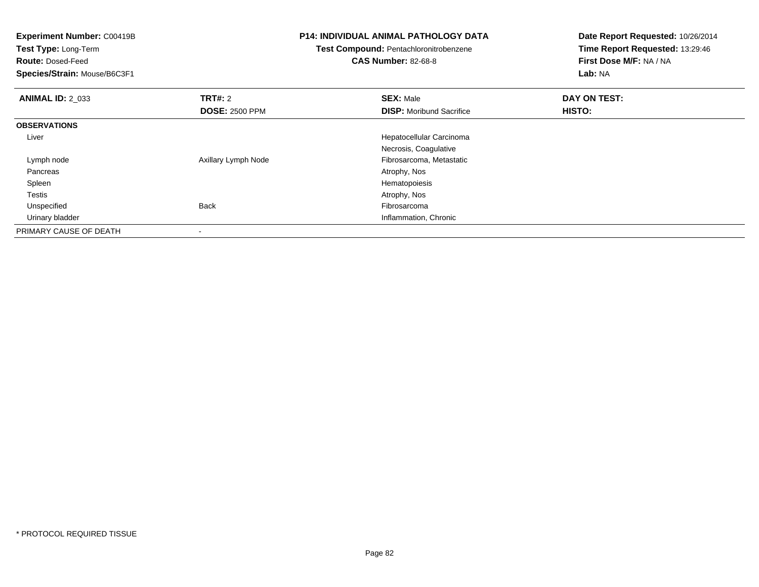| <b>Experiment Number: C00419B</b><br>Test Type: Long-Term<br><b>Route: Dosed-Feed</b><br>Species/Strain: Mouse/B6C3F1 | <b>P14: INDIVIDUAL ANIMAL PATHOLOGY DATA</b><br>Test Compound: Pentachloronitrobenzene<br><b>CAS Number: 82-68-8</b> |                                 | Date Report Requested: 10/26/2014<br>Time Report Requested: 13:29:46<br>First Dose M/F: NA / NA<br>Lab: NA |
|-----------------------------------------------------------------------------------------------------------------------|----------------------------------------------------------------------------------------------------------------------|---------------------------------|------------------------------------------------------------------------------------------------------------|
| <b>ANIMAL ID: 2 033</b>                                                                                               | <b>TRT#: 2</b>                                                                                                       | <b>SEX: Male</b>                | DAY ON TEST:                                                                                               |
|                                                                                                                       | <b>DOSE: 2500 PPM</b>                                                                                                | <b>DISP:</b> Moribund Sacrifice | HISTO:                                                                                                     |
| <b>OBSERVATIONS</b>                                                                                                   |                                                                                                                      |                                 |                                                                                                            |
| Liver                                                                                                                 |                                                                                                                      | Hepatocellular Carcinoma        |                                                                                                            |
|                                                                                                                       |                                                                                                                      | Necrosis, Coagulative           |                                                                                                            |
| Lymph node                                                                                                            | Axillary Lymph Node                                                                                                  | Fibrosarcoma, Metastatic        |                                                                                                            |
| Pancreas                                                                                                              |                                                                                                                      | Atrophy, Nos                    |                                                                                                            |
| Spleen                                                                                                                |                                                                                                                      | Hematopoiesis                   |                                                                                                            |
| <b>Testis</b>                                                                                                         |                                                                                                                      | Atrophy, Nos                    |                                                                                                            |
| Unspecified                                                                                                           | <b>Back</b>                                                                                                          | Fibrosarcoma                    |                                                                                                            |
| Urinary bladder                                                                                                       |                                                                                                                      | Inflammation, Chronic           |                                                                                                            |
| PRIMARY CAUSE OF DEATH                                                                                                |                                                                                                                      |                                 |                                                                                                            |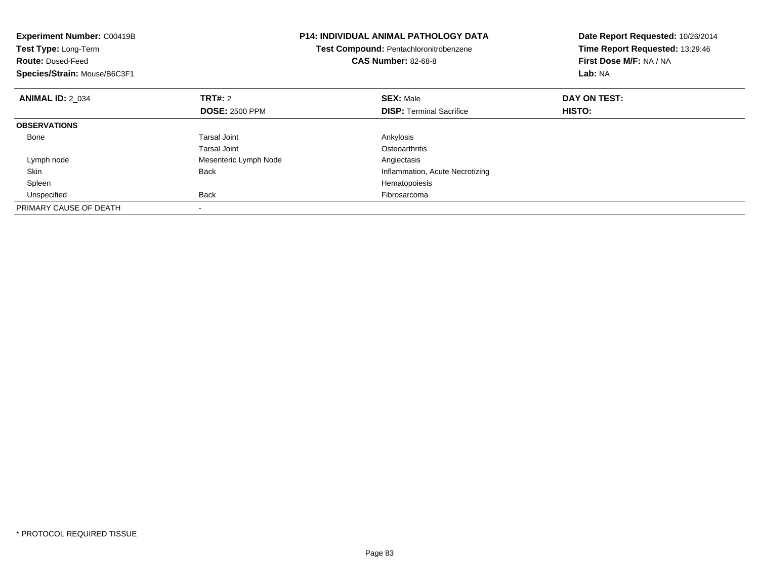| Experiment Number: C00419B<br>Test Type: Long-Term<br><b>Route: Dosed-Feed</b><br>Species/Strain: Mouse/B6C3F1 | <b>P14: INDIVIDUAL ANIMAL PATHOLOGY DATA</b><br>Test Compound: Pentachloronitrobenzene<br><b>CAS Number: 82-68-8</b> |                                 | Date Report Requested: 10/26/2014<br>Time Report Requested: 13:29:46<br>First Dose M/F: NA / NA<br>Lab: NA |
|----------------------------------------------------------------------------------------------------------------|----------------------------------------------------------------------------------------------------------------------|---------------------------------|------------------------------------------------------------------------------------------------------------|
| <b>ANIMAL ID: 2 034</b>                                                                                        | TRT#: 2                                                                                                              | <b>SEX: Male</b>                | DAY ON TEST:                                                                                               |
|                                                                                                                | <b>DOSE: 2500 PPM</b>                                                                                                | <b>DISP:</b> Terminal Sacrifice | HISTO:                                                                                                     |
| <b>OBSERVATIONS</b>                                                                                            |                                                                                                                      |                                 |                                                                                                            |
| Bone                                                                                                           | Tarsal Joint                                                                                                         | Ankylosis                       |                                                                                                            |
|                                                                                                                | Tarsal Joint                                                                                                         | Osteoarthritis                  |                                                                                                            |
| Lymph node                                                                                                     | Mesenteric Lymph Node                                                                                                | Angiectasis                     |                                                                                                            |
| Skin                                                                                                           | <b>Back</b>                                                                                                          | Inflammation, Acute Necrotizing |                                                                                                            |
| Spleen                                                                                                         |                                                                                                                      | Hematopoiesis                   |                                                                                                            |
| Unspecified                                                                                                    | <b>Back</b>                                                                                                          | Fibrosarcoma                    |                                                                                                            |
| PRIMARY CAUSE OF DEATH                                                                                         |                                                                                                                      |                                 |                                                                                                            |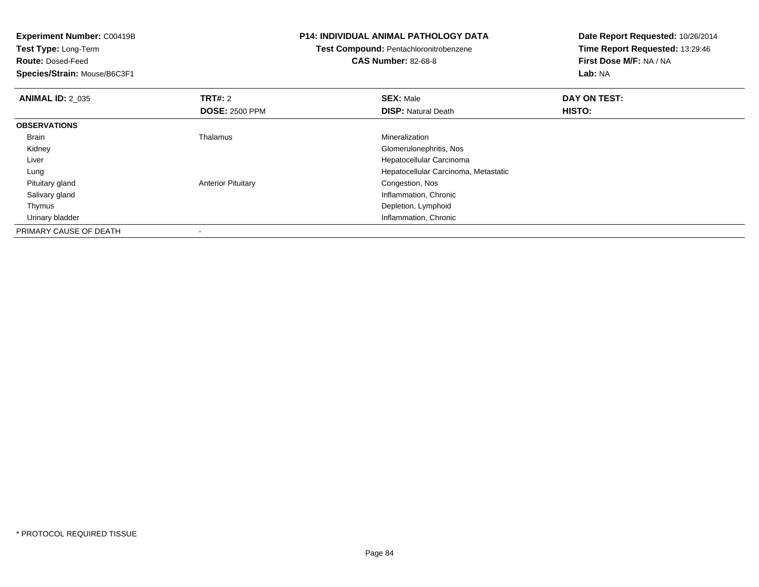**Experiment Number:** C00419B**Test Type:** Long-Term**Route:** Dosed-Feed **Species/Strain:** Mouse/B6C3F1**P14: INDIVIDUAL ANIMAL PATHOLOGY DATATest Compound:** Pentachloronitrobenzene**CAS Number:** 82-68-8**Date Report Requested:** 10/26/2014**Time Report Requested:** 13:29:46**First Dose M/F:** NA / NA**Lab:** NA**ANIMAL ID: 2 035 TRT#:** <sup>2</sup> **SEX:** Male **DAY ON TEST: DOSE:** 2500 PPM**DISP:** Natural Death **HISTO: OBSERVATIONS** Brain Thalamus Mineralization Kidney Glomerulonephritis, Nos Liver Hepatocellular Carcinoma Hepatocellular Carcinoma, Metastatic Lung Pituitary glandAnterior Pituitary **Congestion**, Nos Salivary gland Inflammation, Chronic Thymus Depletion, Lymphoid**Inflammation, Chronic Chronic Chronic Chronic Chronic Chronic Chronic Chronic Chronic Chronic Chronic Chronic Chronic Chronic Chronic Chronic Chronic Chronic Chronic Chronic Chronic Chronic Chronic Chronic Chronic Chronic**  Urinary bladderPRIMARY CAUSE OF DEATH-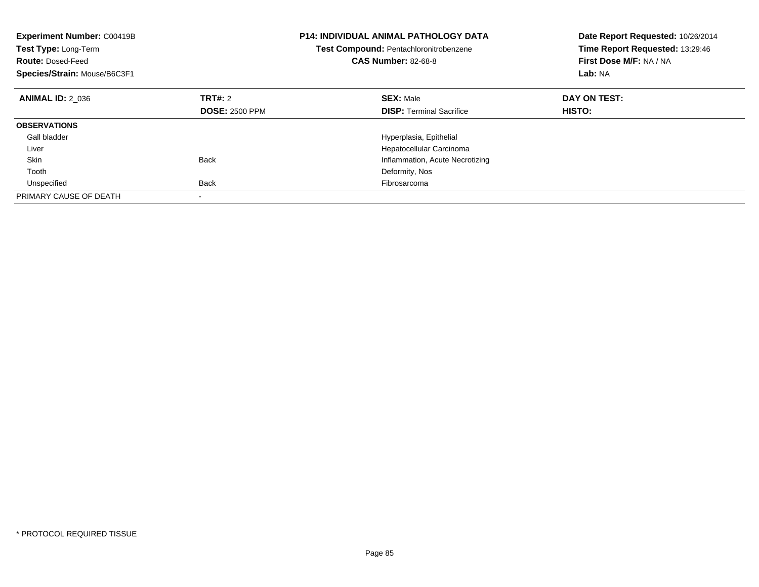| <b>Experiment Number: C00419B</b><br>Test Type: Long-Term<br><b>Route: Dosed-Feed</b><br>Species/Strain: Mouse/B6C3F1 | <b>P14: INDIVIDUAL ANIMAL PATHOLOGY DATA</b><br>Test Compound: Pentachloronitrobenzene<br><b>CAS Number: 82-68-8</b> |                                 | Date Report Requested: 10/26/2014<br>Time Report Requested: 13:29:46<br>First Dose M/F: NA / NA<br>Lab: NA |
|-----------------------------------------------------------------------------------------------------------------------|----------------------------------------------------------------------------------------------------------------------|---------------------------------|------------------------------------------------------------------------------------------------------------|
| <b>ANIMAL ID: 2 036</b>                                                                                               | TRT#: 2                                                                                                              | <b>SEX: Male</b>                | DAY ON TEST:                                                                                               |
|                                                                                                                       | <b>DOSE: 2500 PPM</b>                                                                                                | <b>DISP:</b> Terminal Sacrifice | <b>HISTO:</b>                                                                                              |
| <b>OBSERVATIONS</b>                                                                                                   |                                                                                                                      |                                 |                                                                                                            |
| Gall bladder                                                                                                          |                                                                                                                      | Hyperplasia, Epithelial         |                                                                                                            |
| Liver                                                                                                                 |                                                                                                                      | Hepatocellular Carcinoma        |                                                                                                            |
| Skin                                                                                                                  | <b>Back</b>                                                                                                          | Inflammation, Acute Necrotizing |                                                                                                            |
| Tooth                                                                                                                 |                                                                                                                      | Deformity, Nos                  |                                                                                                            |
| Unspecified                                                                                                           | <b>Back</b>                                                                                                          | Fibrosarcoma                    |                                                                                                            |
| PRIMARY CAUSE OF DEATH                                                                                                |                                                                                                                      |                                 |                                                                                                            |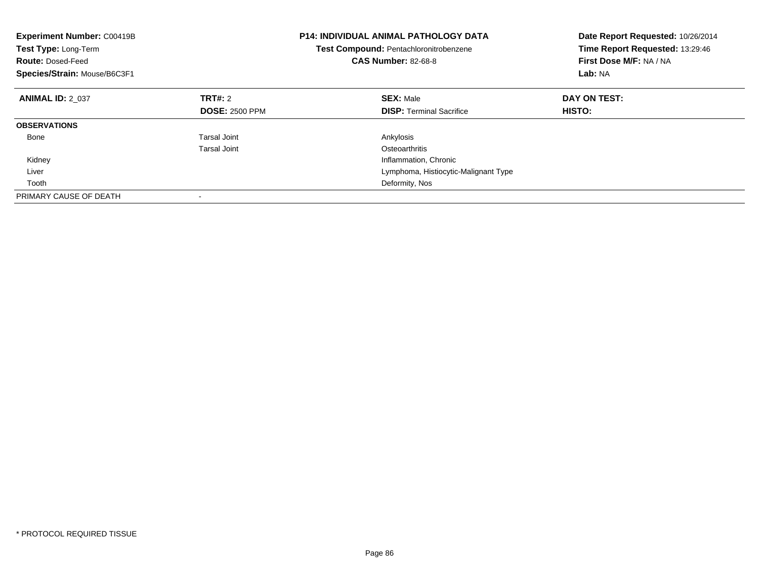| Experiment Number: C00419B<br>Test Type: Long-Term<br><b>Route: Dosed-Feed</b><br>Species/Strain: Mouse/B6C3F1 |                       | <b>P14: INDIVIDUAL ANIMAL PATHOLOGY DATA</b><br>Date Report Requested: 10/26/2014<br>Time Report Requested: 13:29:46<br>Test Compound: Pentachloronitrobenzene<br>First Dose M/F: NA / NA<br><b>CAS Number: 82-68-8</b><br>Lab: NA |               |
|----------------------------------------------------------------------------------------------------------------|-----------------------|------------------------------------------------------------------------------------------------------------------------------------------------------------------------------------------------------------------------------------|---------------|
| <b>ANIMAL ID: 2 037</b>                                                                                        | TRT#: 2               | <b>SEX: Male</b>                                                                                                                                                                                                                   | DAY ON TEST:  |
|                                                                                                                | <b>DOSE: 2500 PPM</b> | <b>DISP:</b> Terminal Sacrifice                                                                                                                                                                                                    | <b>HISTO:</b> |
| <b>OBSERVATIONS</b>                                                                                            |                       |                                                                                                                                                                                                                                    |               |
| Bone                                                                                                           | Tarsal Joint          | Ankylosis                                                                                                                                                                                                                          |               |
|                                                                                                                | Tarsal Joint          | Osteoarthritis                                                                                                                                                                                                                     |               |
| Kidney                                                                                                         |                       | Inflammation, Chronic                                                                                                                                                                                                              |               |
| Liver                                                                                                          |                       | Lymphoma, Histiocytic-Malignant Type                                                                                                                                                                                               |               |
| Tooth                                                                                                          |                       | Deformity, Nos                                                                                                                                                                                                                     |               |
| PRIMARY CAUSE OF DEATH                                                                                         |                       |                                                                                                                                                                                                                                    |               |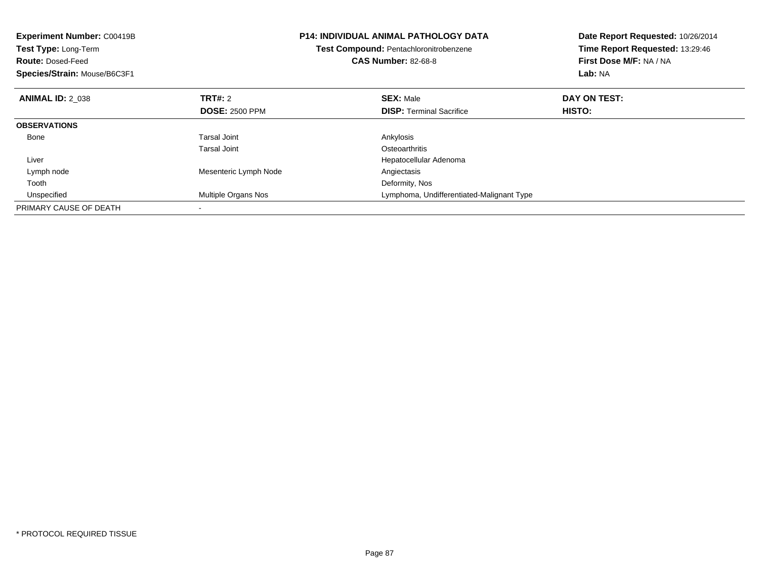| <b>Experiment Number: C00419B</b><br>Test Type: Long-Term<br><b>Route: Dosed-Feed</b><br>Species/Strain: Mouse/B6C3F1 |                       | <b>P14: INDIVIDUAL ANIMAL PATHOLOGY DATA</b><br>Test Compound: Pentachloronitrobenzene<br><b>CAS Number: 82-68-8</b> | Date Report Requested: 10/26/2014<br>Time Report Requested: 13:29:46<br>First Dose M/F: NA / NA<br>Lab: NA |
|-----------------------------------------------------------------------------------------------------------------------|-----------------------|----------------------------------------------------------------------------------------------------------------------|------------------------------------------------------------------------------------------------------------|
| <b>ANIMAL ID: 2 038</b>                                                                                               | <b>TRT#: 2</b>        | <b>SEX: Male</b>                                                                                                     | DAY ON TEST:                                                                                               |
|                                                                                                                       | <b>DOSE: 2500 PPM</b> | <b>DISP:</b> Terminal Sacrifice                                                                                      | HISTO:                                                                                                     |
| <b>OBSERVATIONS</b>                                                                                                   |                       |                                                                                                                      |                                                                                                            |
| Bone                                                                                                                  | <b>Tarsal Joint</b>   | Ankylosis                                                                                                            |                                                                                                            |
|                                                                                                                       | Tarsal Joint          | Osteoarthritis                                                                                                       |                                                                                                            |
| Liver                                                                                                                 |                       | Hepatocellular Adenoma                                                                                               |                                                                                                            |
| Lymph node                                                                                                            | Mesenteric Lymph Node | Angiectasis                                                                                                          |                                                                                                            |
| Tooth                                                                                                                 |                       | Deformity, Nos                                                                                                       |                                                                                                            |
| Unspecified                                                                                                           | Multiple Organs Nos   | Lymphoma, Undifferentiated-Malignant Type                                                                            |                                                                                                            |
| PRIMARY CAUSE OF DEATH                                                                                                |                       |                                                                                                                      |                                                                                                            |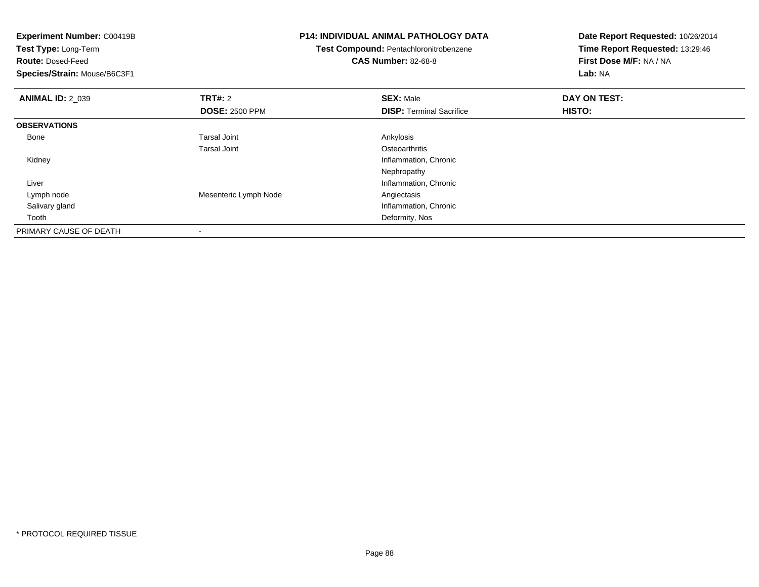| <b>Experiment Number: C00419B</b> |                       | <b>P14: INDIVIDUAL ANIMAL PATHOLOGY DATA</b> | Date Report Requested: 10/26/2014 |  |
|-----------------------------------|-----------------------|----------------------------------------------|-----------------------------------|--|
| Test Type: Long-Term              |                       | Test Compound: Pentachloronitrobenzene       | Time Report Requested: 13:29:46   |  |
| <b>Route: Dosed-Feed</b>          |                       | <b>CAS Number: 82-68-8</b>                   | First Dose M/F: NA / NA           |  |
| Species/Strain: Mouse/B6C3F1      |                       |                                              | Lab: NA                           |  |
| <b>ANIMAL ID: 2 039</b>           | <b>TRT#: 2</b>        | <b>SEX: Male</b>                             | DAY ON TEST:                      |  |
|                                   | <b>DOSE: 2500 PPM</b> | <b>DISP:</b> Terminal Sacrifice              | HISTO:                            |  |
| <b>OBSERVATIONS</b>               |                       |                                              |                                   |  |
| Bone                              | Tarsal Joint          | Ankylosis                                    |                                   |  |
|                                   | Tarsal Joint          | Osteoarthritis                               |                                   |  |
| Kidney                            |                       | Inflammation, Chronic                        |                                   |  |
|                                   |                       | Nephropathy                                  |                                   |  |
| Liver                             |                       | Inflammation, Chronic                        |                                   |  |
| Lymph node                        | Mesenteric Lymph Node | Angiectasis                                  |                                   |  |
| Salivary gland                    |                       | Inflammation, Chronic                        |                                   |  |
| Tooth                             |                       | Deformity, Nos                               |                                   |  |
| PRIMARY CAUSE OF DEATH            |                       |                                              |                                   |  |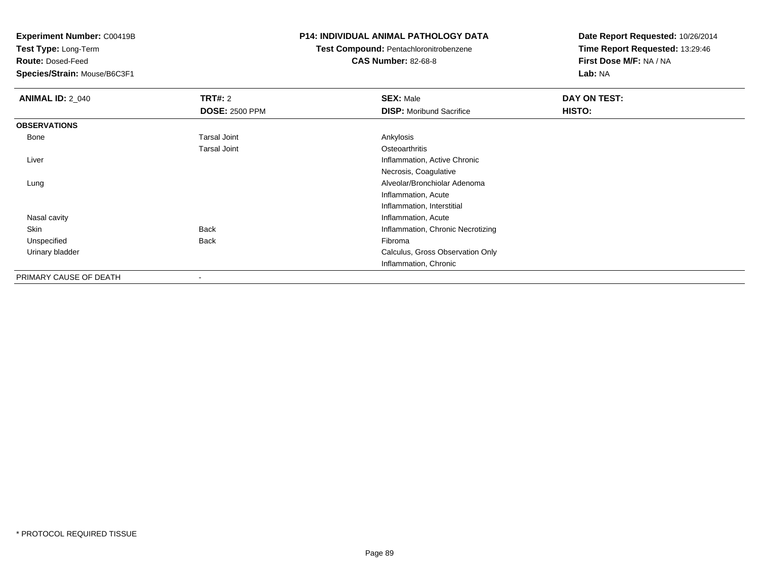**Test Type:** Long-Term

**Route:** Dosed-Feed

**Species/Strain:** Mouse/B6C3F1

## **P14: INDIVIDUAL ANIMAL PATHOLOGY DATA**

## **Test Compound:** Pentachloronitrobenzene**CAS Number:** 82-68-8

| <b>ANIMAL ID: 2_040</b> | TRT#: 2               | <b>SEX: Male</b>                  | DAY ON TEST: |  |
|-------------------------|-----------------------|-----------------------------------|--------------|--|
|                         | <b>DOSE: 2500 PPM</b> | <b>DISP:</b> Moribund Sacrifice   | HISTO:       |  |
| <b>OBSERVATIONS</b>     |                       |                                   |              |  |
| Bone                    | <b>Tarsal Joint</b>   | Ankylosis                         |              |  |
|                         | <b>Tarsal Joint</b>   | Osteoarthritis                    |              |  |
| Liver                   |                       | Inflammation, Active Chronic      |              |  |
|                         |                       | Necrosis, Coagulative             |              |  |
| Lung                    |                       | Alveolar/Bronchiolar Adenoma      |              |  |
|                         |                       | Inflammation, Acute               |              |  |
|                         |                       | Inflammation, Interstitial        |              |  |
| Nasal cavity            |                       | Inflammation, Acute               |              |  |
| Skin                    | <b>Back</b>           | Inflammation, Chronic Necrotizing |              |  |
| Unspecified             | <b>Back</b>           | Fibroma                           |              |  |
| Urinary bladder         |                       | Calculus, Gross Observation Only  |              |  |
|                         |                       | Inflammation, Chronic             |              |  |
| PRIMARY CAUSE OF DEATH  | $\,$                  |                                   |              |  |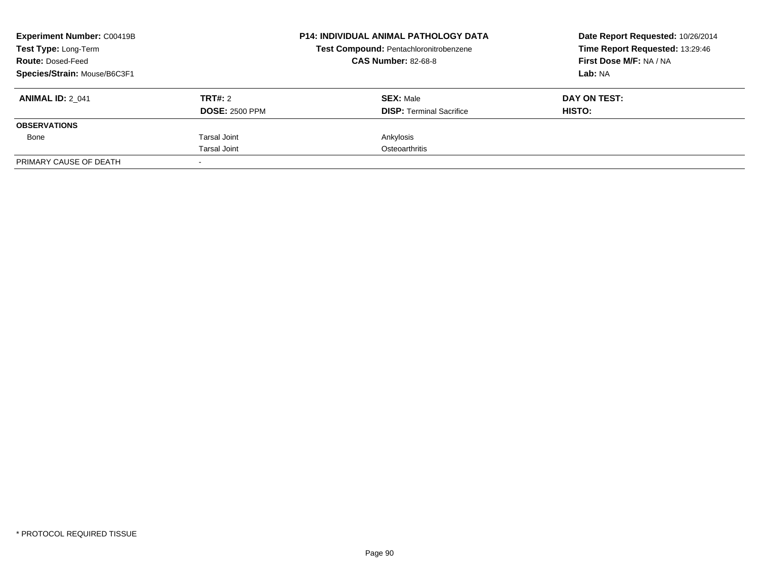| <b>Experiment Number: C00419B</b><br><b>Test Type: Long-Term</b><br><b>Route: Dosed-Feed</b><br>Species/Strain: Mouse/B6C3F1 |                       | <b>P14: INDIVIDUAL ANIMAL PATHOLOGY DATA</b><br>Test Compound: Pentachloronitrobenzene<br><b>CAS Number: 82-68-8</b> | Date Report Requested: 10/26/2014<br>Time Report Requested: 13:29:46<br>First Dose M/F: NA / NA |
|------------------------------------------------------------------------------------------------------------------------------|-----------------------|----------------------------------------------------------------------------------------------------------------------|-------------------------------------------------------------------------------------------------|
|                                                                                                                              |                       |                                                                                                                      | Lab: NA                                                                                         |
| <b>ANIMAL ID: 2 041</b>                                                                                                      | <b>TRT#:</b> 2        | <b>SEX: Male</b>                                                                                                     | DAY ON TEST:                                                                                    |
|                                                                                                                              | <b>DOSE: 2500 PPM</b> | <b>DISP:</b> Terminal Sacrifice                                                                                      | HISTO:                                                                                          |
| <b>OBSERVATIONS</b>                                                                                                          |                       |                                                                                                                      |                                                                                                 |
| Bone                                                                                                                         | Tarsal Joint          | Ankylosis                                                                                                            |                                                                                                 |
|                                                                                                                              | Tarsal Joint          | Osteoarthritis                                                                                                       |                                                                                                 |
| PRIMARY CAUSE OF DEATH                                                                                                       |                       |                                                                                                                      |                                                                                                 |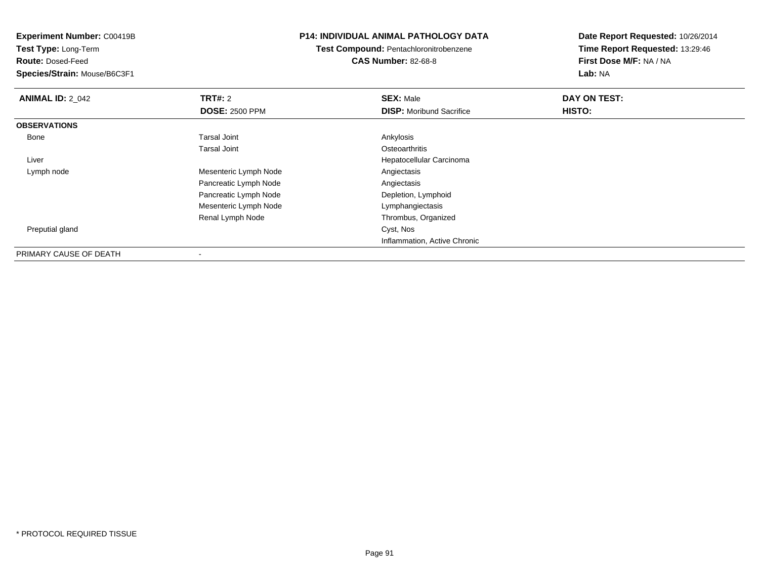**Test Type:** Long-Term

**Route:** Dosed-Feed

**Species/Strain:** Mouse/B6C3F1

## **P14: INDIVIDUAL ANIMAL PATHOLOGY DATA**

**Test Compound:** Pentachloronitrobenzene**CAS Number:** 82-68-8

| <b>ANIMAL ID: 2_042</b> | <b>TRT#: 2</b>        | <b>SEX: Male</b>                | DAY ON TEST: |  |
|-------------------------|-----------------------|---------------------------------|--------------|--|
|                         | <b>DOSE: 2500 PPM</b> | <b>DISP:</b> Moribund Sacrifice | HISTO:       |  |
| <b>OBSERVATIONS</b>     |                       |                                 |              |  |
| Bone                    | <b>Tarsal Joint</b>   | Ankylosis                       |              |  |
|                         | <b>Tarsal Joint</b>   | Osteoarthritis                  |              |  |
| Liver                   |                       | Hepatocellular Carcinoma        |              |  |
| Lymph node              | Mesenteric Lymph Node | Angiectasis                     |              |  |
|                         | Pancreatic Lymph Node | Angiectasis                     |              |  |
|                         | Pancreatic Lymph Node | Depletion, Lymphoid             |              |  |
|                         | Mesenteric Lymph Node | Lymphangiectasis                |              |  |
|                         | Renal Lymph Node      | Thrombus, Organized             |              |  |
| Preputial gland         |                       | Cyst, Nos                       |              |  |
|                         |                       | Inflammation, Active Chronic    |              |  |
| PRIMARY CAUSE OF DEATH  |                       |                                 |              |  |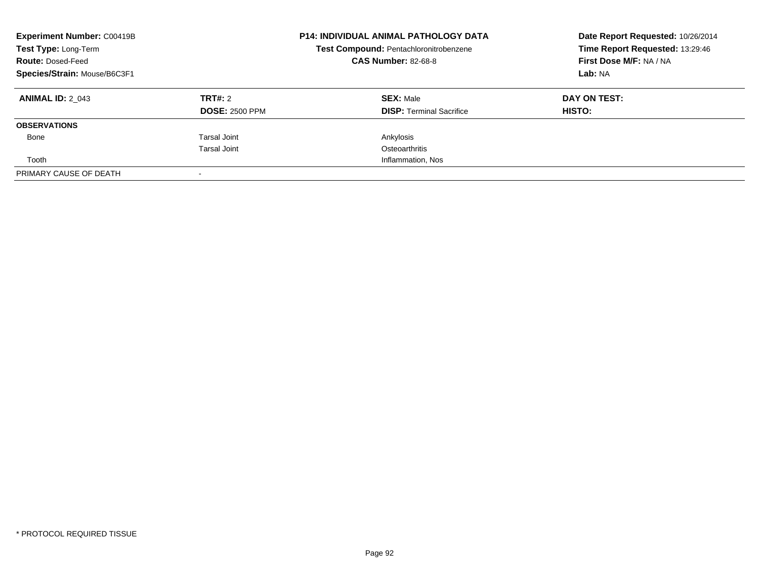| <b>Experiment Number: C00419B</b><br>Test Type: Long-Term<br><b>Route: Dosed-Feed</b><br>Species/Strain: Mouse/B6C3F1 |                                  | <b>P14: INDIVIDUAL ANIMAL PATHOLOGY DATA</b><br>Test Compound: Pentachloronitrobenzene<br><b>CAS Number: 82-68-8</b> | Date Report Requested: 10/26/2014<br>Time Report Requested: 13:29:46<br>First Dose M/F: NA / NA<br>Lab: NA |
|-----------------------------------------------------------------------------------------------------------------------|----------------------------------|----------------------------------------------------------------------------------------------------------------------|------------------------------------------------------------------------------------------------------------|
| <b>ANIMAL ID: 2 043</b>                                                                                               | TRT#: 2<br><b>DOSE: 2500 PPM</b> | <b>SEX: Male</b><br><b>DISP:</b> Terminal Sacrifice                                                                  | DAY ON TEST:<br><b>HISTO:</b>                                                                              |
| <b>OBSERVATIONS</b>                                                                                                   |                                  |                                                                                                                      |                                                                                                            |
| Bone                                                                                                                  | Tarsal Joint<br>Tarsal Joint     | Ankylosis<br>Osteoarthritis                                                                                          |                                                                                                            |
| Tooth                                                                                                                 |                                  | Inflammation, Nos                                                                                                    |                                                                                                            |
| PRIMARY CAUSE OF DEATH                                                                                                |                                  |                                                                                                                      |                                                                                                            |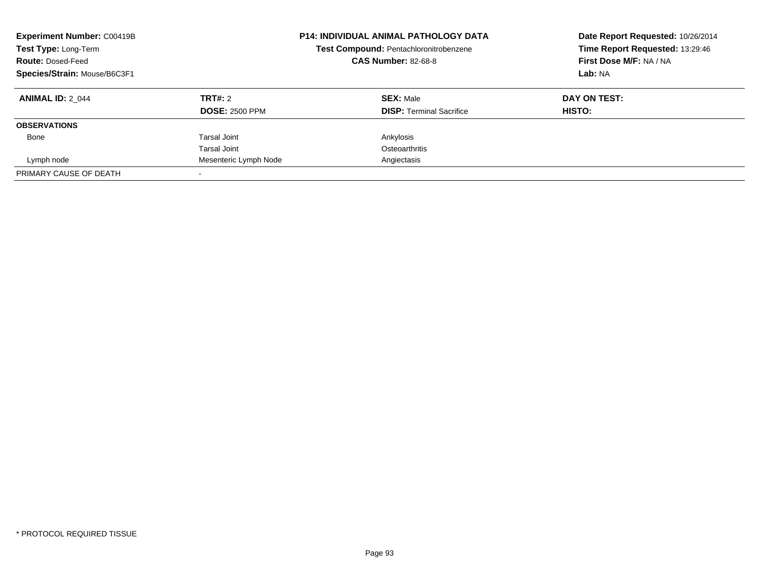| <b>Experiment Number: C00419B</b><br>Test Type: Long-Term<br><b>Route: Dosed-Feed</b><br>Species/Strain: Mouse/B6C3F1 |                                  | <b>P14: INDIVIDUAL ANIMAL PATHOLOGY DATA</b><br>Test Compound: Pentachloronitrobenzene<br><b>CAS Number: 82-68-8</b> | Date Report Requested: 10/26/2014<br>Time Report Requested: 13:29:46<br>First Dose M/F: NA / NA<br>Lab: NA |
|-----------------------------------------------------------------------------------------------------------------------|----------------------------------|----------------------------------------------------------------------------------------------------------------------|------------------------------------------------------------------------------------------------------------|
| <b>ANIMAL ID: 2 044</b>                                                                                               | TRT#: 2<br><b>DOSE: 2500 PPM</b> | <b>SEX: Male</b><br><b>DISP:</b> Terminal Sacrifice                                                                  | DAY ON TEST:<br><b>HISTO:</b>                                                                              |
| <b>OBSERVATIONS</b>                                                                                                   |                                  |                                                                                                                      |                                                                                                            |
| Bone                                                                                                                  | <b>Tarsal Joint</b>              | Ankylosis                                                                                                            |                                                                                                            |
|                                                                                                                       | Tarsal Joint                     | Osteoarthritis                                                                                                       |                                                                                                            |
| Lymph node                                                                                                            | Mesenteric Lymph Node            | Angiectasis                                                                                                          |                                                                                                            |
| PRIMARY CAUSE OF DEATH                                                                                                |                                  |                                                                                                                      |                                                                                                            |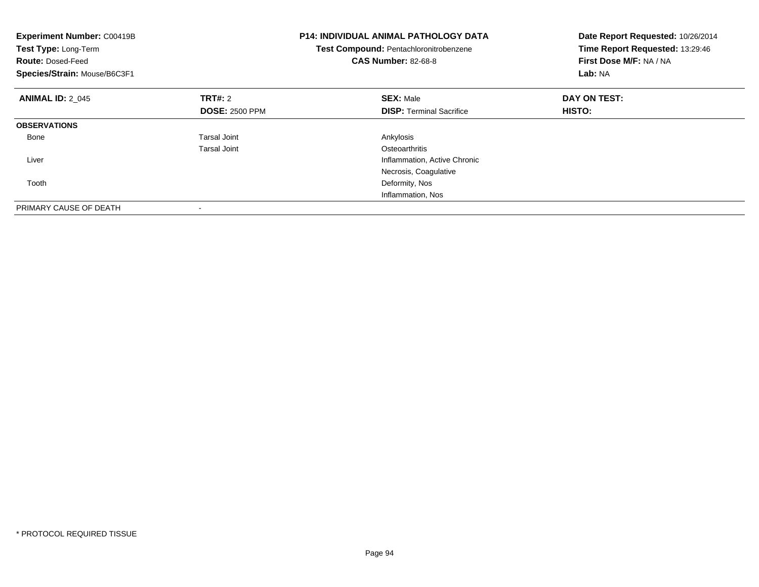| <b>Experiment Number: C00419B</b><br>Test Type: Long-Term<br><b>Route: Dosed-Feed</b><br>Species/Strain: Mouse/B6C3F1 |                       | <b>P14: INDIVIDUAL ANIMAL PATHOLOGY DATA</b><br>Date Report Requested: 10/26/2014<br>Time Report Requested: 13:29:46<br>Test Compound: Pentachloronitrobenzene<br>First Dose M/F: NA / NA<br><b>CAS Number: 82-68-8</b><br>Lab: NA |               |
|-----------------------------------------------------------------------------------------------------------------------|-----------------------|------------------------------------------------------------------------------------------------------------------------------------------------------------------------------------------------------------------------------------|---------------|
| <b>ANIMAL ID: 2 045</b>                                                                                               | TRT#: 2               | <b>SEX: Male</b>                                                                                                                                                                                                                   | DAY ON TEST:  |
|                                                                                                                       | <b>DOSE: 2500 PPM</b> | <b>DISP:</b> Terminal Sacrifice                                                                                                                                                                                                    | <b>HISTO:</b> |
| <b>OBSERVATIONS</b>                                                                                                   |                       |                                                                                                                                                                                                                                    |               |
| Bone                                                                                                                  | Tarsal Joint          | Ankylosis                                                                                                                                                                                                                          |               |
|                                                                                                                       | Tarsal Joint          | Osteoarthritis                                                                                                                                                                                                                     |               |
| Liver                                                                                                                 |                       | Inflammation, Active Chronic                                                                                                                                                                                                       |               |
|                                                                                                                       |                       | Necrosis, Coagulative                                                                                                                                                                                                              |               |
| Tooth                                                                                                                 |                       | Deformity, Nos                                                                                                                                                                                                                     |               |
|                                                                                                                       |                       | Inflammation, Nos                                                                                                                                                                                                                  |               |
| PRIMARY CAUSE OF DEATH                                                                                                |                       |                                                                                                                                                                                                                                    |               |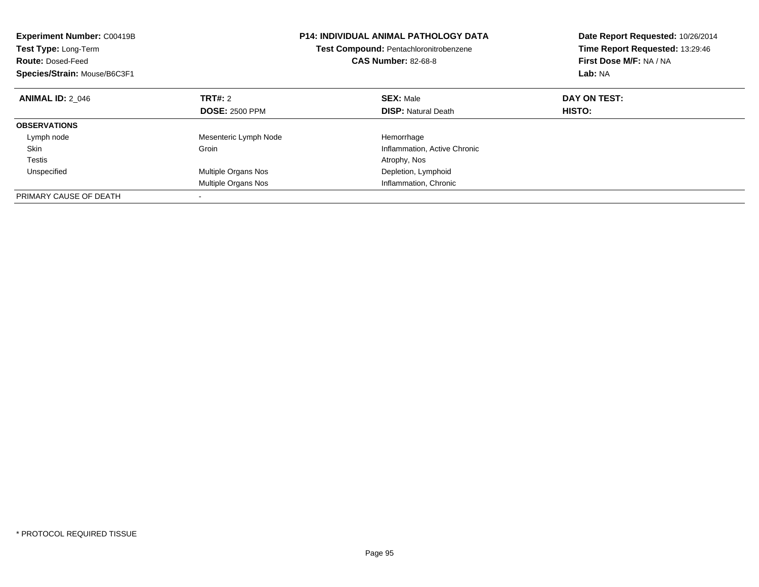| <b>Experiment Number: C00419B</b><br>Test Type: Long-Term<br><b>Route: Dosed-Feed</b><br>Species/Strain: Mouse/B6C3F1 |                       | <b>P14: INDIVIDUAL ANIMAL PATHOLOGY DATA</b><br>Test Compound: Pentachloronitrobenzene<br><b>CAS Number: 82-68-8</b> | Date Report Requested: 10/26/2014<br>Time Report Requested: 13:29:46<br>First Dose M/F: NA / NA<br>Lab: NA |  |
|-----------------------------------------------------------------------------------------------------------------------|-----------------------|----------------------------------------------------------------------------------------------------------------------|------------------------------------------------------------------------------------------------------------|--|
| <b>ANIMAL ID: 2 046</b>                                                                                               | TRT#: 2               | <b>SEX: Male</b>                                                                                                     | DAY ON TEST:                                                                                               |  |
|                                                                                                                       | <b>DOSE: 2500 PPM</b> | <b>DISP: Natural Death</b>                                                                                           | HISTO:                                                                                                     |  |
| <b>OBSERVATIONS</b>                                                                                                   |                       |                                                                                                                      |                                                                                                            |  |
| Lymph node                                                                                                            | Mesenteric Lymph Node | Hemorrhage                                                                                                           |                                                                                                            |  |
| Skin                                                                                                                  | Groin                 | Inflammation, Active Chronic                                                                                         |                                                                                                            |  |
| Testis                                                                                                                |                       | Atrophy, Nos                                                                                                         |                                                                                                            |  |
| Unspecified                                                                                                           | Multiple Organs Nos   | Depletion, Lymphoid                                                                                                  |                                                                                                            |  |
|                                                                                                                       | Multiple Organs Nos   | Inflammation, Chronic                                                                                                |                                                                                                            |  |
| PRIMARY CAUSE OF DEATH                                                                                                |                       |                                                                                                                      |                                                                                                            |  |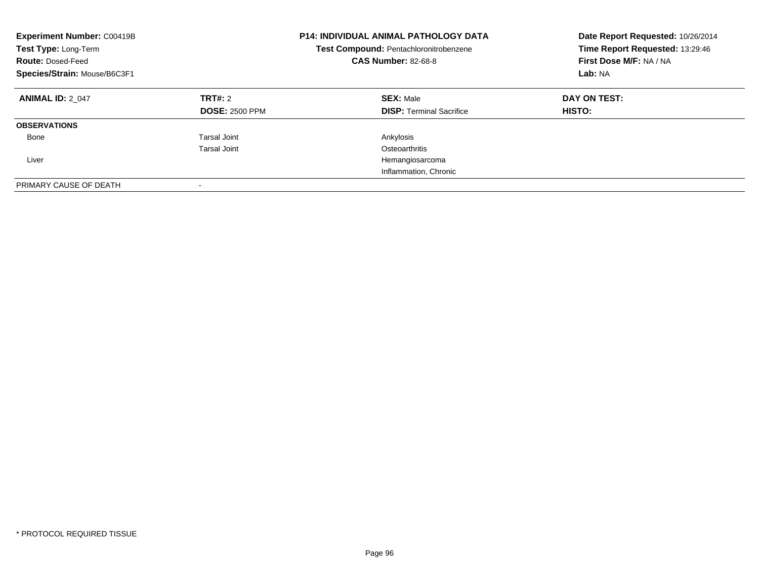| <b>Experiment Number: C00419B</b><br>Test Type: Long-Term<br><b>Route: Dosed-Feed</b><br>Species/Strain: Mouse/B6C3F1 |                                  | <b>P14: INDIVIDUAL ANIMAL PATHOLOGY DATA</b><br>Test Compound: Pentachloronitrobenzene<br><b>CAS Number: 82-68-8</b> | Date Report Requested: 10/26/2014<br>Time Report Requested: 13:29:46<br>First Dose M/F: NA / NA<br>Lab: NA |
|-----------------------------------------------------------------------------------------------------------------------|----------------------------------|----------------------------------------------------------------------------------------------------------------------|------------------------------------------------------------------------------------------------------------|
| <b>ANIMAL ID: 2 047</b>                                                                                               | TRT#: 2<br><b>DOSE: 2500 PPM</b> | <b>SEX: Male</b><br><b>DISP:</b> Terminal Sacrifice                                                                  | DAY ON TEST:<br><b>HISTO:</b>                                                                              |
| <b>OBSERVATIONS</b>                                                                                                   |                                  |                                                                                                                      |                                                                                                            |
| Bone                                                                                                                  | <b>Tarsal Joint</b>              | Ankylosis                                                                                                            |                                                                                                            |
|                                                                                                                       | Tarsal Joint                     | Osteoarthritis                                                                                                       |                                                                                                            |
| Liver                                                                                                                 |                                  | Hemangiosarcoma                                                                                                      |                                                                                                            |
|                                                                                                                       |                                  | Inflammation, Chronic                                                                                                |                                                                                                            |
| PRIMARY CAUSE OF DEATH                                                                                                | $\overline{\phantom{a}}$         |                                                                                                                      |                                                                                                            |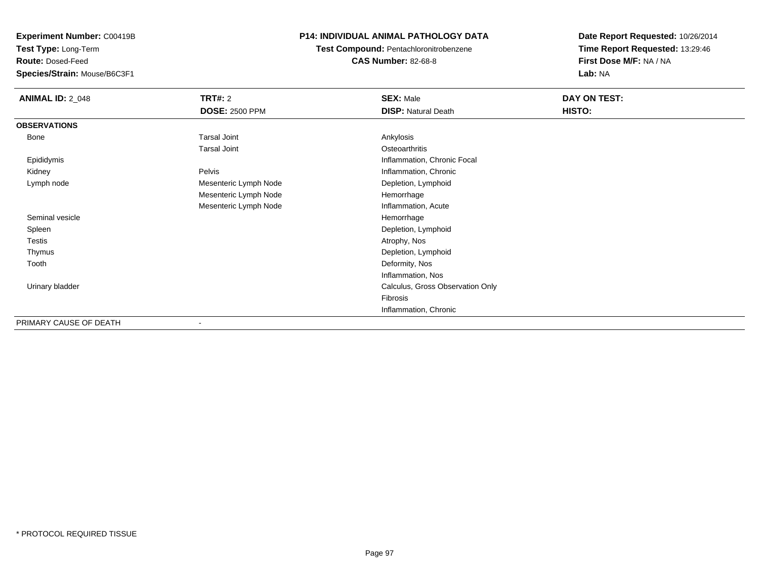**Test Type:** Long-Term

**Route:** Dosed-Feed

**Species/Strain:** Mouse/B6C3F1

## **P14: INDIVIDUAL ANIMAL PATHOLOGY DATA**

**Test Compound:** Pentachloronitrobenzene**CAS Number:** 82-68-8

| <b>ANIMAL ID: 2_048</b> | <b>TRT#: 2</b><br><b>DOSE: 2500 PPM</b> | <b>SEX: Male</b><br><b>DISP: Natural Death</b> | DAY ON TEST:<br>HISTO: |
|-------------------------|-----------------------------------------|------------------------------------------------|------------------------|
| <b>OBSERVATIONS</b>     |                                         |                                                |                        |
| Bone                    | <b>Tarsal Joint</b>                     | Ankylosis                                      |                        |
|                         | <b>Tarsal Joint</b>                     | Osteoarthritis                                 |                        |
| Epididymis              |                                         | Inflammation, Chronic Focal                    |                        |
| Kidney                  | Pelvis                                  | Inflammation, Chronic                          |                        |
| Lymph node              | Mesenteric Lymph Node                   | Depletion, Lymphoid                            |                        |
|                         | Mesenteric Lymph Node                   | Hemorrhage                                     |                        |
|                         | Mesenteric Lymph Node                   | Inflammation, Acute                            |                        |
| Seminal vesicle         |                                         | Hemorrhage                                     |                        |
| Spleen                  |                                         | Depletion, Lymphoid                            |                        |
| Testis                  |                                         | Atrophy, Nos                                   |                        |
| Thymus                  |                                         | Depletion, Lymphoid                            |                        |
| Tooth                   |                                         | Deformity, Nos                                 |                        |
|                         |                                         | Inflammation, Nos                              |                        |
| Urinary bladder         |                                         | Calculus, Gross Observation Only               |                        |
|                         |                                         | Fibrosis                                       |                        |
|                         |                                         | Inflammation, Chronic                          |                        |
| PRIMARY CAUSE OF DEATH  | $\blacksquare$                          |                                                |                        |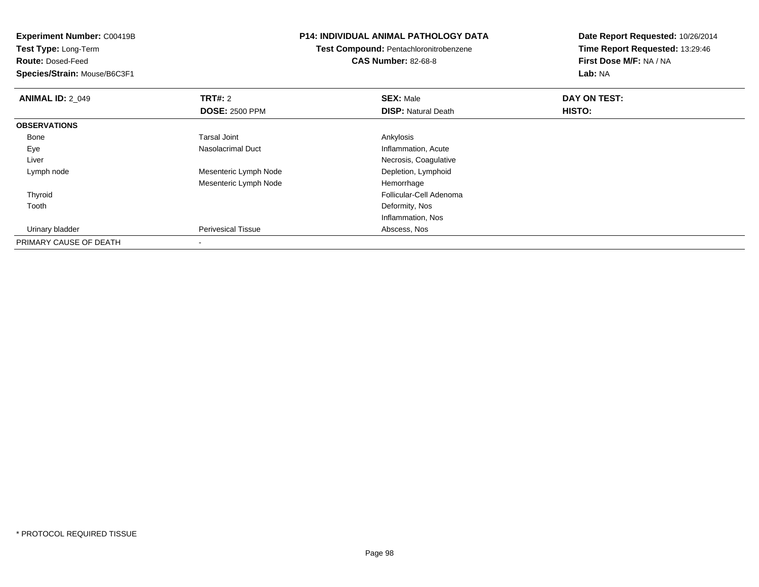**Experiment Number:** C00419B**Test Type:** Long-Term**Route:** Dosed-Feed **Species/Strain:** Mouse/B6C3F1**P14: INDIVIDUAL ANIMAL PATHOLOGY DATATest Compound:** Pentachloronitrobenzene**CAS Number:** 82-68-8**Date Report Requested:** 10/26/2014**Time Report Requested:** 13:29:46**First Dose M/F:** NA / NA**Lab:** NA**ANIMAL ID: 2 049 TRT#:** 2 **SEX:** Male **DAY ON TEST: DOSE:** 2500 PPM**DISP:** Natural Death **HISTO: OBSERVATIONS** Bonee and the set of the set of the set of the set of the set of the set of the set of the set of the set of the s EyeNasolacrimal Duct **Inflammation**, Acute Liver Necrosis, CoagulativeDepletion, Lymphoid Lymph nodeMesenteric Lymph Node Mesenteric Lymph Node Hemorrhage Thyroid Follicular-Cell Adenoma Toothh and the control of the control of the control of the control of the control of the control of the control of the control of the control of the control of the control of the control of the control of the control of the co Inflammation, Nos Urinary bladder Perivesical Tissue Abscess, Nos PRIMARY CAUSE OF DEATH-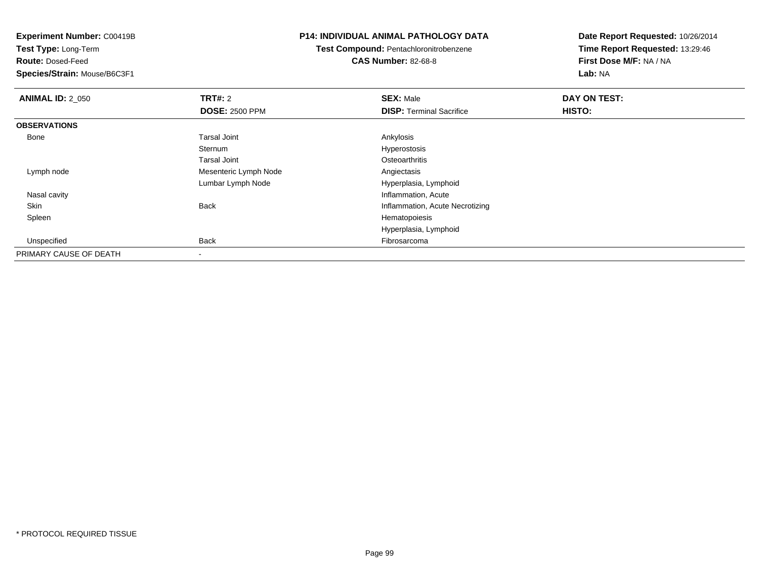**Experiment Number:** C00419B**Test Type:** Long-Term**Route:** Dosed-Feed **Species/Strain:** Mouse/B6C3F1**P14: INDIVIDUAL ANIMAL PATHOLOGY DATATest Compound:** Pentachloronitrobenzene**CAS Number:** 82-68-8**Date Report Requested:** 10/26/2014**Time Report Requested:** 13:29:46**First Dose M/F:** NA / NA**Lab:** NA**ANIMAL ID: 2 050 C TRT#:** 2 **SEX:** Male **DAY ON TEST: DOSE:** 2500 PPM**DISP:** Terminal Sacrifice **HISTO: OBSERVATIONS** Bonee and the set of the set of the set of the set of the set of the set of the set of the set of the set of the s Sternum Hyperostosis Tarsal Joint**Osteoarthritis**  Lymph nodeMesenteric Lymph Node Angiectasis Lumbar Lymph Node Hyperplasia, Lymphoid Nasal cavity Inflammation, Acuten and the Back Back Channel Controller and the Beam of the Beam of the Beam of the Beam of the Beam of the Beam of the Beam of the Beam of the Beam of the Beam of the Beam of the Beam of the Beam of the Beam of the Beam of Skin Spleenn and the state of the state of the state of the state of the state of the state of the state of the state of the state of the state of the state of the state of the state of the state of the state of the state of the stat Hyperplasia, Lymphoid Unspecifiedd **Back Fibrosarcoma** Back Fibrosarcoma Back Fibrosarcoma and the set of the set of the set of the set of the set of the set of the set of the set of the set of the set of the set of the set of the set of the set of the se PRIMARY CAUSE OF DEATH

-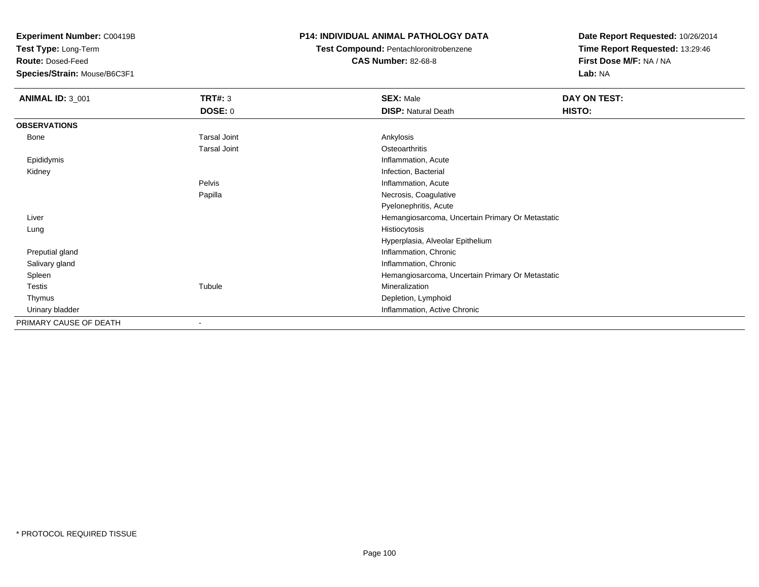**Test Type:** Long-Term

**Route:** Dosed-Feed

**Species/Strain:** Mouse/B6C3F1

## **P14: INDIVIDUAL ANIMAL PATHOLOGY DATA**

**Test Compound:** Pentachloronitrobenzene

**CAS Number:** 82-68-8

| <b>ANIMAL ID: 3_001</b> | <b>TRT#: 3</b>      | <b>SEX: Male</b>                                 | DAY ON TEST: |  |
|-------------------------|---------------------|--------------------------------------------------|--------------|--|
|                         | <b>DOSE: 0</b>      | <b>DISP: Natural Death</b>                       | HISTO:       |  |
| <b>OBSERVATIONS</b>     |                     |                                                  |              |  |
| <b>Bone</b>             | <b>Tarsal Joint</b> | Ankylosis                                        |              |  |
|                         | <b>Tarsal Joint</b> | Osteoarthritis                                   |              |  |
| Epididymis              |                     | Inflammation, Acute                              |              |  |
| Kidney                  |                     | Infection, Bacterial                             |              |  |
|                         | Pelvis              | Inflammation, Acute                              |              |  |
|                         | Papilla             | Necrosis, Coagulative                            |              |  |
|                         |                     | Pyelonephritis, Acute                            |              |  |
| Liver                   |                     | Hemangiosarcoma, Uncertain Primary Or Metastatic |              |  |
| Histiocytosis<br>Lung   |                     |                                                  |              |  |
|                         |                     | Hyperplasia, Alveolar Epithelium                 |              |  |
| Preputial gland         |                     | Inflammation, Chronic                            |              |  |
| Salivary gland          |                     | Inflammation, Chronic                            |              |  |
| Spleen                  |                     | Hemangiosarcoma, Uncertain Primary Or Metastatic |              |  |
| <b>Testis</b>           | Tubule              | Mineralization                                   |              |  |
| Thymus                  |                     | Depletion, Lymphoid                              |              |  |
| Urinary bladder         |                     | Inflammation, Active Chronic                     |              |  |
| PRIMARY CAUSE OF DEATH  |                     |                                                  |              |  |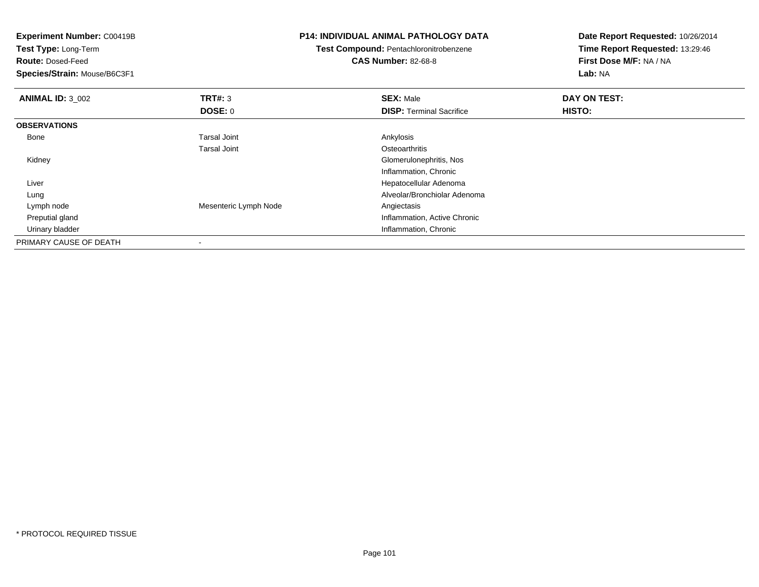| <b>Experiment Number: C00419B</b><br>Test Type: Long-Term |                       | <b>P14: INDIVIDUAL ANIMAL PATHOLOGY DATA</b> | Date Report Requested: 10/26/2014<br>Time Report Requested: 13:29:46 |  |
|-----------------------------------------------------------|-----------------------|----------------------------------------------|----------------------------------------------------------------------|--|
|                                                           |                       | Test Compound: Pentachloronitrobenzene       |                                                                      |  |
| <b>Route: Dosed-Feed</b>                                  |                       | <b>CAS Number: 82-68-8</b>                   | First Dose M/F: NA / NA                                              |  |
| Species/Strain: Mouse/B6C3F1                              |                       |                                              | Lab: NA                                                              |  |
| <b>ANIMAL ID: 3_002</b>                                   | <b>TRT#: 3</b>        | <b>SEX: Male</b>                             | DAY ON TEST:                                                         |  |
|                                                           | <b>DOSE: 0</b>        | <b>DISP: Terminal Sacrifice</b>              | <b>HISTO:</b>                                                        |  |
| <b>OBSERVATIONS</b>                                       |                       |                                              |                                                                      |  |
| Bone                                                      | <b>Tarsal Joint</b>   | Ankylosis                                    |                                                                      |  |
|                                                           | <b>Tarsal Joint</b>   | Osteoarthritis                               |                                                                      |  |
| Kidney                                                    |                       | Glomerulonephritis, Nos                      |                                                                      |  |
|                                                           |                       | Inflammation, Chronic                        |                                                                      |  |
| Liver                                                     |                       | Hepatocellular Adenoma                       |                                                                      |  |
| Lung                                                      |                       | Alveolar/Bronchiolar Adenoma                 |                                                                      |  |
| Lymph node                                                | Mesenteric Lymph Node | Angiectasis                                  |                                                                      |  |
| Preputial gland                                           |                       | Inflammation, Active Chronic                 |                                                                      |  |
| Urinary bladder                                           |                       | Inflammation, Chronic                        |                                                                      |  |
| PRIMARY CAUSE OF DEATH                                    |                       |                                              |                                                                      |  |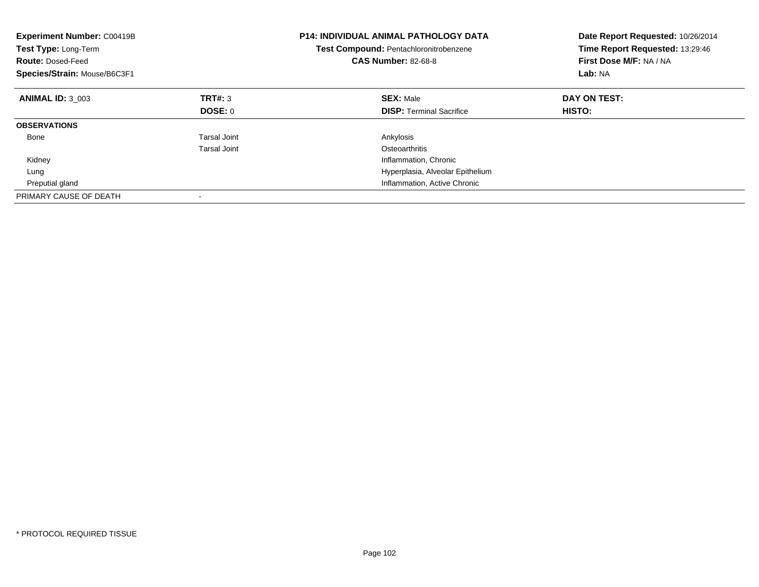| <b>Experiment Number: C00419B</b><br><b>Test Type: Long-Term</b><br><b>Route: Dosed-Feed</b><br>Species/Strain: Mouse/B6C3F1 |              | <b>P14: INDIVIDUAL ANIMAL PATHOLOGY DATA</b><br>Test Compound: Pentachloronitrobenzene<br><b>CAS Number: 82-68-8</b> | Date Report Requested: 10/26/2014<br>Time Report Requested: 13:29:46<br>First Dose M/F: NA / NA<br>Lab: NA |
|------------------------------------------------------------------------------------------------------------------------------|--------------|----------------------------------------------------------------------------------------------------------------------|------------------------------------------------------------------------------------------------------------|
| <b>ANIMAL ID: 3 003</b>                                                                                                      | TRT#: 3      | <b>SEX: Male</b>                                                                                                     | DAY ON TEST:                                                                                               |
|                                                                                                                              | DOSE: 0      | <b>DISP:</b> Terminal Sacrifice                                                                                      | <b>HISTO:</b>                                                                                              |
| <b>OBSERVATIONS</b>                                                                                                          |              |                                                                                                                      |                                                                                                            |
| Bone                                                                                                                         | Tarsal Joint | Ankylosis                                                                                                            |                                                                                                            |
|                                                                                                                              | Tarsal Joint | Osteoarthritis                                                                                                       |                                                                                                            |
| Kidney                                                                                                                       |              | Inflammation, Chronic                                                                                                |                                                                                                            |
| Lung                                                                                                                         |              | Hyperplasia, Alveolar Epithelium                                                                                     |                                                                                                            |
| Preputial gland                                                                                                              |              | Inflammation, Active Chronic                                                                                         |                                                                                                            |
| PRIMARY CAUSE OF DEATH                                                                                                       |              |                                                                                                                      |                                                                                                            |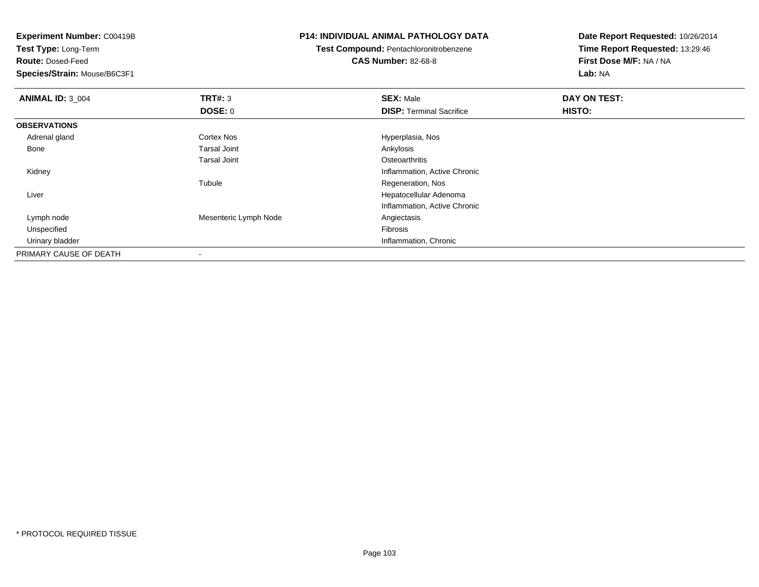**Test Type:** Long-Term

**Route:** Dosed-Feed

**Species/Strain:** Mouse/B6C3F1

## **P14: INDIVIDUAL ANIMAL PATHOLOGY DATA**

**Test Compound:** Pentachloronitrobenzene

**CAS Number:** 82-68-8

| <b>ANIMAL ID: 3_004</b> | TRT#: 3               | <b>SEX: Male</b>                | DAY ON TEST: |  |
|-------------------------|-----------------------|---------------------------------|--------------|--|
|                         | <b>DOSE: 0</b>        | <b>DISP: Terminal Sacrifice</b> | HISTO:       |  |
| <b>OBSERVATIONS</b>     |                       |                                 |              |  |
| Adrenal gland           | <b>Cortex Nos</b>     | Hyperplasia, Nos                |              |  |
| Bone                    | <b>Tarsal Joint</b>   | Ankylosis                       |              |  |
|                         | <b>Tarsal Joint</b>   | Osteoarthritis                  |              |  |
| Kidney                  |                       | Inflammation, Active Chronic    |              |  |
|                         | Tubule                | Regeneration, Nos               |              |  |
| Liver                   |                       | Hepatocellular Adenoma          |              |  |
|                         |                       | Inflammation, Active Chronic    |              |  |
| Lymph node              | Mesenteric Lymph Node | Angiectasis                     |              |  |
| Unspecified             |                       | Fibrosis                        |              |  |
| Urinary bladder         |                       | Inflammation, Chronic           |              |  |
| PRIMARY CAUSE OF DEATH  | $\,$                  |                                 |              |  |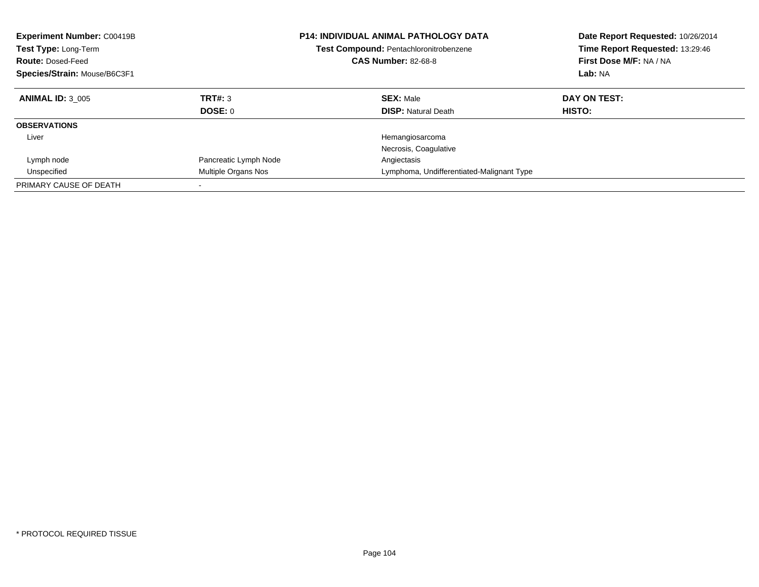| <b>Experiment Number: C00419B</b><br><b>Test Type: Long-Term</b><br><b>Route: Dosed-Feed</b><br>Species/Strain: Mouse/B6C3F1 |                           | <b>P14: INDIVIDUAL ANIMAL PATHOLOGY DATA</b><br><b>Test Compound: Pentachloronitrobenzene</b><br><b>CAS Number: 82-68-8</b> | Date Report Requested: 10/26/2014<br>Time Report Requested: 13:29:46<br>First Dose M/F: NA / NA<br>Lab: NA |  |
|------------------------------------------------------------------------------------------------------------------------------|---------------------------|-----------------------------------------------------------------------------------------------------------------------------|------------------------------------------------------------------------------------------------------------|--|
| <b>ANIMAL ID: 3 005</b>                                                                                                      | TRT#: 3<br><b>DOSE: 0</b> | <b>SEX: Male</b><br><b>DISP:</b> Natural Death                                                                              | DAY ON TEST:<br><b>HISTO:</b>                                                                              |  |
| <b>OBSERVATIONS</b>                                                                                                          |                           |                                                                                                                             |                                                                                                            |  |
| Liver                                                                                                                        |                           | Hemangiosarcoma<br>Necrosis, Coagulative                                                                                    |                                                                                                            |  |
| Lymph node                                                                                                                   | Pancreatic Lymph Node     | Angiectasis                                                                                                                 |                                                                                                            |  |
| Unspecified                                                                                                                  | Multiple Organs Nos       | Lymphoma, Undifferentiated-Malignant Type                                                                                   |                                                                                                            |  |
| PRIMARY CAUSE OF DEATH                                                                                                       |                           |                                                                                                                             |                                                                                                            |  |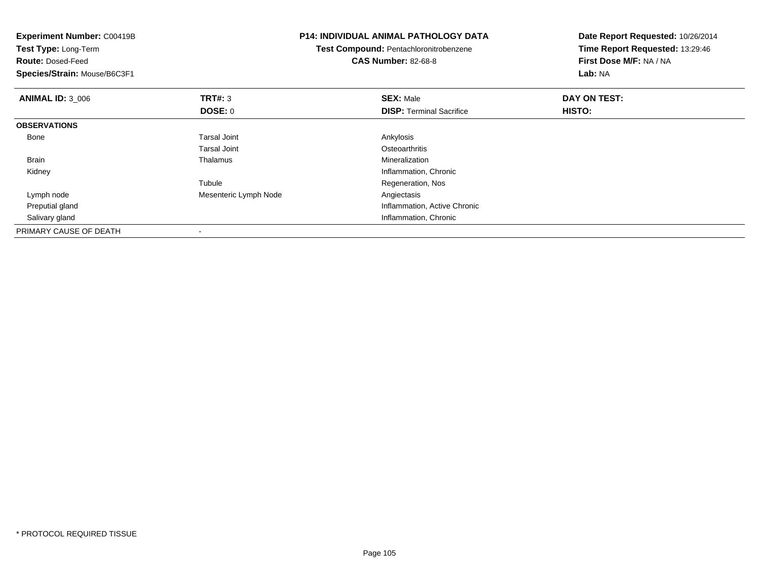| <b>Experiment Number: C00419B</b><br>Test Type: Long-Term<br><b>Route: Dosed-Feed</b><br>Species/Strain: Mouse/B6C3F1 |                                  | <b>P14: INDIVIDUAL ANIMAL PATHOLOGY DATA</b><br>Test Compound: Pentachloronitrobenzene<br><b>CAS Number: 82-68-8</b> | Date Report Requested: 10/26/2014<br>Time Report Requested: 13:29:46<br>First Dose M/F: NA / NA<br>Lab: NA |  |
|-----------------------------------------------------------------------------------------------------------------------|----------------------------------|----------------------------------------------------------------------------------------------------------------------|------------------------------------------------------------------------------------------------------------|--|
| <b>ANIMAL ID: 3 006</b>                                                                                               | <b>TRT#: 3</b><br><b>DOSE: 0</b> | <b>SEX: Male</b><br><b>DISP:</b> Terminal Sacrifice                                                                  | DAY ON TEST:<br>HISTO:                                                                                     |  |
| <b>OBSERVATIONS</b>                                                                                                   |                                  |                                                                                                                      |                                                                                                            |  |
| Bone                                                                                                                  | <b>Tarsal Joint</b>              | Ankylosis                                                                                                            |                                                                                                            |  |
|                                                                                                                       | Tarsal Joint                     | Osteoarthritis                                                                                                       |                                                                                                            |  |
| Brain                                                                                                                 | Thalamus                         | Mineralization                                                                                                       |                                                                                                            |  |
| Kidney                                                                                                                |                                  | Inflammation, Chronic                                                                                                |                                                                                                            |  |
|                                                                                                                       | Tubule                           | Regeneration, Nos                                                                                                    |                                                                                                            |  |
| Lymph node                                                                                                            | Mesenteric Lymph Node            | Angiectasis                                                                                                          |                                                                                                            |  |
| Preputial gland                                                                                                       |                                  | Inflammation, Active Chronic                                                                                         |                                                                                                            |  |
| Salivary gland                                                                                                        |                                  | Inflammation, Chronic                                                                                                |                                                                                                            |  |
| PRIMARY CAUSE OF DEATH                                                                                                |                                  |                                                                                                                      |                                                                                                            |  |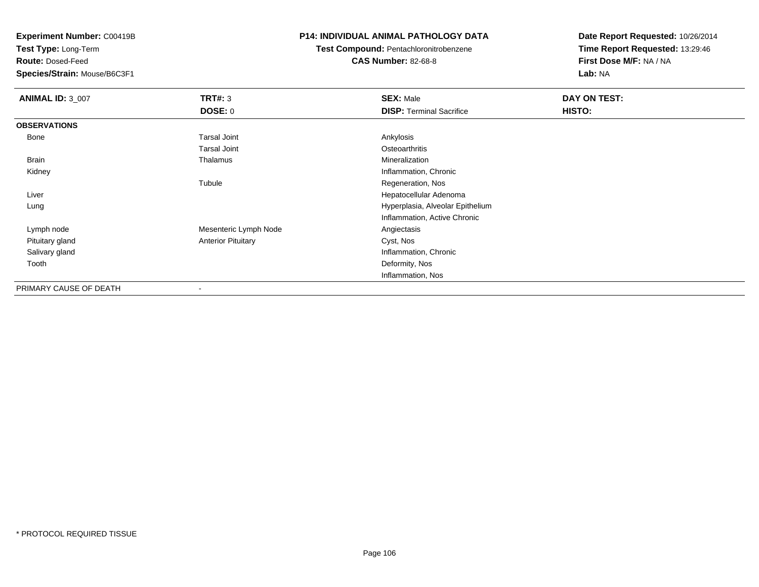**Test Type:** Long-Term

**Route:** Dosed-Feed

**Species/Strain:** Mouse/B6C3F1

## **P14: INDIVIDUAL ANIMAL PATHOLOGY DATA**

**Test Compound:** Pentachloronitrobenzene

**CAS Number:** 82-68-8

| <b>ANIMAL ID: 3_007</b> | TRT#: 3                   | <b>SEX: Male</b>                 | DAY ON TEST: |  |
|-------------------------|---------------------------|----------------------------------|--------------|--|
|                         | <b>DOSE: 0</b>            | <b>DISP: Terminal Sacrifice</b>  | HISTO:       |  |
| <b>OBSERVATIONS</b>     |                           |                                  |              |  |
| Bone                    | <b>Tarsal Joint</b>       | Ankylosis                        |              |  |
|                         | <b>Tarsal Joint</b>       | Osteoarthritis                   |              |  |
| Brain                   | Thalamus                  | Mineralization                   |              |  |
| Kidney                  |                           | Inflammation, Chronic            |              |  |
|                         | Tubule                    | Regeneration, Nos                |              |  |
| Liver                   |                           | Hepatocellular Adenoma           |              |  |
| Lung                    |                           | Hyperplasia, Alveolar Epithelium |              |  |
|                         |                           | Inflammation, Active Chronic     |              |  |
| Lymph node              | Mesenteric Lymph Node     | Angiectasis                      |              |  |
| Pituitary gland         | <b>Anterior Pituitary</b> | Cyst, Nos                        |              |  |
| Salivary gland          |                           | Inflammation, Chronic            |              |  |
| Tooth                   |                           | Deformity, Nos                   |              |  |
|                         |                           | Inflammation, Nos                |              |  |
| PRIMARY CAUSE OF DEATH  | $\overline{\phantom{a}}$  |                                  |              |  |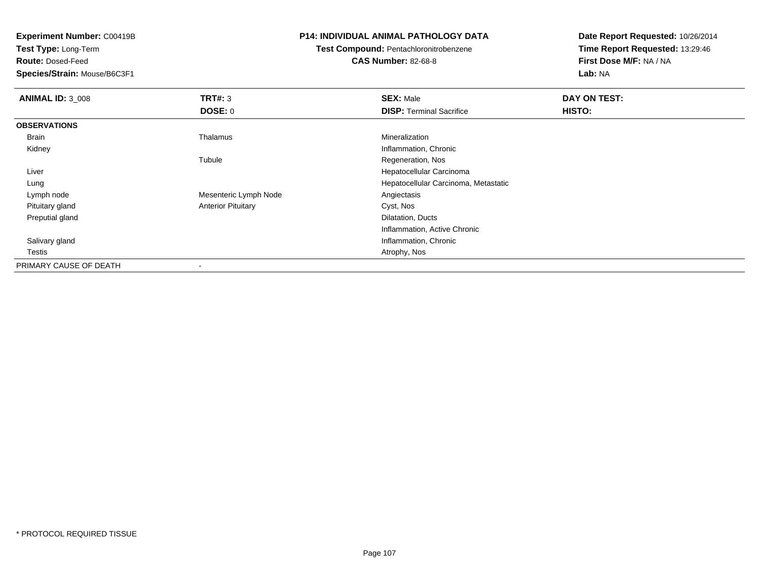**Test Type:** Long-Term

**Route:** Dosed-Feed

**Species/Strain:** Mouse/B6C3F1

## **P14: INDIVIDUAL ANIMAL PATHOLOGY DATA**

**Test Compound:** Pentachloronitrobenzene

**CAS Number:** 82-68-8

| <b>ANIMAL ID: 3_008</b> | TRT#: 3                   | <b>SEX: Male</b>                     | DAY ON TEST: |  |
|-------------------------|---------------------------|--------------------------------------|--------------|--|
|                         | <b>DOSE: 0</b>            | <b>DISP: Terminal Sacrifice</b>      | HISTO:       |  |
| <b>OBSERVATIONS</b>     |                           |                                      |              |  |
| Brain                   | Thalamus                  | Mineralization                       |              |  |
| Kidney                  |                           | Inflammation, Chronic                |              |  |
|                         | Tubule                    | Regeneration, Nos                    |              |  |
| Liver                   |                           | Hepatocellular Carcinoma             |              |  |
| Lung                    |                           | Hepatocellular Carcinoma, Metastatic |              |  |
| Lymph node              | Mesenteric Lymph Node     | Angiectasis                          |              |  |
| Pituitary gland         | <b>Anterior Pituitary</b> | Cyst, Nos                            |              |  |
| Preputial gland         |                           | Dilatation, Ducts                    |              |  |
|                         |                           | Inflammation, Active Chronic         |              |  |
| Salivary gland          |                           | Inflammation, Chronic                |              |  |
| Testis                  |                           | Atrophy, Nos                         |              |  |
| PRIMARY CAUSE OF DEATH  |                           |                                      |              |  |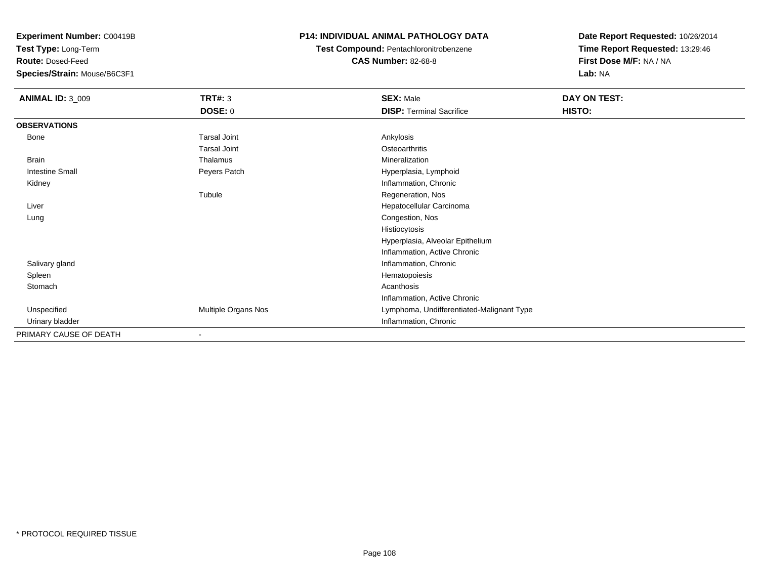**Test Type:** Long-Term

**Route:** Dosed-Feed

**Species/Strain:** Mouse/B6C3F1

## **P14: INDIVIDUAL ANIMAL PATHOLOGY DATA**

**Test Compound:** Pentachloronitrobenzene**CAS Number:** 82-68-8

| <b>ANIMAL ID: 3_009</b> | TRT#: 3             | <b>SEX: Male</b>                          | DAY ON TEST: |
|-------------------------|---------------------|-------------------------------------------|--------------|
|                         | <b>DOSE: 0</b>      | <b>DISP: Terminal Sacrifice</b>           | HISTO:       |
| <b>OBSERVATIONS</b>     |                     |                                           |              |
| Bone                    | <b>Tarsal Joint</b> | Ankylosis                                 |              |
|                         | <b>Tarsal Joint</b> | Osteoarthritis                            |              |
| Brain                   | Thalamus            | Mineralization                            |              |
| <b>Intestine Small</b>  | Peyers Patch        | Hyperplasia, Lymphoid                     |              |
| Kidney                  |                     | Inflammation, Chronic                     |              |
|                         | Tubule              | Regeneration, Nos                         |              |
| Liver                   |                     | Hepatocellular Carcinoma                  |              |
| Lung                    |                     | Congestion, Nos                           |              |
|                         |                     | Histiocytosis                             |              |
|                         |                     | Hyperplasia, Alveolar Epithelium          |              |
|                         |                     | Inflammation, Active Chronic              |              |
| Salivary gland          |                     | Inflammation, Chronic                     |              |
| Spleen                  |                     | Hematopoiesis                             |              |
| Stomach                 |                     | Acanthosis                                |              |
|                         |                     | Inflammation, Active Chronic              |              |
| Unspecified             | Multiple Organs Nos | Lymphoma, Undifferentiated-Malignant Type |              |
| Urinary bladder         |                     | Inflammation, Chronic                     |              |
| PRIMARY CAUSE OF DEATH  |                     |                                           |              |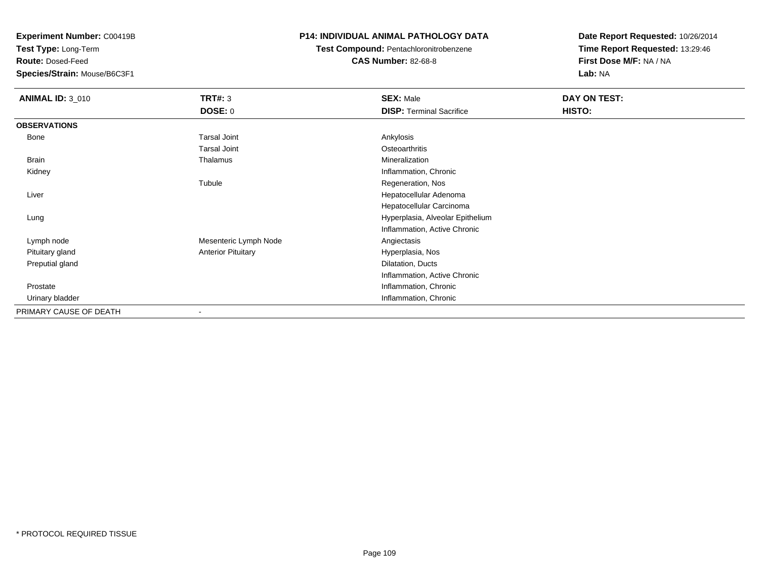**Test Type:** Long-Term

**Route:** Dosed-Feed

**Species/Strain:** Mouse/B6C3F1

# **P14: INDIVIDUAL ANIMAL PATHOLOGY DATA**

**Test Compound:** Pentachloronitrobenzene**CAS Number:** 82-68-8

| <b>ANIMAL ID: 3_010</b> | <b>TRT#: 3</b>            | <b>SEX: Male</b>                 | DAY ON TEST: |  |
|-------------------------|---------------------------|----------------------------------|--------------|--|
|                         | <b>DOSE: 0</b>            | <b>DISP: Terminal Sacrifice</b>  | HISTO:       |  |
| <b>OBSERVATIONS</b>     |                           |                                  |              |  |
| Bone                    | <b>Tarsal Joint</b>       | Ankylosis                        |              |  |
|                         | <b>Tarsal Joint</b>       | Osteoarthritis                   |              |  |
| <b>Brain</b>            | Thalamus                  | Mineralization                   |              |  |
| Kidney                  |                           | Inflammation, Chronic            |              |  |
|                         | Tubule                    | Regeneration, Nos                |              |  |
| Liver                   |                           | Hepatocellular Adenoma           |              |  |
|                         |                           | Hepatocellular Carcinoma         |              |  |
| Lung                    |                           | Hyperplasia, Alveolar Epithelium |              |  |
|                         |                           | Inflammation, Active Chronic     |              |  |
| Lymph node              | Mesenteric Lymph Node     | Angiectasis                      |              |  |
| Pituitary gland         | <b>Anterior Pituitary</b> | Hyperplasia, Nos                 |              |  |
| Preputial gland         |                           | Dilatation, Ducts                |              |  |
|                         |                           | Inflammation, Active Chronic     |              |  |
| Prostate                |                           | Inflammation, Chronic            |              |  |
| Urinary bladder         |                           | Inflammation, Chronic            |              |  |
| PRIMARY CAUSE OF DEATH  |                           |                                  |              |  |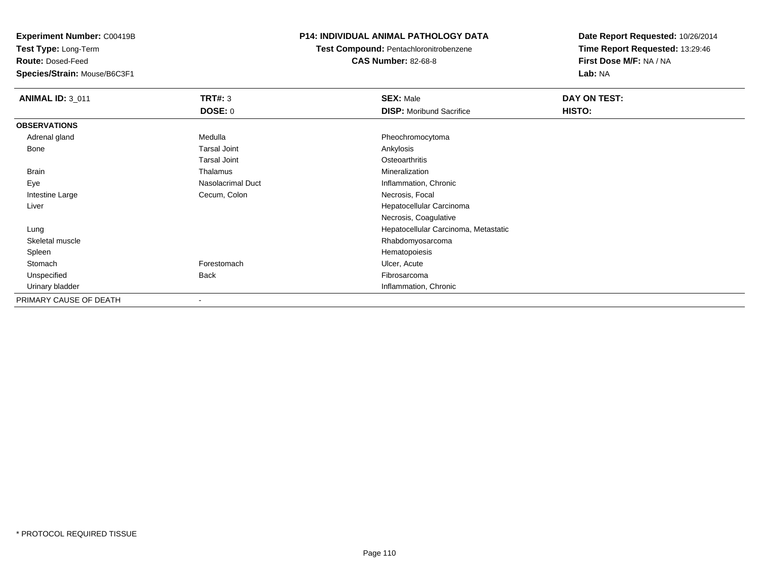**Test Type:** Long-Term

**Route:** Dosed-Feed

**Species/Strain:** Mouse/B6C3F1

## **P14: INDIVIDUAL ANIMAL PATHOLOGY DATA**

**Test Compound:** Pentachloronitrobenzene**CAS Number:** 82-68-8

| <b>ANIMAL ID: 3_011</b> | <b>TRT#: 3</b>           | <b>SEX: Male</b>                     | DAY ON TEST: |  |
|-------------------------|--------------------------|--------------------------------------|--------------|--|
|                         | DOSE: 0                  | <b>DISP:</b> Moribund Sacrifice      | HISTO:       |  |
| <b>OBSERVATIONS</b>     |                          |                                      |              |  |
| Adrenal gland           | Medulla                  | Pheochromocytoma                     |              |  |
| Bone                    | <b>Tarsal Joint</b>      | Ankylosis                            |              |  |
|                         | <b>Tarsal Joint</b>      | Osteoarthritis                       |              |  |
| <b>Brain</b>            | Thalamus                 | Mineralization                       |              |  |
| Eye                     | Nasolacrimal Duct        | Inflammation, Chronic                |              |  |
| Intestine Large         | Cecum, Colon             | Necrosis, Focal                      |              |  |
| Liver                   |                          | Hepatocellular Carcinoma             |              |  |
|                         |                          | Necrosis, Coagulative                |              |  |
| Lung                    |                          | Hepatocellular Carcinoma, Metastatic |              |  |
| Skeletal muscle         |                          | Rhabdomyosarcoma                     |              |  |
| Spleen                  |                          | Hematopoiesis                        |              |  |
| Stomach                 | Forestomach              | Ulcer, Acute                         |              |  |
| Unspecified             | <b>Back</b>              | Fibrosarcoma                         |              |  |
| Urinary bladder         |                          | Inflammation, Chronic                |              |  |
| PRIMARY CAUSE OF DEATH  | $\overline{\phantom{a}}$ |                                      |              |  |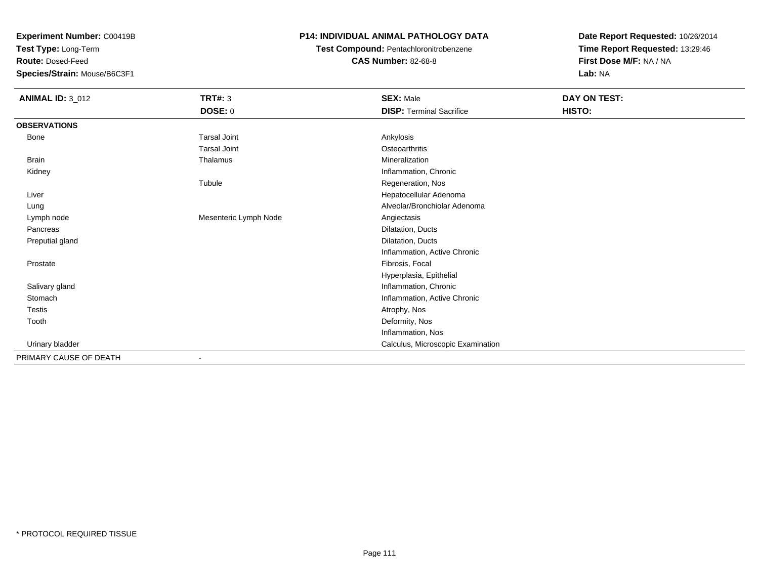**Test Type:** Long-Term

**Route:** Dosed-Feed

**Species/Strain:** Mouse/B6C3F1

# **P14: INDIVIDUAL ANIMAL PATHOLOGY DATA**

**Test Compound:** Pentachloronitrobenzene

**CAS Number:** 82-68-8

| <b>ANIMAL ID: 3_012</b> | <b>TRT#: 3</b>        | <b>SEX: Male</b>                  | DAY ON TEST: |  |
|-------------------------|-----------------------|-----------------------------------|--------------|--|
|                         | <b>DOSE: 0</b>        | <b>DISP: Terminal Sacrifice</b>   | HISTO:       |  |
| <b>OBSERVATIONS</b>     |                       |                                   |              |  |
| Bone                    | <b>Tarsal Joint</b>   | Ankylosis                         |              |  |
|                         | <b>Tarsal Joint</b>   | Osteoarthritis                    |              |  |
| Brain                   | Thalamus              | Mineralization                    |              |  |
| Kidney                  |                       | Inflammation, Chronic             |              |  |
|                         | Tubule                | Regeneration, Nos                 |              |  |
| Liver                   |                       | Hepatocellular Adenoma            |              |  |
| Lung                    |                       | Alveolar/Bronchiolar Adenoma      |              |  |
| Lymph node              | Mesenteric Lymph Node | Angiectasis                       |              |  |
| Pancreas                |                       | Dilatation, Ducts                 |              |  |
| Preputial gland         |                       | Dilatation, Ducts                 |              |  |
|                         |                       | Inflammation, Active Chronic      |              |  |
| Prostate                |                       | Fibrosis, Focal                   |              |  |
|                         |                       | Hyperplasia, Epithelial           |              |  |
| Salivary gland          |                       | Inflammation, Chronic             |              |  |
| Stomach                 |                       | Inflammation, Active Chronic      |              |  |
| Testis                  |                       | Atrophy, Nos                      |              |  |
| Tooth                   |                       | Deformity, Nos                    |              |  |
|                         |                       | Inflammation, Nos                 |              |  |
| Urinary bladder         |                       | Calculus, Microscopic Examination |              |  |
| PRIMARY CAUSE OF DEATH  |                       |                                   |              |  |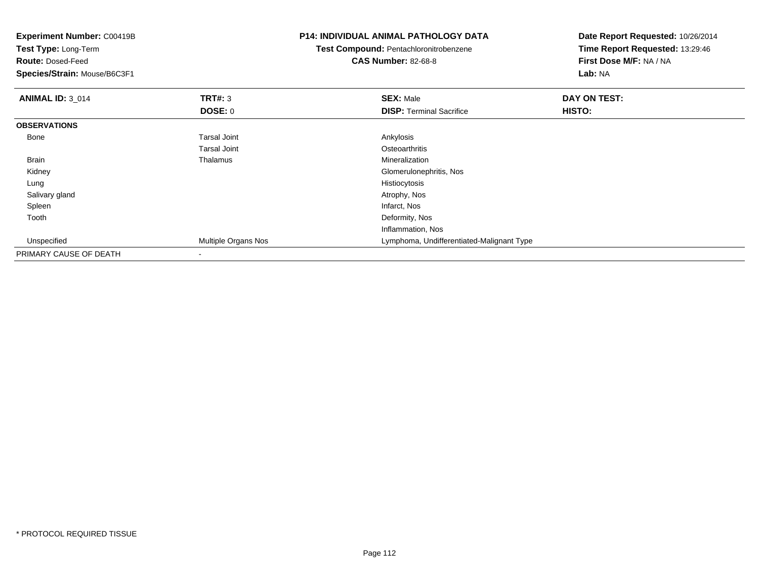| Experiment Number: C00419B   |                     | <b>P14: INDIVIDUAL ANIMAL PATHOLOGY DATA</b>  | Date Report Requested: 10/26/2014 |  |
|------------------------------|---------------------|-----------------------------------------------|-----------------------------------|--|
| Test Type: Long-Term         |                     | <b>Test Compound: Pentachloronitrobenzene</b> | Time Report Requested: 13:29:46   |  |
| <b>Route: Dosed-Feed</b>     |                     | <b>CAS Number: 82-68-8</b>                    | First Dose M/F: NA / NA           |  |
| Species/Strain: Mouse/B6C3F1 |                     |                                               | Lab: NA                           |  |
| <b>ANIMAL ID: 3_014</b>      | <b>TRT#: 3</b>      | <b>SEX: Male</b>                              | DAY ON TEST:                      |  |
|                              | <b>DOSE: 0</b>      | <b>DISP: Terminal Sacrifice</b>               | <b>HISTO:</b>                     |  |
| <b>OBSERVATIONS</b>          |                     |                                               |                                   |  |
| Bone                         | <b>Tarsal Joint</b> | Ankylosis                                     |                                   |  |
|                              | <b>Tarsal Joint</b> | Osteoarthritis                                |                                   |  |
| Brain                        | Thalamus            | Mineralization                                |                                   |  |
| Kidney                       |                     | Glomerulonephritis, Nos                       |                                   |  |
| Lung                         |                     | Histiocytosis                                 |                                   |  |
| Salivary gland               |                     | Atrophy, Nos                                  |                                   |  |
| Spleen                       |                     | Infarct, Nos                                  |                                   |  |
| Tooth                        |                     | Deformity, Nos                                |                                   |  |
|                              |                     | Inflammation, Nos                             |                                   |  |
| Unspecified                  | Multiple Organs Nos | Lymphoma, Undifferentiated-Malignant Type     |                                   |  |
| PRIMARY CAUSE OF DEATH       |                     |                                               |                                   |  |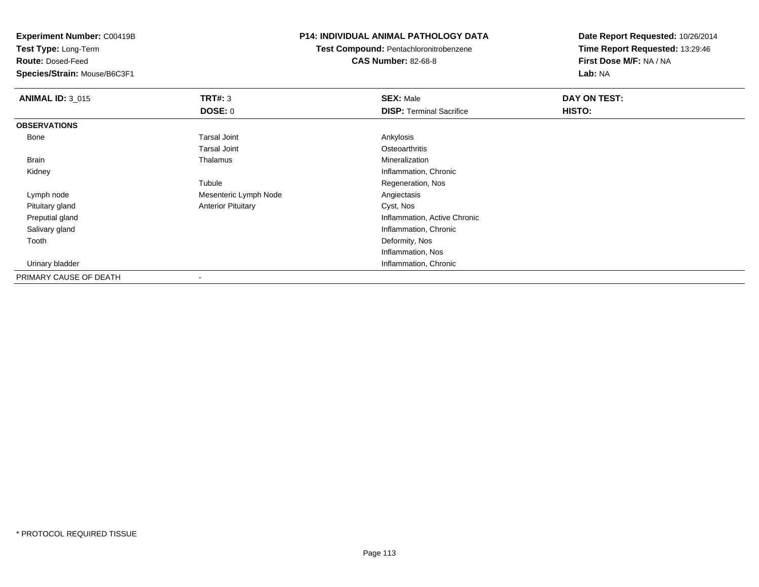**Test Type:** Long-Term

**Route:** Dosed-Feed

**Species/Strain:** Mouse/B6C3F1

## **P14: INDIVIDUAL ANIMAL PATHOLOGY DATA**

**Test Compound:** Pentachloronitrobenzene**CAS Number:** 82-68-8

| <b>ANIMAL ID: 3_015</b> | TRT#: 3                   | <b>SEX: Male</b>                | DAY ON TEST: |  |
|-------------------------|---------------------------|---------------------------------|--------------|--|
|                         | <b>DOSE: 0</b>            | <b>DISP:</b> Terminal Sacrifice | HISTO:       |  |
| <b>OBSERVATIONS</b>     |                           |                                 |              |  |
| Bone                    | <b>Tarsal Joint</b>       | Ankylosis                       |              |  |
|                         | Tarsal Joint              | Osteoarthritis                  |              |  |
| Brain                   | Thalamus                  | Mineralization                  |              |  |
| Kidney                  |                           | Inflammation, Chronic           |              |  |
|                         | Tubule                    | Regeneration, Nos               |              |  |
| Lymph node              | Mesenteric Lymph Node     | Angiectasis                     |              |  |
| Pituitary gland         | <b>Anterior Pituitary</b> | Cyst, Nos                       |              |  |
| Preputial gland         |                           | Inflammation, Active Chronic    |              |  |
| Salivary gland          |                           | Inflammation, Chronic           |              |  |
| Tooth                   |                           | Deformity, Nos                  |              |  |
|                         |                           | Inflammation, Nos               |              |  |
| Urinary bladder         |                           | Inflammation, Chronic           |              |  |
| PRIMARY CAUSE OF DEATH  | $\overline{\phantom{a}}$  |                                 |              |  |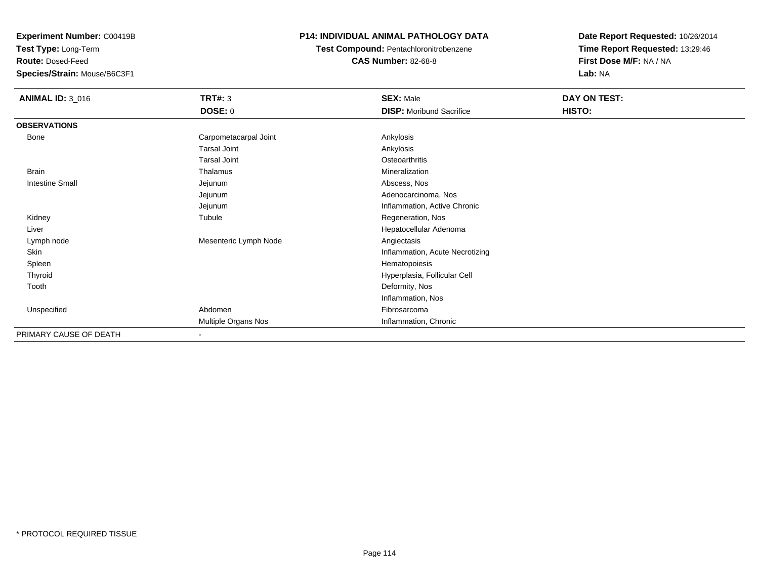**Test Type:** Long-Term

**Route:** Dosed-Feed

**Species/Strain:** Mouse/B6C3F1

# **P14: INDIVIDUAL ANIMAL PATHOLOGY DATA**

**Test Compound:** Pentachloronitrobenzene**CAS Number:** 82-68-8

| <b>ANIMAL ID: 3_016</b> | <b>TRT#: 3</b>        | <b>SEX: Male</b>                | DAY ON TEST: |  |
|-------------------------|-----------------------|---------------------------------|--------------|--|
|                         | <b>DOSE: 0</b>        | <b>DISP:</b> Moribund Sacrifice | HISTO:       |  |
| <b>OBSERVATIONS</b>     |                       |                                 |              |  |
| <b>Bone</b>             | Carpometacarpal Joint | Ankylosis                       |              |  |
|                         | <b>Tarsal Joint</b>   | Ankylosis                       |              |  |
|                         | <b>Tarsal Joint</b>   | Osteoarthritis                  |              |  |
| <b>Brain</b>            | Thalamus              | Mineralization                  |              |  |
| <b>Intestine Small</b>  | Jejunum               | Abscess, Nos                    |              |  |
|                         | Jejunum               | Adenocarcinoma, Nos             |              |  |
|                         | Jejunum               | Inflammation, Active Chronic    |              |  |
| Kidney                  | Tubule                | Regeneration, Nos               |              |  |
| Liver                   |                       | Hepatocellular Adenoma          |              |  |
| Lymph node              | Mesenteric Lymph Node | Angiectasis                     |              |  |
| Skin                    |                       | Inflammation, Acute Necrotizing |              |  |
| Spleen                  |                       | Hematopoiesis                   |              |  |
| Thyroid                 |                       | Hyperplasia, Follicular Cell    |              |  |
| Tooth                   |                       | Deformity, Nos                  |              |  |
|                         |                       | Inflammation, Nos               |              |  |
| Unspecified             | Abdomen               | Fibrosarcoma                    |              |  |
|                         | Multiple Organs Nos   | Inflammation, Chronic           |              |  |
| PRIMARY CAUSE OF DEATH  | $\blacksquare$        |                                 |              |  |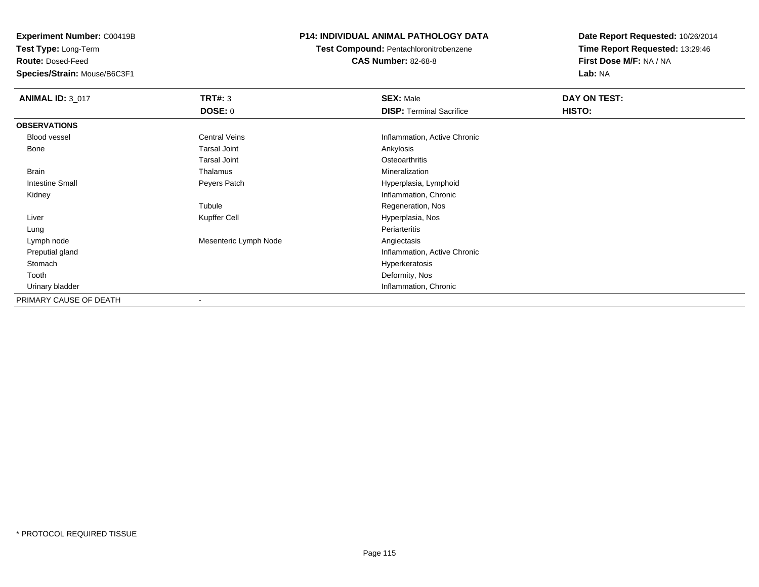**Test Type:** Long-Term

**Route:** Dosed-Feed

**Species/Strain:** Mouse/B6C3F1

# **P14: INDIVIDUAL ANIMAL PATHOLOGY DATA**

**Test Compound:** Pentachloronitrobenzene

**CAS Number:** 82-68-8

| <b>ANIMAL ID: 3_017</b> | TRT#: 3                  | <b>SEX: Male</b>                | DAY ON TEST: |  |
|-------------------------|--------------------------|---------------------------------|--------------|--|
|                         | <b>DOSE: 0</b>           | <b>DISP: Terminal Sacrifice</b> | HISTO:       |  |
| <b>OBSERVATIONS</b>     |                          |                                 |              |  |
| Blood vessel            | <b>Central Veins</b>     | Inflammation, Active Chronic    |              |  |
| Bone                    | <b>Tarsal Joint</b>      | Ankylosis                       |              |  |
|                         | <b>Tarsal Joint</b>      | Osteoarthritis                  |              |  |
| Brain                   | Thalamus                 | Mineralization                  |              |  |
| <b>Intestine Small</b>  | Peyers Patch             | Hyperplasia, Lymphoid           |              |  |
| Kidney                  |                          | Inflammation, Chronic           |              |  |
|                         | Tubule                   | Regeneration, Nos               |              |  |
| Liver                   | Kupffer Cell             | Hyperplasia, Nos                |              |  |
| Lung                    |                          | Periarteritis                   |              |  |
| Lymph node              | Mesenteric Lymph Node    | Angiectasis                     |              |  |
| Preputial gland         |                          | Inflammation, Active Chronic    |              |  |
| Stomach                 |                          | Hyperkeratosis                  |              |  |
| Tooth                   |                          | Deformity, Nos                  |              |  |
| Urinary bladder         |                          | Inflammation, Chronic           |              |  |
| PRIMARY CAUSE OF DEATH  | $\overline{\phantom{a}}$ |                                 |              |  |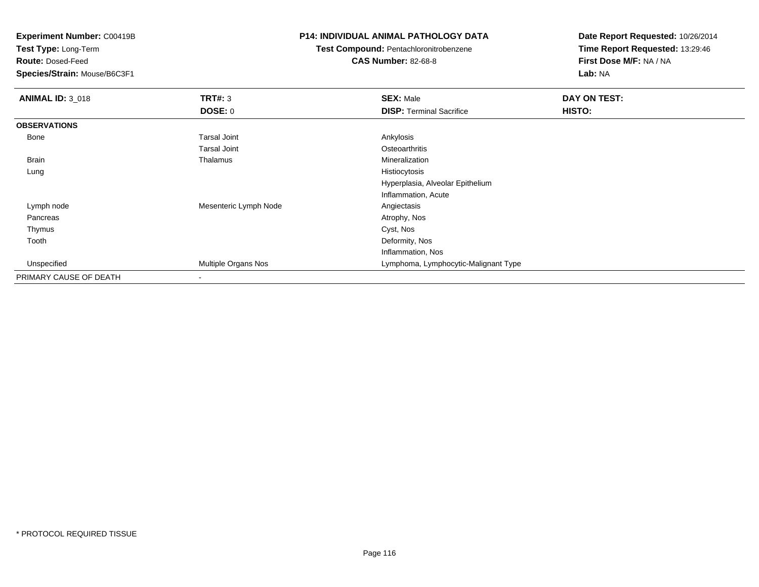**Test Type:** Long-Term

**Route:** Dosed-Feed

**Species/Strain:** Mouse/B6C3F1

#### **P14: INDIVIDUAL ANIMAL PATHOLOGY DATA**

**Test Compound:** Pentachloronitrobenzene

**CAS Number:** 82-68-8

| <b>ANIMAL ID: 3_018</b> | TRT#: 3                    | <b>SEX: Male</b>                     | DAY ON TEST: |
|-------------------------|----------------------------|--------------------------------------|--------------|
|                         | <b>DOSE: 0</b>             | <b>DISP: Terminal Sacrifice</b>      | HISTO:       |
| <b>OBSERVATIONS</b>     |                            |                                      |              |
| Bone                    | <b>Tarsal Joint</b>        | Ankylosis                            |              |
|                         | <b>Tarsal Joint</b>        | Osteoarthritis                       |              |
| Brain                   | Thalamus                   | Mineralization                       |              |
| Lung                    |                            | Histiocytosis                        |              |
|                         |                            | Hyperplasia, Alveolar Epithelium     |              |
|                         |                            | Inflammation, Acute                  |              |
| Lymph node              | Mesenteric Lymph Node      | Angiectasis                          |              |
| Pancreas                |                            | Atrophy, Nos                         |              |
| Thymus                  |                            | Cyst, Nos                            |              |
| Tooth                   |                            | Deformity, Nos                       |              |
|                         |                            | Inflammation, Nos                    |              |
| Unspecified             | <b>Multiple Organs Nos</b> | Lymphoma, Lymphocytic-Malignant Type |              |
| PRIMARY CAUSE OF DEATH  | $\blacksquare$             |                                      |              |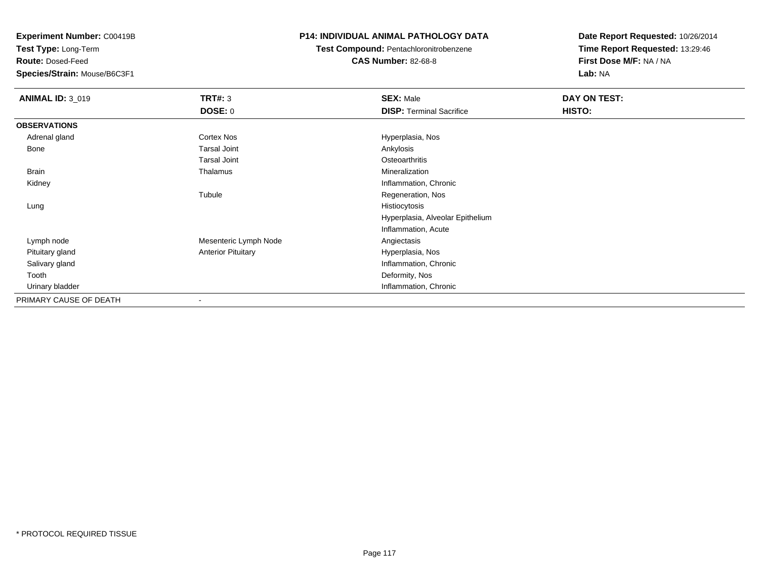**Test Type:** Long-Term

**Route:** Dosed-Feed

**Species/Strain:** Mouse/B6C3F1

# **P14: INDIVIDUAL ANIMAL PATHOLOGY DATA**

**Test Compound:** Pentachloronitrobenzene

**CAS Number:** 82-68-8

| <b>ANIMAL ID: 3_019</b> | TRT#: 3                   | <b>SEX: Male</b>                 | DAY ON TEST: |
|-------------------------|---------------------------|----------------------------------|--------------|
|                         | <b>DOSE: 0</b>            | <b>DISP: Terminal Sacrifice</b>  | HISTO:       |
| <b>OBSERVATIONS</b>     |                           |                                  |              |
| Adrenal gland           | <b>Cortex Nos</b>         | Hyperplasia, Nos                 |              |
| Bone                    | <b>Tarsal Joint</b>       | Ankylosis                        |              |
|                         | <b>Tarsal Joint</b>       | Osteoarthritis                   |              |
| Brain                   | Thalamus                  | Mineralization                   |              |
| Kidney                  |                           | Inflammation, Chronic            |              |
|                         | Tubule                    | Regeneration, Nos                |              |
| Lung                    |                           | Histiocytosis                    |              |
|                         |                           | Hyperplasia, Alveolar Epithelium |              |
|                         |                           | Inflammation, Acute              |              |
| Lymph node              | Mesenteric Lymph Node     | Angiectasis                      |              |
| Pituitary gland         | <b>Anterior Pituitary</b> | Hyperplasia, Nos                 |              |
| Salivary gland          |                           | Inflammation, Chronic            |              |
| Tooth                   |                           | Deformity, Nos                   |              |
| Urinary bladder         |                           | Inflammation, Chronic            |              |
| PRIMARY CAUSE OF DEATH  | $\overline{\phantom{a}}$  |                                  |              |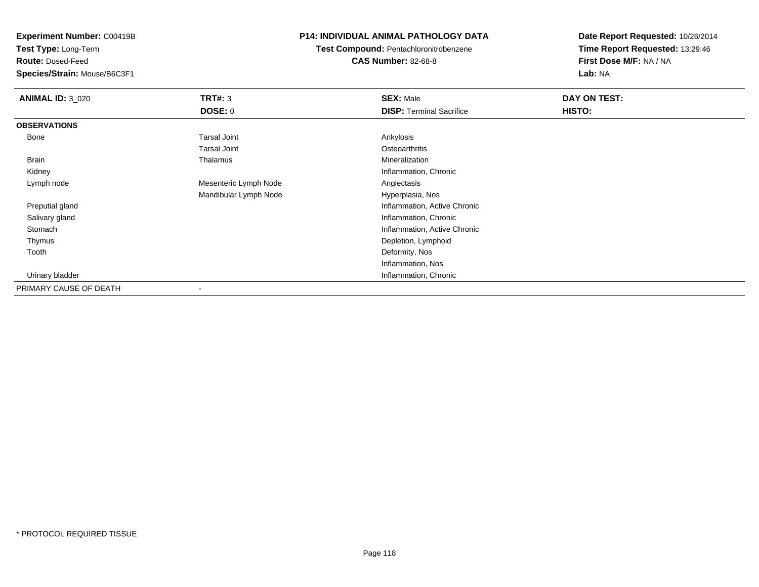**Test Type:** Long-Term

**Route:** Dosed-Feed

**Species/Strain:** Mouse/B6C3F1

# **P14: INDIVIDUAL ANIMAL PATHOLOGY DATA**

**Test Compound:** Pentachloronitrobenzene**CAS Number:** 82-68-8

| <b>ANIMAL ID: 3_020</b> | TRT#: 3               | <b>SEX: Male</b>                | DAY ON TEST: |  |
|-------------------------|-----------------------|---------------------------------|--------------|--|
|                         | DOSE: 0               | <b>DISP: Terminal Sacrifice</b> | HISTO:       |  |
| <b>OBSERVATIONS</b>     |                       |                                 |              |  |
| Bone                    | <b>Tarsal Joint</b>   | Ankylosis                       |              |  |
|                         | <b>Tarsal Joint</b>   | Osteoarthritis                  |              |  |
| Brain                   | Thalamus              | Mineralization                  |              |  |
| Kidney                  |                       | Inflammation, Chronic           |              |  |
| Lymph node              | Mesenteric Lymph Node | Angiectasis                     |              |  |
|                         | Mandibular Lymph Node | Hyperplasia, Nos                |              |  |
| Preputial gland         |                       | Inflammation, Active Chronic    |              |  |
| Salivary gland          |                       | Inflammation, Chronic           |              |  |
| Stomach                 |                       | Inflammation, Active Chronic    |              |  |
| Thymus                  |                       | Depletion, Lymphoid             |              |  |
| Tooth                   |                       | Deformity, Nos                  |              |  |
|                         |                       | Inflammation, Nos               |              |  |
| Urinary bladder         |                       | Inflammation, Chronic           |              |  |
| PRIMARY CAUSE OF DEATH  |                       |                                 |              |  |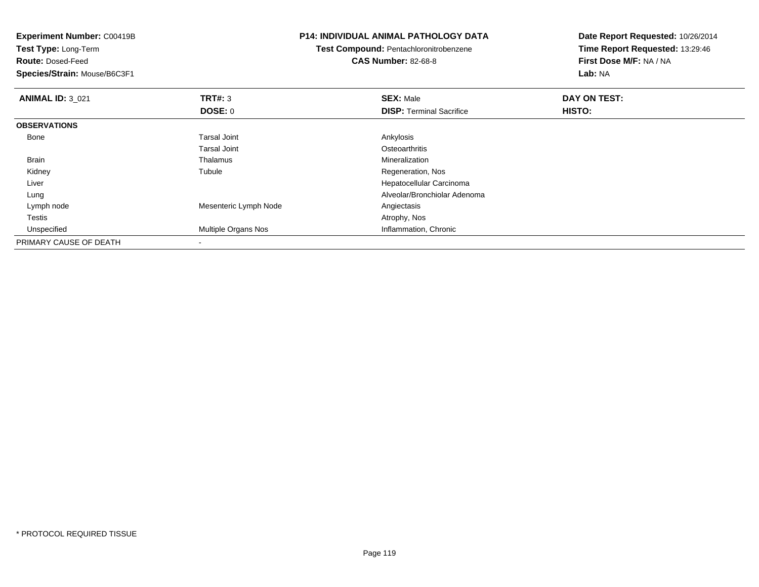| Experiment Number: C00419B   |                       | <b>P14: INDIVIDUAL ANIMAL PATHOLOGY DATA</b> | Date Report Requested: 10/26/2014 |
|------------------------------|-----------------------|----------------------------------------------|-----------------------------------|
| Test Type: Long-Term         |                       | Test Compound: Pentachloronitrobenzene       | Time Report Requested: 13:29:46   |
| <b>Route: Dosed-Feed</b>     |                       | <b>CAS Number: 82-68-8</b>                   | First Dose M/F: NA / NA           |
| Species/Strain: Mouse/B6C3F1 |                       |                                              | Lab: NA                           |
| <b>ANIMAL ID: 3_021</b>      | <b>TRT#: 3</b>        | <b>SEX: Male</b>                             | DAY ON TEST:                      |
|                              | <b>DOSE: 0</b>        | <b>DISP: Terminal Sacrifice</b>              | <b>HISTO:</b>                     |
| <b>OBSERVATIONS</b>          |                       |                                              |                                   |
| Bone                         | Tarsal Joint          | Ankylosis                                    |                                   |
|                              | <b>Tarsal Joint</b>   | Osteoarthritis                               |                                   |
| Brain                        | Thalamus              | Mineralization                               |                                   |
| Kidney                       | Tubule                | Regeneration, Nos                            |                                   |
| Liver                        |                       | Hepatocellular Carcinoma                     |                                   |
| Lung                         |                       | Alveolar/Bronchiolar Adenoma                 |                                   |
| Lymph node                   | Mesenteric Lymph Node | Angiectasis                                  |                                   |
| Testis                       |                       | Atrophy, Nos                                 |                                   |
| Unspecified                  | Multiple Organs Nos   | Inflammation, Chronic                        |                                   |
| PRIMARY CAUSE OF DEATH       |                       |                                              |                                   |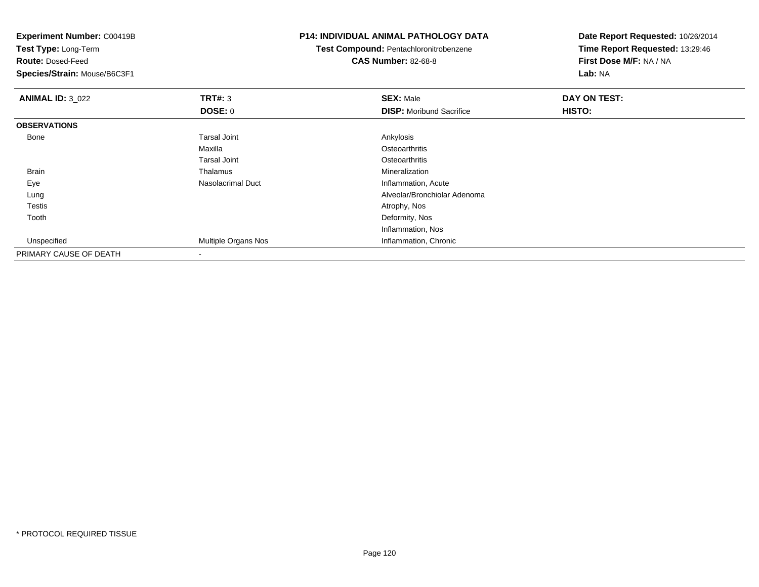**Experiment Number:** C00419B**Test Type:** Long-Term**Route:** Dosed-Feed **Species/Strain:** Mouse/B6C3F1**P14: INDIVIDUAL ANIMAL PATHOLOGY DATATest Compound:** Pentachloronitrobenzene**CAS Number:** 82-68-8**Date Report Requested:** 10/26/2014**Time Report Requested:** 13:29:46**First Dose M/F:** NA / NA**Lab:** NA**ANIMAL ID:** 3\_022 **TRT#:** <sup>3</sup> **SEX:** Male **DAY ON TEST: DOSE:** 0**DISP:** Moribund Sacrifice **HISTO: OBSERVATIONS** Bonee and the set of the set of the set of the set of the set of the set of the set of the set of the set of the s Maxilla**Osteoarthritis** Tarsal Joint**Osteoarthritis** Mineralization Brain Thalamus Mineralization EyeNasolacrimal Duct **Inflammation**, Acute Lung Alveolar/Bronchiolar Adenoma Testiss and the contract of the contract of the contract of the contract of the contract of the contract of the contract of the contract of the contract of the contract of the contract of the contract of the contract of the cont Tooth Deformity, Nos Inflammation, NosInflammation, Chronic UnspecifiedMultiple Organs Nos PRIMARY CAUSE OF DEATH-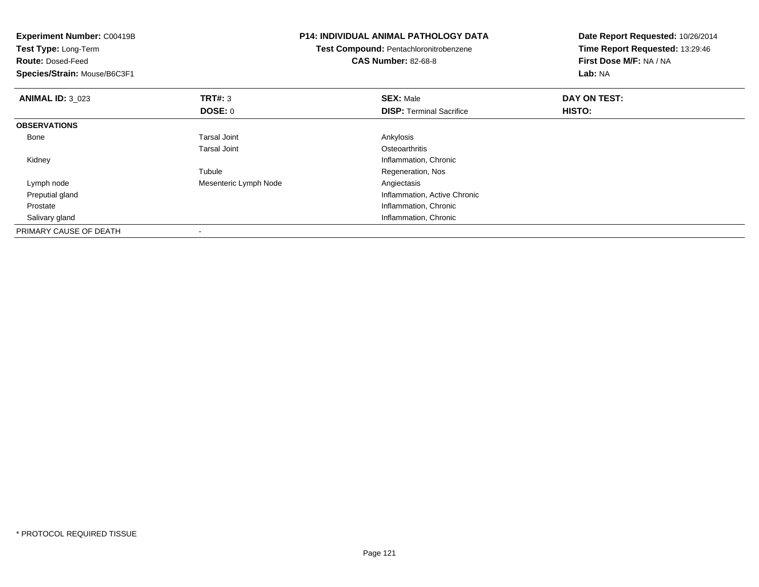| <b>Experiment Number: C00419B</b><br>Test Type: Long-Term |                       | <b>P14: INDIVIDUAL ANIMAL PATHOLOGY DATA</b> | Date Report Requested: 10/26/2014 |
|-----------------------------------------------------------|-----------------------|----------------------------------------------|-----------------------------------|
|                                                           |                       | Test Compound: Pentachloronitrobenzene       | Time Report Requested: 13:29:46   |
| <b>Route: Dosed-Feed</b>                                  |                       | <b>CAS Number: 82-68-8</b>                   | First Dose M/F: NA / NA           |
| Species/Strain: Mouse/B6C3F1                              |                       |                                              | Lab: NA                           |
| <b>ANIMAL ID: 3_023</b>                                   | TRT#: 3               | <b>SEX: Male</b>                             | DAY ON TEST:                      |
|                                                           | DOSE: 0               | <b>DISP:</b> Terminal Sacrifice              | <b>HISTO:</b>                     |
| <b>OBSERVATIONS</b>                                       |                       |                                              |                                   |
| Bone                                                      | <b>Tarsal Joint</b>   | Ankylosis                                    |                                   |
|                                                           | <b>Tarsal Joint</b>   | Osteoarthritis                               |                                   |
| Kidney                                                    |                       | Inflammation, Chronic                        |                                   |
|                                                           | Tubule                | Regeneration, Nos                            |                                   |
| Lymph node                                                | Mesenteric Lymph Node | Angiectasis                                  |                                   |
| Preputial gland                                           |                       | Inflammation, Active Chronic                 |                                   |
| Prostate                                                  |                       | Inflammation, Chronic                        |                                   |
| Salivary gland                                            |                       | Inflammation, Chronic                        |                                   |
| PRIMARY CAUSE OF DEATH                                    |                       |                                              |                                   |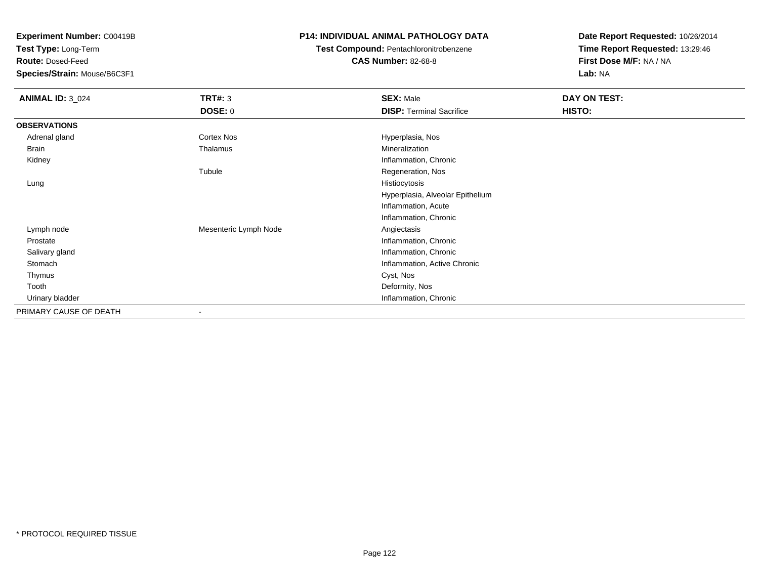**Test Type:** Long-Term

**Route:** Dosed-Feed

**Species/Strain:** Mouse/B6C3F1

# **P14: INDIVIDUAL ANIMAL PATHOLOGY DATA**

**Test Compound:** Pentachloronitrobenzene

**CAS Number:** 82-68-8

| <b>ANIMAL ID: 3_024</b> | <b>TRT#: 3</b>        | <b>SEX: Male</b>                 | DAY ON TEST: |
|-------------------------|-----------------------|----------------------------------|--------------|
|                         | <b>DOSE: 0</b>        | <b>DISP: Terminal Sacrifice</b>  | HISTO:       |
| <b>OBSERVATIONS</b>     |                       |                                  |              |
| Adrenal gland           | Cortex Nos            | Hyperplasia, Nos                 |              |
| <b>Brain</b>            | Thalamus              | Mineralization                   |              |
| Kidney                  |                       | Inflammation, Chronic            |              |
|                         | Tubule                | Regeneration, Nos                |              |
| Lung                    |                       | Histiocytosis                    |              |
|                         |                       | Hyperplasia, Alveolar Epithelium |              |
|                         |                       | Inflammation, Acute              |              |
|                         |                       | Inflammation, Chronic            |              |
| Lymph node              | Mesenteric Lymph Node | Angiectasis                      |              |
| Prostate                |                       | Inflammation, Chronic            |              |
| Salivary gland          |                       | Inflammation, Chronic            |              |
| Stomach                 |                       | Inflammation, Active Chronic     |              |
| Thymus                  |                       | Cyst, Nos                        |              |
| Tooth                   |                       | Deformity, Nos                   |              |
| Urinary bladder         |                       | Inflammation, Chronic            |              |
| PRIMARY CAUSE OF DEATH  |                       |                                  |              |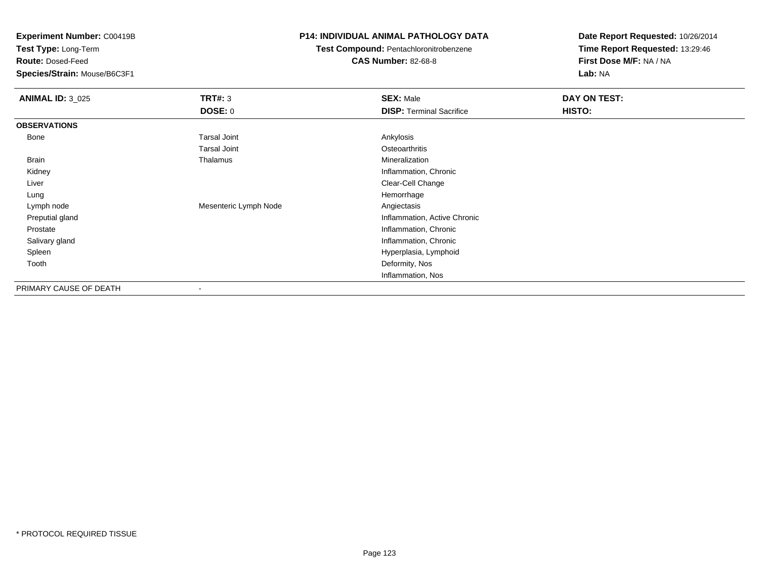**Test Type:** Long-Term

**Route:** Dosed-Feed

**Species/Strain:** Mouse/B6C3F1

## **P14: INDIVIDUAL ANIMAL PATHOLOGY DATA**

**Test Compound:** Pentachloronitrobenzene**CAS Number:** 82-68-8

| <b>ANIMAL ID: 3_025</b> | <b>TRT#: 3</b>        | <b>SEX: Male</b>                | DAY ON TEST: |  |
|-------------------------|-----------------------|---------------------------------|--------------|--|
|                         | <b>DOSE: 0</b>        | <b>DISP: Terminal Sacrifice</b> | HISTO:       |  |
| <b>OBSERVATIONS</b>     |                       |                                 |              |  |
| Bone                    | <b>Tarsal Joint</b>   | Ankylosis                       |              |  |
|                         | <b>Tarsal Joint</b>   | Osteoarthritis                  |              |  |
| Brain                   | Thalamus              | Mineralization                  |              |  |
| Kidney                  |                       | Inflammation, Chronic           |              |  |
| Liver                   |                       | Clear-Cell Change               |              |  |
| Lung                    |                       | Hemorrhage                      |              |  |
| Lymph node              | Mesenteric Lymph Node | Angiectasis                     |              |  |
| Preputial gland         |                       | Inflammation, Active Chronic    |              |  |
| Prostate                |                       | Inflammation, Chronic           |              |  |
| Salivary gland          |                       | Inflammation, Chronic           |              |  |
| Spleen                  |                       | Hyperplasia, Lymphoid           |              |  |
| Tooth                   |                       | Deformity, Nos                  |              |  |
|                         |                       | Inflammation, Nos               |              |  |
| PRIMARY CAUSE OF DEATH  |                       |                                 |              |  |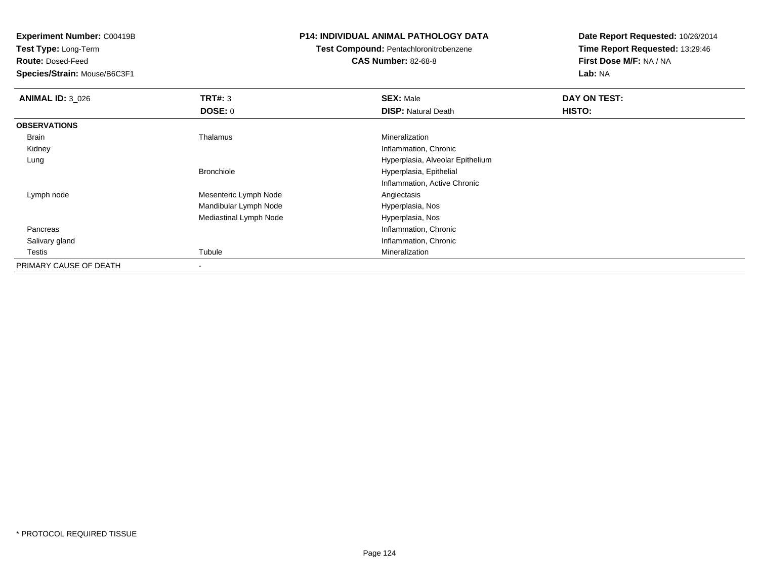**Test Type:** Long-Term

**Route:** Dosed-Feed

**Species/Strain:** Mouse/B6C3F1

#### **P14: INDIVIDUAL ANIMAL PATHOLOGY DATA**

# **Test Compound:** Pentachloronitrobenzene**CAS Number:** 82-68-8

| <b>ANIMAL ID: 3_026</b> | TRT#: 3                  | <b>SEX: Male</b>                 | DAY ON TEST: |  |
|-------------------------|--------------------------|----------------------------------|--------------|--|
|                         | <b>DOSE: 0</b>           | <b>DISP: Natural Death</b>       | HISTO:       |  |
| <b>OBSERVATIONS</b>     |                          |                                  |              |  |
| <b>Brain</b>            | Thalamus                 | Mineralization                   |              |  |
| Kidney                  |                          | Inflammation, Chronic            |              |  |
| Lung                    |                          | Hyperplasia, Alveolar Epithelium |              |  |
|                         | <b>Bronchiole</b>        | Hyperplasia, Epithelial          |              |  |
|                         |                          | Inflammation, Active Chronic     |              |  |
| Lymph node              | Mesenteric Lymph Node    | Angiectasis                      |              |  |
|                         | Mandibular Lymph Node    | Hyperplasia, Nos                 |              |  |
|                         | Mediastinal Lymph Node   | Hyperplasia, Nos                 |              |  |
| Pancreas                |                          | Inflammation, Chronic            |              |  |
| Salivary gland          |                          | Inflammation, Chronic            |              |  |
| Testis                  | Tubule                   | Mineralization                   |              |  |
| PRIMARY CAUSE OF DEATH  | $\overline{\phantom{a}}$ |                                  |              |  |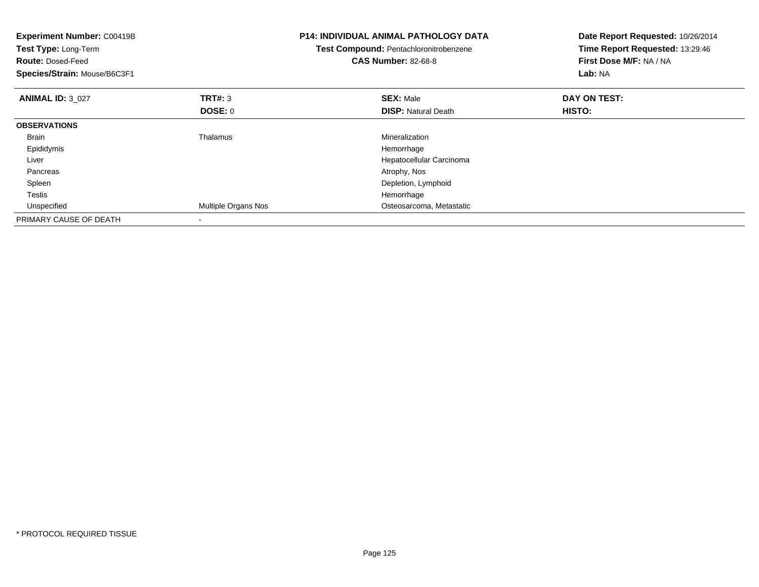| <b>Experiment Number: C00419B</b><br>Test Type: Long-Term<br><b>Route: Dosed-Feed</b><br>Species/Strain: Mouse/B6C3F1 |                     | <b>P14: INDIVIDUAL ANIMAL PATHOLOGY DATA</b><br>Date Report Requested: 10/26/2014<br>Time Report Requested: 13:29:46<br>Test Compound: Pentachloronitrobenzene<br>First Dose M/F: NA / NA<br><b>CAS Number: 82-68-8</b><br>Lab: NA |               |
|-----------------------------------------------------------------------------------------------------------------------|---------------------|------------------------------------------------------------------------------------------------------------------------------------------------------------------------------------------------------------------------------------|---------------|
| <b>ANIMAL ID: 3 027</b>                                                                                               | <b>TRT#: 3</b>      | <b>SEX: Male</b>                                                                                                                                                                                                                   | DAY ON TEST:  |
|                                                                                                                       | DOSE: 0             | <b>DISP:</b> Natural Death                                                                                                                                                                                                         | <b>HISTO:</b> |
| <b>OBSERVATIONS</b>                                                                                                   |                     |                                                                                                                                                                                                                                    |               |
| <b>Brain</b>                                                                                                          | Thalamus            | Mineralization                                                                                                                                                                                                                     |               |
| Epididymis                                                                                                            |                     | Hemorrhage                                                                                                                                                                                                                         |               |
| Liver                                                                                                                 |                     | Hepatocellular Carcinoma                                                                                                                                                                                                           |               |
| Pancreas                                                                                                              |                     | Atrophy, Nos                                                                                                                                                                                                                       |               |
| Spleen                                                                                                                |                     | Depletion, Lymphoid                                                                                                                                                                                                                |               |
| Testis                                                                                                                |                     | Hemorrhage                                                                                                                                                                                                                         |               |
| Unspecified                                                                                                           | Multiple Organs Nos | Osteosarcoma, Metastatic                                                                                                                                                                                                           |               |
| PRIMARY CAUSE OF DEATH                                                                                                |                     |                                                                                                                                                                                                                                    |               |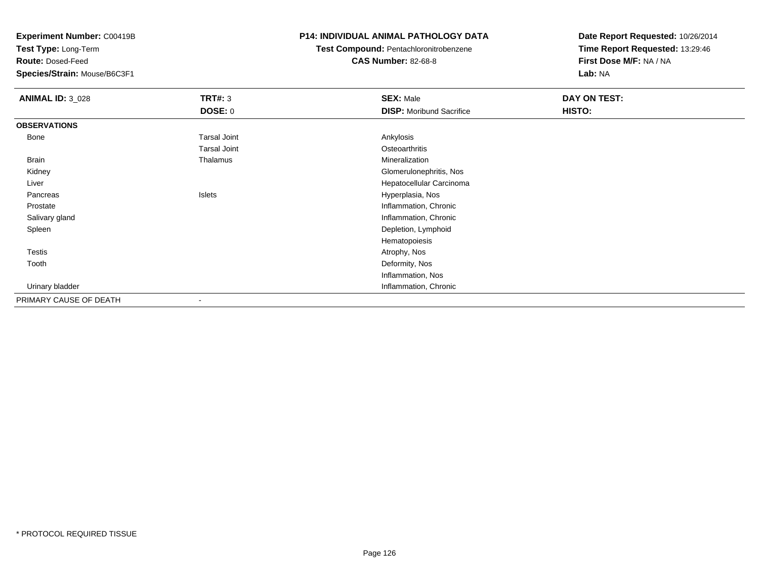**Test Type:** Long-Term

**Route:** Dosed-Feed

**Species/Strain:** Mouse/B6C3F1

#### **P14: INDIVIDUAL ANIMAL PATHOLOGY DATA**

**Test Compound:** Pentachloronitrobenzene

**CAS Number:** 82-68-8

| <b>ANIMAL ID: 3_028</b> | <b>TRT#: 3</b>           | <b>SEX: Male</b>                | DAY ON TEST: |
|-------------------------|--------------------------|---------------------------------|--------------|
|                         | <b>DOSE: 0</b>           | <b>DISP:</b> Moribund Sacrifice | HISTO:       |
| <b>OBSERVATIONS</b>     |                          |                                 |              |
| Bone                    | <b>Tarsal Joint</b>      | Ankylosis                       |              |
|                         | <b>Tarsal Joint</b>      | Osteoarthritis                  |              |
| Brain                   | Thalamus                 | Mineralization                  |              |
| Kidney                  |                          | Glomerulonephritis, Nos         |              |
| Liver                   |                          | Hepatocellular Carcinoma        |              |
| Pancreas                | Islets                   | Hyperplasia, Nos                |              |
| Prostate                |                          | Inflammation, Chronic           |              |
| Salivary gland          |                          | Inflammation, Chronic           |              |
| Spleen                  |                          | Depletion, Lymphoid             |              |
|                         |                          | Hematopoiesis                   |              |
| <b>Testis</b>           |                          | Atrophy, Nos                    |              |
| Tooth                   |                          | Deformity, Nos                  |              |
|                         |                          | Inflammation, Nos               |              |
| Urinary bladder         |                          | Inflammation, Chronic           |              |
| PRIMARY CAUSE OF DEATH  | $\overline{\phantom{a}}$ |                                 |              |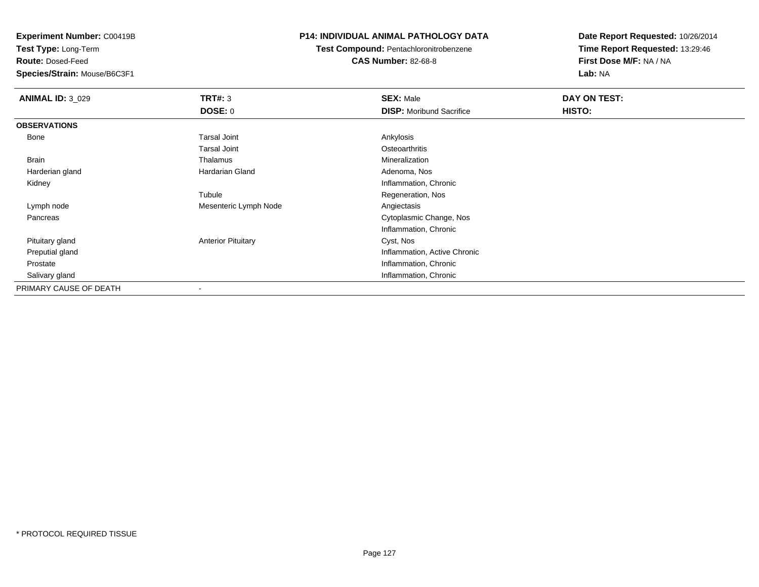**Test Type:** Long-Term

**Route:** Dosed-Feed

**Species/Strain:** Mouse/B6C3F1

# **P14: INDIVIDUAL ANIMAL PATHOLOGY DATA**

**Test Compound:** Pentachloronitrobenzene**CAS Number:** 82-68-8

| <b>ANIMAL ID: 3_029</b> | TRT#: 3                   | <b>SEX: Male</b>                | DAY ON TEST: |  |
|-------------------------|---------------------------|---------------------------------|--------------|--|
|                         | <b>DOSE: 0</b>            | <b>DISP:</b> Moribund Sacrifice | HISTO:       |  |
| <b>OBSERVATIONS</b>     |                           |                                 |              |  |
| <b>Bone</b>             | <b>Tarsal Joint</b>       | Ankylosis                       |              |  |
|                         | <b>Tarsal Joint</b>       | Osteoarthritis                  |              |  |
| <b>Brain</b>            | Thalamus                  | Mineralization                  |              |  |
| Harderian gland         | Hardarian Gland           | Adenoma, Nos                    |              |  |
| Kidney                  |                           | Inflammation, Chronic           |              |  |
|                         | Tubule                    | Regeneration, Nos               |              |  |
| Lymph node              | Mesenteric Lymph Node     | Angiectasis                     |              |  |
| Pancreas                |                           | Cytoplasmic Change, Nos         |              |  |
|                         |                           | Inflammation, Chronic           |              |  |
| Pituitary gland         | <b>Anterior Pituitary</b> | Cyst, Nos                       |              |  |
| Preputial gland         |                           | Inflammation, Active Chronic    |              |  |
| Prostate                |                           | Inflammation, Chronic           |              |  |
| Salivary gland          |                           | Inflammation, Chronic           |              |  |
| PRIMARY CAUSE OF DEATH  |                           |                                 |              |  |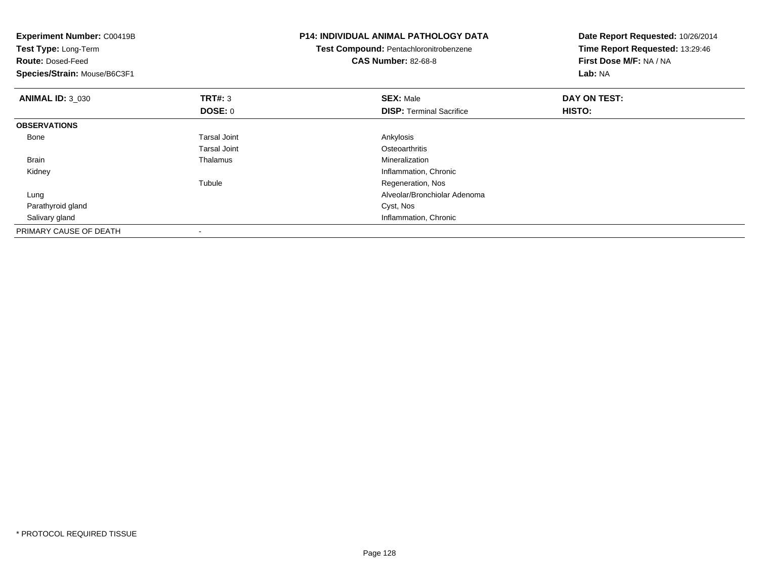| <b>Experiment Number: C00419B</b><br>Test Type: Long-Term<br><b>CAS Number: 82-68-8</b><br><b>Route: Dosed-Feed</b><br>Species/Strain: Mouse/B6C3F1 |                     | <b>P14: INDIVIDUAL ANIMAL PATHOLOGY DATA</b><br>Test Compound: Pentachloronitrobenzene | Date Report Requested: 10/26/2014<br>Time Report Requested: 13:29:46<br>First Dose M/F: NA / NA<br>Lab: NA |
|-----------------------------------------------------------------------------------------------------------------------------------------------------|---------------------|----------------------------------------------------------------------------------------|------------------------------------------------------------------------------------------------------------|
|                                                                                                                                                     |                     |                                                                                        |                                                                                                            |
| <b>ANIMAL ID: 3 030</b>                                                                                                                             | <b>TRT#: 3</b>      | <b>SEX: Male</b>                                                                       | DAY ON TEST:                                                                                               |
|                                                                                                                                                     | <b>DOSE: 0</b>      | <b>DISP:</b> Terminal Sacrifice                                                        | HISTO:                                                                                                     |
| <b>OBSERVATIONS</b>                                                                                                                                 |                     |                                                                                        |                                                                                                            |
| Bone                                                                                                                                                | <b>Tarsal Joint</b> | Ankylosis                                                                              |                                                                                                            |
|                                                                                                                                                     | Tarsal Joint        | Osteoarthritis                                                                         |                                                                                                            |
| Brain                                                                                                                                               | Thalamus            | Mineralization                                                                         |                                                                                                            |
| Kidney                                                                                                                                              |                     | Inflammation, Chronic                                                                  |                                                                                                            |
|                                                                                                                                                     | Tubule              | Regeneration, Nos                                                                      |                                                                                                            |
| Lung                                                                                                                                                |                     | Alveolar/Bronchiolar Adenoma                                                           |                                                                                                            |
| Parathyroid gland                                                                                                                                   |                     | Cyst, Nos                                                                              |                                                                                                            |
| Salivary gland                                                                                                                                      |                     | Inflammation, Chronic                                                                  |                                                                                                            |
| PRIMARY CAUSE OF DEATH                                                                                                                              |                     |                                                                                        |                                                                                                            |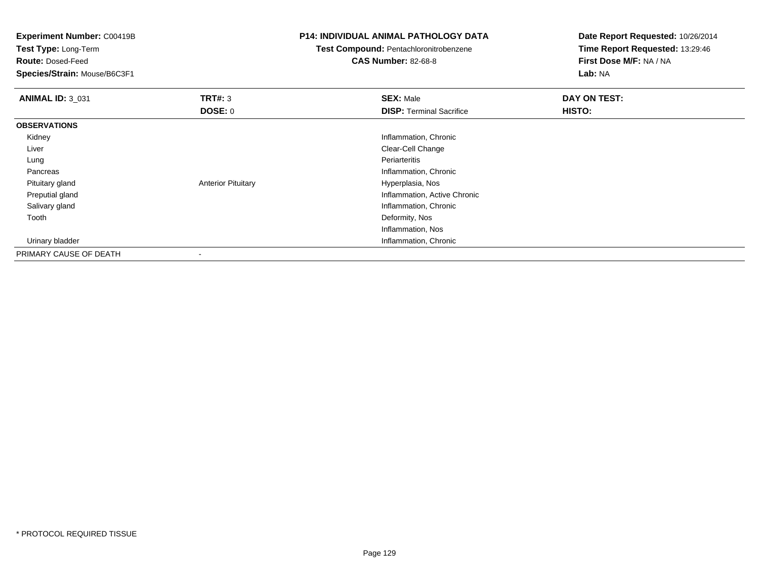**Experiment Number:** C00419B**Test Type:** Long-Term**Route:** Dosed-Feed **Species/Strain:** Mouse/B6C3F1**P14: INDIVIDUAL ANIMAL PATHOLOGY DATATest Compound:** Pentachloronitrobenzene**CAS Number:** 82-68-8**Date Report Requested:** 10/26/2014**Time Report Requested:** 13:29:46**First Dose M/F:** NA / NA**Lab:** NA**ANIMAL ID:** 3\_031**TRT#:** 3 **SEX:** Male **DAY ON TEST: DOSE:** 0**DISP:** Terminal Sacrifice **HISTO: OBSERVATIONS** Kidney Inflammation, Chronic Liver Clear-Cell Change Lungg en de la component de la component de la component de la component de la component de la component de la com Pancreas Inflammation, Chronic Pituitary glandAnterior Pituitary **Material Contract Contract Pitual** Hyperplasia, Nos Preputial gland Inflammation, Active Chronic Salivary glandInflammation, Chronic<br>Deformity, Nos Toothh and the control of the control of the control of the control of the control of the control of the control of the control of the control of the control of the control of the control of the control of the control of the co Inflammation, Nos**Inflammation, Chronic Chronic Chronic Chronic Chronic Chronic Chronic Chronic Chronic Chronic Chronic Chronic Chronic Chronic Chronic Chronic Chronic Chronic Chronic Chronic Chronic Chronic Chronic Chronic Chronic Chronic**  Urinary bladderPRIMARY CAUSE OF DEATH-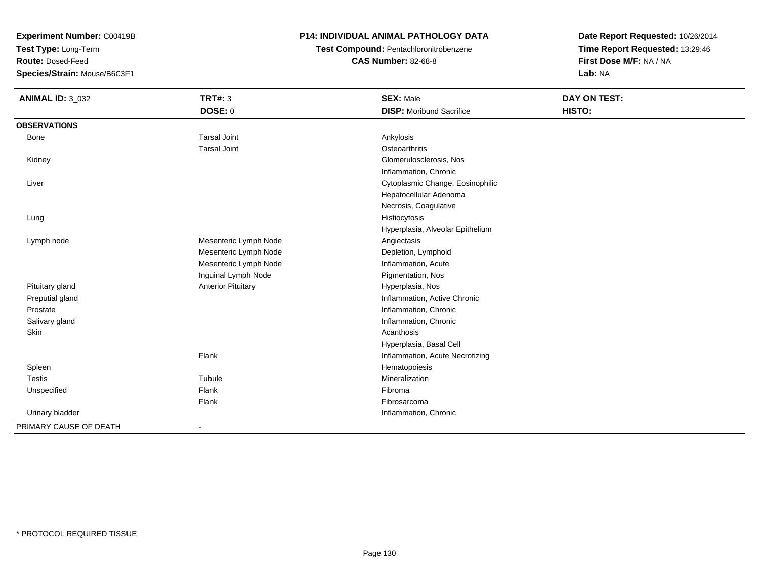**Test Type:** Long-Term

**Route:** Dosed-Feed

**Species/Strain:** Mouse/B6C3F1

# **P14: INDIVIDUAL ANIMAL PATHOLOGY DATA**

**Test Compound:** Pentachloronitrobenzene**CAS Number:** 82-68-8

| <b>ANIMAL ID: 3_032</b> | <b>TRT#: 3</b>            | <b>SEX: Male</b>                 | DAY ON TEST: |
|-------------------------|---------------------------|----------------------------------|--------------|
|                         | <b>DOSE: 0</b>            | <b>DISP: Moribund Sacrifice</b>  | HISTO:       |
| <b>OBSERVATIONS</b>     |                           |                                  |              |
| Bone                    | <b>Tarsal Joint</b>       | Ankylosis                        |              |
|                         | <b>Tarsal Joint</b>       | Osteoarthritis                   |              |
| Kidney                  |                           | Glomerulosclerosis, Nos          |              |
|                         |                           | Inflammation, Chronic            |              |
| Liver                   |                           | Cytoplasmic Change, Eosinophilic |              |
|                         |                           | Hepatocellular Adenoma           |              |
|                         |                           | Necrosis, Coagulative            |              |
| Lung                    |                           | Histiocytosis                    |              |
|                         |                           | Hyperplasia, Alveolar Epithelium |              |
| Lymph node              | Mesenteric Lymph Node     | Angiectasis                      |              |
|                         | Mesenteric Lymph Node     | Depletion, Lymphoid              |              |
|                         | Mesenteric Lymph Node     | Inflammation, Acute              |              |
|                         | Inguinal Lymph Node       | Pigmentation, Nos                |              |
| Pituitary gland         | <b>Anterior Pituitary</b> | Hyperplasia, Nos                 |              |
| Preputial gland         |                           | Inflammation, Active Chronic     |              |
| Prostate                |                           | Inflammation, Chronic            |              |
| Salivary gland          |                           | Inflammation, Chronic            |              |
| Skin                    |                           | Acanthosis                       |              |
|                         |                           | Hyperplasia, Basal Cell          |              |
|                         | Flank                     | Inflammation, Acute Necrotizing  |              |
| Spleen                  |                           | Hematopoiesis                    |              |
| Testis                  | Tubule                    | Mineralization                   |              |
| Unspecified             | Flank                     | Fibroma                          |              |
|                         | Flank                     | Fibrosarcoma                     |              |
| Urinary bladder         |                           | Inflammation, Chronic            |              |
| PRIMARY CAUSE OF DEATH  |                           |                                  |              |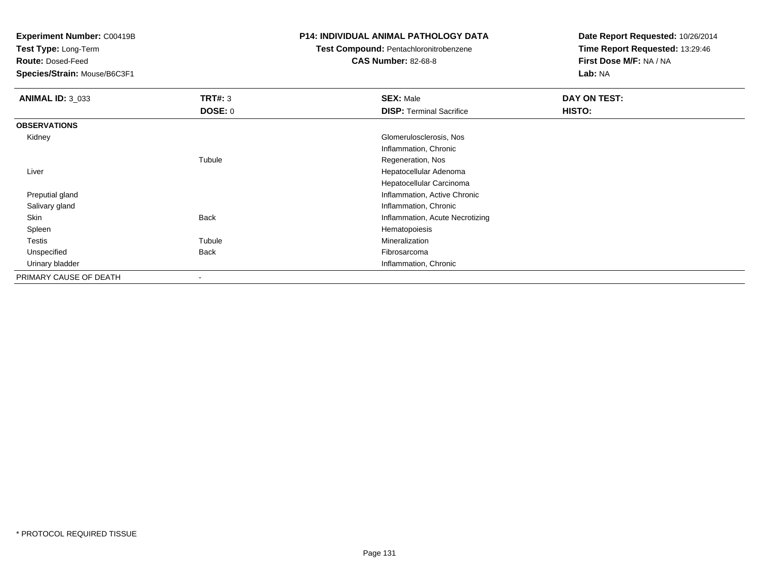**Test Type:** Long-Term

**Route:** Dosed-Feed

**Species/Strain:** Mouse/B6C3F1

#### **P14: INDIVIDUAL ANIMAL PATHOLOGY DATA**

# **Test Compound:** Pentachloronitrobenzene

**CAS Number:** 82-68-8

| <b>ANIMAL ID: 3 033</b> | <b>TRT#: 3</b> | <b>SEX: Male</b>                | DAY ON TEST: |
|-------------------------|----------------|---------------------------------|--------------|
|                         | <b>DOSE: 0</b> | <b>DISP: Terminal Sacrifice</b> | HISTO:       |
| <b>OBSERVATIONS</b>     |                |                                 |              |
| Kidney                  |                | Glomerulosclerosis, Nos         |              |
|                         |                | Inflammation, Chronic           |              |
|                         | Tubule         | Regeneration, Nos               |              |
| Liver                   |                | Hepatocellular Adenoma          |              |
|                         |                | Hepatocellular Carcinoma        |              |
| Preputial gland         |                | Inflammation, Active Chronic    |              |
| Salivary gland          |                | Inflammation, Chronic           |              |
| Skin                    | <b>Back</b>    | Inflammation, Acute Necrotizing |              |
| Spleen                  |                | Hematopoiesis                   |              |
| Testis                  | Tubule         | Mineralization                  |              |
| Unspecified             | <b>Back</b>    | Fibrosarcoma                    |              |
| Urinary bladder         |                | Inflammation, Chronic           |              |
| PRIMARY CAUSE OF DEATH  | -              |                                 |              |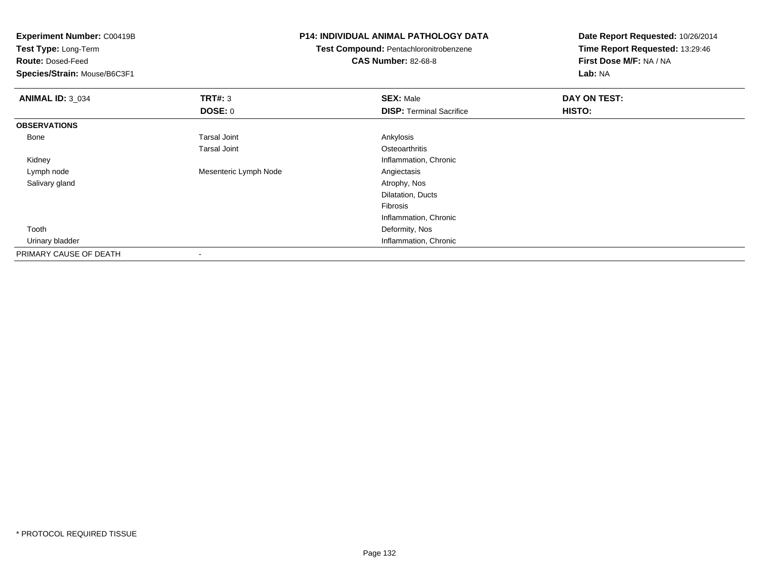| <b>Experiment Number: C00419B</b> |                       | <b>P14: INDIVIDUAL ANIMAL PATHOLOGY DATA</b>  | Date Report Requested: 10/26/2014 |  |
|-----------------------------------|-----------------------|-----------------------------------------------|-----------------------------------|--|
| <b>Test Type: Long-Term</b>       |                       | <b>Test Compound: Pentachloronitrobenzene</b> | Time Report Requested: 13:29:46   |  |
| <b>Route: Dosed-Feed</b>          |                       | <b>CAS Number: 82-68-8</b>                    | First Dose M/F: NA / NA           |  |
| Species/Strain: Mouse/B6C3F1      |                       |                                               | Lab: NA                           |  |
| <b>ANIMAL ID: 3_034</b>           | TRT#: 3               | <b>SEX: Male</b>                              | DAY ON TEST:                      |  |
|                                   | DOSE: 0               | <b>DISP:</b> Terminal Sacrifice               | <b>HISTO:</b>                     |  |
| <b>OBSERVATIONS</b>               |                       |                                               |                                   |  |
| Bone                              | <b>Tarsal Joint</b>   | Ankylosis                                     |                                   |  |
|                                   | <b>Tarsal Joint</b>   | Osteoarthritis                                |                                   |  |
| Kidney                            |                       | Inflammation, Chronic                         |                                   |  |
| Lymph node                        | Mesenteric Lymph Node | Angiectasis                                   |                                   |  |
| Salivary gland                    |                       | Atrophy, Nos                                  |                                   |  |
|                                   |                       | Dilatation, Ducts                             |                                   |  |
|                                   |                       | Fibrosis                                      |                                   |  |
|                                   |                       | Inflammation, Chronic                         |                                   |  |
| Tooth                             |                       | Deformity, Nos                                |                                   |  |
| Urinary bladder                   |                       | Inflammation, Chronic                         |                                   |  |
| PRIMARY CAUSE OF DEATH            |                       |                                               |                                   |  |

-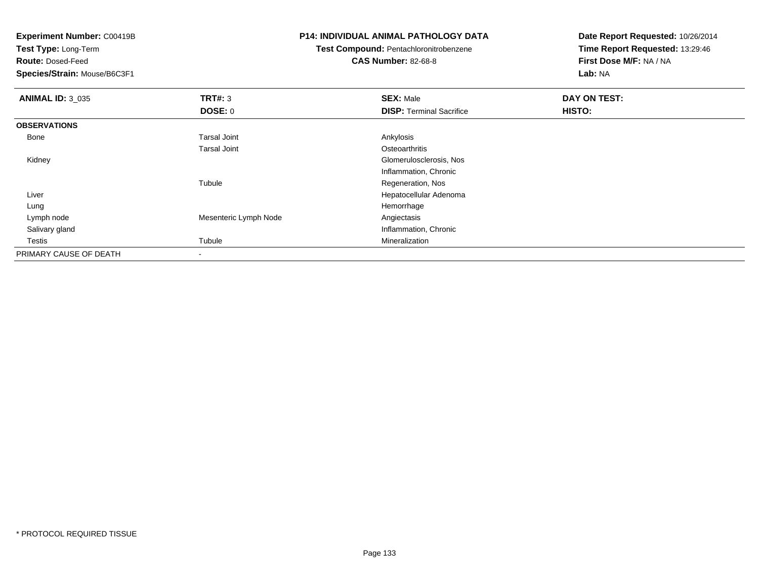**Test Type:** Long-Term

**Route:** Dosed-Feed

**Species/Strain:** Mouse/B6C3F1

#### **P14: INDIVIDUAL ANIMAL PATHOLOGY DATA**

**Test Compound:** Pentachloronitrobenzene

**CAS Number:** 82-68-8

| <b>ANIMAL ID: 3 035</b> | TRT#: 3               | <b>SEX: Male</b>                | DAY ON TEST: |  |
|-------------------------|-----------------------|---------------------------------|--------------|--|
|                         | DOSE: 0               | <b>DISP: Terminal Sacrifice</b> | HISTO:       |  |
| <b>OBSERVATIONS</b>     |                       |                                 |              |  |
| Bone                    | <b>Tarsal Joint</b>   | Ankylosis                       |              |  |
|                         | <b>Tarsal Joint</b>   | Osteoarthritis                  |              |  |
| Kidney                  |                       | Glomerulosclerosis, Nos         |              |  |
|                         |                       | Inflammation, Chronic           |              |  |
|                         | Tubule                | Regeneration, Nos               |              |  |
| Liver                   |                       | Hepatocellular Adenoma          |              |  |
| Lung                    |                       | Hemorrhage                      |              |  |
| Lymph node              | Mesenteric Lymph Node | Angiectasis                     |              |  |
| Salivary gland          |                       | Inflammation, Chronic           |              |  |
| Testis                  | Tubule                | Mineralization                  |              |  |
| PRIMARY CAUSE OF DEATH  |                       |                                 |              |  |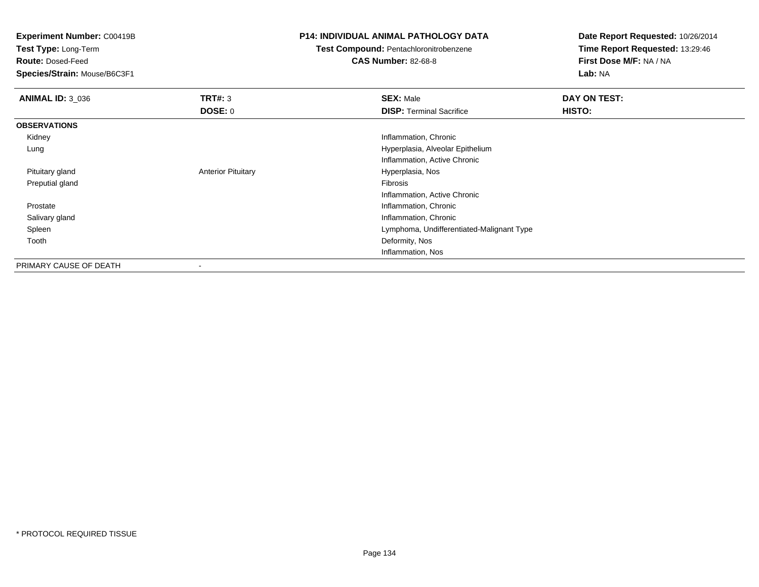**Test Type:** Long-Term

**Route:** Dosed-Feed

**Species/Strain:** Mouse/B6C3F1

# **P14: INDIVIDUAL ANIMAL PATHOLOGY DATA**

# **Test Compound:** Pentachloronitrobenzene

**CAS Number:** 82-68-8

| <b>ANIMAL ID: 3 036</b> | TRT#: 3                   | <b>SEX: Male</b>                          | DAY ON TEST: |
|-------------------------|---------------------------|-------------------------------------------|--------------|
|                         | <b>DOSE: 0</b>            | <b>DISP: Terminal Sacrifice</b>           | HISTO:       |
| <b>OBSERVATIONS</b>     |                           |                                           |              |
| Kidney                  |                           | Inflammation, Chronic                     |              |
| Lung                    |                           | Hyperplasia, Alveolar Epithelium          |              |
|                         |                           | Inflammation, Active Chronic              |              |
| Pituitary gland         | <b>Anterior Pituitary</b> | Hyperplasia, Nos                          |              |
| Preputial gland         |                           | Fibrosis                                  |              |
|                         |                           | Inflammation, Active Chronic              |              |
| Prostate                |                           | Inflammation, Chronic                     |              |
| Salivary gland          |                           | Inflammation, Chronic                     |              |
| Spleen                  |                           | Lymphoma, Undifferentiated-Malignant Type |              |
| Tooth                   |                           | Deformity, Nos                            |              |
|                         |                           | Inflammation, Nos                         |              |
| PRIMARY CAUSE OF DEATH  | $\blacksquare$            |                                           |              |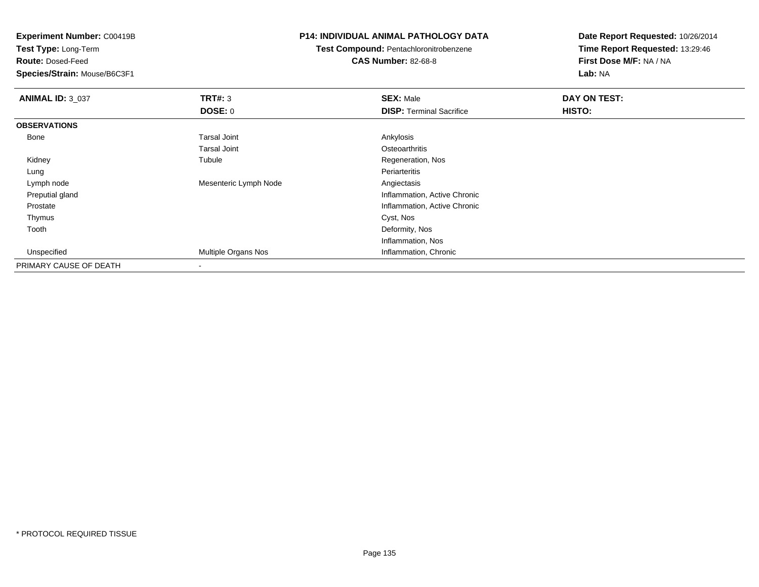**Test Type:** Long-Term

**Route:** Dosed-Feed

**Species/Strain:** Mouse/B6C3F1

#### **P14: INDIVIDUAL ANIMAL PATHOLOGY DATA**

**Test Compound:** Pentachloronitrobenzene

**CAS Number:** 82-68-8

| <b>ANIMAL ID: 3_037</b> | TRT#: 3               | <b>SEX: Male</b>                | DAY ON TEST: |
|-------------------------|-----------------------|---------------------------------|--------------|
|                         | <b>DOSE: 0</b>        | <b>DISP: Terminal Sacrifice</b> | HISTO:       |
| <b>OBSERVATIONS</b>     |                       |                                 |              |
| Bone                    | Tarsal Joint          | Ankylosis                       |              |
|                         | <b>Tarsal Joint</b>   | Osteoarthritis                  |              |
| Kidney                  | Tubule                | Regeneration, Nos               |              |
| Lung                    |                       | Periarteritis                   |              |
| Lymph node              | Mesenteric Lymph Node | Angiectasis                     |              |
| Preputial gland         |                       | Inflammation, Active Chronic    |              |
| Prostate                |                       | Inflammation, Active Chronic    |              |
| Thymus                  |                       | Cyst, Nos                       |              |
| Tooth                   |                       | Deformity, Nos                  |              |
|                         |                       | Inflammation, Nos               |              |
| Unspecified             | Multiple Organs Nos   | Inflammation, Chronic           |              |
| PRIMARY CAUSE OF DEATH  | $\,$                  |                                 |              |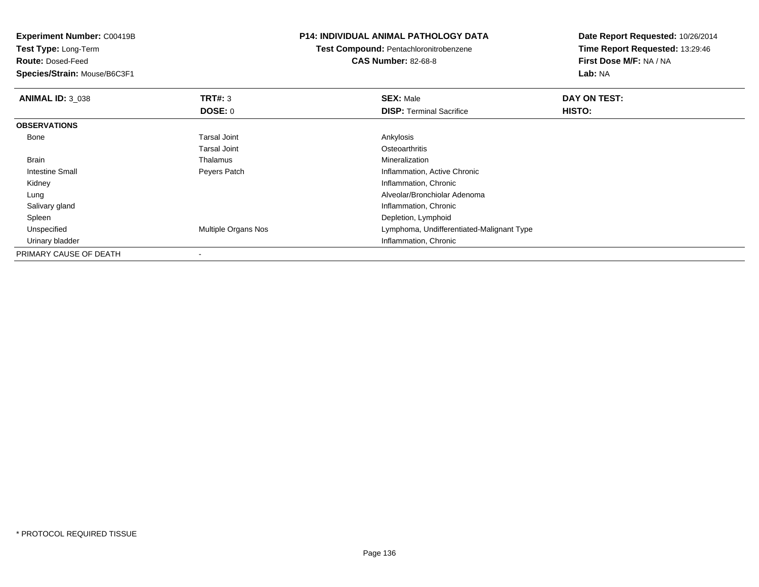**Experiment Number:** C00419B**Test Type:** Long-Term**Route:** Dosed-Feed **Species/Strain:** Mouse/B6C3F1**P14: INDIVIDUAL ANIMAL PATHOLOGY DATATest Compound:** Pentachloronitrobenzene**CAS Number:** 82-68-8**Date Report Requested:** 10/26/2014**Time Report Requested:** 13:29:46**First Dose M/F:** NA / NA**Lab:** NA**ANIMAL ID:** 3\_038**REX:** Male **DAY ON TEST: SEX:** Male **SEX:** Male **DOSE:** 0**DISP:** Terminal Sacrifice **HISTO: OBSERVATIONS** Bonee and the set of the set of the set of the set of the set of the set of the set of the set of the set of the s Tarsal Joint**Osteoarthritis** Mineralization Brain Thalamus Mineralization Intestine Small Peyers Patch Inflammation, Active Chronic Kidney Inflammation, Chronic Lung Alveolar/Bronchiolar Adenoma Salivary gland Inflammation, Chronic Spleen Depletion, Lymphoid Unspecified Multiple Organs Nos Lymphoma, Undifferentiated-Malignant Type Urinary bladder Inflammation, ChronicPRIMARY CAUSE OF DEATH-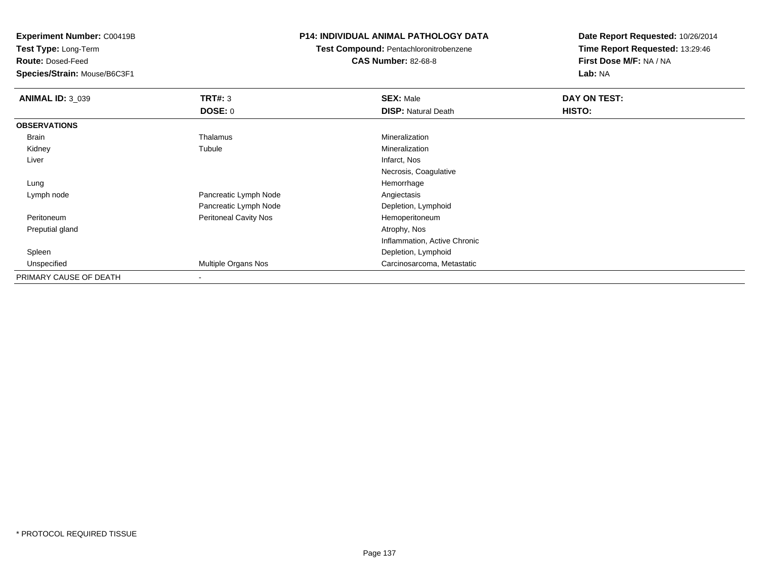**Test Type:** Long-Term

**Route:** Dosed-Feed

**Species/Strain:** Mouse/B6C3F1

## **P14: INDIVIDUAL ANIMAL PATHOLOGY DATA**

**Test Compound:** Pentachloronitrobenzene

**CAS Number:** 82-68-8

| <b>ANIMAL ID: 3 039</b> | TRT#: 3                      | <b>SEX: Male</b>             | DAY ON TEST: |
|-------------------------|------------------------------|------------------------------|--------------|
|                         | DOSE: 0                      | <b>DISP: Natural Death</b>   | HISTO:       |
| <b>OBSERVATIONS</b>     |                              |                              |              |
| Brain                   | Thalamus                     | Mineralization               |              |
| Kidney                  | Tubule                       | Mineralization               |              |
| Liver                   |                              | Infarct, Nos                 |              |
|                         |                              | Necrosis, Coagulative        |              |
| Lung                    |                              | Hemorrhage                   |              |
| Lymph node              | Pancreatic Lymph Node        | Angiectasis                  |              |
|                         | Pancreatic Lymph Node        | Depletion, Lymphoid          |              |
| Peritoneum              | <b>Peritoneal Cavity Nos</b> | Hemoperitoneum               |              |
| Preputial gland         |                              | Atrophy, Nos                 |              |
|                         |                              | Inflammation, Active Chronic |              |
| Spleen                  |                              | Depletion, Lymphoid          |              |
| Unspecified             | Multiple Organs Nos          | Carcinosarcoma, Metastatic   |              |
| PRIMARY CAUSE OF DEATH  | $\,$                         |                              |              |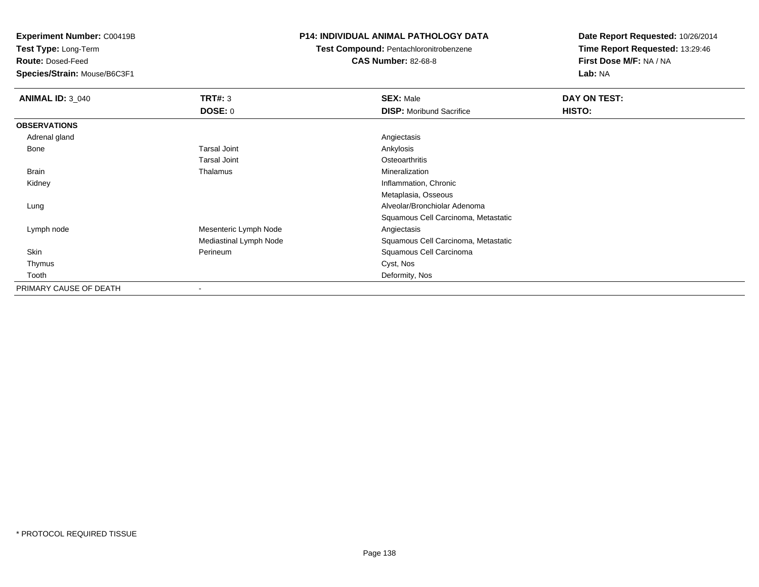**Test Type:** Long-Term

**Route:** Dosed-Feed

**Species/Strain:** Mouse/B6C3F1

#### **P14: INDIVIDUAL ANIMAL PATHOLOGY DATA**

**Test Compound:** Pentachloronitrobenzene

**CAS Number:** 82-68-8

| <b>ANIMAL ID: 3_040</b> | TRT#: 3                | <b>SEX: Male</b>                    | DAY ON TEST: |  |
|-------------------------|------------------------|-------------------------------------|--------------|--|
|                         | <b>DOSE: 0</b>         | <b>DISP:</b> Moribund Sacrifice     | HISTO:       |  |
| <b>OBSERVATIONS</b>     |                        |                                     |              |  |
| Adrenal gland           |                        | Angiectasis                         |              |  |
| Bone                    | Tarsal Joint           | Ankylosis                           |              |  |
|                         | <b>Tarsal Joint</b>    | Osteoarthritis                      |              |  |
| Brain                   | Thalamus               | Mineralization                      |              |  |
| Kidney                  |                        | Inflammation, Chronic               |              |  |
|                         |                        | Metaplasia, Osseous                 |              |  |
| Lung                    |                        | Alveolar/Bronchiolar Adenoma        |              |  |
|                         |                        | Squamous Cell Carcinoma, Metastatic |              |  |
| Lymph node              | Mesenteric Lymph Node  | Angiectasis                         |              |  |
|                         | Mediastinal Lymph Node | Squamous Cell Carcinoma, Metastatic |              |  |
| Skin                    | Perineum               | Squamous Cell Carcinoma             |              |  |
| Thymus                  |                        | Cyst, Nos                           |              |  |
| Tooth                   |                        | Deformity, Nos                      |              |  |
| PRIMARY CAUSE OF DEATH  | -                      |                                     |              |  |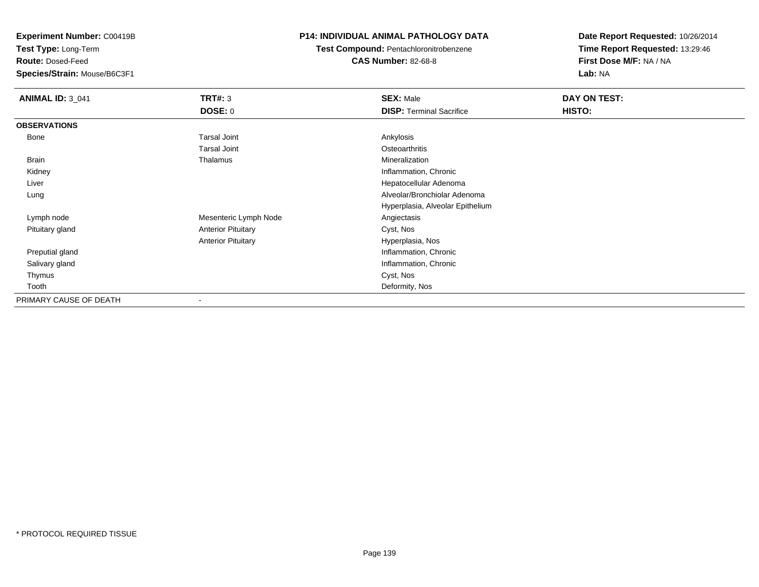**Test Type:** Long-Term

**Route:** Dosed-Feed

**Species/Strain:** Mouse/B6C3F1

# **P14: INDIVIDUAL ANIMAL PATHOLOGY DATA**

**Test Compound:** Pentachloronitrobenzene**CAS Number:** 82-68-8

| <b>ANIMAL ID: 3_041</b> | <b>TRT#: 3</b>            | <b>SEX: Male</b>                 | DAY ON TEST: |  |
|-------------------------|---------------------------|----------------------------------|--------------|--|
|                         | DOSE: 0                   | <b>DISP: Terminal Sacrifice</b>  | HISTO:       |  |
| <b>OBSERVATIONS</b>     |                           |                                  |              |  |
| Bone                    | <b>Tarsal Joint</b>       | Ankylosis                        |              |  |
|                         | <b>Tarsal Joint</b>       | Osteoarthritis                   |              |  |
| <b>Brain</b>            | Thalamus                  | Mineralization                   |              |  |
| Kidney                  |                           | Inflammation, Chronic            |              |  |
| Liver                   |                           | Hepatocellular Adenoma           |              |  |
| Lung                    |                           | Alveolar/Bronchiolar Adenoma     |              |  |
|                         |                           | Hyperplasia, Alveolar Epithelium |              |  |
| Lymph node              | Mesenteric Lymph Node     | Angiectasis                      |              |  |
| Pituitary gland         | <b>Anterior Pituitary</b> | Cyst, Nos                        |              |  |
|                         | <b>Anterior Pituitary</b> | Hyperplasia, Nos                 |              |  |
| Preputial gland         |                           | Inflammation, Chronic            |              |  |
| Salivary gland          |                           | Inflammation, Chronic            |              |  |
| Thymus                  |                           | Cyst, Nos                        |              |  |
| Tooth                   |                           | Deformity, Nos                   |              |  |
| PRIMARY CAUSE OF DEATH  | $\overline{\phantom{a}}$  |                                  |              |  |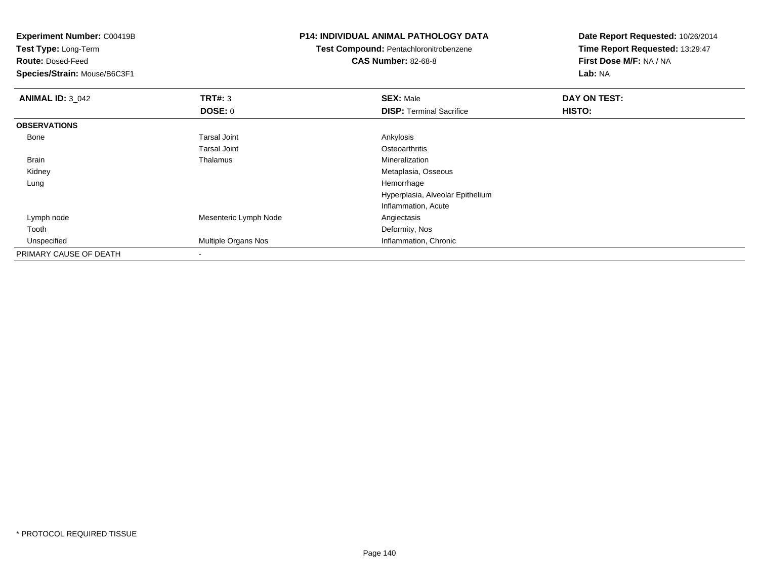**Experiment Number:** C00419B**Test Type:** Long-Term**Route:** Dosed-Feed **Species/Strain:** Mouse/B6C3F1**P14: INDIVIDUAL ANIMAL PATHOLOGY DATATest Compound:** Pentachloronitrobenzene**CAS Number:** 82-68-8**Date Report Requested:** 10/26/2014**Time Report Requested:** 13:29:47**First Dose M/F:** NA / NA**Lab:** NA**ANIMAL ID: 3 042 TRT#:** <sup>3</sup> **SEX:** Male **DAY ON TEST: DOSE:** 0**DISP:** Terminal Sacrifice **HISTO: OBSERVATIONS** Bonee and the set of the set of the set of the set of the set of the set of the set of the set of the set of the s Tarsal Joint**Osteoarthritis** Mineralization Brain Thalamus Mineralization Kidney Metaplasia, Osseous Lungg and the state of the state of the state of the state of the state of the state of the state of the state of the state of the state of the state of the state of the state of the state of the state of the state of the stat Hyperplasia, Alveolar EpitheliumInflammation, Acute Lymph nodeMesenteric Lymph Node **Angiectasis** Angiectasis Toothh and the control of the control of the control of the control of the control of the control of the control of the control of the control of the control of the control of the control of the control of the control of the co UnspecifiedMultiple Organs Nos **Inflammation**, Chronic PRIMARY CAUSE OF DEATH-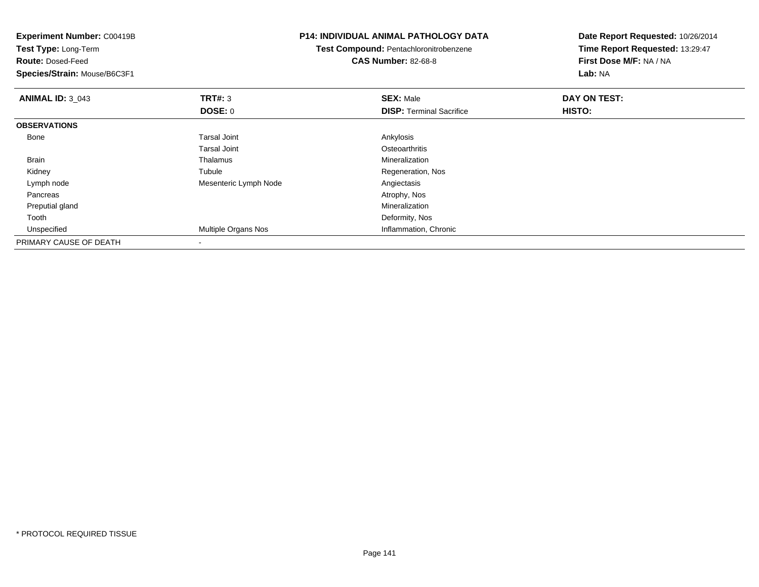| <b>Experiment Number: C00419B</b><br>Test Type: Long-Term<br><b>Route: Dosed-Feed</b><br>Species/Strain: Mouse/B6C3F1 |                       | <b>P14: INDIVIDUAL ANIMAL PATHOLOGY DATA</b><br>Test Compound: Pentachloronitrobenzene<br><b>CAS Number: 82-68-8</b> | Date Report Requested: 10/26/2014<br>Time Report Requested: 13:29:47<br>First Dose M/F: NA / NA<br>Lab: NA |  |
|-----------------------------------------------------------------------------------------------------------------------|-----------------------|----------------------------------------------------------------------------------------------------------------------|------------------------------------------------------------------------------------------------------------|--|
|                                                                                                                       |                       |                                                                                                                      |                                                                                                            |  |
| <b>ANIMAL ID: 3 043</b>                                                                                               | TRT#: 3               | <b>SEX: Male</b>                                                                                                     | DAY ON TEST:                                                                                               |  |
|                                                                                                                       | DOSE: 0               | <b>DISP: Terminal Sacrifice</b>                                                                                      | HISTO:                                                                                                     |  |
| <b>OBSERVATIONS</b>                                                                                                   |                       |                                                                                                                      |                                                                                                            |  |
| Bone                                                                                                                  | <b>Tarsal Joint</b>   | Ankylosis                                                                                                            |                                                                                                            |  |
|                                                                                                                       | <b>Tarsal Joint</b>   | Osteoarthritis                                                                                                       |                                                                                                            |  |
| <b>Brain</b>                                                                                                          | Thalamus              | Mineralization                                                                                                       |                                                                                                            |  |
| Kidney                                                                                                                | Tubule                | Regeneration, Nos                                                                                                    |                                                                                                            |  |
| Lymph node                                                                                                            | Mesenteric Lymph Node | Angiectasis                                                                                                          |                                                                                                            |  |
| Pancreas                                                                                                              |                       | Atrophy, Nos                                                                                                         |                                                                                                            |  |
| Preputial gland                                                                                                       |                       | Mineralization                                                                                                       |                                                                                                            |  |
| Tooth                                                                                                                 |                       | Deformity, Nos                                                                                                       |                                                                                                            |  |
| Unspecified                                                                                                           | Multiple Organs Nos   | Inflammation, Chronic                                                                                                |                                                                                                            |  |
| PRIMARY CAUSE OF DEATH                                                                                                |                       |                                                                                                                      |                                                                                                            |  |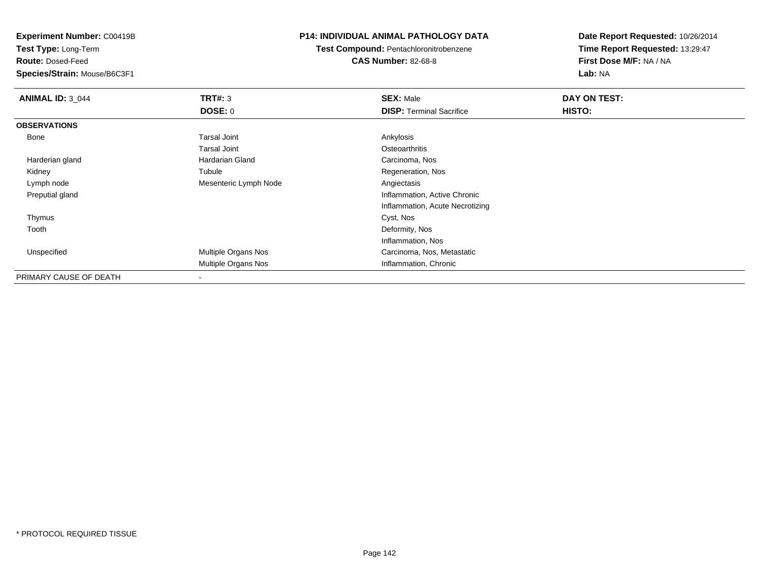**Test Type:** Long-Term

**Route:** Dosed-Feed

**Species/Strain:** Mouse/B6C3F1

# **P14: INDIVIDUAL ANIMAL PATHOLOGY DATA**

**Test Compound:** Pentachloronitrobenzene**CAS Number:** 82-68-8

| <b>ANIMAL ID: 3 044</b> | TRT#: 3                  | <b>SEX: Male</b>                | DAY ON TEST: |  |
|-------------------------|--------------------------|---------------------------------|--------------|--|
|                         | <b>DOSE: 0</b>           | <b>DISP: Terminal Sacrifice</b> | HISTO:       |  |
| <b>OBSERVATIONS</b>     |                          |                                 |              |  |
| Bone                    | <b>Tarsal Joint</b>      | Ankylosis                       |              |  |
|                         | <b>Tarsal Joint</b>      | Osteoarthritis                  |              |  |
| Harderian gland         | Hardarian Gland          | Carcinoma, Nos                  |              |  |
| Kidney                  | Tubule                   | Regeneration, Nos               |              |  |
| Lymph node              | Mesenteric Lymph Node    | Angiectasis                     |              |  |
| Preputial gland         |                          | Inflammation, Active Chronic    |              |  |
|                         |                          | Inflammation, Acute Necrotizing |              |  |
| Thymus                  |                          | Cyst, Nos                       |              |  |
| Tooth                   |                          | Deformity, Nos                  |              |  |
|                         |                          | Inflammation, Nos               |              |  |
| Unspecified             | Multiple Organs Nos      | Carcinoma, Nos, Metastatic      |              |  |
|                         | Multiple Organs Nos      | Inflammation, Chronic           |              |  |
| PRIMARY CAUSE OF DEATH  | $\overline{\phantom{a}}$ |                                 |              |  |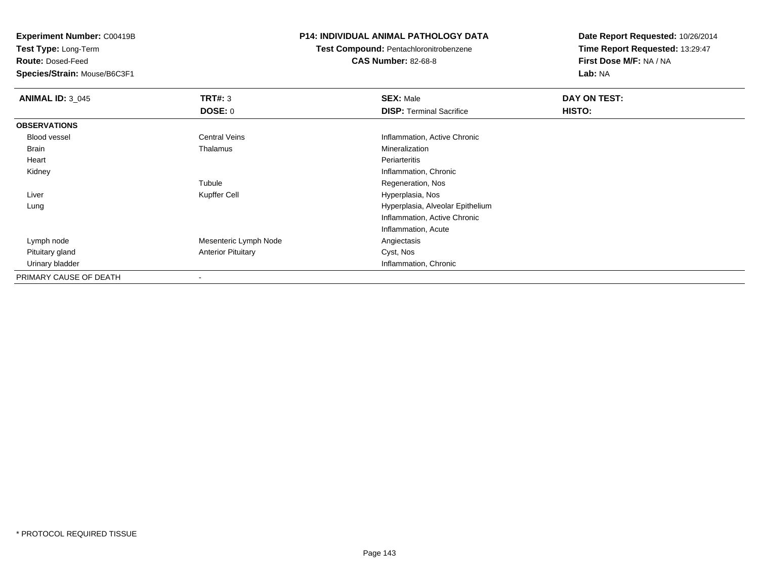**Test Type:** Long-Term

**Route:** Dosed-Feed

**Species/Strain:** Mouse/B6C3F1

#### **P14: INDIVIDUAL ANIMAL PATHOLOGY DATA**

**Test Compound:** Pentachloronitrobenzene

**CAS Number:** 82-68-8

| <b>ANIMAL ID: 3_045</b> | TRT#: 3                   | <b>SEX: Male</b>                 | DAY ON TEST: |  |
|-------------------------|---------------------------|----------------------------------|--------------|--|
|                         | <b>DOSE: 0</b>            | <b>DISP: Terminal Sacrifice</b>  | HISTO:       |  |
| <b>OBSERVATIONS</b>     |                           |                                  |              |  |
| <b>Blood vessel</b>     | <b>Central Veins</b>      | Inflammation, Active Chronic     |              |  |
| Brain                   | Thalamus                  | Mineralization                   |              |  |
| Heart                   |                           | Periarteritis                    |              |  |
| Kidney                  |                           | Inflammation, Chronic            |              |  |
|                         | Tubule                    | Regeneration, Nos                |              |  |
| Liver                   | Kupffer Cell              | Hyperplasia, Nos                 |              |  |
| Lung                    |                           | Hyperplasia, Alveolar Epithelium |              |  |
|                         |                           | Inflammation, Active Chronic     |              |  |
|                         |                           | Inflammation, Acute              |              |  |
| Lymph node              | Mesenteric Lymph Node     | Angiectasis                      |              |  |
| Pituitary gland         | <b>Anterior Pituitary</b> | Cyst, Nos                        |              |  |
| Urinary bladder         |                           | Inflammation, Chronic            |              |  |
| PRIMARY CAUSE OF DEATH  |                           |                                  |              |  |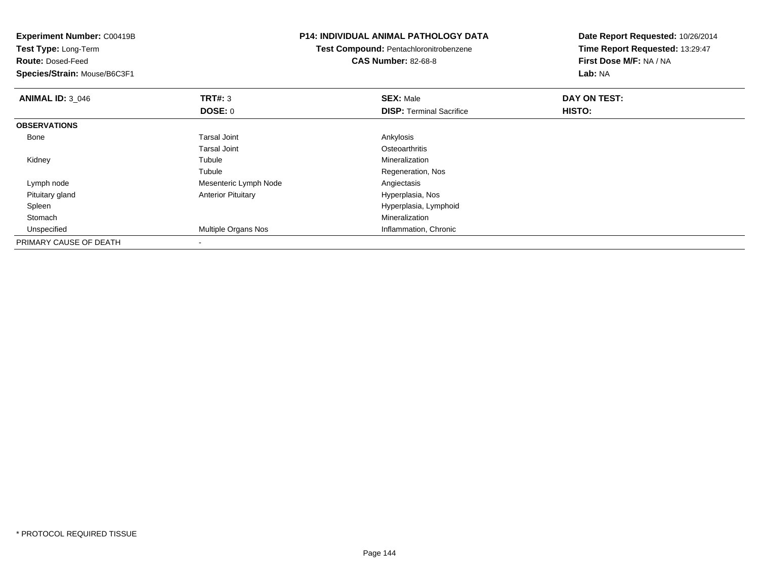| <b>Experiment Number: C00419B</b><br>Test Type: Long-Term |                           | <b>P14: INDIVIDUAL ANIMAL PATHOLOGY DATA</b> | Date Report Requested: 10/26/2014<br>Time Report Requested: 13:29:47 |  |
|-----------------------------------------------------------|---------------------------|----------------------------------------------|----------------------------------------------------------------------|--|
|                                                           |                           | Test Compound: Pentachloronitrobenzene       |                                                                      |  |
| <b>Route: Dosed-Feed</b>                                  |                           | <b>CAS Number: 82-68-8</b>                   | First Dose M/F: NA / NA                                              |  |
| Species/Strain: Mouse/B6C3F1                              |                           |                                              | Lab: NA                                                              |  |
| <b>ANIMAL ID: 3 046</b>                                   | TRT#: 3                   | <b>SEX: Male</b>                             | DAY ON TEST:                                                         |  |
|                                                           | DOSE: 0                   | <b>DISP:</b> Terminal Sacrifice              | <b>HISTO:</b>                                                        |  |
| <b>OBSERVATIONS</b>                                       |                           |                                              |                                                                      |  |
| Bone                                                      | <b>Tarsal Joint</b>       | Ankylosis                                    |                                                                      |  |
|                                                           | <b>Tarsal Joint</b>       | Osteoarthritis                               |                                                                      |  |
| Kidney                                                    | Tubule                    | Mineralization                               |                                                                      |  |
|                                                           | Tubule                    | Regeneration, Nos                            |                                                                      |  |
| Lymph node                                                | Mesenteric Lymph Node     | Angiectasis                                  |                                                                      |  |
| Pituitary gland                                           | <b>Anterior Pituitary</b> | Hyperplasia, Nos                             |                                                                      |  |
| Spleen                                                    |                           | Hyperplasia, Lymphoid                        |                                                                      |  |
| Stomach                                                   |                           | Mineralization                               |                                                                      |  |
| Unspecified                                               | Multiple Organs Nos       | Inflammation, Chronic                        |                                                                      |  |
| PRIMARY CAUSE OF DEATH                                    |                           |                                              |                                                                      |  |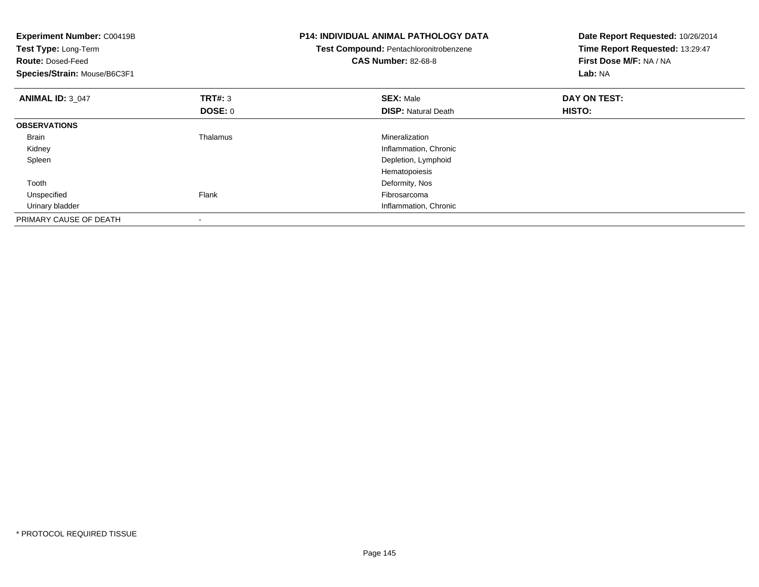| <b>Experiment Number: C00419B</b><br>Test Type: Long-Term<br><b>Route: Dosed-Feed</b><br>Species/Strain: Mouse/B6C3F1 |                                  | <b>P14: INDIVIDUAL ANIMAL PATHOLOGY DATA</b><br>Test Compound: Pentachloronitrobenzene<br><b>CAS Number: 82-68-8</b> | Date Report Requested: 10/26/2014<br>Time Report Requested: 13:29:47<br>First Dose M/F: NA / NA<br>Lab: NA |
|-----------------------------------------------------------------------------------------------------------------------|----------------------------------|----------------------------------------------------------------------------------------------------------------------|------------------------------------------------------------------------------------------------------------|
| <b>ANIMAL ID: 3 047</b>                                                                                               | <b>TRT#: 3</b><br><b>DOSE: 0</b> | <b>SEX: Male</b><br><b>DISP: Natural Death</b>                                                                       | DAY ON TEST:<br>HISTO:                                                                                     |
| <b>OBSERVATIONS</b>                                                                                                   |                                  |                                                                                                                      |                                                                                                            |
| <b>Brain</b>                                                                                                          | Thalamus                         | Mineralization                                                                                                       |                                                                                                            |
| Kidney                                                                                                                |                                  | Inflammation, Chronic                                                                                                |                                                                                                            |
| Spleen                                                                                                                |                                  | Depletion, Lymphoid                                                                                                  |                                                                                                            |
|                                                                                                                       |                                  | Hematopoiesis                                                                                                        |                                                                                                            |
| Tooth                                                                                                                 |                                  | Deformity, Nos                                                                                                       |                                                                                                            |
| Unspecified                                                                                                           | Flank                            | Fibrosarcoma                                                                                                         |                                                                                                            |
| Urinary bladder                                                                                                       |                                  | Inflammation, Chronic                                                                                                |                                                                                                            |
| PRIMARY CAUSE OF DEATH                                                                                                |                                  |                                                                                                                      |                                                                                                            |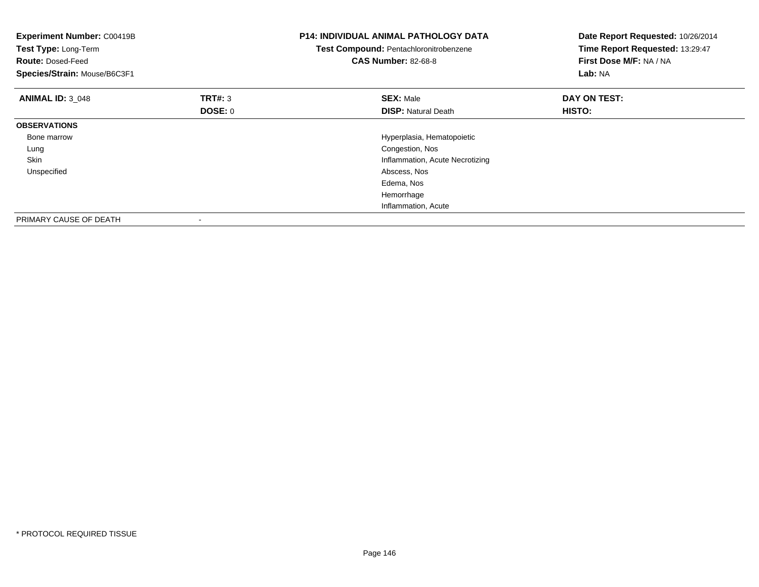| <b>Experiment Number: C00419B</b><br>Test Type: Long-Term<br><b>Route: Dosed-Feed</b><br>Species/Strain: Mouse/B6C3F1 |                    | <b>P14: INDIVIDUAL ANIMAL PATHOLOGY DATA</b><br>Test Compound: Pentachloronitrobenzene<br><b>CAS Number: 82-68-8</b> | Date Report Requested: 10/26/2014<br>Time Report Requested: 13:29:47<br>First Dose M/F: NA / NA<br>Lab: NA |
|-----------------------------------------------------------------------------------------------------------------------|--------------------|----------------------------------------------------------------------------------------------------------------------|------------------------------------------------------------------------------------------------------------|
| <b>ANIMAL ID: 3 048</b>                                                                                               | TRT#: 3<br>DOSE: 0 | <b>SEX: Male</b><br><b>DISP: Natural Death</b>                                                                       | DAY ON TEST:<br>HISTO:                                                                                     |
| <b>OBSERVATIONS</b>                                                                                                   |                    |                                                                                                                      |                                                                                                            |
| Bone marrow                                                                                                           |                    | Hyperplasia, Hematopoietic                                                                                           |                                                                                                            |
| Lung                                                                                                                  |                    | Congestion, Nos                                                                                                      |                                                                                                            |
| <b>Skin</b>                                                                                                           |                    | Inflammation, Acute Necrotizing                                                                                      |                                                                                                            |
| Unspecified                                                                                                           |                    | Abscess, Nos                                                                                                         |                                                                                                            |
|                                                                                                                       |                    | Edema, Nos                                                                                                           |                                                                                                            |
|                                                                                                                       |                    | Hemorrhage                                                                                                           |                                                                                                            |
|                                                                                                                       |                    | Inflammation, Acute                                                                                                  |                                                                                                            |
| PRIMARY CAUSE OF DEATH                                                                                                |                    |                                                                                                                      |                                                                                                            |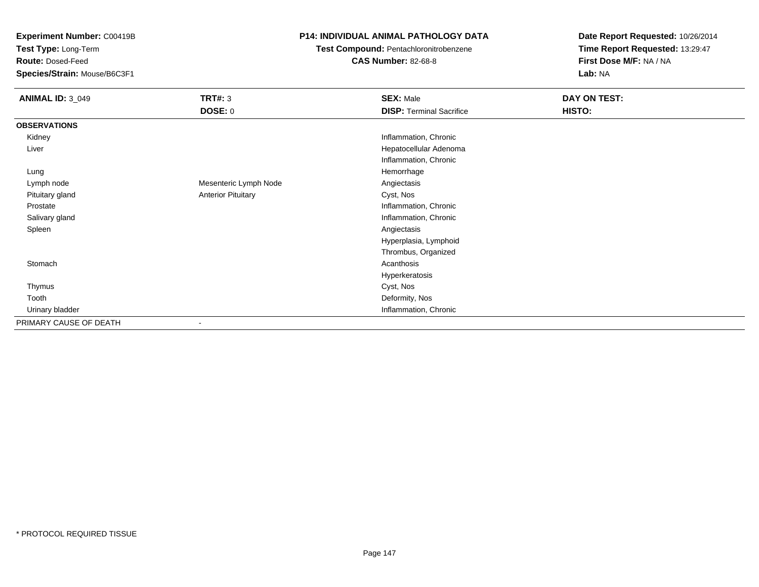**Experiment Number:** C00419B

**Test Type:** Long-Term

**Route:** Dosed-Feed

**Species/Strain:** Mouse/B6C3F1

## **P14: INDIVIDUAL ANIMAL PATHOLOGY DATA**

**Test Compound:** Pentachloronitrobenzene

**CAS Number:** 82-68-8

**Date Report Requested:** 10/26/2014**Time Report Requested:** 13:29:47**First Dose M/F:** NA / NA**Lab:** NA

| <b>ANIMAL ID: 3_049</b> | <b>TRT#: 3</b>            | <b>SEX: Male</b>                | DAY ON TEST: |
|-------------------------|---------------------------|---------------------------------|--------------|
|                         | <b>DOSE: 0</b>            | <b>DISP: Terminal Sacrifice</b> | HISTO:       |
| <b>OBSERVATIONS</b>     |                           |                                 |              |
| Kidney                  |                           | Inflammation, Chronic           |              |
| Liver                   |                           | Hepatocellular Adenoma          |              |
|                         |                           | Inflammation, Chronic           |              |
| Lung                    |                           | Hemorrhage                      |              |
| Lymph node              | Mesenteric Lymph Node     | Angiectasis                     |              |
| Pituitary gland         | <b>Anterior Pituitary</b> | Cyst, Nos                       |              |
| Prostate                |                           | Inflammation, Chronic           |              |
| Salivary gland          |                           | Inflammation, Chronic           |              |
| Spleen                  |                           | Angiectasis                     |              |
|                         |                           | Hyperplasia, Lymphoid           |              |
|                         |                           | Thrombus, Organized             |              |
| Stomach                 |                           | Acanthosis                      |              |
|                         |                           | Hyperkeratosis                  |              |
| Thymus                  |                           | Cyst, Nos                       |              |
| Tooth                   |                           | Deformity, Nos                  |              |
| Urinary bladder         |                           | Inflammation, Chronic           |              |
| PRIMARY CAUSE OF DEATH  |                           |                                 |              |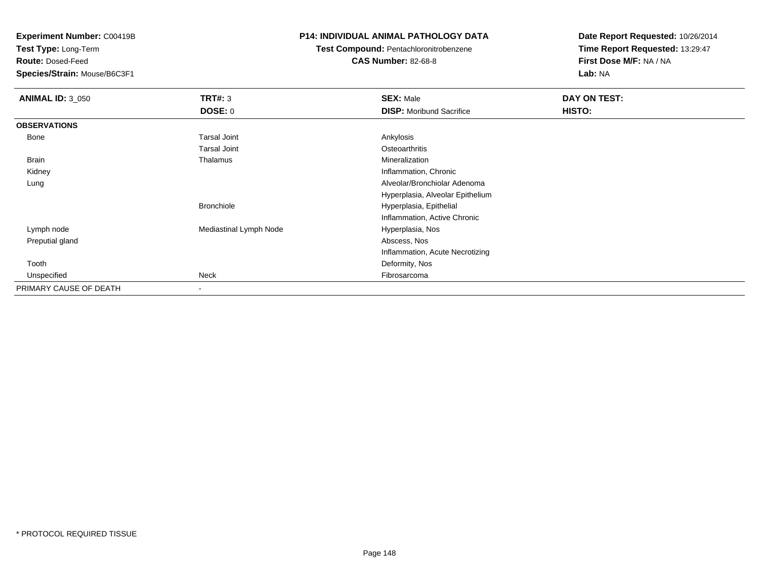**Experiment Number:** C00419B

**Test Type:** Long-Term

**Route:** Dosed-Feed

**Species/Strain:** Mouse/B6C3F1

## **P14: INDIVIDUAL ANIMAL PATHOLOGY DATA**

**Test Compound:** Pentachloronitrobenzene

**CAS Number:** 82-68-8

**Date Report Requested:** 10/26/2014**Time Report Requested:** 13:29:47**First Dose M/F:** NA / NA**Lab:** NA

| <b>ANIMAL ID: 3_050</b> | TRT#: 3                | <b>SEX: Male</b>                 | DAY ON TEST: |  |
|-------------------------|------------------------|----------------------------------|--------------|--|
|                         | <b>DOSE: 0</b>         | <b>DISP:</b> Moribund Sacrifice  | HISTO:       |  |
| <b>OBSERVATIONS</b>     |                        |                                  |              |  |
| Bone                    | <b>Tarsal Joint</b>    | Ankylosis                        |              |  |
|                         | <b>Tarsal Joint</b>    | Osteoarthritis                   |              |  |
| Brain                   | Thalamus               | Mineralization                   |              |  |
| Kidney                  |                        | Inflammation, Chronic            |              |  |
| Lung                    |                        | Alveolar/Bronchiolar Adenoma     |              |  |
|                         |                        | Hyperplasia, Alveolar Epithelium |              |  |
|                         | <b>Bronchiole</b>      | Hyperplasia, Epithelial          |              |  |
|                         |                        | Inflammation, Active Chronic     |              |  |
| Lymph node              | Mediastinal Lymph Node | Hyperplasia, Nos                 |              |  |
| Preputial gland         |                        | Abscess, Nos                     |              |  |
|                         |                        | Inflammation, Acute Necrotizing  |              |  |
| Tooth                   |                        | Deformity, Nos                   |              |  |
| Unspecified             | Neck                   | Fibrosarcoma                     |              |  |
| PRIMARY CAUSE OF DEATH  |                        |                                  |              |  |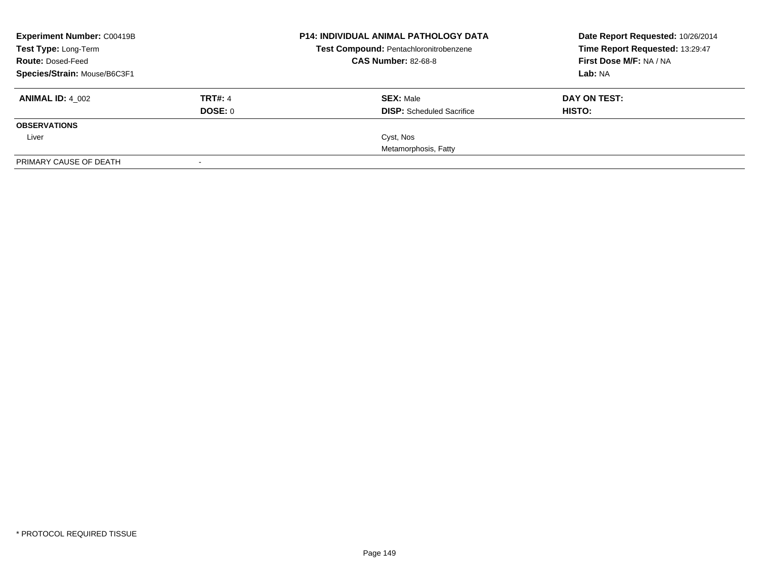| <b>Experiment Number: C00419B</b> |                | <b>P14: INDIVIDUAL ANIMAL PATHOLOGY DATA</b> | Date Report Requested: 10/26/2014 |
|-----------------------------------|----------------|----------------------------------------------|-----------------------------------|
| Test Type: Long-Term              |                | Test Compound: Pentachloronitrobenzene       | Time Report Requested: 13:29:47   |
| <b>Route: Dosed-Feed</b>          |                | <b>CAS Number: 82-68-8</b>                   | First Dose M/F: NA / NA           |
| Species/Strain: Mouse/B6C3F1      |                |                                              | Lab: NA                           |
| <b>ANIMAL ID: 4 002</b>           | <b>TRT#: 4</b> | <b>SEX: Male</b>                             | DAY ON TEST:                      |
|                                   | DOSE: 0        | <b>DISP:</b> Scheduled Sacrifice             | HISTO:                            |
| <b>OBSERVATIONS</b>               |                |                                              |                                   |
| Liver                             |                | Cyst, Nos                                    |                                   |
|                                   |                | Metamorphosis, Fatty                         |                                   |
| PRIMARY CAUSE OF DEATH            |                |                                              |                                   |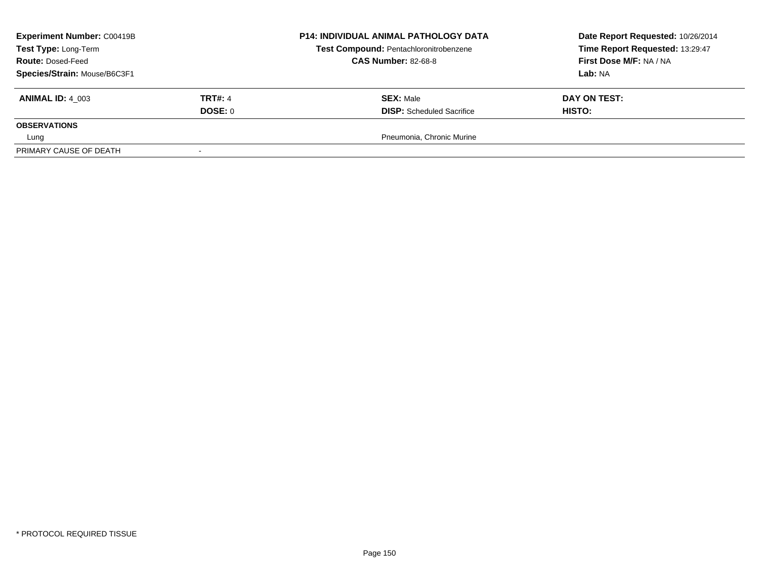| <b>Experiment Number: C00419B</b><br>Test Type: Long-Term<br><b>Route: Dosed-Feed</b> |                | <b>P14: INDIVIDUAL ANIMAL PATHOLOGY DATA</b><br>Test Compound: Pentachloronitrobenzene<br><b>CAS Number: 82-68-8</b> | Date Report Requested: 10/26/2014<br>Time Report Requested: 13:29:47<br>First Dose M/F: NA / NA |
|---------------------------------------------------------------------------------------|----------------|----------------------------------------------------------------------------------------------------------------------|-------------------------------------------------------------------------------------------------|
| Species/Strain: Mouse/B6C3F1                                                          |                |                                                                                                                      | Lab: NA                                                                                         |
| <b>ANIMAL ID: 4 003</b>                                                               | <b>TRT#: 4</b> | <b>SEX: Male</b>                                                                                                     | DAY ON TEST:                                                                                    |
|                                                                                       | DOSE: 0        | <b>DISP:</b> Scheduled Sacrifice                                                                                     | HISTO:                                                                                          |
| <b>OBSERVATIONS</b>                                                                   |                |                                                                                                                      |                                                                                                 |
| Lung                                                                                  |                | Pneumonia, Chronic Murine                                                                                            |                                                                                                 |
| PRIMARY CAUSE OF DEATH                                                                |                |                                                                                                                      |                                                                                                 |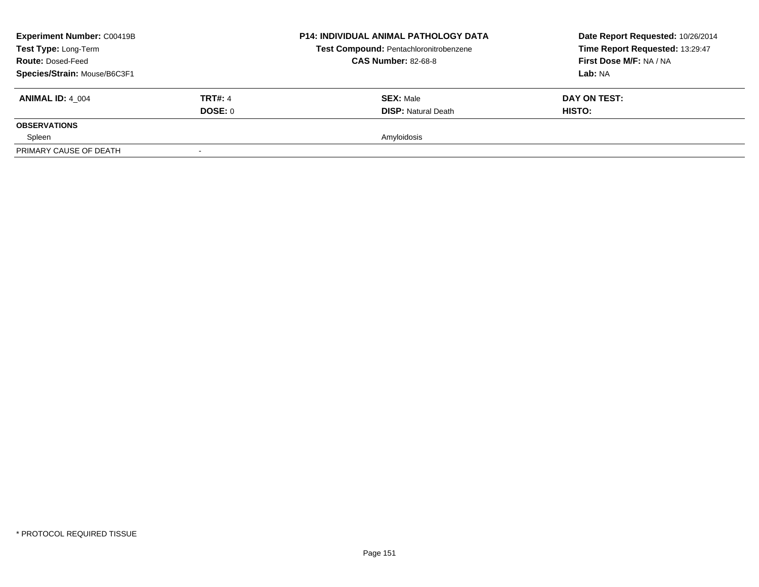| <b>Experiment Number: C00419B</b><br>Test Type: Long-Term<br><b>Route: Dosed-Feed</b> |                | <b>P14: INDIVIDUAL ANIMAL PATHOLOGY DATA</b><br>Test Compound: Pentachloronitrobenzene<br><b>CAS Number: 82-68-8</b> | Date Report Requested: 10/26/2014<br>Time Report Requested: 13:29:47<br>First Dose M/F: NA / NA |
|---------------------------------------------------------------------------------------|----------------|----------------------------------------------------------------------------------------------------------------------|-------------------------------------------------------------------------------------------------|
| Species/Strain: Mouse/B6C3F1                                                          |                |                                                                                                                      | <b>Lab: NA</b>                                                                                  |
| <b>ANIMAL ID: 4 004</b>                                                               | <b>TRT#: 4</b> | <b>SEX: Male</b>                                                                                                     | DAY ON TEST:                                                                                    |
|                                                                                       | DOSE: 0        | <b>DISP: Natural Death</b>                                                                                           | <b>HISTO:</b>                                                                                   |
| <b>OBSERVATIONS</b>                                                                   |                |                                                                                                                      |                                                                                                 |
| Spleen                                                                                |                | Amyloidosis                                                                                                          |                                                                                                 |
| PRIMARY CAUSE OF DEATH                                                                |                |                                                                                                                      |                                                                                                 |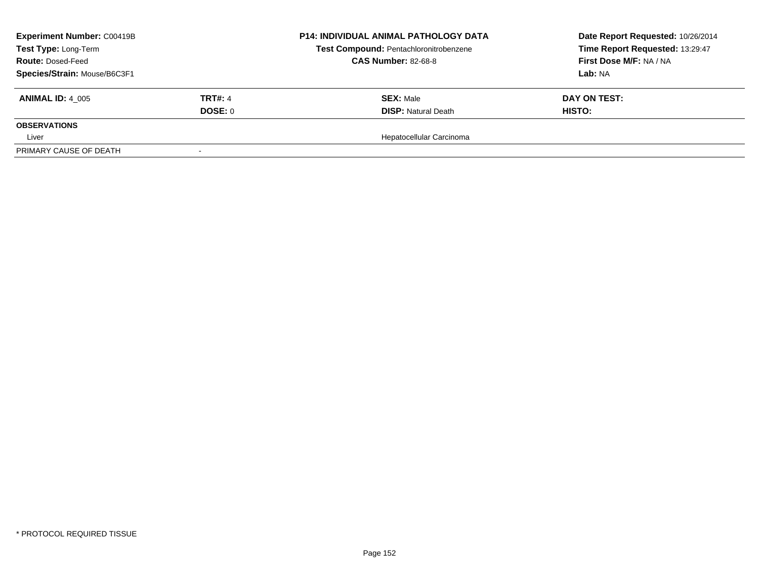| <b>Experiment Number: C00419B</b> |                | <b>P14: INDIVIDUAL ANIMAL PATHOLOGY DATA</b> | Date Report Requested: 10/26/2014 |
|-----------------------------------|----------------|----------------------------------------------|-----------------------------------|
| Test Type: Long-Term              |                | Test Compound: Pentachloronitrobenzene       | Time Report Requested: 13:29:47   |
| <b>Route: Dosed-Feed</b>          |                | <b>CAS Number: 82-68-8</b>                   | First Dose M/F: NA / NA           |
| Species/Strain: Mouse/B6C3F1      |                |                                              | Lab: NA                           |
| <b>ANIMAL ID: 4 005</b>           | <b>TRT#: 4</b> | <b>SEX: Male</b>                             | DAY ON TEST:                      |
|                                   | DOSE: 0        | <b>DISP: Natural Death</b>                   | <b>HISTO:</b>                     |
| <b>OBSERVATIONS</b>               |                |                                              |                                   |
| Liver                             |                | Hepatocellular Carcinoma                     |                                   |
| PRIMARY CAUSE OF DEATH            |                |                                              |                                   |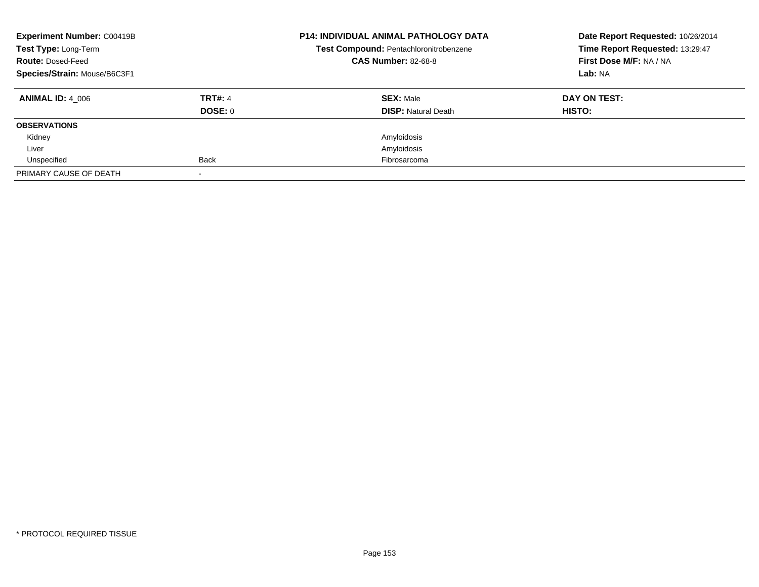| <b>Experiment Number: C00419B</b><br>Test Type: Long-Term<br><b>Route: Dosed-Feed</b><br>Species/Strain: Mouse/B6C3F1 |                                  | <b>P14: INDIVIDUAL ANIMAL PATHOLOGY DATA</b><br>Test Compound: Pentachloronitrobenzene<br><b>CAS Number: 82-68-8</b> | Date Report Requested: 10/26/2014<br>Time Report Requested: 13:29:47<br>First Dose M/F: NA / NA<br>Lab: NA |
|-----------------------------------------------------------------------------------------------------------------------|----------------------------------|----------------------------------------------------------------------------------------------------------------------|------------------------------------------------------------------------------------------------------------|
| <b>ANIMAL ID: 4 006</b>                                                                                               | <b>TRT#: 4</b><br><b>DOSE: 0</b> | <b>SEX: Male</b><br><b>DISP:</b> Natural Death                                                                       | DAY ON TEST:<br><b>HISTO:</b>                                                                              |
| <b>OBSERVATIONS</b>                                                                                                   |                                  |                                                                                                                      |                                                                                                            |
| Kidney                                                                                                                |                                  | Amyloidosis                                                                                                          |                                                                                                            |
| Liver                                                                                                                 |                                  | Amyloidosis                                                                                                          |                                                                                                            |
| Unspecified                                                                                                           | <b>Back</b>                      | Fibrosarcoma                                                                                                         |                                                                                                            |
| PRIMARY CAUSE OF DEATH                                                                                                |                                  |                                                                                                                      |                                                                                                            |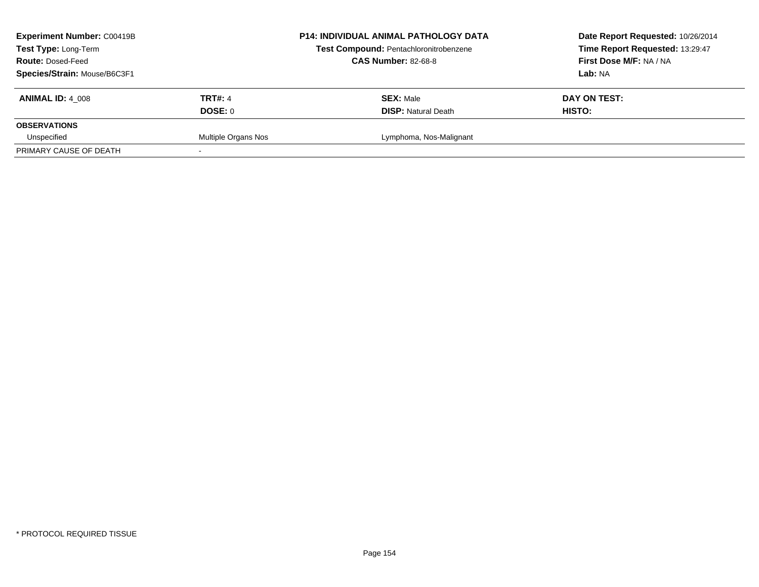| <b>Experiment Number: C00419B</b><br>Test Type: Long-Term<br><b>Route: Dosed-Feed</b><br>Species/Strain: Mouse/B6C3F1 |                           | <b>P14: INDIVIDUAL ANIMAL PATHOLOGY DATA</b><br>Test Compound: Pentachloronitrobenzene<br><b>CAS Number: 82-68-8</b> | Date Report Requested: 10/26/2014<br>Time Report Requested: 13:29:47<br>First Dose M/F: NA / NA<br>Lab: NA |
|-----------------------------------------------------------------------------------------------------------------------|---------------------------|----------------------------------------------------------------------------------------------------------------------|------------------------------------------------------------------------------------------------------------|
| <b>ANIMAL ID: 4 008</b>                                                                                               | <b>TRT#: 4</b><br>DOSE: 0 | <b>SEX: Male</b><br><b>DISP:</b> Natural Death                                                                       | DAY ON TEST:<br>HISTO:                                                                                     |
| <b>OBSERVATIONS</b>                                                                                                   |                           |                                                                                                                      |                                                                                                            |
| Unspecified                                                                                                           | Multiple Organs Nos       | Lymphoma, Nos-Malignant                                                                                              |                                                                                                            |
| PRIMARY CAUSE OF DEATH                                                                                                |                           |                                                                                                                      |                                                                                                            |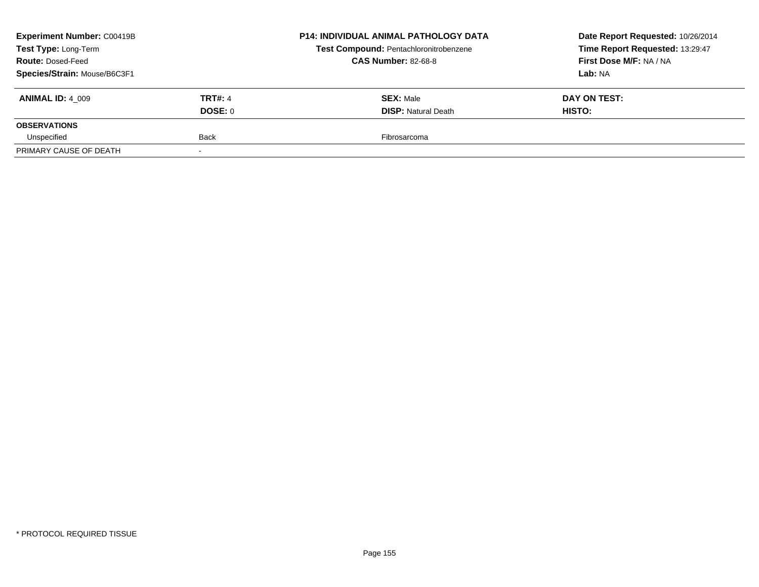| <b>Experiment Number: C00419B</b>                |                | <b>P14: INDIVIDUAL ANIMAL PATHOLOGY DATA</b> | Date Report Requested: 10/26/2014 |
|--------------------------------------------------|----------------|----------------------------------------------|-----------------------------------|
| Test Type: Long-Term<br><b>Route: Dosed-Feed</b> |                | Test Compound: Pentachloronitrobenzene       | Time Report Requested: 13:29:47   |
|                                                  |                | <b>CAS Number: 82-68-8</b>                   | First Dose M/F: NA / NA           |
| Species/Strain: Mouse/B6C3F1                     |                |                                              | Lab: NA                           |
| <b>ANIMAL ID: 4 009</b>                          | <b>TRT#: 4</b> | <b>SEX: Male</b>                             | DAY ON TEST:                      |
|                                                  | DOSE: 0        | <b>DISP:</b> Natural Death                   | <b>HISTO:</b>                     |
| <b>OBSERVATIONS</b>                              |                |                                              |                                   |
| Unspecified                                      | <b>Back</b>    | Fibrosarcoma                                 |                                   |
| PRIMARY CAUSE OF DEATH                           |                |                                              |                                   |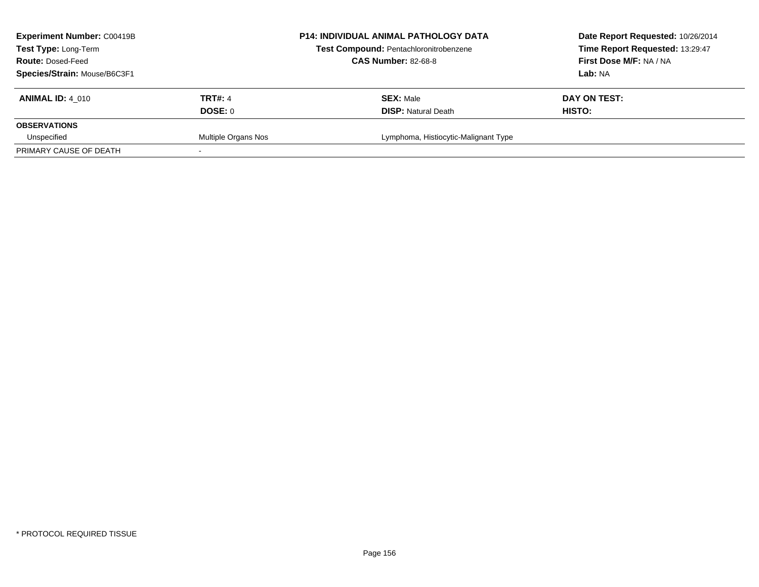| <b>Experiment Number: C00419B</b> |                     | <b>P14: INDIVIDUAL ANIMAL PATHOLOGY DATA</b> | Date Report Requested: 10/26/2014 |
|-----------------------------------|---------------------|----------------------------------------------|-----------------------------------|
| Test Type: Long-Term              |                     | Test Compound: Pentachloronitrobenzene       | Time Report Requested: 13:29:47   |
| <b>Route: Dosed-Feed</b>          |                     | <b>CAS Number: 82-68-8</b>                   | First Dose M/F: NA / NA           |
| Species/Strain: Mouse/B6C3F1      |                     |                                              | Lab: NA                           |
| <b>ANIMAL ID: 4 010</b>           | <b>TRT#: 4</b>      | <b>SEX: Male</b>                             | DAY ON TEST:                      |
|                                   | DOSE: 0             | <b>DISP:</b> Natural Death                   | HISTO:                            |
| <b>OBSERVATIONS</b>               |                     |                                              |                                   |
| Unspecified                       | Multiple Organs Nos | Lymphoma, Histiocytic-Malignant Type         |                                   |
| PRIMARY CAUSE OF DEATH            |                     |                                              |                                   |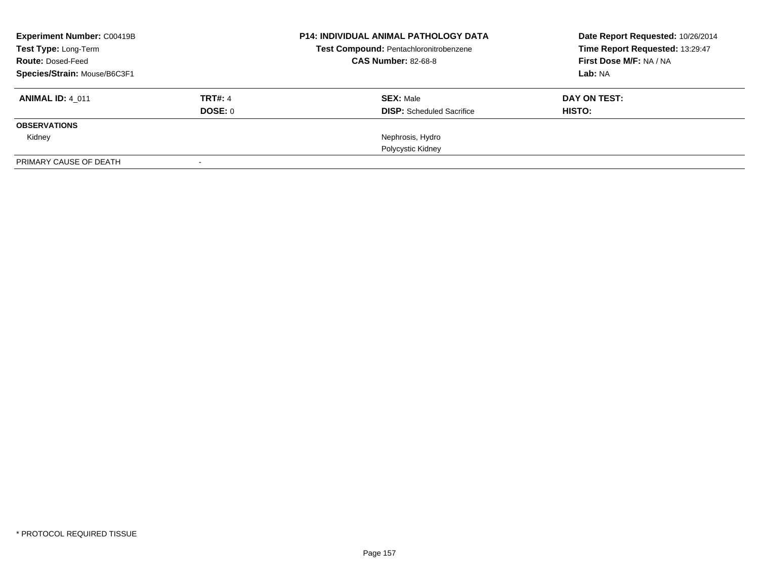| <b>Experiment Number: C00419B</b><br>Test Type: Long-Term |                | <b>P14: INDIVIDUAL ANIMAL PATHOLOGY DATA</b><br>Test Compound: Pentachloronitrobenzene | Date Report Requested: 10/26/2014<br>Time Report Requested: 13:29:47 |
|-----------------------------------------------------------|----------------|----------------------------------------------------------------------------------------|----------------------------------------------------------------------|
| <b>Route: Dosed-Feed</b>                                  |                | <b>CAS Number: 82-68-8</b>                                                             | First Dose M/F: NA / NA                                              |
| Species/Strain: Mouse/B6C3F1                              |                |                                                                                        | Lab: NA                                                              |
| <b>ANIMAL ID: 4 011</b>                                   | <b>TRT#: 4</b> | <b>SEX: Male</b>                                                                       | DAY ON TEST:                                                         |
|                                                           | DOSE: 0        | <b>DISP:</b> Scheduled Sacrifice                                                       | HISTO:                                                               |
| <b>OBSERVATIONS</b>                                       |                |                                                                                        |                                                                      |
| Kidney                                                    |                | Nephrosis, Hydro                                                                       |                                                                      |
|                                                           |                | Polycystic Kidney                                                                      |                                                                      |
| PRIMARY CAUSE OF DEATH                                    |                |                                                                                        |                                                                      |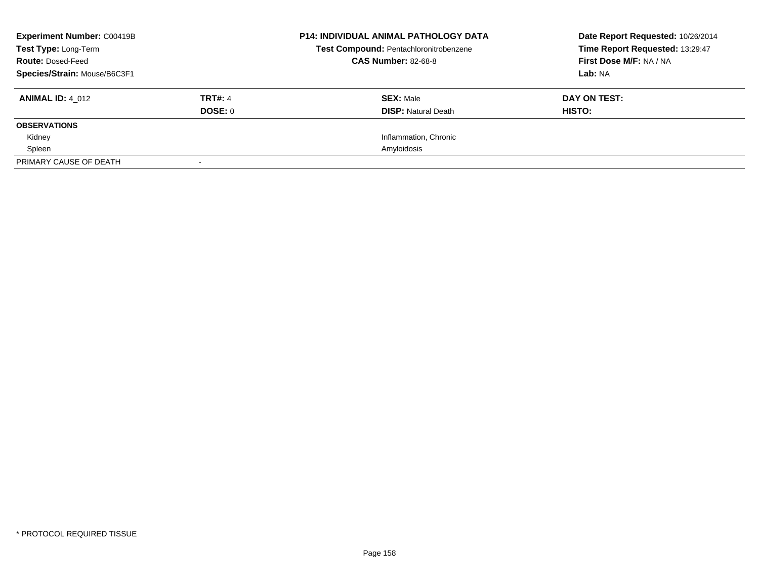| <b>Experiment Number: C00419B</b> |                | <b>P14: INDIVIDUAL ANIMAL PATHOLOGY DATA</b> | Date Report Requested: 10/26/2014 |
|-----------------------------------|----------------|----------------------------------------------|-----------------------------------|
| Test Type: Long-Term              |                | Test Compound: Pentachloronitrobenzene       | Time Report Requested: 13:29:47   |
| <b>Route: Dosed-Feed</b>          |                | <b>CAS Number: 82-68-8</b>                   | First Dose M/F: NA / NA           |
| Species/Strain: Mouse/B6C3F1      |                |                                              | Lab: NA                           |
| <b>ANIMAL ID: 4 012</b>           | <b>TRT#: 4</b> | <b>SEX: Male</b>                             | DAY ON TEST:                      |
|                                   | DOSE: 0        | <b>DISP:</b> Natural Death                   | HISTO:                            |
| <b>OBSERVATIONS</b>               |                |                                              |                                   |
| Kidney                            |                | Inflammation, Chronic                        |                                   |
| Spleen                            |                | Amyloidosis                                  |                                   |
| PRIMARY CAUSE OF DEATH            |                |                                              |                                   |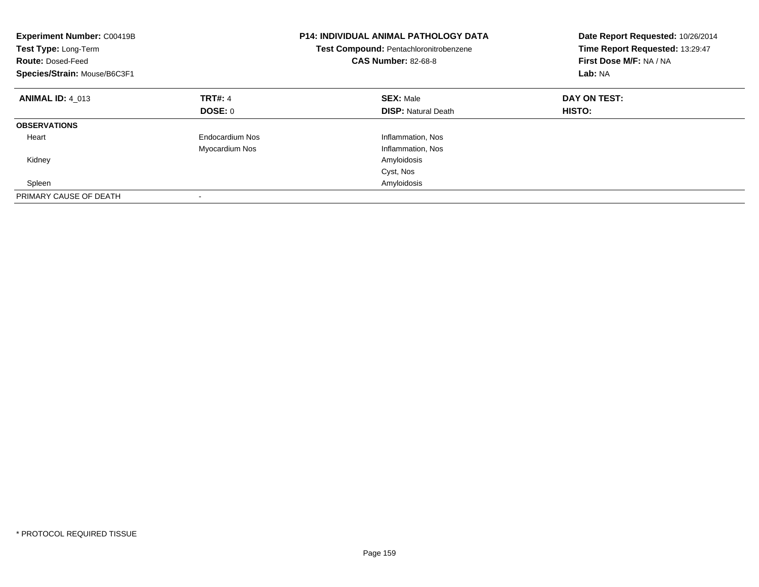| <b>Experiment Number: C00419B</b><br>Test Type: Long-Term<br><b>Route: Dosed-Feed</b><br>Species/Strain: Mouse/B6C3F1 |                 | <b>P14: INDIVIDUAL ANIMAL PATHOLOGY DATA</b><br>Test Compound: Pentachloronitrobenzene<br><b>CAS Number: 82-68-8</b> | Date Report Requested: 10/26/2014<br>Time Report Requested: 13:29:47<br>First Dose M/F: NA / NA<br>Lab: NA |
|-----------------------------------------------------------------------------------------------------------------------|-----------------|----------------------------------------------------------------------------------------------------------------------|------------------------------------------------------------------------------------------------------------|
| <b>ANIMAL ID: 4 013</b>                                                                                               | <b>TRT#: 4</b>  | <b>SEX: Male</b>                                                                                                     | DAY ON TEST:                                                                                               |
|                                                                                                                       | DOSE: 0         | <b>DISP:</b> Natural Death                                                                                           | HISTO:                                                                                                     |
| <b>OBSERVATIONS</b>                                                                                                   |                 |                                                                                                                      |                                                                                                            |
| Heart                                                                                                                 | Endocardium Nos | Inflammation, Nos                                                                                                    |                                                                                                            |
|                                                                                                                       | Myocardium Nos  | Inflammation, Nos                                                                                                    |                                                                                                            |
| Kidney                                                                                                                |                 | Amyloidosis                                                                                                          |                                                                                                            |
|                                                                                                                       |                 | Cyst, Nos                                                                                                            |                                                                                                            |
| Spleen                                                                                                                |                 | Amyloidosis                                                                                                          |                                                                                                            |
| PRIMARY CAUSE OF DEATH                                                                                                |                 |                                                                                                                      |                                                                                                            |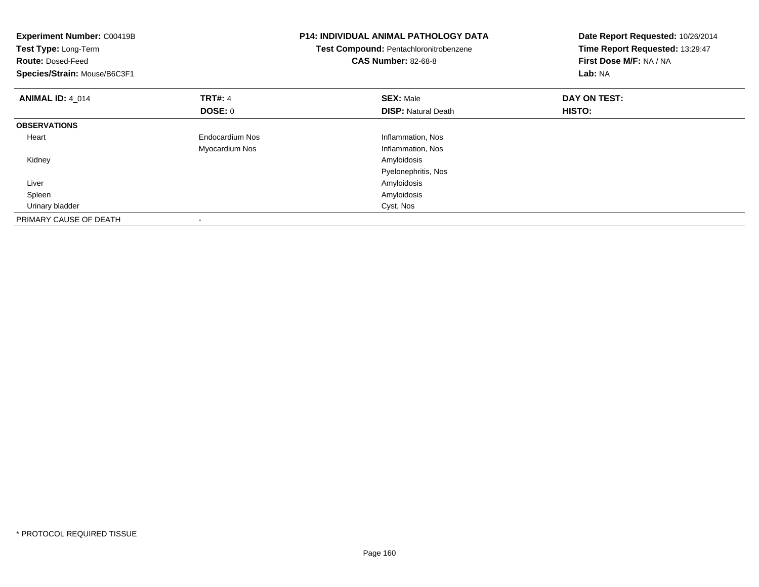| <b>Experiment Number: C00419B</b><br>Test Type: Long-Term<br><b>Route: Dosed-Feed</b><br>Species/Strain: Mouse/B6C3F1 |                 | <b>P14: INDIVIDUAL ANIMAL PATHOLOGY DATA</b><br>Test Compound: Pentachloronitrobenzene<br><b>CAS Number: 82-68-8</b> | Date Report Requested: 10/26/2014<br>Time Report Requested: 13:29:47<br>First Dose M/F: NA / NA<br>Lab: NA |
|-----------------------------------------------------------------------------------------------------------------------|-----------------|----------------------------------------------------------------------------------------------------------------------|------------------------------------------------------------------------------------------------------------|
| <b>ANIMAL ID: 4 014</b>                                                                                               | <b>TRT#: 4</b>  | <b>SEX: Male</b>                                                                                                     | DAY ON TEST:                                                                                               |
|                                                                                                                       | <b>DOSE: 0</b>  | <b>DISP:</b> Natural Death                                                                                           | <b>HISTO:</b>                                                                                              |
| <b>OBSERVATIONS</b>                                                                                                   |                 |                                                                                                                      |                                                                                                            |
| Heart                                                                                                                 | Endocardium Nos | Inflammation, Nos                                                                                                    |                                                                                                            |
|                                                                                                                       | Myocardium Nos  | Inflammation, Nos                                                                                                    |                                                                                                            |
| Kidney                                                                                                                |                 | Amyloidosis                                                                                                          |                                                                                                            |
|                                                                                                                       |                 | Pyelonephritis, Nos                                                                                                  |                                                                                                            |
| Liver                                                                                                                 |                 | Amyloidosis                                                                                                          |                                                                                                            |
| Spleen                                                                                                                |                 | Amyloidosis                                                                                                          |                                                                                                            |
| Urinary bladder                                                                                                       |                 | Cyst, Nos                                                                                                            |                                                                                                            |
| PRIMARY CAUSE OF DEATH                                                                                                |                 |                                                                                                                      |                                                                                                            |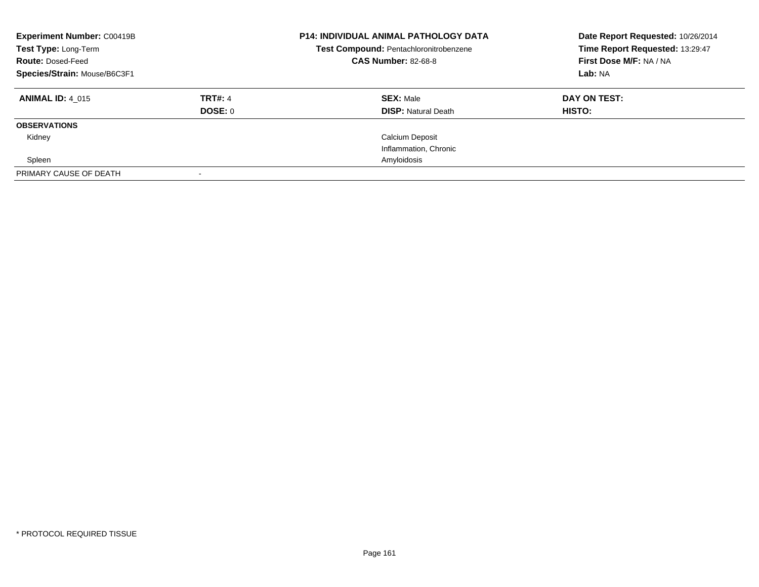| <b>Experiment Number: C00419B</b><br>Test Type: Long-Term<br><b>Route: Dosed-Feed</b><br>Species/Strain: Mouse/B6C3F1 |                           | <b>P14: INDIVIDUAL ANIMAL PATHOLOGY DATA</b><br>Test Compound: Pentachloronitrobenzene<br><b>CAS Number: 82-68-8</b> | Date Report Requested: 10/26/2014<br>Time Report Requested: 13:29:47<br>First Dose M/F: NA / NA<br>Lab: NA |
|-----------------------------------------------------------------------------------------------------------------------|---------------------------|----------------------------------------------------------------------------------------------------------------------|------------------------------------------------------------------------------------------------------------|
| <b>ANIMAL ID: 4 015</b>                                                                                               | <b>TRT#: 4</b><br>DOSE: 0 | <b>SEX: Male</b><br><b>DISP:</b> Natural Death                                                                       | DAY ON TEST:<br>HISTO:                                                                                     |
| <b>OBSERVATIONS</b>                                                                                                   |                           |                                                                                                                      |                                                                                                            |
| Kidney                                                                                                                |                           | <b>Calcium Deposit</b>                                                                                               |                                                                                                            |
|                                                                                                                       |                           | Inflammation, Chronic                                                                                                |                                                                                                            |
| Spleen                                                                                                                |                           | Amyloidosis                                                                                                          |                                                                                                            |
| PRIMARY CAUSE OF DEATH                                                                                                |                           |                                                                                                                      |                                                                                                            |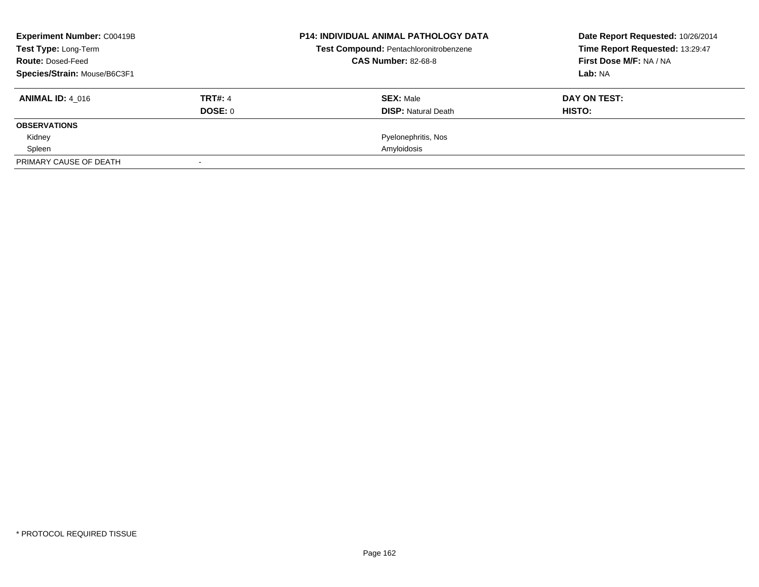| <b>Experiment Number: C00419B</b> |                | <b>P14: INDIVIDUAL ANIMAL PATHOLOGY DATA</b> | Date Report Requested: 10/26/2014 |
|-----------------------------------|----------------|----------------------------------------------|-----------------------------------|
| Test Type: Long-Term              |                | Test Compound: Pentachloronitrobenzene       | Time Report Requested: 13:29:47   |
| <b>Route: Dosed-Feed</b>          |                | <b>CAS Number: 82-68-8</b>                   | First Dose M/F: NA / NA           |
| Species/Strain: Mouse/B6C3F1      |                |                                              | Lab: NA                           |
| <b>ANIMAL ID: 4 016</b>           | <b>TRT#: 4</b> | <b>SEX: Male</b>                             | DAY ON TEST:                      |
|                                   | DOSE: 0        | <b>DISP:</b> Natural Death                   | HISTO:                            |
| <b>OBSERVATIONS</b>               |                |                                              |                                   |
| Kidney                            |                | Pyelonephritis, Nos                          |                                   |
| Spleen                            |                | Amyloidosis                                  |                                   |
| PRIMARY CAUSE OF DEATH            |                |                                              |                                   |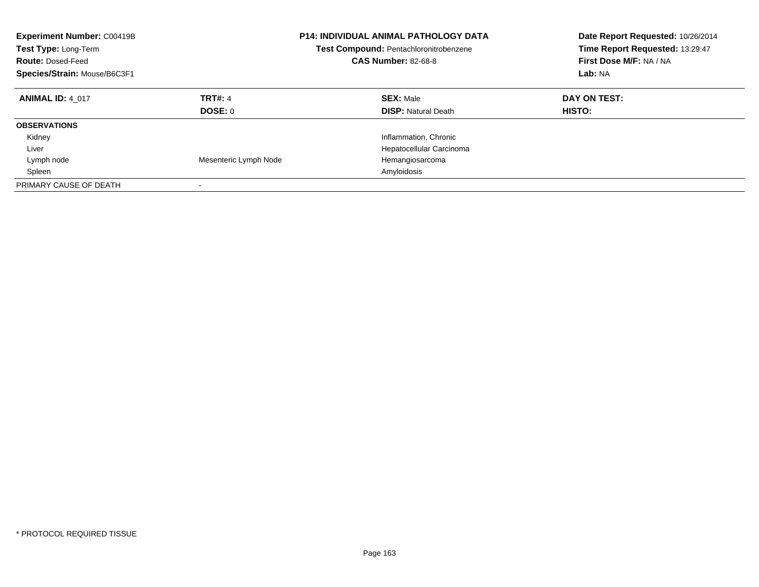| <b>Experiment Number: C00419B</b><br>Test Type: Long-Term<br><b>Route: Dosed-Feed</b><br>Species/Strain: Mouse/B6C3F1 |                                  | <b>P14: INDIVIDUAL ANIMAL PATHOLOGY DATA</b><br><b>Test Compound: Pentachloronitrobenzene</b><br><b>CAS Number: 82-68-8</b> | Date Report Requested: 10/26/2014<br>Time Report Requested: 13:29:47<br>First Dose M/F: NA / NA<br>Lab: NA |
|-----------------------------------------------------------------------------------------------------------------------|----------------------------------|-----------------------------------------------------------------------------------------------------------------------------|------------------------------------------------------------------------------------------------------------|
| <b>ANIMAL ID: 4 017</b>                                                                                               | <b>TRT#: 4</b><br><b>DOSE: 0</b> | <b>SEX: Male</b><br><b>DISP:</b> Natural Death                                                                              | DAY ON TEST:<br><b>HISTO:</b>                                                                              |
| <b>OBSERVATIONS</b>                                                                                                   |                                  |                                                                                                                             |                                                                                                            |
| Kidney                                                                                                                |                                  | Inflammation, Chronic                                                                                                       |                                                                                                            |
| Liver                                                                                                                 |                                  | Hepatocellular Carcinoma                                                                                                    |                                                                                                            |
| Lymph node                                                                                                            | Mesenteric Lymph Node            | Hemangiosarcoma                                                                                                             |                                                                                                            |
| Spleen                                                                                                                |                                  | Amyloidosis                                                                                                                 |                                                                                                            |
| PRIMARY CAUSE OF DEATH                                                                                                | $\overline{\phantom{a}}$         |                                                                                                                             |                                                                                                            |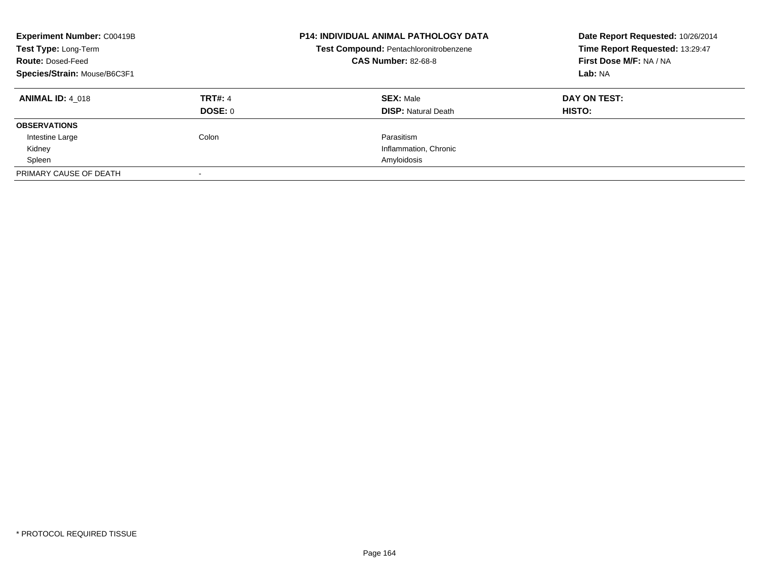| <b>Experiment Number: C00419B</b><br>Test Type: Long-Term<br><b>Route: Dosed-Feed</b><br>Species/Strain: Mouse/B6C3F1 |                           | <b>P14: INDIVIDUAL ANIMAL PATHOLOGY DATA</b><br>Test Compound: Pentachloronitrobenzene<br><b>CAS Number: 82-68-8</b> | Date Report Requested: 10/26/2014<br>Time Report Requested: 13:29:47<br>First Dose M/F: NA / NA<br>Lab: NA |
|-----------------------------------------------------------------------------------------------------------------------|---------------------------|----------------------------------------------------------------------------------------------------------------------|------------------------------------------------------------------------------------------------------------|
| <b>ANIMAL ID: 4 018</b>                                                                                               | <b>TRT#: 4</b><br>DOSE: 0 | <b>SEX: Male</b><br><b>DISP:</b> Natural Death                                                                       | DAY ON TEST:<br>HISTO:                                                                                     |
| <b>OBSERVATIONS</b>                                                                                                   |                           |                                                                                                                      |                                                                                                            |
| Intestine Large                                                                                                       | Colon                     | Parasitism                                                                                                           |                                                                                                            |
| Kidney                                                                                                                |                           | Inflammation, Chronic                                                                                                |                                                                                                            |
| Spleen                                                                                                                |                           | Amyloidosis                                                                                                          |                                                                                                            |
| PRIMARY CAUSE OF DEATH                                                                                                |                           |                                                                                                                      |                                                                                                            |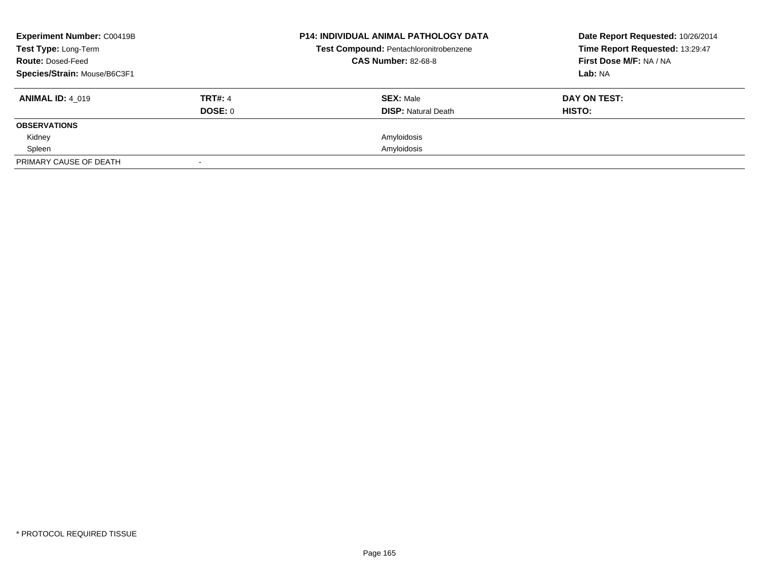| <b>Experiment Number: C00419B</b> |                | <b>P14: INDIVIDUAL ANIMAL PATHOLOGY DATA</b> | Date Report Requested: 10/26/2014 |
|-----------------------------------|----------------|----------------------------------------------|-----------------------------------|
| Test Type: Long-Term              |                | Test Compound: Pentachloronitrobenzene       | Time Report Requested: 13:29:47   |
| <b>Route: Dosed-Feed</b>          |                | <b>CAS Number: 82-68-8</b>                   | First Dose M/F: NA / NA           |
| Species/Strain: Mouse/B6C3F1      |                |                                              | Lab: NA                           |
| <b>ANIMAL ID: 4 019</b>           | <b>TRT#: 4</b> | <b>SEX: Male</b>                             | DAY ON TEST:                      |
|                                   | DOSE: 0        | <b>DISP:</b> Natural Death                   | HISTO:                            |
| <b>OBSERVATIONS</b>               |                |                                              |                                   |
| Kidney                            |                | Amyloidosis                                  |                                   |
| Spleen                            |                | Amyloidosis                                  |                                   |
| PRIMARY CAUSE OF DEATH            |                |                                              |                                   |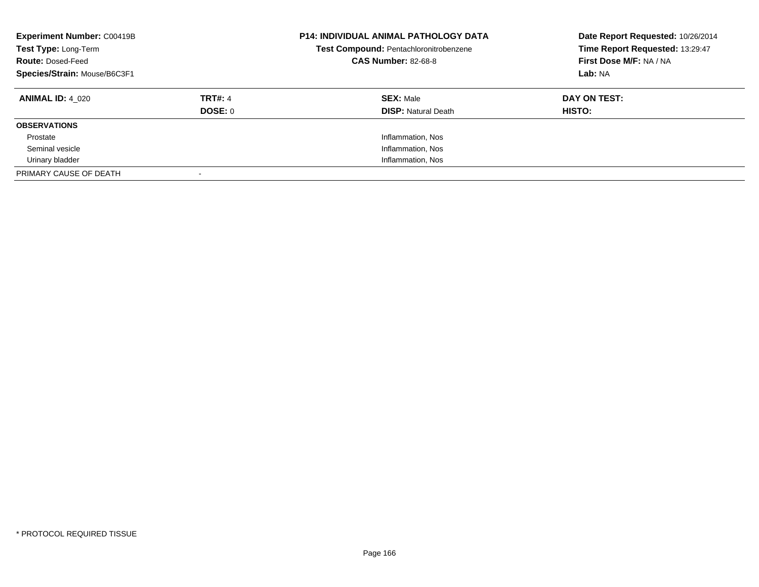| <b>Experiment Number: C00419B</b><br>Test Type: Long-Term<br><b>Route: Dosed-Feed</b><br>Species/Strain: Mouse/B6C3F1 |                           | <b>P14: INDIVIDUAL ANIMAL PATHOLOGY DATA</b><br>Test Compound: Pentachloronitrobenzene<br><b>CAS Number: 82-68-8</b> | Date Report Requested: 10/26/2014<br>Time Report Requested: 13:29:47<br>First Dose M/F: NA / NA<br>Lab: NA |
|-----------------------------------------------------------------------------------------------------------------------|---------------------------|----------------------------------------------------------------------------------------------------------------------|------------------------------------------------------------------------------------------------------------|
| <b>ANIMAL ID: 4 020</b>                                                                                               | <b>TRT#: 4</b><br>DOSE: 0 | <b>SEX: Male</b><br><b>DISP:</b> Natural Death                                                                       | DAY ON TEST:<br><b>HISTO:</b>                                                                              |
| <b>OBSERVATIONS</b>                                                                                                   |                           |                                                                                                                      |                                                                                                            |
| Prostate                                                                                                              |                           | Inflammation, Nos                                                                                                    |                                                                                                            |
| Seminal vesicle                                                                                                       |                           | Inflammation, Nos                                                                                                    |                                                                                                            |
| Urinary bladder                                                                                                       |                           | Inflammation, Nos                                                                                                    |                                                                                                            |
| PRIMARY CAUSE OF DEATH                                                                                                |                           |                                                                                                                      |                                                                                                            |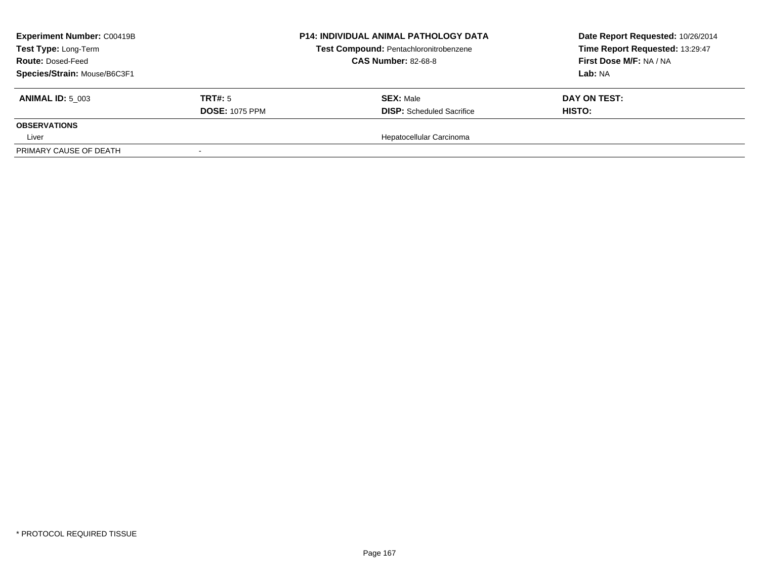| <b>Experiment Number: C00419B</b><br>Test Type: Long-Term<br><b>Route: Dosed-Feed</b> |                       | <b>P14: INDIVIDUAL ANIMAL PATHOLOGY DATA</b><br>Test Compound: Pentachloronitrobenzene<br><b>CAS Number: 82-68-8</b> | Date Report Requested: 10/26/2014<br>Time Report Requested: 13:29:47<br>First Dose M/F: NA / NA |
|---------------------------------------------------------------------------------------|-----------------------|----------------------------------------------------------------------------------------------------------------------|-------------------------------------------------------------------------------------------------|
| Species/Strain: Mouse/B6C3F1                                                          |                       |                                                                                                                      | <b>Lab:</b> NA                                                                                  |
| <b>ANIMAL ID: 5 003</b>                                                               | TRT#: 5               | <b>SEX: Male</b>                                                                                                     | DAY ON TEST:                                                                                    |
|                                                                                       | <b>DOSE: 1075 PPM</b> | <b>DISP:</b> Scheduled Sacrifice                                                                                     | <b>HISTO:</b>                                                                                   |
| <b>OBSERVATIONS</b>                                                                   |                       |                                                                                                                      |                                                                                                 |
| Liver                                                                                 |                       | Hepatocellular Carcinoma                                                                                             |                                                                                                 |
| PRIMARY CAUSE OF DEATH                                                                |                       |                                                                                                                      |                                                                                                 |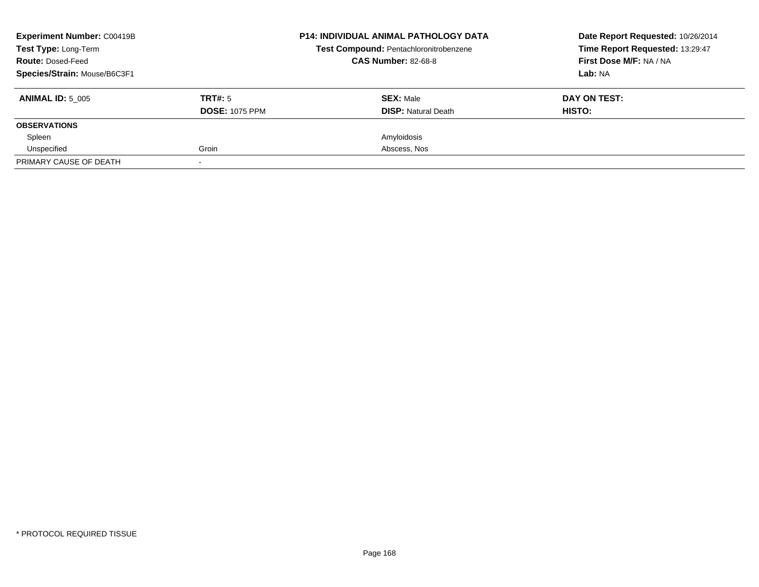| <b>Experiment Number: C00419B</b><br><b>Test Type: Long-Term</b><br><b>Route: Dosed-Feed</b> |                       | <b>P14: INDIVIDUAL ANIMAL PATHOLOGY DATA</b><br>Test Compound: Pentachloronitrobenzene<br><b>CAS Number: 82-68-8</b> | Date Report Requested: 10/26/2014<br>Time Report Requested: 13:29:47<br>First Dose M/F: NA / NA |
|----------------------------------------------------------------------------------------------|-----------------------|----------------------------------------------------------------------------------------------------------------------|-------------------------------------------------------------------------------------------------|
|                                                                                              |                       |                                                                                                                      |                                                                                                 |
| Species/Strain: Mouse/B6C3F1                                                                 |                       |                                                                                                                      | Lab: NA                                                                                         |
| <b>ANIMAL ID: 5 005</b>                                                                      | TRT#: 5               | <b>SEX: Male</b>                                                                                                     | DAY ON TEST:                                                                                    |
|                                                                                              | <b>DOSE: 1075 PPM</b> | <b>DISP:</b> Natural Death                                                                                           | HISTO:                                                                                          |
| <b>OBSERVATIONS</b>                                                                          |                       |                                                                                                                      |                                                                                                 |
| Spleen                                                                                       |                       | Amyloidosis                                                                                                          |                                                                                                 |
| Unspecified                                                                                  | Groin                 | Abscess, Nos                                                                                                         |                                                                                                 |
| PRIMARY CAUSE OF DEATH                                                                       |                       |                                                                                                                      |                                                                                                 |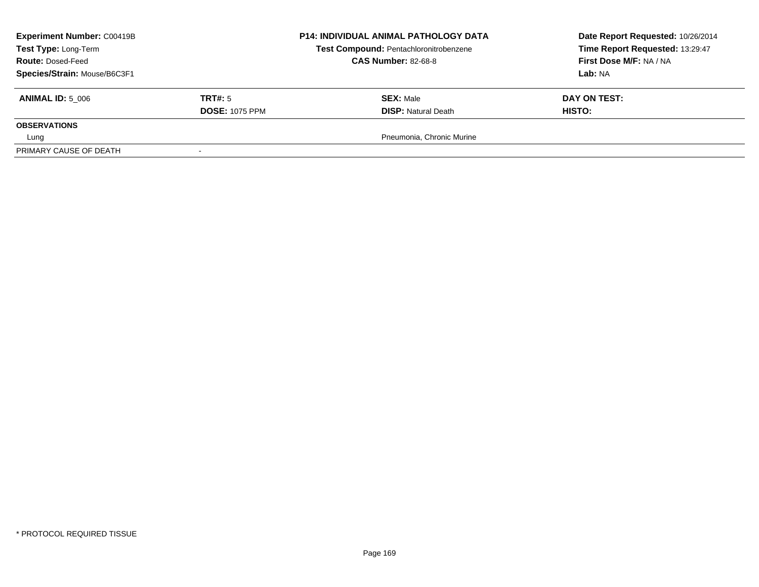| <b>Experiment Number: C00419B</b><br>Test Type: Long-Term<br><b>Route: Dosed-Feed</b> |                       | <b>P14: INDIVIDUAL ANIMAL PATHOLOGY DATA</b><br>Test Compound: Pentachloronitrobenzene<br><b>CAS Number: 82-68-8</b> | Date Report Requested: 10/26/2014<br>Time Report Requested: 13:29:47<br>First Dose M/F: NA / NA |
|---------------------------------------------------------------------------------------|-----------------------|----------------------------------------------------------------------------------------------------------------------|-------------------------------------------------------------------------------------------------|
| Species/Strain: Mouse/B6C3F1                                                          |                       |                                                                                                                      | <b>Lab: NA</b>                                                                                  |
| <b>ANIMAL ID: 5 006</b>                                                               | TRT#: 5               | <b>SEX: Male</b>                                                                                                     | DAY ON TEST:                                                                                    |
|                                                                                       | <b>DOSE: 1075 PPM</b> | <b>DISP:</b> Natural Death                                                                                           | <b>HISTO:</b>                                                                                   |
| <b>OBSERVATIONS</b>                                                                   |                       |                                                                                                                      |                                                                                                 |
| Lung                                                                                  |                       | Pneumonia, Chronic Murine                                                                                            |                                                                                                 |
| PRIMARY CAUSE OF DEATH                                                                |                       |                                                                                                                      |                                                                                                 |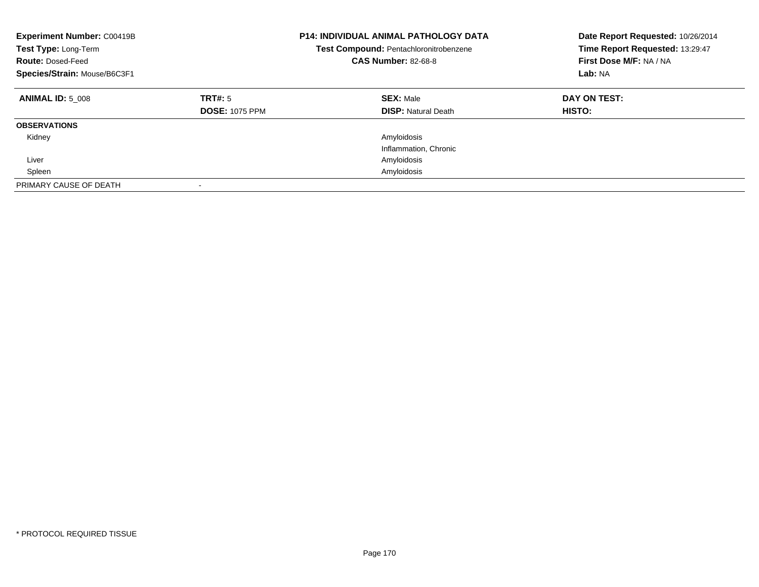| <b>Experiment Number: C00419B</b><br>Test Type: Long-Term<br><b>Route: Dosed-Feed</b><br>Species/Strain: Mouse/B6C3F1 |                                  | <b>P14: INDIVIDUAL ANIMAL PATHOLOGY DATA</b><br><b>Test Compound: Pentachloronitrobenzene</b><br><b>CAS Number: 82-68-8</b> | Date Report Requested: 10/26/2014<br>Time Report Requested: 13:29:47<br>First Dose M/F: NA / NA<br>Lab: NA |
|-----------------------------------------------------------------------------------------------------------------------|----------------------------------|-----------------------------------------------------------------------------------------------------------------------------|------------------------------------------------------------------------------------------------------------|
| <b>ANIMAL ID: 5 008</b>                                                                                               | TRT#: 5<br><b>DOSE: 1075 PPM</b> | <b>SEX: Male</b><br><b>DISP: Natural Death</b>                                                                              | DAY ON TEST:<br><b>HISTO:</b>                                                                              |
| <b>OBSERVATIONS</b>                                                                                                   |                                  |                                                                                                                             |                                                                                                            |
| Kidney                                                                                                                |                                  | Amyloidosis                                                                                                                 |                                                                                                            |
|                                                                                                                       |                                  | Inflammation, Chronic                                                                                                       |                                                                                                            |
| Liver                                                                                                                 |                                  | Amyloidosis                                                                                                                 |                                                                                                            |
| Spleen                                                                                                                |                                  | Amyloidosis                                                                                                                 |                                                                                                            |
| PRIMARY CAUSE OF DEATH                                                                                                |                                  |                                                                                                                             |                                                                                                            |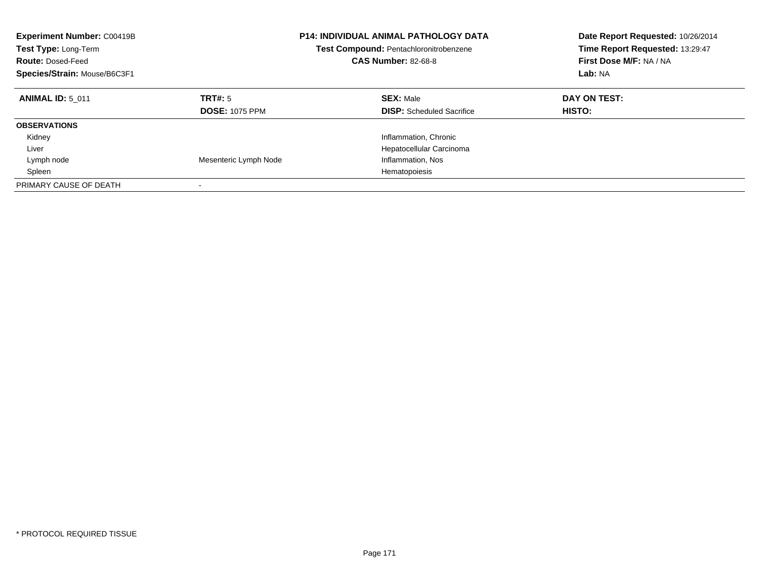| <b>Experiment Number: C00419B</b><br>Test Type: Long-Term<br><b>Route: Dosed-Feed</b><br>Species/Strain: Mouse/B6C3F1 |                                  | <b>P14: INDIVIDUAL ANIMAL PATHOLOGY DATA</b><br><b>Test Compound: Pentachloronitrobenzene</b><br><b>CAS Number: 82-68-8</b> | Date Report Requested: 10/26/2014<br>Time Report Requested: 13:29:47<br>First Dose M/F: NA / NA<br>Lab: NA |
|-----------------------------------------------------------------------------------------------------------------------|----------------------------------|-----------------------------------------------------------------------------------------------------------------------------|------------------------------------------------------------------------------------------------------------|
| <b>ANIMAL ID: 5 011</b>                                                                                               | TRT#: 5<br><b>DOSE: 1075 PPM</b> | <b>SEX: Male</b><br><b>DISP:</b> Scheduled Sacrifice                                                                        | DAY ON TEST:<br><b>HISTO:</b>                                                                              |
| <b>OBSERVATIONS</b>                                                                                                   |                                  |                                                                                                                             |                                                                                                            |
| Kidney                                                                                                                |                                  | Inflammation, Chronic                                                                                                       |                                                                                                            |
| Liver                                                                                                                 |                                  | Hepatocellular Carcinoma                                                                                                    |                                                                                                            |
| Lymph node                                                                                                            | Mesenteric Lymph Node            | Inflammation, Nos                                                                                                           |                                                                                                            |
| Spleen                                                                                                                |                                  | Hematopoiesis                                                                                                               |                                                                                                            |
| PRIMARY CAUSE OF DEATH                                                                                                |                                  |                                                                                                                             |                                                                                                            |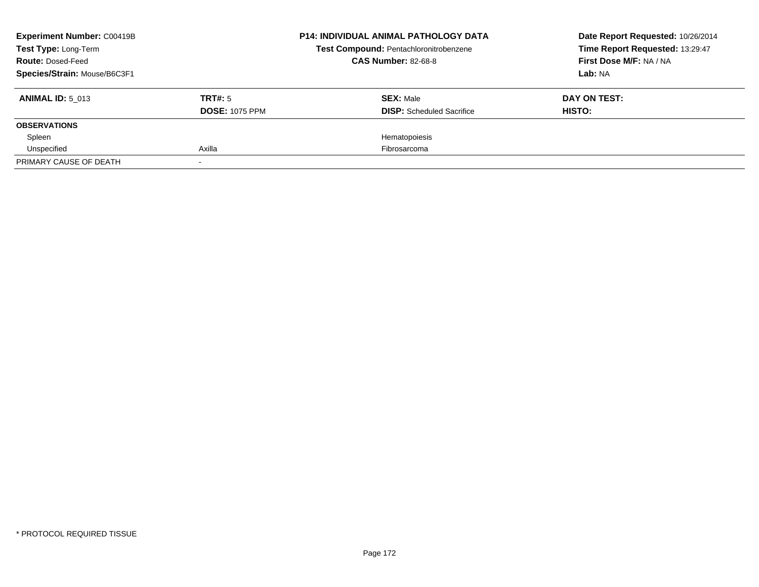| <b>Experiment Number: C00419B</b><br><b>Test Type: Long-Term</b><br><b>Route: Dosed-Feed</b> |                       | <b>P14: INDIVIDUAL ANIMAL PATHOLOGY DATA</b><br>Test Compound: Pentachloronitrobenzene<br><b>CAS Number: 82-68-8</b> | Date Report Requested: 10/26/2014<br>Time Report Requested: 13:29:47<br>First Dose M/F: NA / NA |
|----------------------------------------------------------------------------------------------|-----------------------|----------------------------------------------------------------------------------------------------------------------|-------------------------------------------------------------------------------------------------|
| Species/Strain: Mouse/B6C3F1                                                                 |                       |                                                                                                                      | Lab: NA                                                                                         |
| <b>ANIMAL ID: 5 013</b>                                                                      | TRT#: 5               | <b>SEX: Male</b>                                                                                                     | DAY ON TEST:                                                                                    |
|                                                                                              | <b>DOSE: 1075 PPM</b> | <b>DISP:</b> Scheduled Sacrifice                                                                                     | HISTO:                                                                                          |
| <b>OBSERVATIONS</b>                                                                          |                       |                                                                                                                      |                                                                                                 |
| Spleen                                                                                       |                       | Hematopoiesis                                                                                                        |                                                                                                 |
| Unspecified                                                                                  | Axilla                | Fibrosarcoma                                                                                                         |                                                                                                 |
| PRIMARY CAUSE OF DEATH                                                                       |                       |                                                                                                                      |                                                                                                 |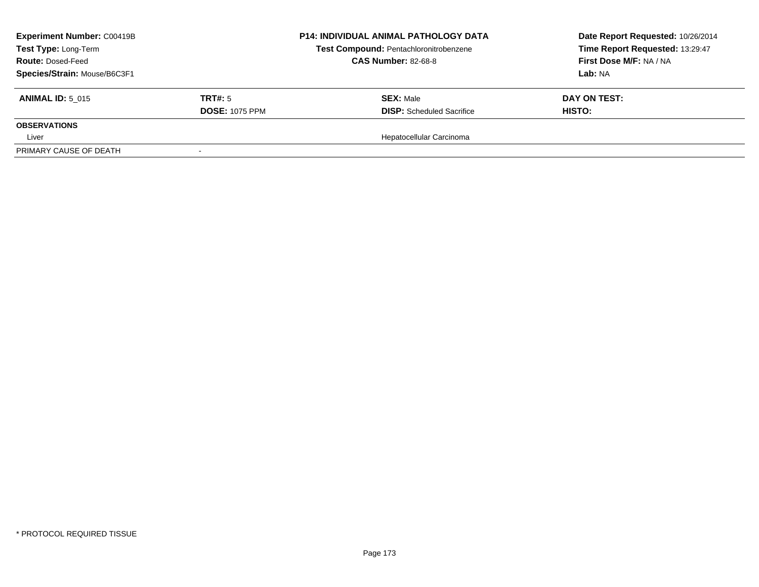| <b>Experiment Number: C00419B</b><br>Test Type: Long-Term<br><b>Route: Dosed-Feed</b> |                       | <b>P14: INDIVIDUAL ANIMAL PATHOLOGY DATA</b><br>Test Compound: Pentachloronitrobenzene<br><b>CAS Number: 82-68-8</b> | Date Report Requested: 10/26/2014<br>Time Report Requested: 13:29:47<br>First Dose M/F: NA / NA |
|---------------------------------------------------------------------------------------|-----------------------|----------------------------------------------------------------------------------------------------------------------|-------------------------------------------------------------------------------------------------|
| Species/Strain: Mouse/B6C3F1                                                          |                       |                                                                                                                      | <b>Lab:</b> NA                                                                                  |
| <b>ANIMAL ID: 5 015</b>                                                               | TRT#: 5               | <b>SEX: Male</b>                                                                                                     | DAY ON TEST:                                                                                    |
|                                                                                       | <b>DOSE: 1075 PPM</b> | <b>DISP:</b> Scheduled Sacrifice                                                                                     | <b>HISTO:</b>                                                                                   |
| <b>OBSERVATIONS</b>                                                                   |                       |                                                                                                                      |                                                                                                 |
| Liver                                                                                 |                       | Hepatocellular Carcinoma                                                                                             |                                                                                                 |
| PRIMARY CAUSE OF DEATH                                                                |                       |                                                                                                                      |                                                                                                 |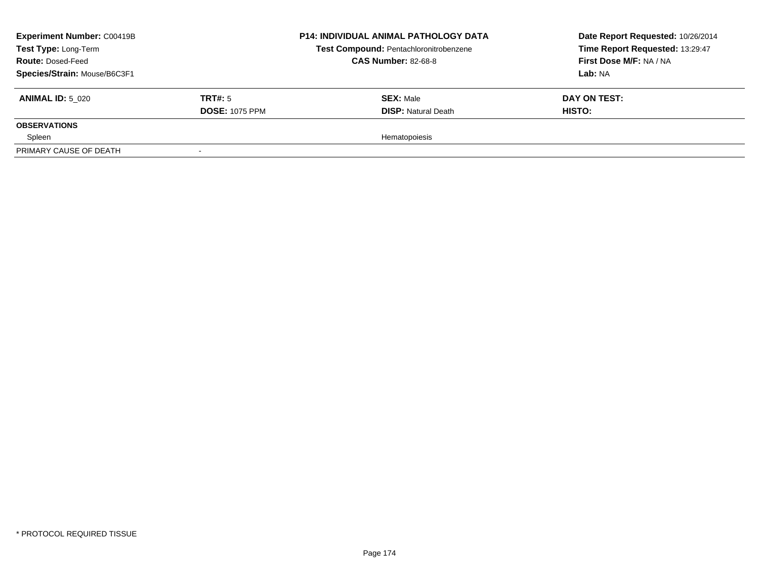| <b>Experiment Number: C00419B</b><br>Test Type: Long-Term<br><b>Route: Dosed-Feed</b><br>Species/Strain: Mouse/B6C3F1 |                                         | <b>P14: INDIVIDUAL ANIMAL PATHOLOGY DATA</b><br>Test Compound: Pentachloronitrobenzene<br><b>CAS Number: 82-68-8</b> | Date Report Requested: 10/26/2014<br>Time Report Requested: 13:29:47<br><b>First Dose M/F: NA / NA</b><br>Lab: NA |
|-----------------------------------------------------------------------------------------------------------------------|-----------------------------------------|----------------------------------------------------------------------------------------------------------------------|-------------------------------------------------------------------------------------------------------------------|
| <b>ANIMAL ID: 5 020</b>                                                                                               | <b>TRT#:</b> 5<br><b>DOSE: 1075 PPM</b> | <b>SEX: Male</b><br><b>DISP:</b> Natural Death                                                                       | DAY ON TEST:<br>HISTO:                                                                                            |
| <b>OBSERVATIONS</b>                                                                                                   |                                         |                                                                                                                      |                                                                                                                   |
| Spleen                                                                                                                |                                         | Hematopoiesis                                                                                                        |                                                                                                                   |
| PRIMARY CAUSE OF DEATH                                                                                                |                                         |                                                                                                                      |                                                                                                                   |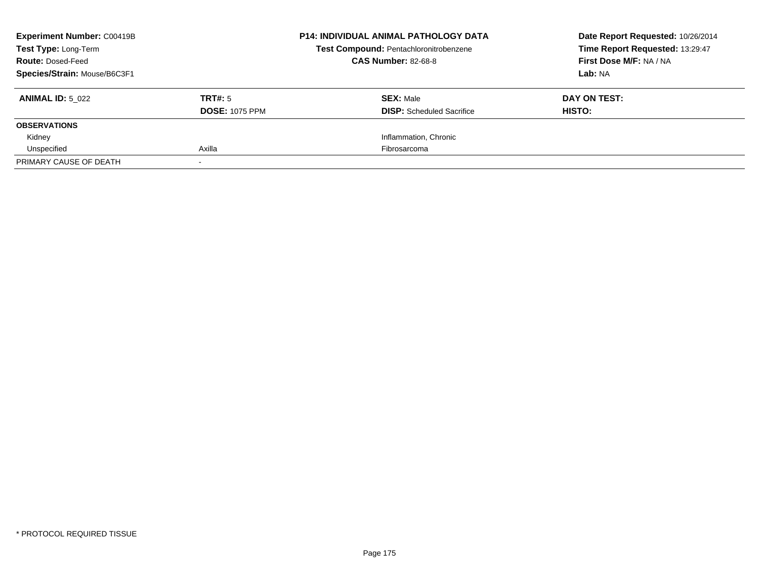| <b>Experiment Number: C00419B</b><br><b>Test Type: Long-Term</b> |                       | <b>P14: INDIVIDUAL ANIMAL PATHOLOGY DATA</b><br>Test Compound: Pentachloronitrobenzene | Date Report Requested: 10/26/2014<br>Time Report Requested: 13:29:47 |
|------------------------------------------------------------------|-----------------------|----------------------------------------------------------------------------------------|----------------------------------------------------------------------|
| <b>Route: Dosed-Feed</b>                                         |                       | <b>CAS Number: 82-68-8</b>                                                             | First Dose M/F: NA / NA                                              |
| Species/Strain: Mouse/B6C3F1                                     |                       |                                                                                        | Lab: NA                                                              |
| <b>ANIMAL ID: 5 022</b>                                          | TRT#: 5               | <b>SEX: Male</b>                                                                       | DAY ON TEST:                                                         |
|                                                                  | <b>DOSE: 1075 PPM</b> | <b>DISP:</b> Scheduled Sacrifice                                                       | HISTO:                                                               |
| <b>OBSERVATIONS</b>                                              |                       |                                                                                        |                                                                      |
| Kidney                                                           |                       | Inflammation, Chronic                                                                  |                                                                      |
| Unspecified                                                      | Axilla                | Fibrosarcoma                                                                           |                                                                      |
| PRIMARY CAUSE OF DEATH                                           |                       |                                                                                        |                                                                      |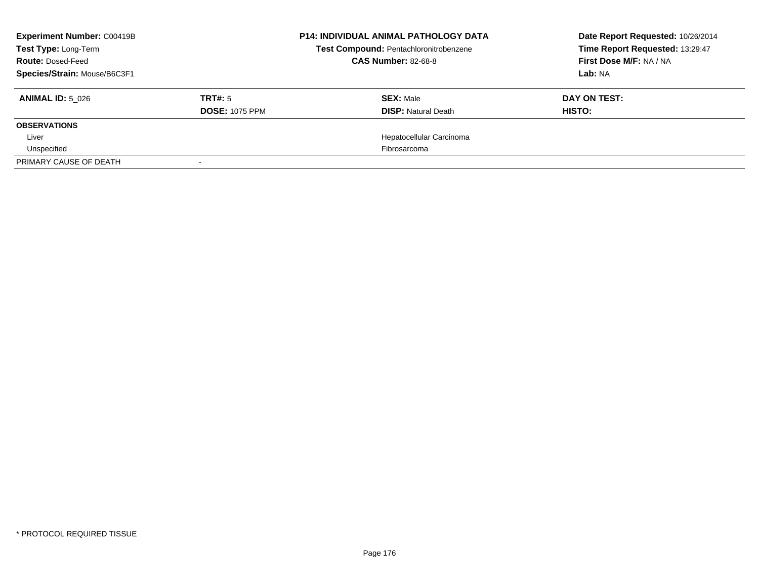| <b>Experiment Number: C00419B</b><br>Test Type: Long-Term<br><b>Route: Dosed-Feed</b> |                       | <b>P14: INDIVIDUAL ANIMAL PATHOLOGY DATA</b><br>Test Compound: Pentachloronitrobenzene<br><b>CAS Number: 82-68-8</b> | Date Report Requested: 10/26/2014<br>Time Report Requested: 13:29:47<br>First Dose M/F: NA / NA |
|---------------------------------------------------------------------------------------|-----------------------|----------------------------------------------------------------------------------------------------------------------|-------------------------------------------------------------------------------------------------|
| Species/Strain: Mouse/B6C3F1                                                          |                       |                                                                                                                      | Lab: NA                                                                                         |
| <b>ANIMAL ID: 5 026</b>                                                               | TRT#: 5               | <b>SEX: Male</b>                                                                                                     | DAY ON TEST:                                                                                    |
|                                                                                       | <b>DOSE: 1075 PPM</b> | <b>DISP: Natural Death</b>                                                                                           | HISTO:                                                                                          |
| <b>OBSERVATIONS</b>                                                                   |                       |                                                                                                                      |                                                                                                 |
| Liver                                                                                 |                       | Hepatocellular Carcinoma                                                                                             |                                                                                                 |
| Unspecified                                                                           |                       | Fibrosarcoma                                                                                                         |                                                                                                 |
| PRIMARY CAUSE OF DEATH                                                                |                       |                                                                                                                      |                                                                                                 |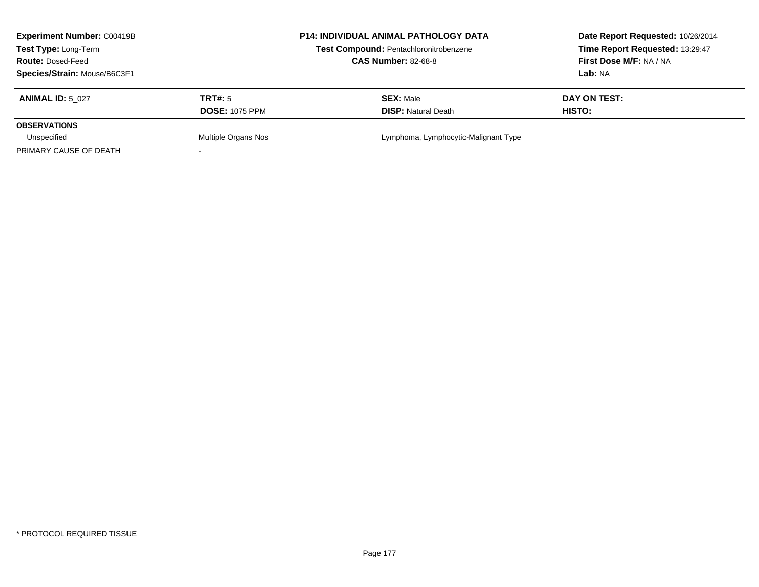| <b>Experiment Number: C00419B</b><br><b>Test Type: Long-Term</b><br><b>Route: Dosed-Feed</b><br>Species/Strain: Mouse/B6C3F1 |                                  | <b>P14: INDIVIDUAL ANIMAL PATHOLOGY DATA</b><br>Test Compound: Pentachloronitrobenzene<br><b>CAS Number: 82-68-8</b> | Date Report Requested: 10/26/2014<br>Time Report Requested: 13:29:47<br>First Dose M/F: NA / NA<br>Lab: NA |
|------------------------------------------------------------------------------------------------------------------------------|----------------------------------|----------------------------------------------------------------------------------------------------------------------|------------------------------------------------------------------------------------------------------------|
| <b>ANIMAL ID: 5 027</b>                                                                                                      | TRT#: 5<br><b>DOSE: 1075 PPM</b> | <b>SEX: Male</b><br><b>DISP:</b> Natural Death                                                                       | DAY ON TEST:<br>HISTO:                                                                                     |
| <b>OBSERVATIONS</b>                                                                                                          |                                  |                                                                                                                      |                                                                                                            |
| Unspecified                                                                                                                  | Multiple Organs Nos              | Lymphoma, Lymphocytic-Malignant Type                                                                                 |                                                                                                            |
| PRIMARY CAUSE OF DEATH                                                                                                       |                                  |                                                                                                                      |                                                                                                            |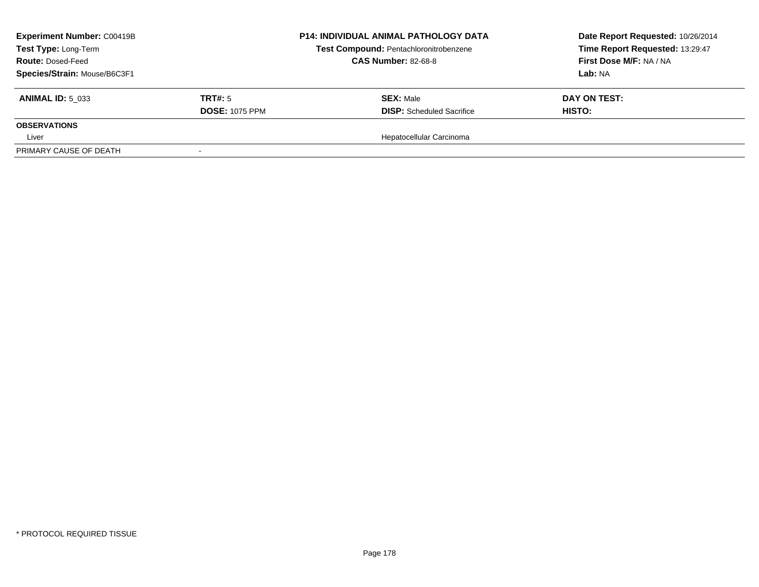| <b>Experiment Number: C00419B</b><br>Test Type: Long-Term<br><b>Route: Dosed-Feed</b><br>Species/Strain: Mouse/B6C3F1 |                                  | <b>P14: INDIVIDUAL ANIMAL PATHOLOGY DATA</b><br>Test Compound: Pentachloronitrobenzene<br><b>CAS Number: 82-68-8</b> | Date Report Requested: 10/26/2014<br>Time Report Requested: 13:29:47<br>First Dose M/F: NA / NA<br><b>Lab:</b> NA |
|-----------------------------------------------------------------------------------------------------------------------|----------------------------------|----------------------------------------------------------------------------------------------------------------------|-------------------------------------------------------------------------------------------------------------------|
| <b>ANIMAL ID: 5 033</b>                                                                                               | TRT#: 5<br><b>DOSE: 1075 PPM</b> | <b>SEX: Male</b><br><b>DISP:</b> Scheduled Sacrifice                                                                 | DAY ON TEST:<br><b>HISTO:</b>                                                                                     |
| <b>OBSERVATIONS</b><br>Liver                                                                                          |                                  | Hepatocellular Carcinoma                                                                                             |                                                                                                                   |
| PRIMARY CAUSE OF DEATH                                                                                                |                                  |                                                                                                                      |                                                                                                                   |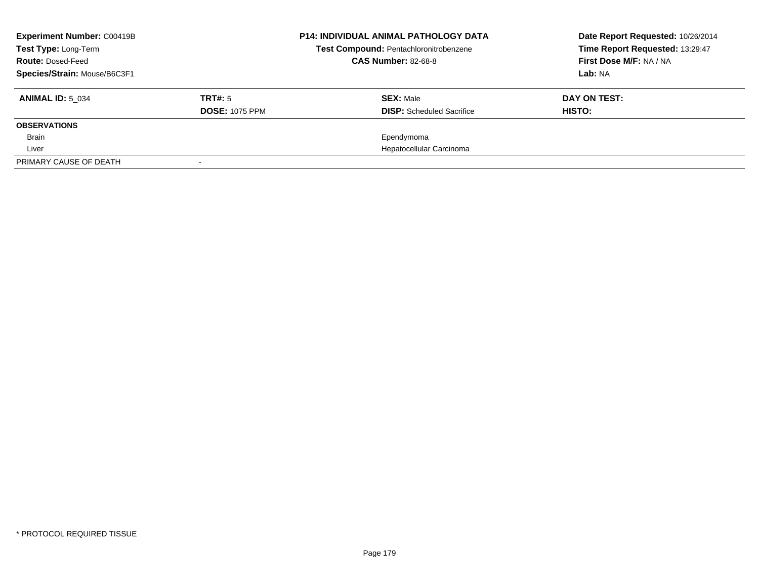| <b>Experiment Number: C00419B</b><br>Test Type: Long-Term<br><b>Route: Dosed-Feed</b><br>Species/Strain: Mouse/B6C3F1 |                                  | <b>P14: INDIVIDUAL ANIMAL PATHOLOGY DATA</b><br>Test Compound: Pentachloronitrobenzene<br><b>CAS Number: 82-68-8</b> | Date Report Requested: 10/26/2014<br>Time Report Requested: 13:29:47<br>First Dose M/F: NA / NA<br>Lab: NA |
|-----------------------------------------------------------------------------------------------------------------------|----------------------------------|----------------------------------------------------------------------------------------------------------------------|------------------------------------------------------------------------------------------------------------|
| <b>ANIMAL ID: 5 034</b>                                                                                               | TRT#: 5<br><b>DOSE: 1075 PPM</b> | <b>SEX: Male</b><br><b>DISP:</b> Scheduled Sacrifice                                                                 | DAY ON TEST:<br>HISTO:                                                                                     |
| <b>OBSERVATIONS</b>                                                                                                   |                                  |                                                                                                                      |                                                                                                            |
| Brain                                                                                                                 |                                  | Ependymoma                                                                                                           |                                                                                                            |
| Liver                                                                                                                 |                                  | Hepatocellular Carcinoma                                                                                             |                                                                                                            |
| PRIMARY CAUSE OF DEATH                                                                                                |                                  |                                                                                                                      |                                                                                                            |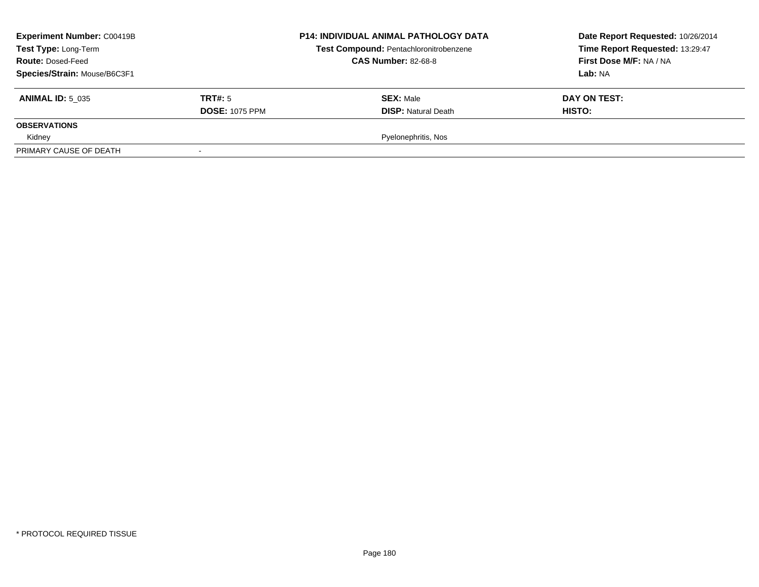| <b>Experiment Number: C00419B</b><br>Test Type: Long-Term<br><b>Route: Dosed-Feed</b><br>Species/Strain: Mouse/B6C3F1 |                                  | <b>P14: INDIVIDUAL ANIMAL PATHOLOGY DATA</b><br>Test Compound: Pentachloronitrobenzene<br><b>CAS Number: 82-68-8</b> | Date Report Requested: 10/26/2014<br>Time Report Requested: 13:29:47<br>First Dose M/F: NA / NA<br>Lab: NA |
|-----------------------------------------------------------------------------------------------------------------------|----------------------------------|----------------------------------------------------------------------------------------------------------------------|------------------------------------------------------------------------------------------------------------|
| <b>ANIMAL ID: 5 035</b>                                                                                               | TRT#: 5<br><b>DOSE: 1075 PPM</b> | <b>SEX: Male</b><br><b>DISP: Natural Death</b>                                                                       | DAY ON TEST:<br>HISTO:                                                                                     |
| <b>OBSERVATIONS</b>                                                                                                   |                                  |                                                                                                                      |                                                                                                            |
| Kidney                                                                                                                |                                  | Pyelonephritis, Nos                                                                                                  |                                                                                                            |
| PRIMARY CAUSE OF DEATH                                                                                                |                                  |                                                                                                                      |                                                                                                            |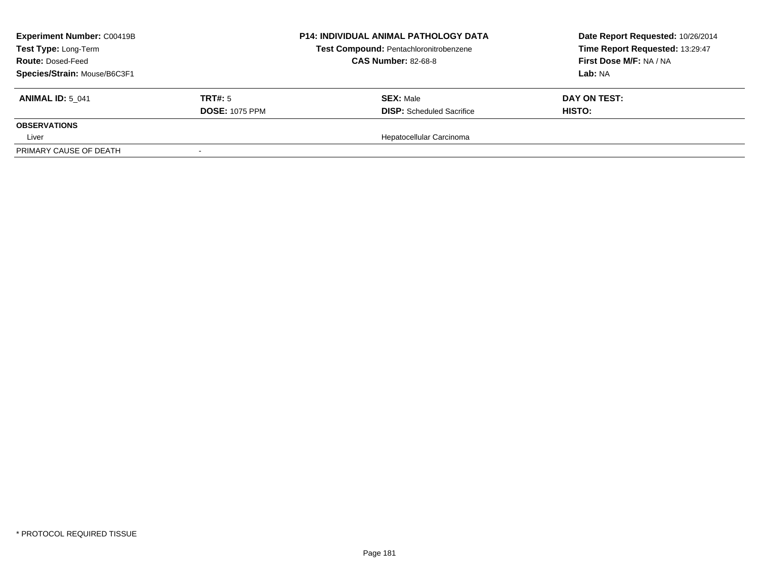| <b>Experiment Number: C00419B</b><br>Test Type: Long-Term<br><b>Route: Dosed-Feed</b><br>Species/Strain: Mouse/B6C3F1 |                                  | <b>P14: INDIVIDUAL ANIMAL PATHOLOGY DATA</b><br>Test Compound: Pentachloronitrobenzene<br><b>CAS Number: 82-68-8</b> | Date Report Requested: 10/26/2014<br>Time Report Requested: 13:29:47<br>First Dose M/F: NA / NA<br><b>Lab:</b> NA |
|-----------------------------------------------------------------------------------------------------------------------|----------------------------------|----------------------------------------------------------------------------------------------------------------------|-------------------------------------------------------------------------------------------------------------------|
| <b>ANIMAL ID: 5 041</b>                                                                                               | TRT#: 5<br><b>DOSE: 1075 PPM</b> | <b>SEX: Male</b><br><b>DISP:</b> Scheduled Sacrifice                                                                 | DAY ON TEST:<br>HISTO:                                                                                            |
| <b>OBSERVATIONS</b>                                                                                                   |                                  |                                                                                                                      |                                                                                                                   |
| Liver                                                                                                                 |                                  | Hepatocellular Carcinoma                                                                                             |                                                                                                                   |
| PRIMARY CAUSE OF DEATH                                                                                                |                                  |                                                                                                                      |                                                                                                                   |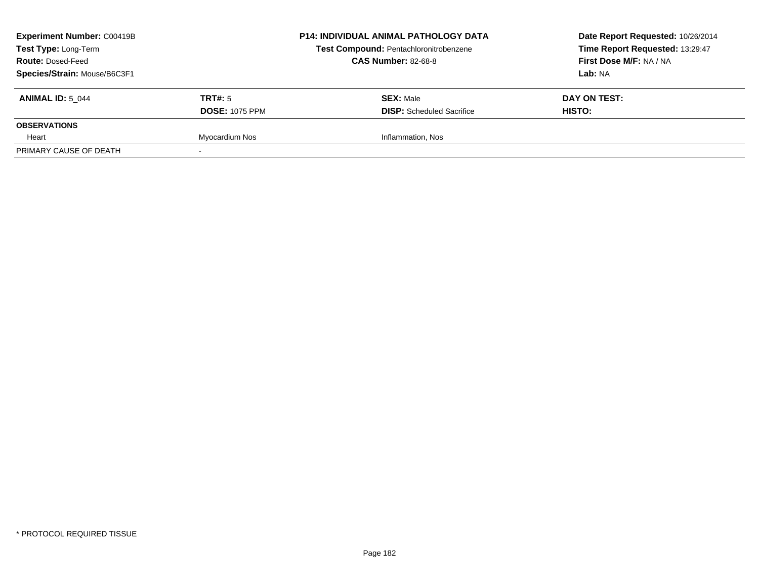| <b>Experiment Number: C00419B</b><br>Test Type: Long-Term<br><b>Route: Dosed-Feed</b><br>Species/Strain: Mouse/B6C3F1 |                                  | <b>P14: INDIVIDUAL ANIMAL PATHOLOGY DATA</b><br>Test Compound: Pentachloronitrobenzene<br><b>CAS Number: 82-68-8</b> | Date Report Requested: 10/26/2014<br>Time Report Requested: 13:29:47<br>First Dose M/F: NA / NA<br>Lab: NA |
|-----------------------------------------------------------------------------------------------------------------------|----------------------------------|----------------------------------------------------------------------------------------------------------------------|------------------------------------------------------------------------------------------------------------|
| <b>ANIMAL ID: 5 044</b>                                                                                               | TRT#: 5<br><b>DOSE: 1075 PPM</b> | <b>SEX: Male</b><br><b>DISP:</b> Scheduled Sacrifice                                                                 | DAY ON TEST:<br><b>HISTO:</b>                                                                              |
| <b>OBSERVATIONS</b>                                                                                                   |                                  |                                                                                                                      |                                                                                                            |
| Heart                                                                                                                 | Myocardium Nos                   | Inflammation, Nos                                                                                                    |                                                                                                            |
| PRIMARY CAUSE OF DEATH                                                                                                |                                  |                                                                                                                      |                                                                                                            |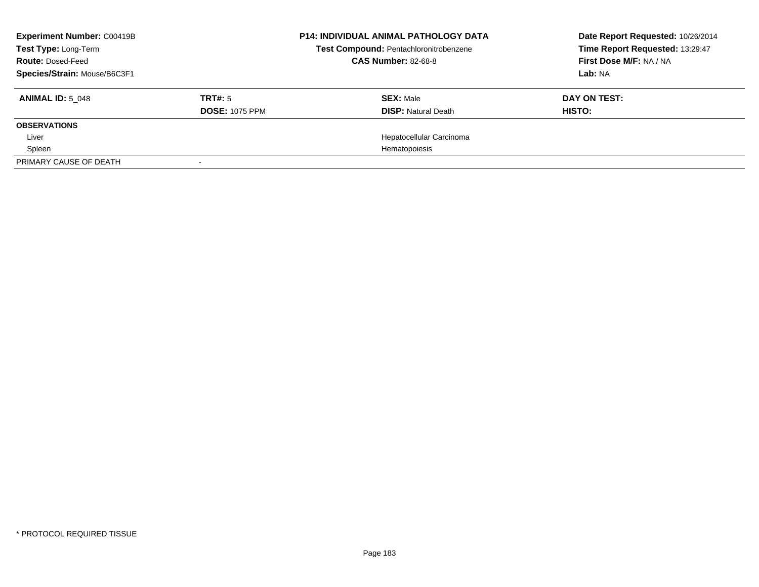| <b>Experiment Number: C00419B</b><br>Test Type: Long-Term<br><b>Route: Dosed-Feed</b> |                       | <b>P14: INDIVIDUAL ANIMAL PATHOLOGY DATA</b><br>Test Compound: Pentachloronitrobenzene<br><b>CAS Number: 82-68-8</b> | Date Report Requested: 10/26/2014<br>Time Report Requested: 13:29:47<br>First Dose M/F: NA / NA |
|---------------------------------------------------------------------------------------|-----------------------|----------------------------------------------------------------------------------------------------------------------|-------------------------------------------------------------------------------------------------|
| Species/Strain: Mouse/B6C3F1                                                          |                       |                                                                                                                      | Lab: NA                                                                                         |
| <b>ANIMAL ID: 5 048</b>                                                               | TRT#: 5               | <b>SEX: Male</b>                                                                                                     | DAY ON TEST:                                                                                    |
|                                                                                       | <b>DOSE: 1075 PPM</b> | <b>DISP: Natural Death</b>                                                                                           | HISTO:                                                                                          |
| <b>OBSERVATIONS</b>                                                                   |                       |                                                                                                                      |                                                                                                 |
| Liver                                                                                 |                       | Hepatocellular Carcinoma                                                                                             |                                                                                                 |
| Spleen                                                                                |                       | Hematopoiesis                                                                                                        |                                                                                                 |
| PRIMARY CAUSE OF DEATH                                                                |                       |                                                                                                                      |                                                                                                 |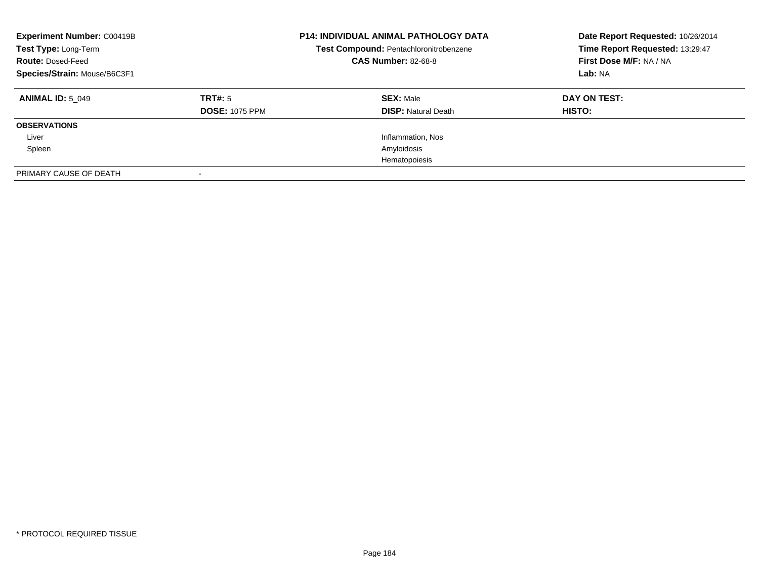| <b>Experiment Number: C00419B</b><br>Test Type: Long-Term<br><b>Route: Dosed-Feed</b><br>Species/Strain: Mouse/B6C3F1 |                                  | <b>P14: INDIVIDUAL ANIMAL PATHOLOGY DATA</b><br>Test Compound: Pentachloronitrobenzene<br><b>CAS Number: 82-68-8</b> | Date Report Requested: 10/26/2014<br>Time Report Requested: 13:29:47<br>First Dose M/F: NA / NA<br>Lab: NA |
|-----------------------------------------------------------------------------------------------------------------------|----------------------------------|----------------------------------------------------------------------------------------------------------------------|------------------------------------------------------------------------------------------------------------|
| <b>ANIMAL ID: 5 049</b>                                                                                               | TRT#: 5<br><b>DOSE: 1075 PPM</b> | <b>SEX: Male</b><br><b>DISP: Natural Death</b>                                                                       | DAY ON TEST:<br><b>HISTO:</b>                                                                              |
| <b>OBSERVATIONS</b>                                                                                                   |                                  |                                                                                                                      |                                                                                                            |
| Liver                                                                                                                 |                                  | Inflammation, Nos                                                                                                    |                                                                                                            |
| Spleen                                                                                                                |                                  | Amyloidosis                                                                                                          |                                                                                                            |
|                                                                                                                       |                                  | Hematopoiesis                                                                                                        |                                                                                                            |
| PRIMARY CAUSE OF DEATH                                                                                                |                                  |                                                                                                                      |                                                                                                            |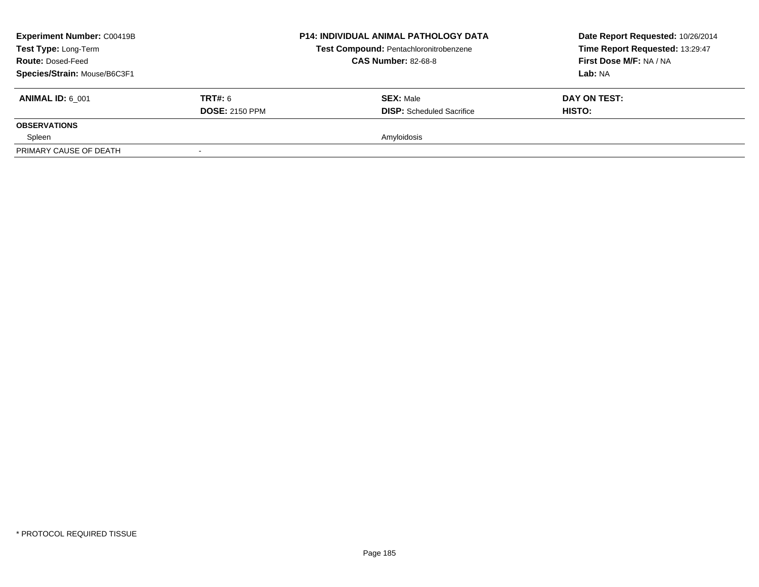| <b>Experiment Number: C00419B</b><br>Test Type: Long-Term<br><b>Route: Dosed-Feed</b><br>Species/Strain: Mouse/B6C3F1 |                                         | <b>P14: INDIVIDUAL ANIMAL PATHOLOGY DATA</b><br>Test Compound: Pentachloronitrobenzene<br><b>CAS Number: 82-68-8</b> | Date Report Requested: 10/26/2014<br>Time Report Requested: 13:29:47<br>First Dose M/F: NA / NA<br><b>Lab: NA</b> |
|-----------------------------------------------------------------------------------------------------------------------|-----------------------------------------|----------------------------------------------------------------------------------------------------------------------|-------------------------------------------------------------------------------------------------------------------|
| <b>ANIMAL ID: 6 001</b>                                                                                               | <b>TRT#: 6</b><br><b>DOSE: 2150 PPM</b> | <b>SEX: Male</b><br><b>DISP:</b> Scheduled Sacrifice                                                                 | DAY ON TEST:<br>HISTO:                                                                                            |
| <b>OBSERVATIONS</b>                                                                                                   |                                         |                                                                                                                      |                                                                                                                   |
| Spleen                                                                                                                |                                         | Amyloidosis                                                                                                          |                                                                                                                   |
| PRIMARY CAUSE OF DEATH                                                                                                |                                         |                                                                                                                      |                                                                                                                   |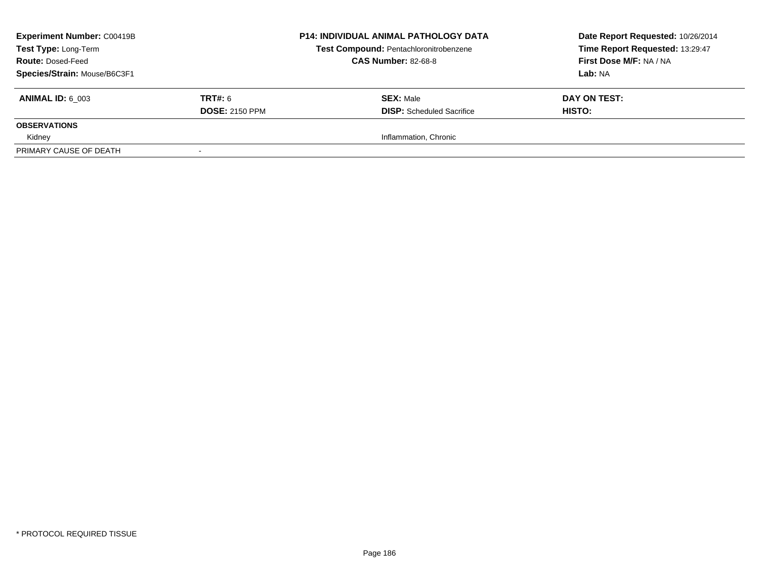| <b>Experiment Number: C00419B</b><br>Test Type: Long-Term<br><b>Route: Dosed-Feed</b><br>Species/Strain: Mouse/B6C3F1 |                                         | <b>P14: INDIVIDUAL ANIMAL PATHOLOGY DATA</b><br>Test Compound: Pentachloronitrobenzene<br><b>CAS Number: 82-68-8</b> | Date Report Requested: 10/26/2014<br>Time Report Requested: 13:29:47<br>First Dose M/F: NA / NA<br>Lab: NA |
|-----------------------------------------------------------------------------------------------------------------------|-----------------------------------------|----------------------------------------------------------------------------------------------------------------------|------------------------------------------------------------------------------------------------------------|
| <b>ANIMAL ID: 6 003</b>                                                                                               | <b>TRT#: 6</b><br><b>DOSE: 2150 PPM</b> | <b>SEX: Male</b><br><b>DISP:</b> Scheduled Sacrifice                                                                 | DAY ON TEST:<br>HISTO:                                                                                     |
| <b>OBSERVATIONS</b>                                                                                                   |                                         |                                                                                                                      |                                                                                                            |
| Kidney                                                                                                                |                                         | Inflammation, Chronic                                                                                                |                                                                                                            |
| PRIMARY CAUSE OF DEATH                                                                                                |                                         |                                                                                                                      |                                                                                                            |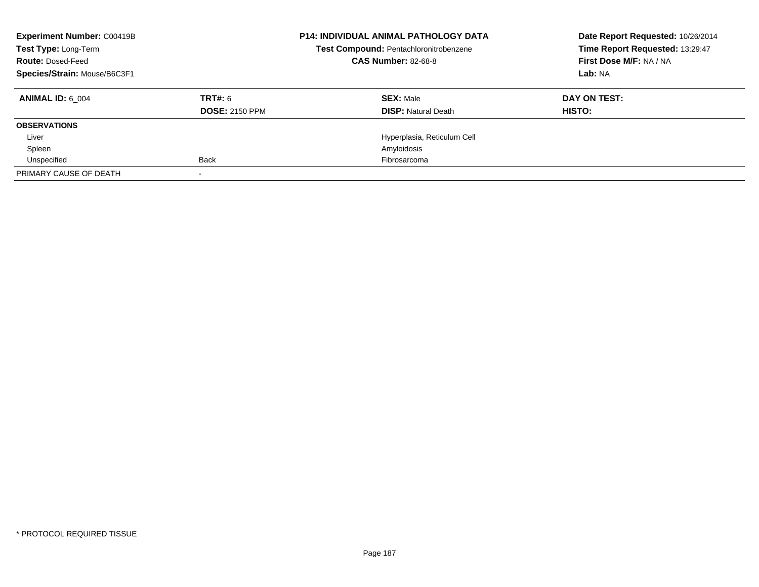| <b>Experiment Number: C00419B</b><br>Test Type: Long-Term<br><b>Route: Dosed-Feed</b><br>Species/Strain: Mouse/B6C3F1 |                                  | <b>P14: INDIVIDUAL ANIMAL PATHOLOGY DATA</b><br>Test Compound: Pentachloronitrobenzene<br><b>CAS Number: 82-68-8</b> | Date Report Requested: 10/26/2014<br>Time Report Requested: 13:29:47<br>First Dose M/F: NA / NA<br>Lab: NA |
|-----------------------------------------------------------------------------------------------------------------------|----------------------------------|----------------------------------------------------------------------------------------------------------------------|------------------------------------------------------------------------------------------------------------|
| <b>ANIMAL ID: 6 004</b>                                                                                               | TRT#: 6<br><b>DOSE: 2150 PPM</b> | <b>SEX: Male</b><br><b>DISP:</b> Natural Death                                                                       | DAY ON TEST:<br>HISTO:                                                                                     |
| <b>OBSERVATIONS</b>                                                                                                   |                                  |                                                                                                                      |                                                                                                            |
| Liver                                                                                                                 |                                  | Hyperplasia, Reticulum Cell                                                                                          |                                                                                                            |
| Spleen                                                                                                                |                                  | Amyloidosis                                                                                                          |                                                                                                            |
| Unspecified                                                                                                           | <b>Back</b>                      | Fibrosarcoma                                                                                                         |                                                                                                            |
| PRIMARY CAUSE OF DEATH                                                                                                |                                  |                                                                                                                      |                                                                                                            |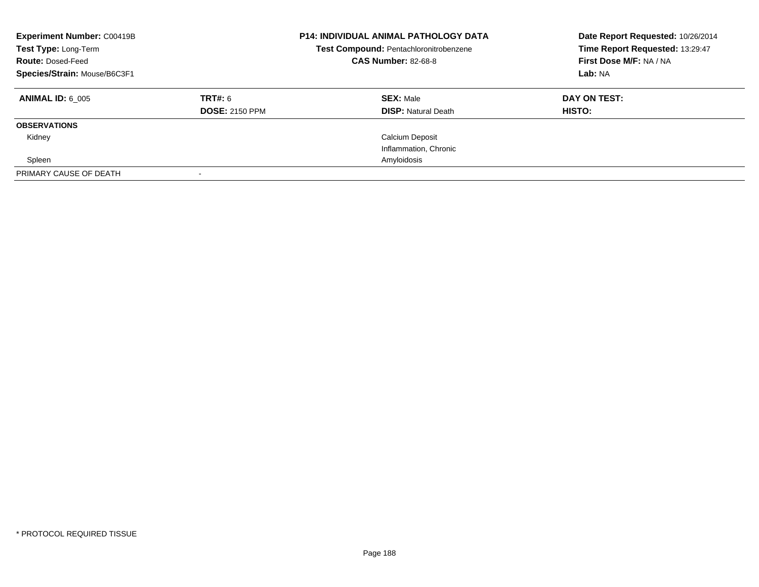| <b>Experiment Number: C00419B</b><br>Test Type: Long-Term<br><b>Route: Dosed-Feed</b><br>Species/Strain: Mouse/B6C3F1 |                       | <b>P14: INDIVIDUAL ANIMAL PATHOLOGY DATA</b><br>Test Compound: Pentachloronitrobenzene<br><b>CAS Number: 82-68-8</b> | Date Report Requested: 10/26/2014<br>Time Report Requested: 13:29:47<br>First Dose M/F: NA / NA<br>Lab: NA |
|-----------------------------------------------------------------------------------------------------------------------|-----------------------|----------------------------------------------------------------------------------------------------------------------|------------------------------------------------------------------------------------------------------------|
| <b>ANIMAL ID: 6 005</b>                                                                                               | <b>TRT#: 6</b>        | <b>SEX: Male</b>                                                                                                     | DAY ON TEST:                                                                                               |
|                                                                                                                       | <b>DOSE: 2150 PPM</b> | <b>DISP: Natural Death</b>                                                                                           | HISTO:                                                                                                     |
| <b>OBSERVATIONS</b>                                                                                                   |                       |                                                                                                                      |                                                                                                            |
| Kidney                                                                                                                |                       | <b>Calcium Deposit</b>                                                                                               |                                                                                                            |
|                                                                                                                       |                       | Inflammation, Chronic                                                                                                |                                                                                                            |
| Spleen                                                                                                                |                       | Amyloidosis                                                                                                          |                                                                                                            |
| PRIMARY CAUSE OF DEATH                                                                                                |                       |                                                                                                                      |                                                                                                            |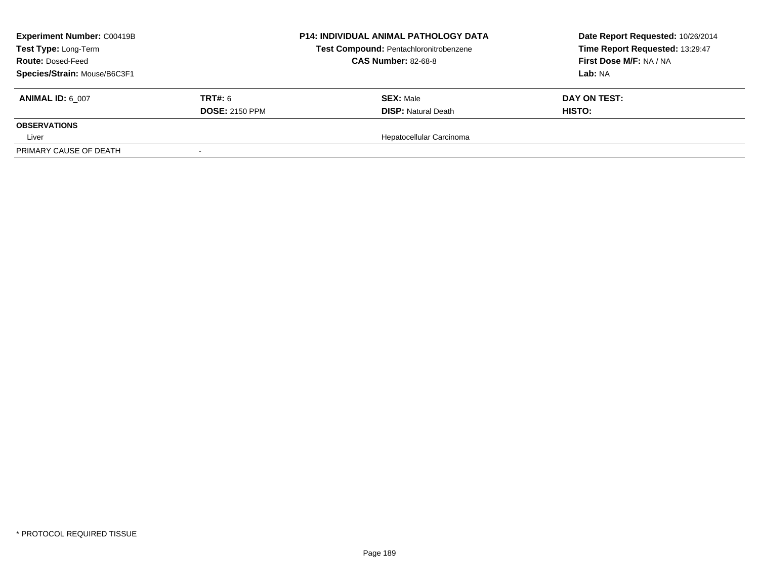| <b>Experiment Number: C00419B</b><br>Test Type: Long-Term |                       | <b>P14: INDIVIDUAL ANIMAL PATHOLOGY DATA</b><br>Test Compound: Pentachloronitrobenzene | Date Report Requested: 10/26/2014<br>Time Report Requested: 13:29:47 |
|-----------------------------------------------------------|-----------------------|----------------------------------------------------------------------------------------|----------------------------------------------------------------------|
| <b>Route: Dosed-Feed</b>                                  |                       | <b>CAS Number: 82-68-8</b>                                                             | First Dose M/F: NA / NA                                              |
| Species/Strain: Mouse/B6C3F1                              |                       |                                                                                        | <b>Lab:</b> NA                                                       |
| <b>ANIMAL ID: 6 007</b>                                   | <b>TRT#:</b> 6        | <b>SEX: Male</b>                                                                       | DAY ON TEST:                                                         |
|                                                           | <b>DOSE: 2150 PPM</b> | <b>DISP: Natural Death</b>                                                             | HISTO:                                                               |
| <b>OBSERVATIONS</b>                                       |                       |                                                                                        |                                                                      |
| Liver                                                     |                       | Hepatocellular Carcinoma                                                               |                                                                      |
| PRIMARY CAUSE OF DEATH                                    |                       |                                                                                        |                                                                      |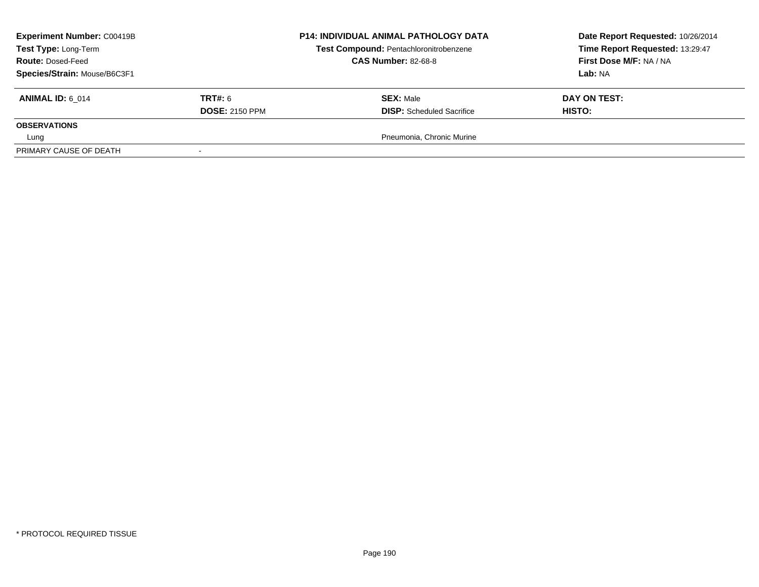| <b>Experiment Number: C00419B</b><br>Test Type: Long-Term<br><b>Route: Dosed-Feed</b><br>Species/Strain: Mouse/B6C3F1 |                                         | <b>P14: INDIVIDUAL ANIMAL PATHOLOGY DATA</b><br>Test Compound: Pentachloronitrobenzene<br><b>CAS Number: 82-68-8</b> | Date Report Requested: 10/26/2014<br>Time Report Requested: 13:29:47<br>First Dose M/F: NA / NA<br><b>Lab:</b> NA |
|-----------------------------------------------------------------------------------------------------------------------|-----------------------------------------|----------------------------------------------------------------------------------------------------------------------|-------------------------------------------------------------------------------------------------------------------|
| <b>ANIMAL ID: 6 014</b>                                                                                               | <b>TRT#: 6</b><br><b>DOSE: 2150 PPM</b> | <b>SEX: Male</b><br><b>DISP:</b> Scheduled Sacrifice                                                                 | DAY ON TEST:<br>HISTO:                                                                                            |
| <b>OBSERVATIONS</b>                                                                                                   |                                         |                                                                                                                      |                                                                                                                   |
| Lung                                                                                                                  |                                         | Pneumonia, Chronic Murine                                                                                            |                                                                                                                   |
| PRIMARY CAUSE OF DEATH                                                                                                |                                         |                                                                                                                      |                                                                                                                   |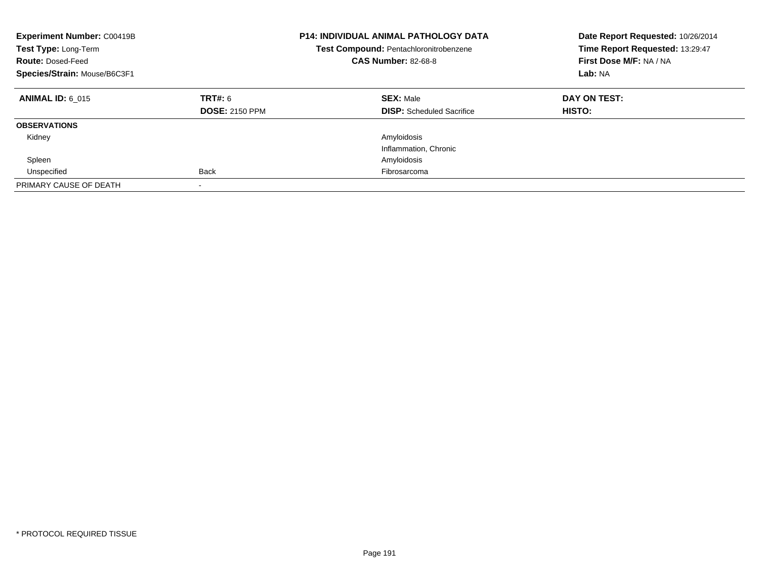| <b>Experiment Number: C00419B</b><br>Test Type: Long-Term<br><b>Route: Dosed-Feed</b><br>Species/Strain: Mouse/B6C3F1 |                                  | <b>P14: INDIVIDUAL ANIMAL PATHOLOGY DATA</b><br>Test Compound: Pentachloronitrobenzene<br><b>CAS Number: 82-68-8</b> | Date Report Requested: 10/26/2014<br>Time Report Requested: 13:29:47<br>First Dose M/F: NA / NA<br>Lab: NA |
|-----------------------------------------------------------------------------------------------------------------------|----------------------------------|----------------------------------------------------------------------------------------------------------------------|------------------------------------------------------------------------------------------------------------|
| <b>ANIMAL ID: 6 015</b>                                                                                               | TRT#: 6<br><b>DOSE: 2150 PPM</b> | <b>SEX: Male</b><br><b>DISP:</b> Scheduled Sacrifice                                                                 | DAY ON TEST:<br>HISTO:                                                                                     |
| <b>OBSERVATIONS</b>                                                                                                   |                                  |                                                                                                                      |                                                                                                            |
| Kidney                                                                                                                |                                  | Amyloidosis                                                                                                          |                                                                                                            |
|                                                                                                                       |                                  | Inflammation, Chronic                                                                                                |                                                                                                            |
| Spleen                                                                                                                |                                  | Amyloidosis                                                                                                          |                                                                                                            |
| Unspecified                                                                                                           | <b>Back</b>                      | Fibrosarcoma                                                                                                         |                                                                                                            |
| PRIMARY CAUSE OF DEATH                                                                                                | $\,$                             |                                                                                                                      |                                                                                                            |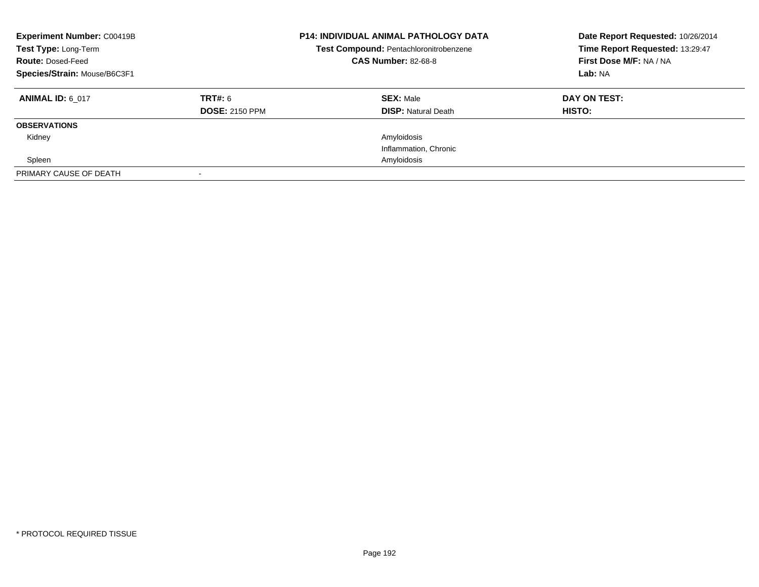| <b>Experiment Number: C00419B</b><br>Test Type: Long-Term<br><b>Route: Dosed-Feed</b><br>Species/Strain: Mouse/B6C3F1 |                                  | <b>P14: INDIVIDUAL ANIMAL PATHOLOGY DATA</b><br>Test Compound: Pentachloronitrobenzene<br><b>CAS Number: 82-68-8</b> | Date Report Requested: 10/26/2014<br>Time Report Requested: 13:29:47<br>First Dose M/F: NA / NA<br>Lab: NA |
|-----------------------------------------------------------------------------------------------------------------------|----------------------------------|----------------------------------------------------------------------------------------------------------------------|------------------------------------------------------------------------------------------------------------|
| <b>ANIMAL ID: 6 017</b>                                                                                               | TRT#: 6<br><b>DOSE: 2150 PPM</b> | <b>SEX: Male</b><br><b>DISP: Natural Death</b>                                                                       | DAY ON TEST:<br>HISTO:                                                                                     |
| <b>OBSERVATIONS</b>                                                                                                   |                                  |                                                                                                                      |                                                                                                            |
| Kidney                                                                                                                |                                  | Amyloidosis                                                                                                          |                                                                                                            |
|                                                                                                                       |                                  | Inflammation, Chronic                                                                                                |                                                                                                            |
| Spleen                                                                                                                |                                  | Amyloidosis                                                                                                          |                                                                                                            |
| PRIMARY CAUSE OF DEATH                                                                                                |                                  |                                                                                                                      |                                                                                                            |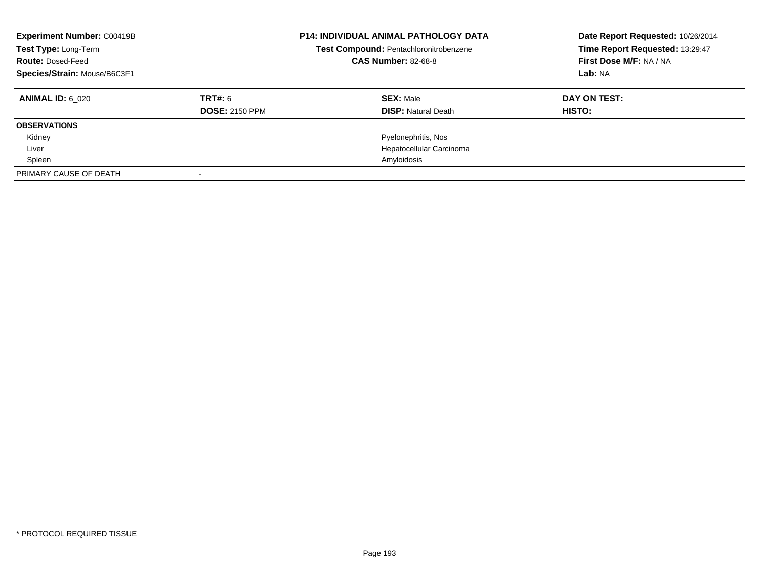| <b>Experiment Number: C00419B</b><br>Test Type: Long-Term<br><b>Route: Dosed-Feed</b><br>Species/Strain: Mouse/B6C3F1 |                       | <b>P14: INDIVIDUAL ANIMAL PATHOLOGY DATA</b><br>Test Compound: Pentachloronitrobenzene<br><b>CAS Number: 82-68-8</b> | Date Report Requested: 10/26/2014<br>Time Report Requested: 13:29:47<br>First Dose M/F: NA / NA<br>Lab: NA |
|-----------------------------------------------------------------------------------------------------------------------|-----------------------|----------------------------------------------------------------------------------------------------------------------|------------------------------------------------------------------------------------------------------------|
| <b>ANIMAL ID: 6 020</b>                                                                                               | <b>TRT#: 6</b>        | <b>SEX: Male</b>                                                                                                     | DAY ON TEST:                                                                                               |
|                                                                                                                       | <b>DOSE: 2150 PPM</b> | <b>DISP:</b> Natural Death                                                                                           | HISTO:                                                                                                     |
| <b>OBSERVATIONS</b>                                                                                                   |                       |                                                                                                                      |                                                                                                            |
| Kidney                                                                                                                |                       | Pyelonephritis, Nos                                                                                                  |                                                                                                            |
| Liver                                                                                                                 |                       | Hepatocellular Carcinoma                                                                                             |                                                                                                            |
| Spleen                                                                                                                |                       | Amyloidosis                                                                                                          |                                                                                                            |
| PRIMARY CAUSE OF DEATH                                                                                                |                       |                                                                                                                      |                                                                                                            |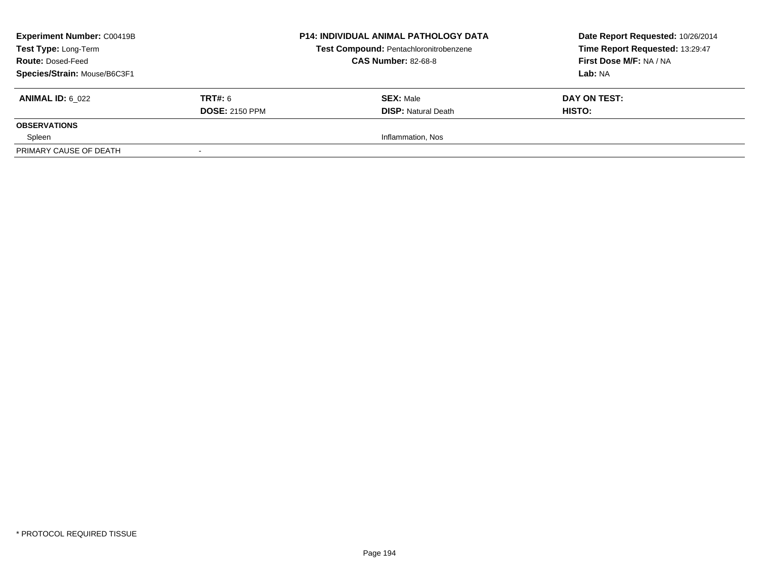| <b>Experiment Number: C00419B</b><br>Test Type: Long-Term<br><b>Route: Dosed-Feed</b><br>Species/Strain: Mouse/B6C3F1 |                                         | <b>P14: INDIVIDUAL ANIMAL PATHOLOGY DATA</b><br><b>Test Compound: Pentachloronitrobenzene</b><br><b>CAS Number: 82-68-8</b> | Date Report Requested: 10/26/2014<br>Time Report Requested: 13:29:47<br>First Dose M/F: NA / NA<br>Lab: NA |
|-----------------------------------------------------------------------------------------------------------------------|-----------------------------------------|-----------------------------------------------------------------------------------------------------------------------------|------------------------------------------------------------------------------------------------------------|
| <b>ANIMAL ID: 6 022</b>                                                                                               | <b>TRT#:</b> 6<br><b>DOSE: 2150 PPM</b> | <b>SEX: Male</b><br><b>DISP:</b> Natural Death                                                                              | DAY ON TEST:<br>HISTO:                                                                                     |
| <b>OBSERVATIONS</b>                                                                                                   |                                         |                                                                                                                             |                                                                                                            |
| Spleen                                                                                                                |                                         | Inflammation, Nos                                                                                                           |                                                                                                            |
| PRIMARY CAUSE OF DEATH                                                                                                |                                         |                                                                                                                             |                                                                                                            |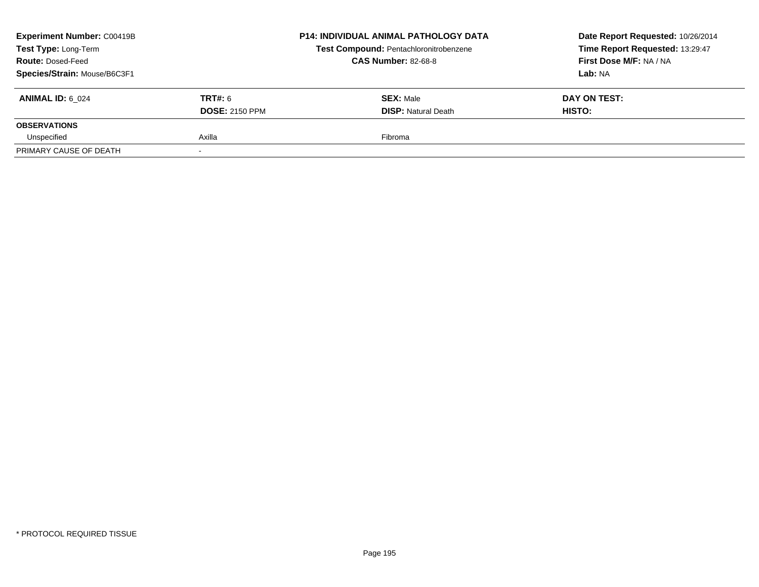| Experiment Number: C00419B<br>Test Type: Long-Term<br><b>Route: Dosed-Feed</b><br>Species/Strain: Mouse/B6C3F1 |                                         | <b>P14: INDIVIDUAL ANIMAL PATHOLOGY DATA</b><br><b>Test Compound: Pentachloronitrobenzene</b><br><b>CAS Number: 82-68-8</b> | Date Report Requested: 10/26/2014<br>Time Report Requested: 13:29:47<br>First Dose M/F: NA / NA<br>Lab: NA |
|----------------------------------------------------------------------------------------------------------------|-----------------------------------------|-----------------------------------------------------------------------------------------------------------------------------|------------------------------------------------------------------------------------------------------------|
| <b>ANIMAL ID: 6 024</b>                                                                                        | <b>TRT#: 6</b><br><b>DOSE: 2150 PPM</b> | <b>SEX: Male</b><br><b>DISP: Natural Death</b>                                                                              | DAY ON TEST:<br>HISTO:                                                                                     |
| <b>OBSERVATIONS</b>                                                                                            |                                         |                                                                                                                             |                                                                                                            |
| Unspecified                                                                                                    | Axilla                                  | Fibroma                                                                                                                     |                                                                                                            |
| PRIMARY CAUSE OF DEATH                                                                                         |                                         |                                                                                                                             |                                                                                                            |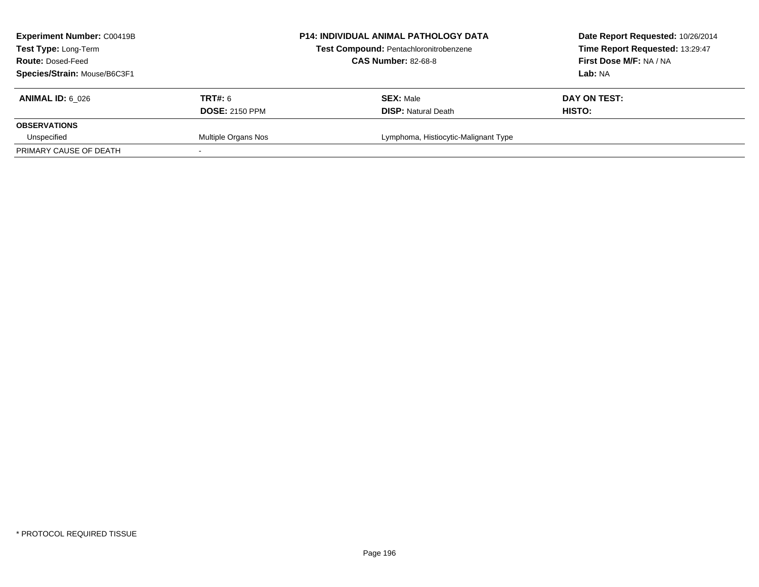| <b>Experiment Number: C00419B</b><br>Test Type: Long-Term<br><b>Route: Dosed-Feed</b><br>Species/Strain: Mouse/B6C3F1 |                                         | <b>P14: INDIVIDUAL ANIMAL PATHOLOGY DATA</b><br>Test Compound: Pentachloronitrobenzene<br><b>CAS Number: 82-68-8</b> | Date Report Requested: 10/26/2014<br>Time Report Requested: 13:29:47<br>First Dose M/F: NA / NA<br>Lab: NA |
|-----------------------------------------------------------------------------------------------------------------------|-----------------------------------------|----------------------------------------------------------------------------------------------------------------------|------------------------------------------------------------------------------------------------------------|
| <b>ANIMAL ID: 6 026</b>                                                                                               | <b>TRT#: 6</b><br><b>DOSE: 2150 PPM</b> | <b>SEX: Male</b><br><b>DISP:</b> Natural Death                                                                       | DAY ON TEST:<br>HISTO:                                                                                     |
| <b>OBSERVATIONS</b>                                                                                                   |                                         |                                                                                                                      |                                                                                                            |
| Unspecified                                                                                                           | Multiple Organs Nos                     | Lymphoma, Histiocytic-Malignant Type                                                                                 |                                                                                                            |
| PRIMARY CAUSE OF DEATH                                                                                                |                                         |                                                                                                                      |                                                                                                            |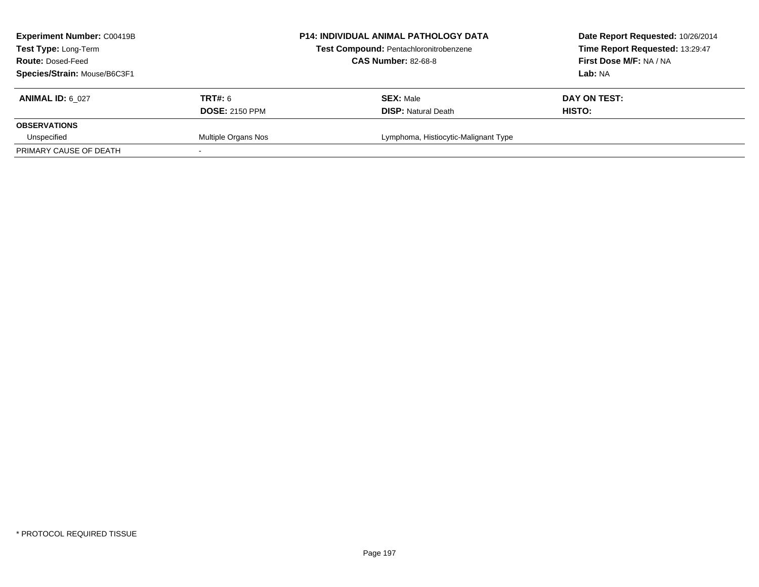| <b>Experiment Number: C00419B</b><br><b>Test Type: Long-Term</b><br><b>Route: Dosed-Feed</b><br>Species/Strain: Mouse/B6C3F1 |                                  | <b>P14: INDIVIDUAL ANIMAL PATHOLOGY DATA</b><br>Test Compound: Pentachloronitrobenzene<br><b>CAS Number: 82-68-8</b> | Date Report Requested: 10/26/2014<br>Time Report Requested: 13:29:47<br>First Dose M/F: NA / NA<br>Lab: NA |
|------------------------------------------------------------------------------------------------------------------------------|----------------------------------|----------------------------------------------------------------------------------------------------------------------|------------------------------------------------------------------------------------------------------------|
| <b>ANIMAL ID: 6 027</b>                                                                                                      | TRT#: 6<br><b>DOSE: 2150 PPM</b> | <b>SEX: Male</b><br><b>DISP:</b> Natural Death                                                                       | DAY ON TEST:<br>HISTO:                                                                                     |
| <b>OBSERVATIONS</b>                                                                                                          |                                  |                                                                                                                      |                                                                                                            |
| Unspecified                                                                                                                  | Multiple Organs Nos              | Lymphoma, Histiocytic-Malignant Type                                                                                 |                                                                                                            |
| PRIMARY CAUSE OF DEATH                                                                                                       |                                  |                                                                                                                      |                                                                                                            |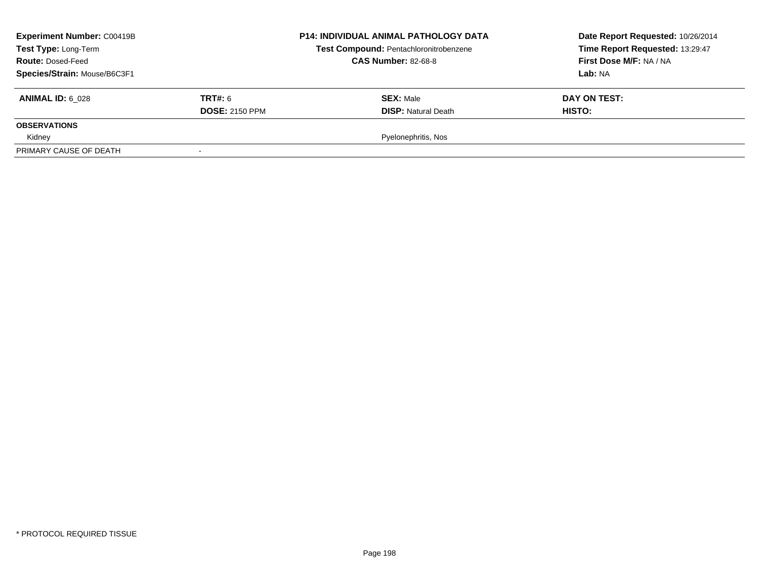| <b>Experiment Number: C00419B</b><br>Test Type: Long-Term<br><b>Route: Dosed-Feed</b><br>Species/Strain: Mouse/B6C3F1 |                                         | <b>P14: INDIVIDUAL ANIMAL PATHOLOGY DATA</b><br>Test Compound: Pentachloronitrobenzene<br><b>CAS Number: 82-68-8</b> | Date Report Requested: 10/26/2014<br>Time Report Requested: 13:29:47<br>First Dose M/F: NA / NA<br>Lab: NA |
|-----------------------------------------------------------------------------------------------------------------------|-----------------------------------------|----------------------------------------------------------------------------------------------------------------------|------------------------------------------------------------------------------------------------------------|
| <b>ANIMAL ID: 6 028</b>                                                                                               | <b>TRT#: 6</b><br><b>DOSE: 2150 PPM</b> | <b>SEX: Male</b><br><b>DISP: Natural Death</b>                                                                       | DAY ON TEST:<br>HISTO:                                                                                     |
| <b>OBSERVATIONS</b>                                                                                                   |                                         |                                                                                                                      |                                                                                                            |
| Kidney                                                                                                                |                                         | Pyelonephritis, Nos                                                                                                  |                                                                                                            |
| PRIMARY CAUSE OF DEATH                                                                                                |                                         |                                                                                                                      |                                                                                                            |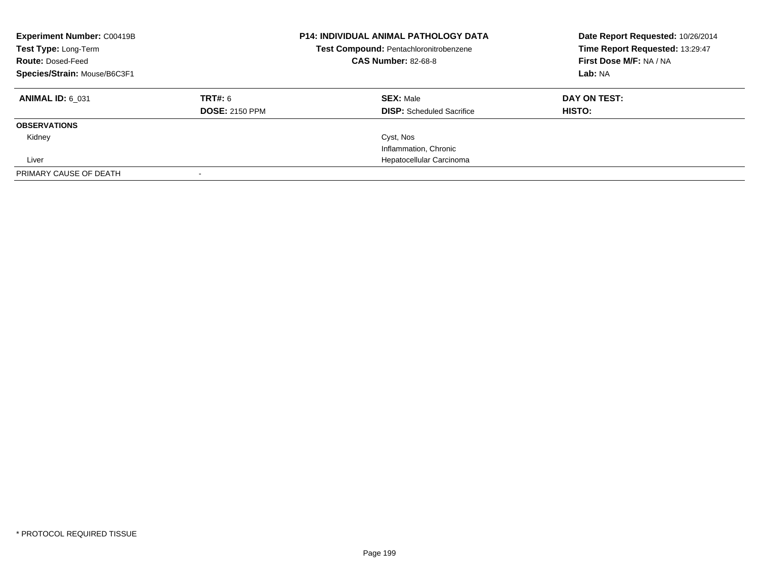| <b>Experiment Number: C00419B</b><br>Test Type: Long-Term<br><b>Route: Dosed-Feed</b><br>Species/Strain: Mouse/B6C3F1 |                                  | <b>P14: INDIVIDUAL ANIMAL PATHOLOGY DATA</b><br>Test Compound: Pentachloronitrobenzene<br><b>CAS Number: 82-68-8</b> | Date Report Requested: 10/26/2014<br>Time Report Requested: 13:29:47<br>First Dose M/F: NA / NA<br>Lab: NA |
|-----------------------------------------------------------------------------------------------------------------------|----------------------------------|----------------------------------------------------------------------------------------------------------------------|------------------------------------------------------------------------------------------------------------|
| <b>ANIMAL ID: 6 031</b>                                                                                               | TRT#: 6<br><b>DOSE: 2150 PPM</b> | <b>SEX: Male</b><br><b>DISP:</b> Scheduled Sacrifice                                                                 | DAY ON TEST:<br><b>HISTO:</b>                                                                              |
| <b>OBSERVATIONS</b>                                                                                                   |                                  |                                                                                                                      |                                                                                                            |
| Kidney                                                                                                                |                                  | Cyst, Nos                                                                                                            |                                                                                                            |
|                                                                                                                       |                                  | Inflammation, Chronic                                                                                                |                                                                                                            |
| Liver                                                                                                                 |                                  | Hepatocellular Carcinoma                                                                                             |                                                                                                            |
| PRIMARY CAUSE OF DEATH                                                                                                |                                  |                                                                                                                      |                                                                                                            |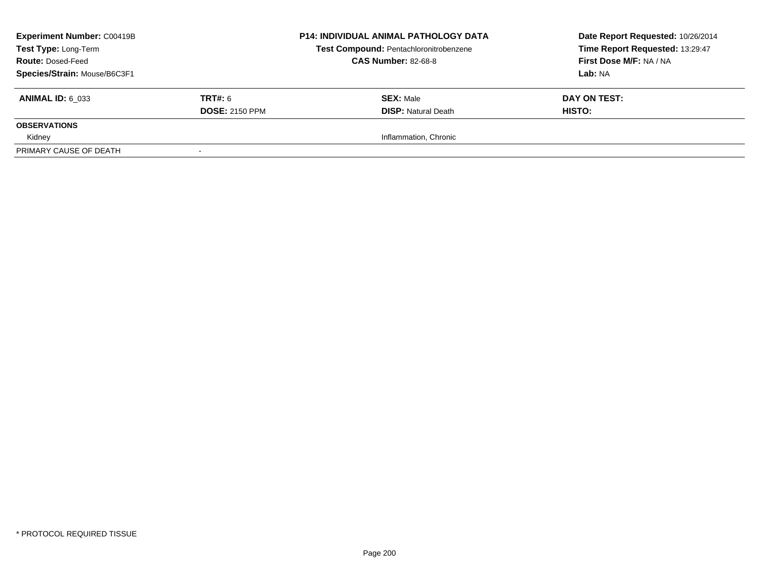| <b>Experiment Number: C00419B</b><br>Test Type: Long-Term<br><b>Route: Dosed-Feed</b><br>Species/Strain: Mouse/B6C3F1 |                                         | <b>P14: INDIVIDUAL ANIMAL PATHOLOGY DATA</b><br>Test Compound: Pentachloronitrobenzene<br><b>CAS Number: 82-68-8</b> | Date Report Requested: 10/26/2014<br>Time Report Requested: 13:29:47<br>First Dose M/F: NA / NA<br>Lab: NA |
|-----------------------------------------------------------------------------------------------------------------------|-----------------------------------------|----------------------------------------------------------------------------------------------------------------------|------------------------------------------------------------------------------------------------------------|
| <b>ANIMAL ID: 6 033</b>                                                                                               | <b>TRT#: 6</b><br><b>DOSE: 2150 PPM</b> | <b>SEX: Male</b><br><b>DISP:</b> Natural Death                                                                       | DAY ON TEST:<br>HISTO:                                                                                     |
| <b>OBSERVATIONS</b>                                                                                                   |                                         |                                                                                                                      |                                                                                                            |
| Kidney                                                                                                                |                                         | Inflammation, Chronic                                                                                                |                                                                                                            |
| PRIMARY CAUSE OF DEATH                                                                                                |                                         |                                                                                                                      |                                                                                                            |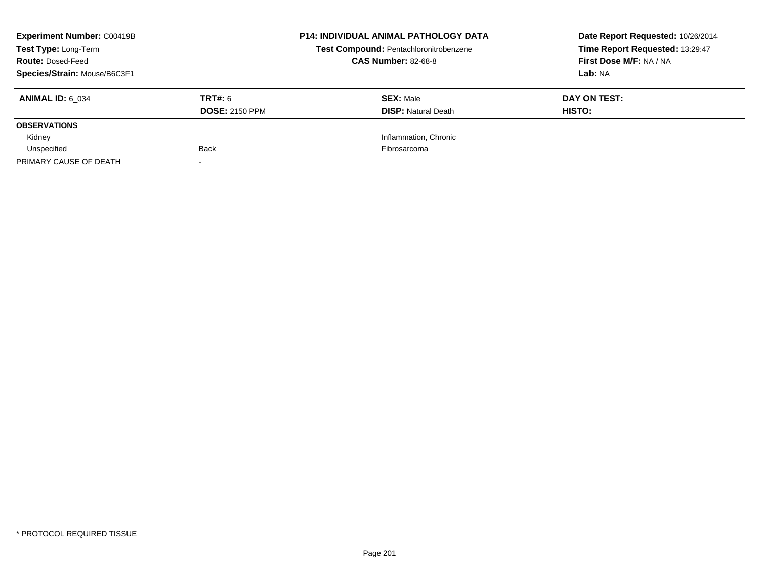| <b>Experiment Number: C00419B</b><br><b>Test Type: Long-Term</b> |                       | <b>P14: INDIVIDUAL ANIMAL PATHOLOGY DATA</b><br>Test Compound: Pentachloronitrobenzene | Date Report Requested: 10/26/2014<br>Time Report Requested: 13:29:47 |
|------------------------------------------------------------------|-----------------------|----------------------------------------------------------------------------------------|----------------------------------------------------------------------|
| <b>Route: Dosed-Feed</b>                                         |                       | <b>CAS Number: 82-68-8</b>                                                             | First Dose M/F: NA / NA                                              |
| Species/Strain: Mouse/B6C3F1                                     |                       |                                                                                        | Lab: NA                                                              |
| <b>ANIMAL ID: 6 034</b>                                          | TRT#: 6               | <b>SEX: Male</b>                                                                       | DAY ON TEST:                                                         |
|                                                                  | <b>DOSE: 2150 PPM</b> | <b>DISP:</b> Natural Death                                                             | HISTO:                                                               |
| <b>OBSERVATIONS</b>                                              |                       |                                                                                        |                                                                      |
| Kidney                                                           |                       | Inflammation, Chronic                                                                  |                                                                      |
| Unspecified                                                      | <b>Back</b>           | Fibrosarcoma                                                                           |                                                                      |
| PRIMARY CAUSE OF DEATH                                           |                       |                                                                                        |                                                                      |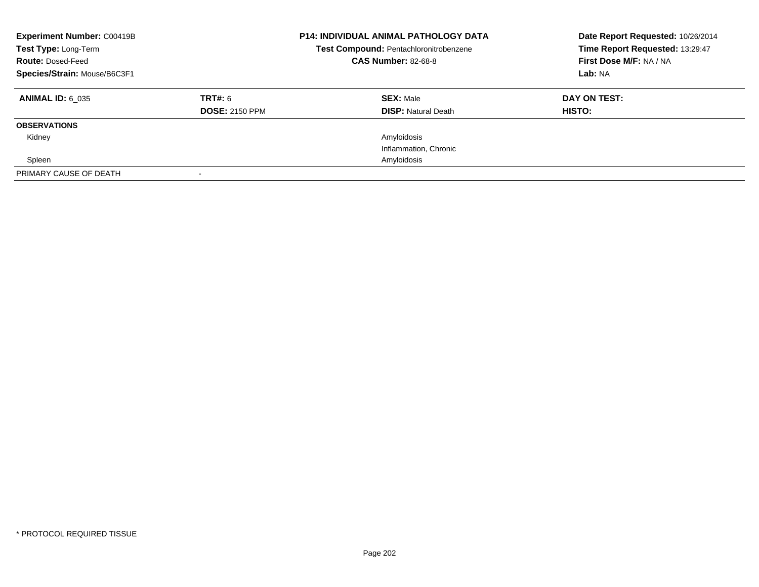| <b>Experiment Number: C00419B</b><br>Test Type: Long-Term<br><b>Route: Dosed-Feed</b><br>Species/Strain: Mouse/B6C3F1 |                                  | <b>P14: INDIVIDUAL ANIMAL PATHOLOGY DATA</b><br>Test Compound: Pentachloronitrobenzene<br><b>CAS Number: 82-68-8</b> | Date Report Requested: 10/26/2014<br>Time Report Requested: 13:29:47<br>First Dose M/F: NA / NA<br>Lab: NA |
|-----------------------------------------------------------------------------------------------------------------------|----------------------------------|----------------------------------------------------------------------------------------------------------------------|------------------------------------------------------------------------------------------------------------|
| <b>ANIMAL ID: 6 035</b>                                                                                               | TRT#: 6<br><b>DOSE: 2150 PPM</b> | <b>SEX: Male</b><br><b>DISP: Natural Death</b>                                                                       | DAY ON TEST:<br>HISTO:                                                                                     |
| <b>OBSERVATIONS</b>                                                                                                   |                                  |                                                                                                                      |                                                                                                            |
| Kidney                                                                                                                |                                  | Amyloidosis                                                                                                          |                                                                                                            |
|                                                                                                                       |                                  | Inflammation, Chronic                                                                                                |                                                                                                            |
| Spleen                                                                                                                |                                  | Amyloidosis                                                                                                          |                                                                                                            |
| PRIMARY CAUSE OF DEATH                                                                                                |                                  |                                                                                                                      |                                                                                                            |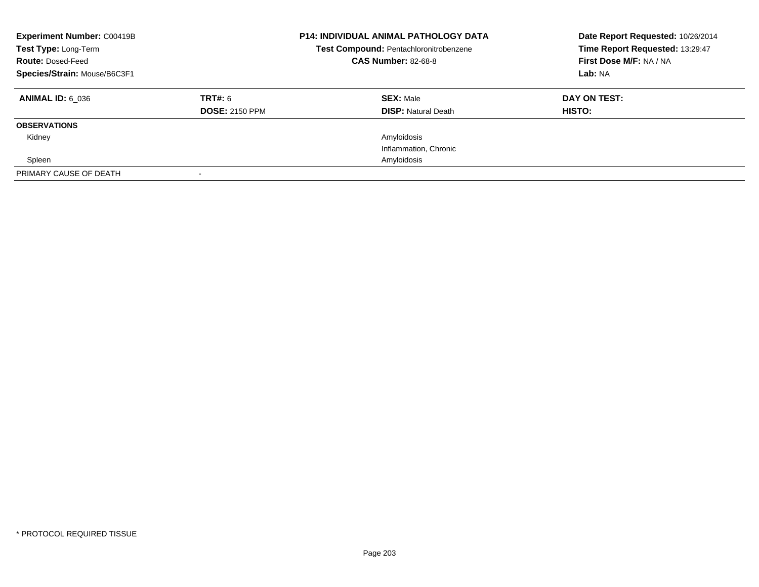| <b>Experiment Number: C00419B</b><br>Test Type: Long-Term<br><b>Route: Dosed-Feed</b><br>Species/Strain: Mouse/B6C3F1 |                                  | <b>P14: INDIVIDUAL ANIMAL PATHOLOGY DATA</b><br>Test Compound: Pentachloronitrobenzene<br><b>CAS Number: 82-68-8</b> | Date Report Requested: 10/26/2014<br>Time Report Requested: 13:29:47<br>First Dose M/F: NA / NA<br>Lab: NA |
|-----------------------------------------------------------------------------------------------------------------------|----------------------------------|----------------------------------------------------------------------------------------------------------------------|------------------------------------------------------------------------------------------------------------|
| <b>ANIMAL ID: 6 036</b>                                                                                               | TRT#: 6<br><b>DOSE: 2150 PPM</b> | <b>SEX: Male</b><br><b>DISP: Natural Death</b>                                                                       | DAY ON TEST:<br>HISTO:                                                                                     |
| <b>OBSERVATIONS</b>                                                                                                   |                                  |                                                                                                                      |                                                                                                            |
| Kidney                                                                                                                |                                  | Amyloidosis                                                                                                          |                                                                                                            |
|                                                                                                                       |                                  | Inflammation, Chronic                                                                                                |                                                                                                            |
| Spleen                                                                                                                |                                  | Amyloidosis                                                                                                          |                                                                                                            |
| PRIMARY CAUSE OF DEATH                                                                                                |                                  |                                                                                                                      |                                                                                                            |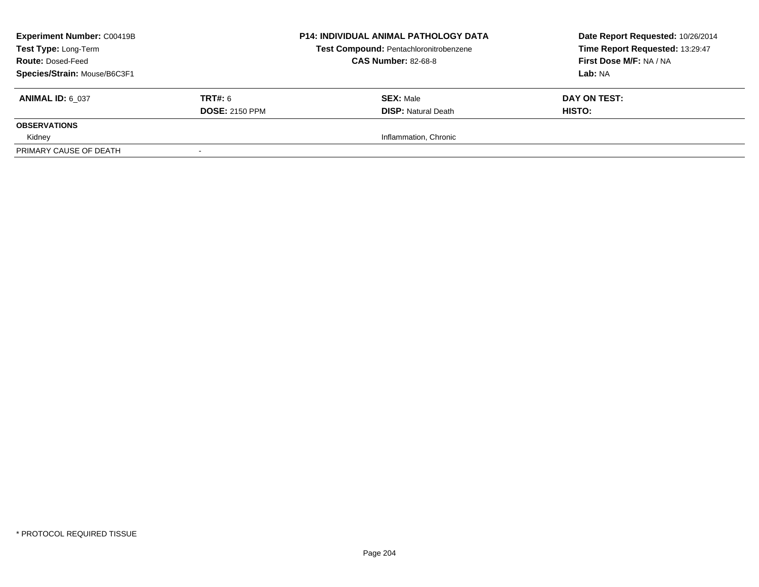| <b>Experiment Number: C00419B</b><br>Test Type: Long-Term<br><b>Route: Dosed-Feed</b><br>Species/Strain: Mouse/B6C3F1 |                                         | <b>P14: INDIVIDUAL ANIMAL PATHOLOGY DATA</b><br>Test Compound: Pentachloronitrobenzene<br><b>CAS Number: 82-68-8</b> | Date Report Requested: 10/26/2014<br>Time Report Requested: 13:29:47<br>First Dose M/F: NA / NA<br>Lab: NA |
|-----------------------------------------------------------------------------------------------------------------------|-----------------------------------------|----------------------------------------------------------------------------------------------------------------------|------------------------------------------------------------------------------------------------------------|
| <b>ANIMAL ID: 6 037</b>                                                                                               | <b>TRT#: 6</b><br><b>DOSE: 2150 PPM</b> | <b>SEX: Male</b><br><b>DISP:</b> Natural Death                                                                       | DAY ON TEST:<br>HISTO:                                                                                     |
| <b>OBSERVATIONS</b>                                                                                                   |                                         |                                                                                                                      |                                                                                                            |
| Kidney                                                                                                                |                                         | Inflammation, Chronic                                                                                                |                                                                                                            |
| PRIMARY CAUSE OF DEATH                                                                                                |                                         |                                                                                                                      |                                                                                                            |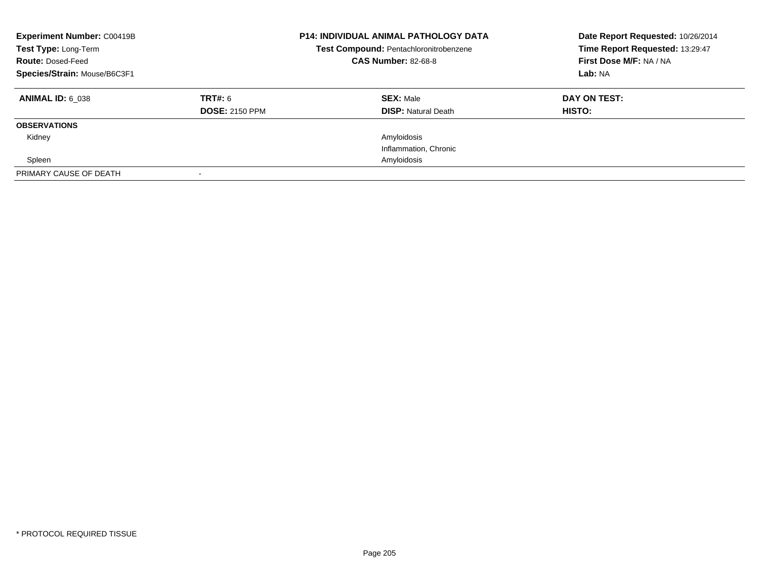| <b>Experiment Number: C00419B</b><br>Test Type: Long-Term<br><b>Route: Dosed-Feed</b><br>Species/Strain: Mouse/B6C3F1 |                                  | <b>P14: INDIVIDUAL ANIMAL PATHOLOGY DATA</b><br>Test Compound: Pentachloronitrobenzene<br><b>CAS Number: 82-68-8</b> | Date Report Requested: 10/26/2014<br>Time Report Requested: 13:29:47<br>First Dose M/F: NA / NA<br>Lab: NA |
|-----------------------------------------------------------------------------------------------------------------------|----------------------------------|----------------------------------------------------------------------------------------------------------------------|------------------------------------------------------------------------------------------------------------|
| <b>ANIMAL ID: 6 038</b>                                                                                               | TRT#: 6<br><b>DOSE: 2150 PPM</b> | <b>SEX: Male</b><br><b>DISP: Natural Death</b>                                                                       | DAY ON TEST:<br>HISTO:                                                                                     |
| <b>OBSERVATIONS</b>                                                                                                   |                                  |                                                                                                                      |                                                                                                            |
| Kidney                                                                                                                |                                  | Amyloidosis                                                                                                          |                                                                                                            |
|                                                                                                                       |                                  | Inflammation, Chronic                                                                                                |                                                                                                            |
| Spleen                                                                                                                |                                  | Amyloidosis                                                                                                          |                                                                                                            |
| PRIMARY CAUSE OF DEATH                                                                                                |                                  |                                                                                                                      |                                                                                                            |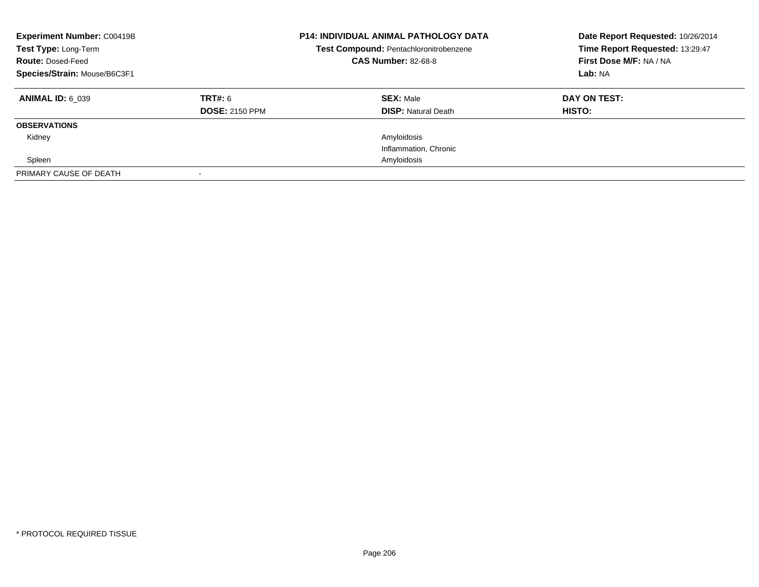| <b>Experiment Number: C00419B</b><br>Test Type: Long-Term<br><b>Route: Dosed-Feed</b><br>Species/Strain: Mouse/B6C3F1 |                                  | <b>P14: INDIVIDUAL ANIMAL PATHOLOGY DATA</b><br>Test Compound: Pentachloronitrobenzene<br><b>CAS Number: 82-68-8</b> | Date Report Requested: 10/26/2014<br>Time Report Requested: 13:29:47<br>First Dose M/F: NA / NA<br>Lab: NA |
|-----------------------------------------------------------------------------------------------------------------------|----------------------------------|----------------------------------------------------------------------------------------------------------------------|------------------------------------------------------------------------------------------------------------|
| <b>ANIMAL ID: 6 039</b>                                                                                               | TRT#: 6<br><b>DOSE: 2150 PPM</b> | <b>SEX: Male</b><br><b>DISP: Natural Death</b>                                                                       | DAY ON TEST:<br>HISTO:                                                                                     |
| <b>OBSERVATIONS</b>                                                                                                   |                                  |                                                                                                                      |                                                                                                            |
| Kidney                                                                                                                |                                  | Amyloidosis                                                                                                          |                                                                                                            |
|                                                                                                                       |                                  | Inflammation, Chronic                                                                                                |                                                                                                            |
| Spleen                                                                                                                |                                  | Amyloidosis                                                                                                          |                                                                                                            |
| PRIMARY CAUSE OF DEATH                                                                                                |                                  |                                                                                                                      |                                                                                                            |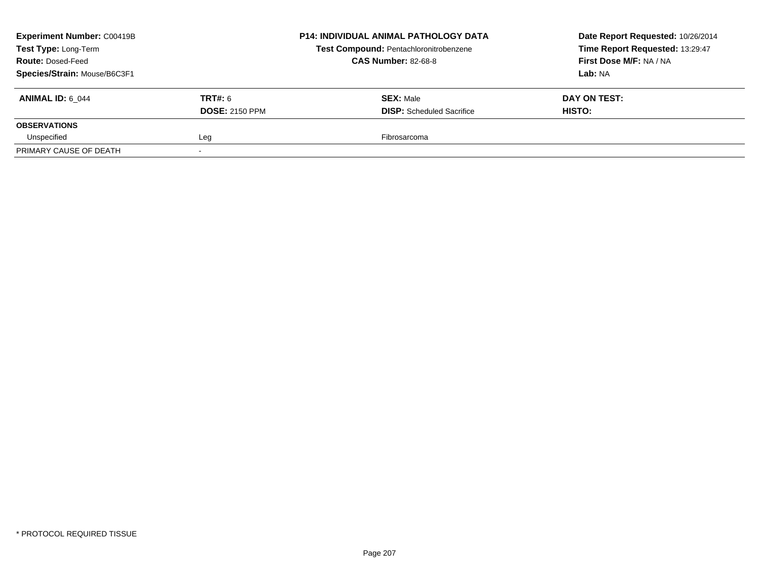| Experiment Number: C00419B<br>Test Type: Long-Term<br><b>Route: Dosed-Feed</b><br>Species/Strain: Mouse/B6C3F1 |                                         | <b>P14: INDIVIDUAL ANIMAL PATHOLOGY DATA</b><br>Test Compound: Pentachloronitrobenzene<br><b>CAS Number: 82-68-8</b> | Date Report Requested: 10/26/2014<br>Time Report Requested: 13:29:47<br>First Dose M/F: NA / NA<br>Lab: NA |
|----------------------------------------------------------------------------------------------------------------|-----------------------------------------|----------------------------------------------------------------------------------------------------------------------|------------------------------------------------------------------------------------------------------------|
| <b>ANIMAL ID: 6 044</b>                                                                                        | <b>TRT#: 6</b><br><b>DOSE: 2150 PPM</b> | <b>SEX: Male</b><br><b>DISP:</b> Scheduled Sacrifice                                                                 | DAY ON TEST:<br>HISTO:                                                                                     |
| <b>OBSERVATIONS</b>                                                                                            |                                         |                                                                                                                      |                                                                                                            |
| Unspecified                                                                                                    | Leg                                     | Fibrosarcoma                                                                                                         |                                                                                                            |
| PRIMARY CAUSE OF DEATH                                                                                         |                                         |                                                                                                                      |                                                                                                            |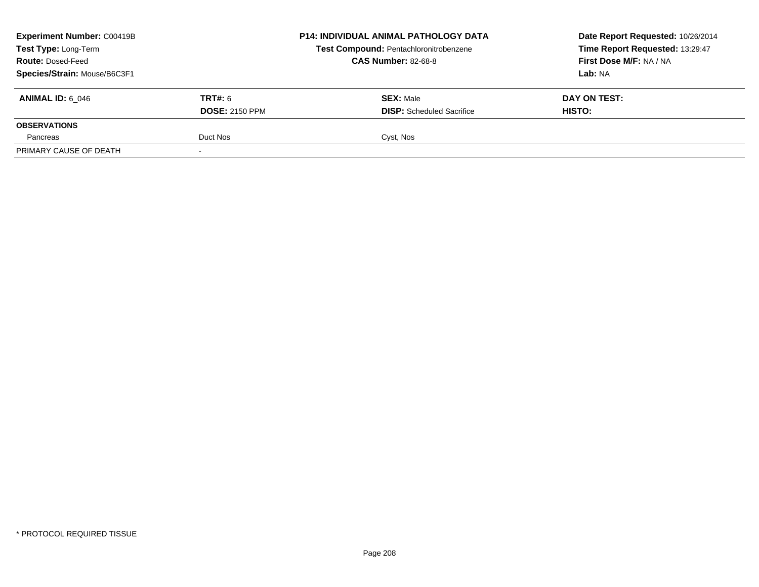| <b>Experiment Number: C00419B</b><br>Test Type: Long-Term<br><b>Route: Dosed-Feed</b> |                       | <b>P14: INDIVIDUAL ANIMAL PATHOLOGY DATA</b><br>Test Compound: Pentachloronitrobenzene<br><b>CAS Number: 82-68-8</b> | Date Report Requested: 10/26/2014<br>Time Report Requested: 13:29:47<br>First Dose M/F: NA / NA |
|---------------------------------------------------------------------------------------|-----------------------|----------------------------------------------------------------------------------------------------------------------|-------------------------------------------------------------------------------------------------|
| Species/Strain: Mouse/B6C3F1                                                          |                       |                                                                                                                      | Lab: NA                                                                                         |
| <b>ANIMAL ID: 6 046</b>                                                               | <b>TRT#:</b> 6        | <b>SEX: Male</b>                                                                                                     | DAY ON TEST:                                                                                    |
|                                                                                       | <b>DOSE: 2150 PPM</b> | <b>DISP:</b> Scheduled Sacrifice                                                                                     | HISTO:                                                                                          |
| <b>OBSERVATIONS</b>                                                                   |                       |                                                                                                                      |                                                                                                 |
| Pancreas                                                                              | Duct Nos              | Cyst, Nos                                                                                                            |                                                                                                 |
| PRIMARY CAUSE OF DEATH                                                                |                       |                                                                                                                      |                                                                                                 |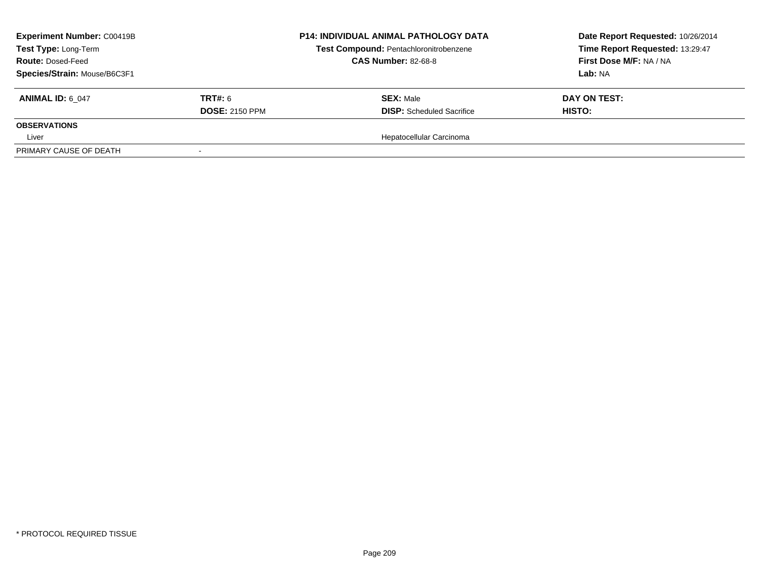| <b>Experiment Number: C00419B</b><br>Test Type: Long-Term<br><b>Route: Dosed-Feed</b> |                       | <b>P14: INDIVIDUAL ANIMAL PATHOLOGY DATA</b><br>Test Compound: Pentachloronitrobenzene<br><b>CAS Number: 82-68-8</b> | Date Report Requested: 10/26/2014<br>Time Report Requested: 13:29:47<br>First Dose M/F: NA / NA |
|---------------------------------------------------------------------------------------|-----------------------|----------------------------------------------------------------------------------------------------------------------|-------------------------------------------------------------------------------------------------|
| Species/Strain: Mouse/B6C3F1                                                          |                       |                                                                                                                      | Lab: NA                                                                                         |
| <b>ANIMAL ID: 6 047</b>                                                               | <b>TRT#: 6</b>        | <b>SEX: Male</b>                                                                                                     | DAY ON TEST:                                                                                    |
|                                                                                       | <b>DOSE: 2150 PPM</b> | <b>DISP:</b> Scheduled Sacrifice                                                                                     | HISTO:                                                                                          |
| <b>OBSERVATIONS</b>                                                                   |                       |                                                                                                                      |                                                                                                 |
| Liver                                                                                 |                       | Hepatocellular Carcinoma                                                                                             |                                                                                                 |
| PRIMARY CAUSE OF DEATH                                                                |                       |                                                                                                                      |                                                                                                 |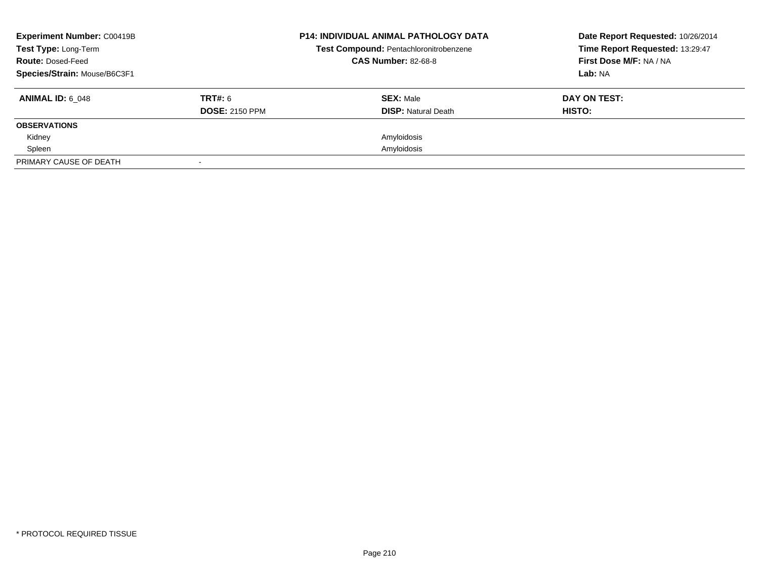| <b>Experiment Number: C00419B</b><br>Test Type: Long-Term<br><b>Route: Dosed-Feed</b><br>Species/Strain: Mouse/B6C3F1 |                                  | <b>P14: INDIVIDUAL ANIMAL PATHOLOGY DATA</b><br>Test Compound: Pentachloronitrobenzene<br><b>CAS Number: 82-68-8</b> | Date Report Requested: 10/26/2014<br>Time Report Requested: 13:29:47<br>First Dose M/F: NA / NA<br>Lab: NA |
|-----------------------------------------------------------------------------------------------------------------------|----------------------------------|----------------------------------------------------------------------------------------------------------------------|------------------------------------------------------------------------------------------------------------|
| <b>ANIMAL ID: 6 048</b>                                                                                               | TRT#: 6<br><b>DOSE: 2150 PPM</b> | <b>SEX: Male</b><br><b>DISP:</b> Natural Death                                                                       | DAY ON TEST:<br>HISTO:                                                                                     |
| <b>OBSERVATIONS</b>                                                                                                   |                                  |                                                                                                                      |                                                                                                            |
| Kidney                                                                                                                |                                  | Amyloidosis                                                                                                          |                                                                                                            |
| Spleen                                                                                                                |                                  | Amyloidosis                                                                                                          |                                                                                                            |
| PRIMARY CAUSE OF DEATH                                                                                                |                                  |                                                                                                                      |                                                                                                            |